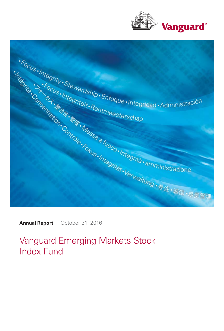



Vanguard Emerging Markets Stock Index Fund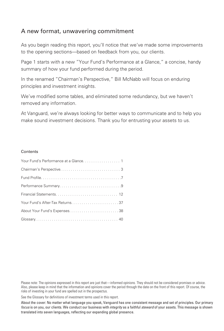### A new format, unwavering commitment

As you begin reading this report, you'll notice that we've made some improvements to the opening sections—based on feedback from you, our clients.

Page 1 starts with a new "Your Fund's Performance at a Glance," a concise, handy summary of how your fund performed during the period.

In the renamed "Chairman's Perspective," Bill McNabb will focus on enduring principles and investment insights.

We've modified some tables, and eliminated some redundancy, but we haven't removed any information.

At Vanguard, we're always looking for better ways to communicate and to help you make sound investment decisions. Thank you for entrusting your assets to us.

#### **Contents**

Please note: The opinions expressed in this report are just that—informed opinions. They should not be considered promises or advice. Also, please keep in mind that the information and opinions cover the period through the date on the front of this report. Of course, the risks of investing in your fund are spelled out in the prospectus.

See the Glossary for definitions of investment terms used in this report.

About the cover: No matter what language you speak, Vanguard has one consistent message and set of principles. Our primary focus is on you, our clients. We conduct our business with integrity as a faithful steward of your assets. This message is shown translated into seven languages, reflecting our expanding global presence.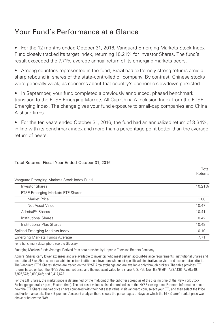### Your Fund's Performance at a Glance

• For the 12 months ended October 31, 2016, Vanguard Emerging Markets Stock Index Fund closely tracked its target index, returning 10.21% for Investor Shares. The fund's result exceeded the 7.71% average annual return of its emerging markets peers.

• Among countries represented in the fund, Brazil had extremely strong returns amid a sharp rebound in shares of the state-controlled oil company. By contrast, Chinese stocks were generally weak, as concerns about that country's economic slowdown persisted.

• In September, your fund completed a previously announced, phased benchmark transition to the FTSE Emerging Markets All Cap China A Inclusion Index from the FTSE Emerging Index. The change gives your fund exposure to small-cap companies and China A-share firms.

• For the ten years ended October 31, 2016, the fund had an annualized return of 3.34%, in line with its benchmark index and more than a percentage point better than the average return of peers.

| Vanguard Emerging Markets Stock Index Fund |        |
|--------------------------------------------|--------|
| <b>Investor Shares</b>                     | 10.21% |
| <b>FTSE Emerging Markets ETF Shares</b>    |        |
| <b>Market Price</b>                        | 11.00  |
| Net Asset Value                            | 10.47  |
| Admiral™ Shares                            | 10.41  |
| Institutional Shares                       | 10.42  |
| Institutional Plus Shares                  | 10.48  |
| Spliced Emerging Markets Index             | 10.10  |
| Emerging Markets Funds Average             | 7.71   |

#### Total Returns: Fiscal Year Ended October 31, 2016

For a benchmark description, see the Glossary.

Emerging Markets Funds Average: Derived from data provided by Lipper, a Thomson Reuters Company.

Admiral Shares carry lower expenses and are available to investors who meet certain account-balance requirements. Institutional Shares and Institutional Plus Shares are available to certain institutional investors who meet specific administrative, service, and account-size criteria. The Vanguard ETF® Shares shown are traded on the NYSE Arca exchange and are available only through brokers. The table provides ETF returns based on both the NYSE Arca market price and the net asset value for a share. U.S. Pat. Nos. 6,879,964; 7,337,138; 7,720,749; 7,925,573; 8,090,646; and 8,417,623.

For the ETF Shares, the market price is determined by the midpoint of the bid-offer spread as of the closing time of the New York Stock Exchange (generally 4 p.m., Eastern time). The net asset value is also determined as of the NYSE closing time. For more information about how the ETF Shares' market prices have compared with their net asset value, visit vanguard.com, select your ETF, and then select the Price and Performance tab. The ETF premium/discount analysis there shows the percentages of days on which the ETF Shares' market price was above or below the NAV.

Total Returns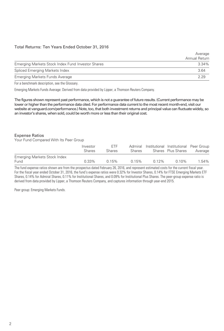#### Total Returns: Ten Years Ended October 31, 2016

| <b>Annual Return</b> |
|----------------------|
| 3.34%                |
| 3.64                 |
| 2.29                 |
|                      |

For a benchmark description, see the Glossary.

Emerging Markets Funds Average: Derived from data provided by Lipper, a Thomson Reuters Company.

The figures shown represent past performance, which is not a guarantee of future results. (Current performance may be lower or higher than the performance data cited. For performance data current to the most recent month-end, visit our website at vanguard.com/performance.) Note, too, that both investment returns and principal value can fluctuate widely, so an investor's shares, when sold, could be worth more or less than their original cost.

#### Expense Ratios

Your Fund Compared With Its Peer Group

|                                      | Investor<br><b>Shares</b> | <b>FTF</b><br><b>Shares</b> | <b>Shares</b> |          | Admiral Institutional Institutional Peer Group<br>Shares Plus Shares | Average |
|--------------------------------------|---------------------------|-----------------------------|---------------|----------|----------------------------------------------------------------------|---------|
| Emerging Markets Stock Index<br>Fund | $0.33\%$                  | 0.15%                       | 0.15%         | $0.12\%$ | $0.10\%$                                                             | 1.54%   |

The fund expense ratios shown are from the prospectus dated February 26, 2016, and represent estimated costs for the current fiscal year. For the fiscal year ended October 31, 2016, the fund's expense ratios were 0.32% for Investor Shares, 0.14% for FTSE Emerging Markets ETF Shares, 0.14% for Admiral Shares, 0.11% for Institutional Shares, and 0.09% for Institutional Plus Shares. The peer-group expense ratio is derived from data provided by Lipper, a Thomson Reuters Company, and captures information through year-end 2015.

Peer group: Emerging Markets Funds.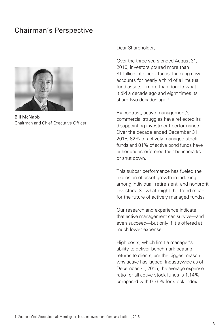### Chairman's Perspective



Bill McNabb Chairman and Chief Executive Officer

#### Dear Shareholder,

Over the three years ended August 31, 2016, investors poured more than \$1 trillion into index funds. Indexing now accounts for nearly a third of all mutual fund assets—more than double what it did a decade ago and eight times its share two decades ago.1

By contrast, active management's commercial struggles have reflected its disappointing investment performance. Over the decade ended December 31, 2015, 82% of actively managed stock funds and 81% of active bond funds have either underperformed their benchmarks or shut down.

This subpar performance has fueled the explosion of asset growth in indexing among individual, retirement, and nonprofit investors. So what might the trend mean for the future of actively managed funds?

Our research and experience indicate that active management can survive—and even succeed—but only if it's offered at much lower expense.

High costs, which limit a manager's ability to deliver benchmark-beating returns to clients, are the biggest reason why active has lagged. Industrywide as of December 31, 2015, the average expense ratio for all active stock funds is 1.14%, compared with 0.76% for stock index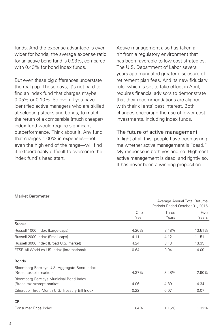funds. And the expense advantage is even wider for bonds; the average expense ratio for an active bond fund is 0.93%, compared with 0.43% for bond index funds.

But even these big differences understate the real gap. These days, it's not hard to find an index fund that charges maybe 0.05% or 0.10%. So even if you have identified active managers who are skilled at selecting stocks and bonds, to match the return of a comparable (much cheaper) index fund would require significant outperformance. Think about it. Any fund that charges 1.00% in expenses—not even the high end of the range—will find it extraordinarily difficult to overcome the index fund's head start.

Active management also has taken a hit from a regulatory environment that has been favorable to low-cost strategies. The U.S. Department of Labor several years ago mandated greater disclosure of retirement plan fees. And its new fiduciary rule, which is set to take effect in April, requires financial advisors to demonstrate that their recommendations are aligned with their clients' best interest. Both changes encourage the use of lower-cost investments, including index funds.

#### The future of active management

In light of all this, people have been asking me whether active management is "dead." My response is both yes and no. High-cost active management is dead, and rightly so. It has never been a winning proposition

|                                                                        | Average Annual Total Returns<br>Periods Ended October 31, 2016 |                |               |
|------------------------------------------------------------------------|----------------------------------------------------------------|----------------|---------------|
|                                                                        | One<br>Year                                                    | Three<br>Years | Five<br>Years |
| <b>Stocks</b>                                                          |                                                                |                |               |
| Russell 1000 Index (Large-caps)                                        | 4.26%                                                          | 8.48%          | 13.51%        |
| Russell 2000 Index (Small-caps)                                        | 4.11                                                           | 4.12           | 11.51         |
| Russell 3000 Index (Broad U.S. market)                                 | 4.24                                                           | 8.13           | 13.35         |
| FTSE All-World ex US Index (International)                             | 0.64                                                           | $-0.94$        | 4.09          |
| <b>Bonds</b>                                                           |                                                                |                |               |
| Bloomberg Barclays U.S. Aggregate Bond Index<br>(Broad taxable market) | 4.37%                                                          | 3.48%          | 2.90%         |
| Bloomberg Barclays Municipal Bond Index<br>(Broad tax-exempt market)   | 4.06                                                           | 4.89           | 4.34          |
| Citigroup Three-Month U.S. Treasury Bill Index                         | 0.22                                                           | 0.07           | 0.07          |
| <b>CPI</b>                                                             |                                                                |                |               |
| Consumer Price Index                                                   | 1.64%                                                          | 1.15%          | 1.32%         |

#### Market Barometer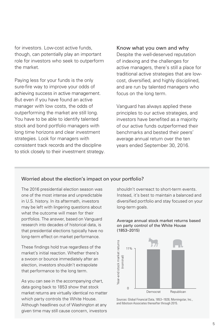for investors. Low-cost active funds, though, can potentially play an important role for investors who seek to outperform the market.

Paying less for your funds is the only sure-fire way to improve your odds of achieving success in active management. But even if you have found an active manager with low costs, the odds of outperforming the market are still long. You have to be able to identify talented stock and bond portfolio managers with long time horizons and clear investment strategies. Look for managers with consistent track records and the discipline to stick closely to their investment strategy. Know what you own and why

Despite the well-deserved reputation of indexing and the challenges for active managers, there's still a place for traditional active strategies that are lowcost, diversified, and highly disciplined, and are run by talented managers who focus on the long term.

Vanguard has always applied these principles to our active strategies, and investors have benefited as a majority of our active funds outperformed their benchmarks and bested their peers' average annual return over the ten years ended September 30, 2016.

#### Worried about the election's impact on your portfolio?

The 2016 presidential election season was one of the most intense and unpredictable in U.S. history. In its aftermath, investors may be left with lingering questions about what the outcome will mean for their portfolios. The answer, based on Vanguard research into decades of historical data, is that presidential elections typically have no long-term effect on market performance.

These findings hold true regardless of the market's initial reaction. Whether there's a swoon or bounce immediately after an election, investors shouldn't extrapolate that performance to the long term.

As you can see in the accompanying chart, data going back to 1853 show that stock market returns are virtually identical no matter which party controls the White House. Although headlines out of Washington at any given time may still cause concern, investors

shouldn't overreact to short-term events. Instead, it's best to maintain a balanced and diversified portfolio and stay focused on your long-term goals.





Sources: Global Financial Data, 1853–1926; Morningstar, Inc., and Ibbotson Associates thereafter through 2015.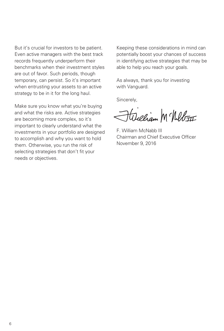But it's crucial for investors to be patient. Even active managers with the best track records frequently underperform their benchmarks when their investment styles are out of favor. Such periods, though temporary, can persist. So it's important when entrusting your assets to an active strategy to be in it for the long haul.

Make sure you know what you're buying and what the risks are. Active strategies are becoming more complex, so it's important to clearly understand what the investments in your portfolio are designed to accomplish and why you want to hold them. Otherwise, you run the risk of selecting strategies that don't fit your needs or objectives.

Keeping these considerations in mind can potentially boost your chances of success in identifying active strategies that may be able to help you reach your goals.

As always, thank you for investing with Vanguard.

Sincerely,

Hicham McNeb<del>III</del>

F. William McNabb III Chairman and Chief Executive Officer November 9, 2016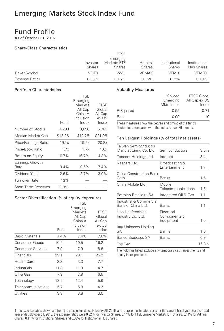### Fund Profile

As of October 31, 2016

#### Share-Class Characteristics

|                      |                    | <b>FTSE</b><br>Emerging      |                          |                                |                              |
|----------------------|--------------------|------------------------------|--------------------------|--------------------------------|------------------------------|
|                      | Investor<br>Shares | Markets ETF<br><b>Shares</b> | Admiral<br><b>Shares</b> | Institutional<br><b>Shares</b> | Institutional<br>Plus Shares |
| <b>Ticker Symbol</b> | VEIEX              | VWO                          | VEMAX                    | <b>VEMIX</b>                   | VEMRX                        |
| Expense Ratio1       | $0.33\%$           | 0.15%                        | 0.15%                    | $0.12\%$                       | 0.10%                        |

#### Portfolio Characteristics

|                         | Fund    | <b>FTSE</b><br>Emerging<br>Markets<br>All Cap<br>China A<br>Inclusion<br>Index | FTSE<br>Global<br>All Cap<br>ex US<br>Index |
|-------------------------|---------|--------------------------------------------------------------------------------|---------------------------------------------|
| Number of Stocks        | 4,293   | 3,658                                                                          | 5,783                                       |
| Median Market Cap       | \$12.2B | \$12.2B                                                                        | \$21.0B                                     |
| Price/Earnings Ratio    | 19.1x   | 19.9x                                                                          | 20.8x                                       |
| Price/Book Ratio        | 1.7x    | 1.7x                                                                           | 1.6x                                        |
| Return on Equity        | 16.7%   | 16.7%                                                                          | 14.3%                                       |
| Earnings Growth<br>Rate | 9.4%    | 9.6%                                                                           | 7.4%                                        |
| Dividend Yield          | 2.6%    | 2.7%                                                                           | $3.0\%$                                     |
| Turnover Rate           | 13%     |                                                                                |                                             |
| Short-Term Reserves     | $0.0\%$ |                                                                                |                                             |
|                         |         |                                                                                |                                             |

#### Sector Diversification (% of equity exposure)

|                          |      | <b>FTSE</b><br>Emerging<br>Markets<br>All Cap<br>China A | <b>FTSE</b><br>Global<br>All Cap |
|--------------------------|------|----------------------------------------------------------|----------------------------------|
|                          |      | Inclusion                                                | ex US                            |
|                          | Fund | Index                                                    | Index                            |
| <b>Basic Materials</b>   | 7.4% | 7.4%                                                     | 7.8%                             |
| Consumer Goods           | 10.5 | 10.5                                                     | 16.2                             |
| <b>Consumer Services</b> | 7.9  | 7.9                                                      | 8.6                              |
| Financials               | 29.1 | 29.1                                                     | 25.2                             |
| <b>Health Care</b>       | 3.3  | 3.3                                                      | 7.7                              |
| Industrials              | 11.8 | 11.9                                                     | 14.7                             |
| Oil & Gas                | 7.9  | 7.9                                                      | 6.5                              |
| Technology               | 12.5 | 12.4                                                     | 5.6                              |
| Telecommunications       | 5.7  | 5.8                                                      | 4.2                              |
| Utilities                | 3.9  | 3.8                                                      | 3.5                              |
|                          |      |                                                          |                                  |

#### Volatility Measures

|           | Spliced<br>Emerging<br>Mkts Index | <b>FTSE Global</b><br>All Cap ex US<br>Index |
|-----------|-----------------------------------|----------------------------------------------|
| R-Squared | 0.99                              | O 71                                         |
| Beta      | 0.99                              | 1.10                                         |
|           |                                   |                                              |

These measures show the degree and timing of the fund's fluctuations compared with the indexes over 36 months.

#### Ten Largest Holdings (% of total net assets)

| Taiwan Semiconductor<br>Manufacturing Co. Ltd. | Semiconductors                          | 3.5%  |
|------------------------------------------------|-----------------------------------------|-------|
| Tencent Holdings Ltd.                          | Internet                                | 3.4   |
| Naspers Ltd.                                   | Broadcasting &<br>Entertainment         | 1.7   |
| China Construction Bank<br>Corp.               | <b>Banks</b>                            | 1.6   |
| China Mobile Ltd.                              | Mobile<br>Telecommunications            | 1.5   |
| Petroleo Brasileiro SA                         | Integrated Oil & Gas                    | 1.1   |
| Industrial & Commercial<br>Bank of China Ltd.  | <b>Banks</b>                            | 1.1   |
| Hon Hai Precision<br>Industry Co. Ltd.         | Electrical<br>Components &<br>Equipment | 1.0   |
| Itau Unibanco Holding<br>SА                    | <b>Banks</b>                            | 1.0   |
| Banco Bradesco SA                              | <b>Banks</b>                            | 0.9   |
| Top Ten                                        |                                         | 16.8% |

The holdings listed exclude any temporary cash investments and equity index products.

1 The expense ratios shown are from the prospectus dated February 26, 2016, and represent estimated costs for the current fiscal year. For the fiscal<br>year ended October 31, 2016, the expense ratios were 0.32% for Investor Shares, 0.11% for Institutional Shares, and 0.09% for Institutional Plus Shares.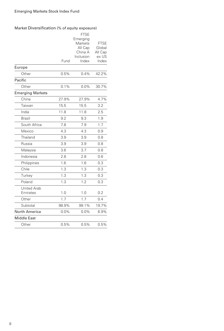#### Market Diversification (% of equity exposure)

| Europe<br>Other                | Fund<br>0.5% | <b>FTSE</b><br>Emerging<br>Markets<br>All Cap<br>China A<br>Inclusion<br>Index<br>0.4% | <b>FTSE</b><br>Global<br>All Cap<br>ex US<br>Index<br>42.2% |
|--------------------------------|--------------|----------------------------------------------------------------------------------------|-------------------------------------------------------------|
| Pacific                        |              |                                                                                        |                                                             |
|                                | 0.1%         | 0.0%                                                                                   | 30.7%                                                       |
| Other                          |              |                                                                                        |                                                             |
| <b>Emerging Markets</b>        | 27.9%        |                                                                                        |                                                             |
| China                          |              | 27.9%                                                                                  | 4.7%                                                        |
| Taiwan                         | 15.5         | 15.5                                                                                   | 3.2                                                         |
| India                          | 11.8         | 11.8                                                                                   | 2.5                                                         |
| Brazil                         | 9.2          | 9.3                                                                                    | 1.9                                                         |
| South Africa                   | 7.8          | 7.9                                                                                    | 1.7                                                         |
| Mexico                         | 4.3          | 4.3                                                                                    | 0.9                                                         |
| Thailand                       | 3.9          | 3.9                                                                                    | 0.8                                                         |
| Russia                         | 3.9          | 3.9                                                                                    | 0.8                                                         |
| Malaysia                       | 3.6          | 3.7                                                                                    | 0.8                                                         |
| Indonesia                      | 2.8          | 2.8                                                                                    | 0.6                                                         |
| Philippines                    | 1.6          | 1.6                                                                                    | 0.3                                                         |
| Chile                          | 1.3          | 1.3                                                                                    | 0.3                                                         |
| Turkey                         | 1.3          | 1.3                                                                                    | 0.3                                                         |
| Poland                         | 1.3          | 1.2                                                                                    | 0.3                                                         |
| <b>United Arab</b><br>Emirates | 1.0          | 1.0                                                                                    | 0.2                                                         |
| Other                          | 1.7          | 1.7                                                                                    | 0.4                                                         |
| Subtotal                       | 98.9%        | 99.1%                                                                                  | 19.7%                                                       |
| North America                  | $0.0\%$      | $0.0\%$                                                                                | 6.9%                                                        |
| <b>Middle East</b>             |              |                                                                                        |                                                             |
| Other                          | 0.5%         | 0.5%                                                                                   | 0.5%                                                        |
|                                |              |                                                                                        |                                                             |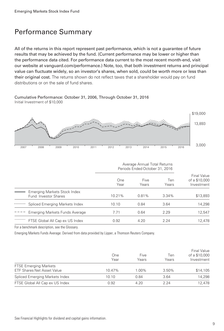### Performance Summary

All of the returns in this report represent past performance, which is not a guarantee of future results that may be achieved by the fund. (Current performance may be lower or higher than the performance data cited. For performance data current to the most recent month-end, visit our website at vanguard.com/performance.) Note, too, that both investment returns and principal value can fluctuate widely, so an investor's shares, when sold, could be worth more or less than their original cost. The returns shown do not reflect taxes that a shareholder would pay on fund distributions or on the sale of fund shares.

Cumulative Performance: October 31, 2006, Through October 31, 2016 Initial Investment of \$10,000



|   |                                                             | Average Annual Total Returns<br>Periods Ended October 31, 2016 |               |              |                                            |
|---|-------------------------------------------------------------|----------------------------------------------------------------|---------------|--------------|--------------------------------------------|
|   |                                                             | One<br>Year                                                    | Five<br>Years | Ten<br>Years | Final Value<br>of a \$10,000<br>Investment |
|   | Emerging Markets Stock Index<br><b>Fund Investor Shares</b> | 10.21%                                                         | 0.81%         | 3.34%        | \$13,893                                   |
| . | Spliced Emerging Markets Index                              | 10.10                                                          | 0.84          | 3.64         | 14,298                                     |
|   | Emerging Markets Funds Average                              | 7.71                                                           | 0.64          | 2.29         | 12,547                                     |
|   | FTSE Global All Cap ex US Index                             | 0.92                                                           | 4.20          | 2.24         | 12.478                                     |

For a benchmark description, see the Glossary.

Emerging Markets Funds Average: Derived from data provided by Lipper, a Thomson Reuters Company.

|                                                                   | One<br>Year | Five<br>Years | Ten<br>Years | <b>Final Value</b><br>of a \$10,000<br>Investment |
|-------------------------------------------------------------------|-------------|---------------|--------------|---------------------------------------------------|
| <b>FTSE Emerging Markets</b><br><b>ETF Shares Net Asset Value</b> | 10.47%      | $1.00\%$      | 3.50%        | \$14,105                                          |
| Spliced Emerging Markets Index                                    | 10.10       | 0.84          | 3.64         | 14,298                                            |
| FTSE Global All Cap ex US Index                                   | 0.92        | 4.20          | 224          | 12.478                                            |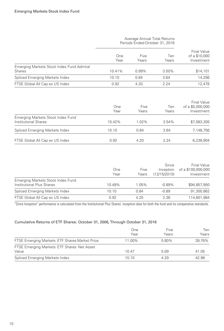|                                                            | Average Annual Total Returns<br>Periods Ended October 31, 2016 |               |              |                                            |
|------------------------------------------------------------|----------------------------------------------------------------|---------------|--------------|--------------------------------------------|
|                                                            | One<br>Year                                                    | Five<br>Years | Ten<br>Years | Final Value<br>of a \$10,000<br>Investment |
| Emerging Markets Stock Index Fund Admiral<br><b>Shares</b> | 10.41%                                                         | 0.99%         | 3.50%        | \$14,101                                   |
| Spliced Emerging Markets Index                             | 10.10                                                          | 0.84          | 3.64         | 14,298                                     |
| FTSE Global All Cap ex US Index                            | 0.92                                                           | 4.20          | 2.24         | 12,478                                     |
|                                                            |                                                                |               |              | Final Value                                |

|                                                           | One<br>Year | Five<br>Years | Ten<br>Years | of a \$5,000,000<br>Investment |
|-----------------------------------------------------------|-------------|---------------|--------------|--------------------------------|
| Emerging Markets Stock Index Fund<br>Institutional Shares | 10.42%      | 1.02%         | $3.54\%$     | \$7,083,305                    |
| Spliced Emerging Markets Index                            | 10.10       | 0.84          | 3.64         | 7.148.756                      |
| FTSE Global All Cap ex US Index                           | 0.92        | 4.20          | 2.24         | 6.238.904                      |

|                                                                | One<br>Year | Five<br>Years | Since<br>Inception<br>(12/15/2010) | <b>Final Value</b><br>of a \$100,000,000<br>Investment |
|----------------------------------------------------------------|-------------|---------------|------------------------------------|--------------------------------------------------------|
| Emerging Markets Stock Index Fund<br>Institutional Plus Shares | 10.48%      | 1.05%         | $-0.89%$                           | \$94,857,950                                           |
| Spliced Emerging Markets Index                                 | 10.10       | 0.84          | $-0.89$                            | 91.300.862                                             |
| FTSE Global All Cap ex US Index                                | 0.92        | 4.20          | 2.38                               | 114,801,984                                            |

"Since Inception" performance is calculated from the Institutional Plus Shares' inception date for both the fund and its comparative standards.

#### Cumulative Returns of ETF Shares: October 31, 2006, Through October 31, 2016

|                                                     | One<br>Year | Five<br>Years | Ten<br>Years |
|-----------------------------------------------------|-------------|---------------|--------------|
| FTSE Emerging Markets ETF Shares Market Price       | 11.00%      | 5.80%         | 39.76%       |
| FTSE Emerging Markets ETF Shares Net Asset<br>Value | 1047        | 5.09          | 41.05        |
| Spliced Emerging Markets Index                      | 10.10       | 4.29          | 42.98        |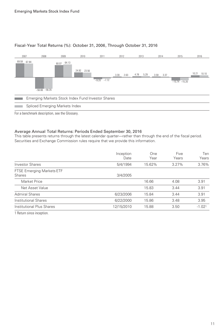

#### Fiscal-Year Total Returns (%): October 31, 2006, Through October 31, 2016

For a benchmark description, see the Glossary.

#### Average Annual Total Returns: Periods Ended September 30, 2016

This table presents returns through the latest calendar quarter—rather than through the end of the fiscal period. Securities and Exchange Commission rules require that we provide this information.

|                                            | Inception<br>Date | One<br>Year | Five<br>Years | Ten<br>Years |
|--------------------------------------------|-------------------|-------------|---------------|--------------|
| <b>Investor Shares</b>                     | 5/4/1994          | 15.62%      | 3.27%         | 3.76%        |
| FTSE Emerging Markets ETF<br><b>Shares</b> | 3/4/2005          |             |               |              |
| Market Price                               |                   | 16.66       | 4.08          | 3.91         |
| Net Asset Value                            |                   | 15.83       | 3.44          | 3.91         |
| <b>Admiral Shares</b>                      | 6/23/2006         | 15.84       | 3.44          | 3.91         |
| Institutional Shares                       | 6/22/2000         | 15.86       | 3.48          | 3.95         |
| Institutional Plus Shares                  | 12/15/2010        | 15.88       | 3.50          | $-1.021$     |
|                                            |                   |             |               |              |

1 Return since inception.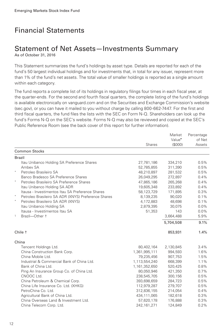## Financial Statements

# Statement of Net Assets—Investments Summary

As of October 31, 2016

This Statement summarizes the fund's holdings by asset type. Details are reported for each of the fund's 50 largest individual holdings and for investments that, in total for any issuer, represent more than 1% of the fund's net assets. The total value of smaller holdings is reported as a single amount within each category.

The fund reports a complete list of its holdings in regulatory filings four times in each fiscal year, at the quarter-ends. For the second and fourth fiscal quarters, the complete listing of the fund's holdings is available electronically on vanguard.com and on the Securities and Exchange Commission's website (sec.gov), or you can have it mailed to you without charge by calling 800-662-7447. For the first and third fiscal quarters, the fund files the lists with the SEC on Form N-Q. Shareholders can look up the fund's Forms N-Q on the SEC's website. Forms N-Q may also be reviewed and copied at the SEC's Public Reference Room (see the back cover of this report for further information).

|                                                                |               | Market             | Percentage |
|----------------------------------------------------------------|---------------|--------------------|------------|
|                                                                |               | Value <sup>•</sup> | of Net     |
|                                                                | <b>Shares</b> | (S000)             | Assets     |
| <b>Common Stocks</b>                                           |               |                    |            |
| <b>Brazil</b>                                                  |               |                    |            |
| Itau Unibanco Holding SA Preference Shares                     | 27,781,186    | 334,210            | 0.5%       |
| Ambey SA                                                       | 52,785,855    | 311,390            | 0.5%       |
| $\star$<br>Petroleo Brasileiro SA                              | 48,210,897    | 281,532            | 0.5%       |
| Banco Bradesco SA Preference Shares                            | 26,049,295    | 272,897            | 0.4%       |
| $\star$<br>Petroleo Brasileiro SA Preference Shares            | 47,865,186    | 265,268            | 0.4%       |
| Itau Unibanco Holding SA ADR                                   | 19,605,348    | 233,892            | 0.4%       |
| Itausa - Investimentos Itau SA Preference Shares               | 58,123,729    | 171,895            | 0.3%       |
| $\star$<br>Petroleo Brasileiro SA ADR (XNYS) Preference Shares | 8,139,235     | 90,020             | 0.1%       |
| Petroleo Brasileiro SA ADR (XNYS)                              | 4,172,883     | 48,698             | 0.1%       |
| Itau Unibanco Holding SA                                       | 2,879,395     | 30,075             | 0.0%       |
| Itausa - Investimentos Itau SA                                 | 51,353        | 143                | $0.0\%$    |
| 1<br>Brazil-Other +                                            |               | 3,664,488          | 5.9%       |
|                                                                |               | 5,704,508          | 9.1%       |
| Chile <sup>+</sup>                                             |               | 853,931            | 1.4%       |
| China                                                          |               |                    |            |
| Tencent Holdings Ltd.                                          | 80,402,164    | 2,130,845          | 3.4%       |
| China Construction Bank Corp.                                  | 1,361,995,111 | 994,593            | 1.6%       |
| China Mobile Ltd.                                              | 79,235,456    | 907,753            | 1.5%       |
| Industrial & Commercial Bank of China Ltd.                     | 1,113,554,240 | 668,399            | 1.1%       |
| Bank of China Ltd.                                             | 1,161,352,650 | 520,425            | 0.8%       |
| Ping An Insurance Group Co. of China Ltd.                      | 80,050,946    | 421,350            | 0.7%       |
| CNOOC Ltd.                                                     | 238,545,705   | 300,156            | 0.5%       |
| China Petroleum & Chemical Corp.                               | 393,698,659   | 284,723            | 0.5%       |
| China Life Insurance Co. Ltd. (XHKG)                           | 112,979,287   | 279,707            | 0.5%       |
| PetroChina Co. Ltd.                                            | 312,836,155   | 214,054            | 0.4%       |
| Agricultural Bank of China Ltd.                                | 434,111,065   | 182,618            | 0.3%       |
| China Overseas Land & Investment Ltd.                          | 57,620,178    | 176,888            | 0.3%       |
| China Telecom Corp. Ltd.                                       | 242, 161, 271 | 124,849            | 0.2%       |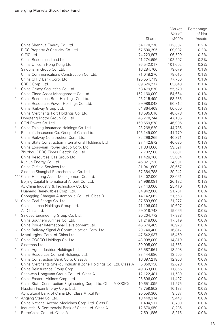|        |                                                                  |             | Market             | Percentage |
|--------|------------------------------------------------------------------|-------------|--------------------|------------|
|        |                                                                  |             | Value <sup>•</sup> | of Net     |
|        |                                                                  | Shares      | (\$000)            | Assets     |
|        | China Shenhua Energy Co. Ltd.                                    | 54,170,270  | 112,307            | 0.2%       |
|        | PICC Property & Casualty Co. Ltd.                                | 67,580,295  | 109,082            | 0.2%       |
|        | CITIC Ltd.                                                       | 74,223,897  | 106,509            | 0.2%       |
|        | China Resources Land Ltd.                                        | 41,274,696  | 102,507            | 0.2%       |
|        | China Unicom Hong Kong Ltd.                                      | 86,542,017  | 101,602            | 0.2%       |
|        | Sinopharm Group Co. Ltd.                                         | 16,284,700  | 79,079             | 0.1%       |
|        | China Communications Construction Co. Ltd.                       | 71,048,276  | 78,015             | 0.1%       |
|        | China CITIC Bank Corp. Ltd.                                      | 120,554,719 | 77,750             | 0.1%       |
|        |                                                                  |             | 63,040             | 0.1%       |
| 1      | CRRC Corp. Ltd.                                                  | 69,624,277  |                    |            |
|        | China Galaxy Securities Co. Ltd.                                 | 58,479,870  | 55,520             | 0.1%       |
| $\ast$ | China Cinda Asset Management Co. Ltd.                            | 152,160,000 | 54,664             | 0.1%       |
|        | China Resources Beer Holdings Co. Ltd.                           | 25,215,499  | 53,585             | 0.1%       |
|        | China Resources Power Holdings Co. Ltd.                          | 29,989,048  | 50,812             | 0.1%       |
|        | China Railway Group Ltd.                                         | 64,864,408  | 50,000             | 0.1%       |
|        | China Merchants Port Holdings Co. Ltd.                           | 18,595,610  | 48,078             | 0.1%       |
|        | Dongfeng Motor Group Co. Ltd.                                    | 45,270,744  | 47,185             | 0.1%       |
| 1      | CGN Power Co. Ltd.                                               | 160,659,878 | 46,905             | 0.1%       |
|        | China Taiping Insurance Holdings Co. Ltd.                        | 23,268,820  | 44,785             | 0.1%       |
| 1      | People's Insurance Co. Group of China Ltd.                       | 105,149,000 | 41,779             | 0.1%       |
|        | China Railway Construction Corp. Ltd.                            | 32,296,265  | 40,371             | 0.1%       |
|        | China State Construction International Holdings Ltd.             | 27,442,872  | 40,035             | 0.1%       |
|        | China Longyuan Power Group Corp. Ltd.                            | 51,834,660  | 39,521             | 0.1%       |
|        | Zhuzhou CRRC Times Electric Co. Ltd.                             | 7,782,500   | 37,631             | 0.1%       |
|        | China Resources Gas Group Ltd.                                   | 11,428,100  | 35,834             | 0.1%       |
|        | Kunlun Energy Co. Ltd.                                           | 46,321,230  | 34,901             | 0.1%       |
|        | China Oilfield Services Ltd.                                     | 31,941,800  | 30,657             | 0.1%       |
|        | Sinopec Shanghai Petrochemical Co. Ltd.                          | 57,364,788  | 29,242             | 0.1%       |
|        | *.^.1 China Huarong Asset Management Co. Ltd.                    | 73,402,000  | 28,061             | 0.1%       |
|        | Beijing Capital International Airport Co. Ltd.                   | 24,969,081  | 26,132             | 0.1%       |
|        | AviChina Industry & Technology Co. Ltd.                          | 37,443,000  | 25,410             | 0.1%       |
|        | Huaneng Renewables Corp. Ltd.                                    | 64,942,000  | 21,761             | 0.0%       |
|        | Chongqing Changan Automobile Co. Ltd. Class B                    | 14,142,062  | 21,563             | $0.0\%$    |
|        | *.^ China Coal Energy Co. Ltd.                                   | 37,583,800  | 21,277             | 0.0%       |
|        | China Jinmao Holdings Group Ltd.                                 | 71,106,094  | 19,607             | $0.0\%$    |
|        | Air China Ltd.                                                   | 29,018,748  | 19,066             | 0.0%       |
| 1      | Sinopec Engineering Group Co. Ltd.                               | 20,204,772  | 17,838             | $0.0\%$    |
|        | China Southern Airlines Co. Ltd.                                 | 31,218,000  | 17,519             | 0.0%       |
|        | China Power International Development Ltd.                       | 46,674,469  | 16,973             | $0.0\%$    |
|        | 4.1 China Railway Signal & Communication Corp. Ltd.              | 20,740,400  | 16,817             | 0.0%       |
|        | Metallurgical Corp. of China Ltd.                                | 47,542,937  | 15,459             | $0.0\%$    |
|        | *.^ China COSCO Holdings Co. Ltd.                                | 43,008,000  | 14,819             | $0.0\%$    |
|        | Sinotrans Ltd.                                                   | 30,905,000  | 14,553             | $0.0\%$    |
| $\ast$ | China Agri-Industries Holdings Ltd.                              | 35,587,961  | 13,908             | 0.0%       |
|        | China Resources Cement Holdings Ltd.                             | 33,444,686  | 13,505             | $0.0\%$    |
| $*$    | China Construction Bank Corp. Class A                            | 16,697,218  | 12,956             | 0.0%       |
|        | China Merchants Shekou Industrial Zone Holdings Co. Ltd. Class A | 5,050,130   | 12,628             | 0.0%       |
| Λ      | China Reinsurance Group Corp.                                    | 49,853,000  | 11,866             | $0.0\%$    |
|        | Shenwan Hongyuan Group Co. Ltd. Class A                          | 12,122,481  | 11,530             | $0.0\%$    |
| Λ      | China Eastern Airlines Corp. Ltd.                                | 25,606,000  | 11,497             | $0.0\%$    |
|        | China State Construction Engineering Corp. Ltd. Class A (XSSC)   | 10,651,095  | 11,275             | $0.0\%$    |
|        | Huadian Fuxin Energy Corp. Ltd.                                  | 43,759,852  | 10,133             | $0.0\%$    |
|        | Agricultural Bank of China Ltd. Class A (XSHG)                   | 20,559,300  | 9,587              | $0.0\%$    |
|        | *.^ Angang Steel Co. Ltd.                                        | 18,440,374  | 9,443              | $0.0\%$    |
|        | China National Accord Medicines Corp. Ltd. Class B               | 1,404,917   | 8,780              | $0.0\%$    |
|        | Industrial & Commercial Bank of China Ltd. Class A               | 12,670,959  | 8,285              | $0.0\%$    |
|        | PetroChina Co. Ltd. Class A                                      | 7,591,886   | 8,215              | $0.0\%$    |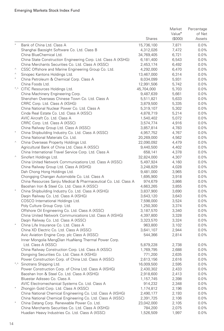|            |                                                                                                            |                       | Market             | Percentage         |
|------------|------------------------------------------------------------------------------------------------------------|-----------------------|--------------------|--------------------|
|            |                                                                                                            |                       | Value <sup>•</sup> | of Net             |
|            |                                                                                                            | Shares                | (\$000)            | Assets             |
| $^{\star}$ | Bank of China Ltd. Class A                                                                                 | 15,736,100            | 7,871              | $0.0\%$            |
|            | Shanghai Baosight Software Co. Ltd. Class B                                                                | 4,312,026             | 7,472              | $0.0\%$            |
|            | China BlueChemical Ltd.                                                                                    | 34,769,405            | 6,721              | $0.0\%$            |
|            | China State Construction Engineering Corp. Ltd. Class A (XSHG)                                             | 6,181,400             | 6,543              | $0.0\%$            |
|            | China Merchants Securities Co. Ltd. Class A (XSSC)                                                         | 2,453,174             | 6,492              | $0.0\%$            |
| Λ          | CSSC Offshore and Marine Engineering Group Co. Ltd.                                                        | 4,292,000             | 6,470              | $0.0\%$            |
| $\land$    | Sinopec Kantons Holdings Ltd.                                                                              | 13,467,000            | 6,314              | $0.0\%$            |
| $\ast$     | China Petroleum & Chemical Corp. Class A                                                                   | 8,034,099             | 5,931              | $0.0\%$            |
|            | China Foods Ltd.                                                                                           | 12,991,506            | 5,742              | $0.0\%$            |
|            | *.^ CITIC Resources Holdings Ltd.                                                                          | 45,704,000            | 5,703              | $0.0\%$            |
|            | China Machinery Engineering Corp.                                                                          | 9,487,639             | 5,661              | $0.0\%$            |
|            | Shenzhen Overseas Chinese Town Co. Ltd. Class A                                                            | 5,511,821             | 5,633              | $0.0\%$            |
|            | CRRC Corp. Ltd. Class A (XSHG)                                                                             | 3,879,500             | 5,335              | $0.0\%$            |
|            | China National Nuclear Power Co. Ltd. Class A                                                              | 5,319,107             | 5,302              | $0.0\%$            |
|            | Cinda Real Estate Co. Ltd. Class A (XSSC)                                                                  | 4,878,719             | 5,214              | $0.0\%$            |
|            | AVIC Aircraft Co. Ltd. Class A                                                                             | 1,540,402             | 5,072              | $0.0\%$            |
|            | CRRC Corp. Ltd. Class A (XSSC)                                                                             | 3,574,774             | 4,916              | $0.0\%$            |
|            | China Railway Group Ltd. Class A (XSSC)                                                                    | 3,857,814             | 4,783              | $0.0\%$            |
| $\ast$     | China Shipbuilding Industry Co. Ltd. Class A (XSSC)                                                        | 4,957,752             | 4,767              | $0.0\%$            |
|            | China National Materials Co. Ltd.                                                                          | 20,269,000            | 4,562              | $0.0\%$            |
| Λ          | China Overseas Property Holdings Ltd.                                                                      | 22,090,092            | 4,479              | $0.0\%$            |
|            | Agricultural Bank of China Ltd. Class A (XSSC)                                                             | 9,440,500             | 4,402              | $0.0\%$            |
|            | China International Travel Service Corp. Ltd. Class A                                                      | 658,141               | 4,378              | $0.0\%$            |
| $\land$    | Sinofert Holdings Ltd.                                                                                     | 32,824,000            | 4,307              | $0.0\%$            |
|            | China United Network Communications Ltd. Class A (XSSC)                                                    | 5,497,924             | 4,160              | $0.0\%$            |
|            | China Railway Group Ltd. Class A (XSHG)                                                                    | 3,248,829             | 4,028              | $0.0\%$            |
|            | Dah Chong Hong Holdings Ltd.                                                                               | 9,481,000             | 3,965              | $0.0\%$            |
|            | Chongqing Changan Automobile Co. Ltd. Class A                                                              | 1,695,900             | 3,918              | $0.0\%$            |
|            | China Resources Sanjiu Medical & Pharmaceutical Co. Ltd. Class A                                           | 974,679               | 3,866              | $0.0\%$            |
|            | Baoshan Iron & Steel Co. Ltd. Class A (XSSC)                                                               | 4,663,265             | 3,855              | $0.0\%$            |
| $\ast$     | China Shipbuilding Industry Co. Ltd. Class A (XSHG)                                                        | 3,837,900             | 3,690              | $0.0\%$            |
|            | Daqin Railway Co. Ltd. Class A (XSHG)                                                                      | 3,643,120             | 3,643              | $0.0\%$            |
|            | COSCO International Holdings Ltd.                                                                          | 7,598,000             | 3,524              | $0.0\%$            |
|            | Poly Culture Group Corp. Ltd.                                                                              | 1,250,300             | 3,374              | $0.0\%$            |
|            | Offshore Oil Engineering Co. Ltd. Class A (XSSC)                                                           | 3,187,570             | 3,340              | $0.0\%$            |
|            | China United Network Communications Ltd. Class A (XSHG)                                                    | 4,397,800             | 3,328              | $0.0\%$            |
| $\ast$     | Daqin Railway Co. Ltd. Class A (XSSC)                                                                      | 3,323,570             | 3,324              | $0.0\%$            |
|            | China Life Insurance Co. Ltd. Class A                                                                      | 963,800               | 3,102              | $0.0\%$            |
|            | China XD Electric Co. Ltd. Class A (XSSC)                                                                  | 3,641,107             | 2,944              | $0.0\%$            |
|            | Avic Aviation Engine Corp. plc Class A (XSSC)                                                              | 544,366               | 2,814              | $0.0\%$            |
|            | Inner Mongolia MengDian HuaNeng Thermal Power Corp.                                                        |                       |                    |                    |
|            | Ltd. Class A (XSSC)                                                                                        | 5,879,228             | 2,738              | $0.0\%$            |
|            | China Railway Construction Corp. Ltd. Class A (XSSC)                                                       | 1,769,795             | 2,688              | $0.0\%$            |
|            | Dongxing Securities Co. Ltd. Class A (XSHG)                                                                | 771,200               | 2,635              | $0.0\%$            |
|            | Power Construction Corp. of China Ltd. Class A (XSSC)                                                      | 2,613,156             | 2,616              | $0.0\%$            |
|            | Sinotrans Shipping Ltd.                                                                                    | 16,009,500            | 2,595              | 0.0%               |
|            | Power Construction Corp. of China Ltd. Class A (XSHG)                                                      | 2,430,302             | 2,433              | 0.0%               |
|            | Baoshan Iron & Steel Co. Ltd. Class A (XSHG)                                                               | 2,918,600             | 2,413              | $0.0\%$            |
|            | Bluestar Adisseo Co. Class A                                                                               | 1,157,745             | 2,398              | $0.0\%$            |
| $\star$    | AVIC Electromechanical Systems Co. Ltd. Class A                                                            | 914,232               | 2,348              | $0.0\%$            |
|            | Zhongjin Gold Corp. Ltd. Class A (XSSC)                                                                    | 1,174,812             | 2,196              | $0.0\%$            |
|            | China National Chemical Engineering Co. Ltd. Class A (XSHG)                                                | 2,490,177             | 2,193              | $0.0\%$            |
| ×          | China National Chemical Engineering Co. Ltd. Class A (XSSC)<br>China Datang Corp. Renewable Power Co. Ltd. | 2,391,725             | 2,106              | $0.0\%$            |
|            | China Merchants Securities Co. Ltd. Class A (XSHG)                                                         | 23,042,000<br>784,200 | 2,105<br>2,075     | $0.0\%$<br>$0.0\%$ |
|            | Huadian Heavy Industries Co. Ltd. Class A (XSSC)                                                           | 1,526,509             | 1,997              | $0.0\%$            |
|            |                                                                                                            |                       |                    |                    |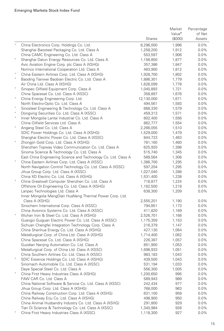|           |                                                                                                                 |                    | Market             | Percentage         |
|-----------|-----------------------------------------------------------------------------------------------------------------|--------------------|--------------------|--------------------|
|           |                                                                                                                 |                    | Value <sup>•</sup> | of Net             |
|           |                                                                                                                 | <b>Shares</b>      | (\$000)            | Assets             |
| Λ         | China Electronics Corp. Holdings Co. Ltd.                                                                       | 8,296,000          | 1,996              | 0.0%               |
|           | Shanghai Baosteel Packaging Co. Ltd. Class A                                                                    | 1,258,200          | 1,912              | $0.0\%$            |
|           | China CAMC Engineering Co. Ltd. Class A                                                                         | 553,597            | 1,906              | $0.0\%$            |
| $\ast$    | Shanghai Datun Energy Resources Co. Ltd. Class A                                                                | 1,156,850          | 1,877              | $0.0\%$            |
|           | Avic Aviation Engine Corp. plc Class A (XSHG)                                                                   | 357,386            | 1,847              | $0.0\%$            |
|           | Norinco International Cooperation Ltd. Class A                                                                  | 483,900            | 1,812              | $0.0\%$            |
| $^{\ast}$ | China Eastern Airlines Corp. Ltd. Class A (XSHG)                                                                | 1,928,700          | 1,802              | $0.0\%$            |
| $\ast$    | Baoding Tianwei Baobian Electric Co. Ltd. Class A                                                               | 1,886,301          | 1,779              | $0.0\%$            |
|           | Air China Ltd. Class A (XSHG)                                                                                   | 1,626,099          | 1,778              | $0.0\%$            |
| $\star$   | Sinopec Oilfield Equipment Corp. Class A                                                                        | 1,040,893          | 1,721              | $0.0\%$            |
|           | China Spacesat Co. Ltd. Class A (XSSC)                                                                          | 358,897            | 1,676              | $0.0\%$            |
| Λ         | China Energy Engineering Corp. Ltd.                                                                             | 12,130,000         | 1,671              | $0.0\%$            |
|           | North Electro-Optic Co. Ltd. Class A                                                                            | 494,561            | 1,593              | $0.0\%$            |
|           | Sinosteel Engineering & Technology Co. Ltd. Class A                                                             | 668,330            | 1,579              | $0.0\%$            |
| $\ast$    | Dongxing Securities Co. Ltd. Class A (XSSC)                                                                     | 459,313            | 1,571              | $0.0\%$            |
|           | Inner Mongolia Lantai Industrial Co. Ltd. Class A                                                               | 802,400            | 1,556              | $0.0\%$            |
|           | China Oilfield Services Ltd. Class A                                                                            | 862,777            | 1,554              | $0.0\%$            |
| $\star$   | Angang Steel Co. Ltd. Class A                                                                                   | 2,266,055          | 1,510              | $0.0\%$            |
|           | SDIC Power Holdings Co. Ltd. Class A (XSHG)                                                                     | 1,529,000          | 1,479              | $0.0\%$            |
|           | Shanghai Electric Power Co. Ltd. Class A (XSSC)                                                                 | 844,723            | 1,463              | $0.0\%$            |
| $\star$   | Zhongjin Gold Corp. Ltd. Class A (XSHG)                                                                         | 781,160            | 1,460              | $0.0\%$            |
|           | Shenzhen Topway Video Communication Co. Ltd. Class A                                                            | 625,920            | 1,398              | $0.0\%$            |
|           | Sinoma Science & Technology Co. Ltd. Class A                                                                    | 515,740            | 1,345              | $0.0\%$            |
|           | East China Engineering Science and Technology Co. Ltd. Class A                                                  | 589,564            | 1,306              | $0.0\%$            |
| $\ast$    | China Eastern Airlines Corp. Ltd. Class A (XSSC)                                                                | 1,386,700          | 1,295              | $0.0\%$            |
|           | North Navigation Control Technology Co. Ltd. Class A (XSSC)                                                     | 597,204            | 1,295              | $0.0\%$            |
|           | Jihua Group Corp. Ltd. Class A (XSSC)                                                                           | 1,027,040          | 1,288              | $0.0\%$            |
|           | China XD Electric Co. Ltd. Class A (XSHG)                                                                       | 1,531,400          | 1,238              | $0.0\%$            |
|           | China Greatwall Computer Shenzhen Co. Ltd. Class A                                                              | 716,877            | 1,224              | $0.0\%$            |
|           | Offshore Oil Engineering Co. Ltd. Class A (XSHG)                                                                | 1,162,500          | 1,218              | $0.0\%$            |
|           | Lanpec Technologies Ltd. Class A                                                                                | 638,300            | 1,209              | $0.0\%$            |
|           | Inner Mongolia MengDian HuaNeng Thermal Power Corp. Ltd.                                                        |                    |                    |                    |
|           | Class A (XSHG)                                                                                                  | 2,555,201          | 1,190              | $0.0\%$            |
|           | Sinochem International Corp. Class A (XSSC)                                                                     | 794,851            | 1,173              | $0.0\%$            |
|           | China Avionics Systems Co. Ltd. Class A (XSSC)                                                                  | 411,820            | 1,169              | $0.0\%$            |
|           | Wuhan Iron & Steel Co. Ltd. Class A (XSHG)                                                                      | 2,526,701          | 1,168              | $0.0\%$            |
|           | Guangxi Guiguan Electric Power Co. Ltd. Class A (XSSC)                                                          | 1,175,359          | 1,153              | $0.0\%$            |
|           | Sichuan Chengfei Integration Technology Corp. Class A                                                           | 216,379            | 1,147              | $0.0\%$            |
|           | China Shenhua Energy Co. Ltd. Class A (XSHG)                                                                    | 427,130            | 1,064              | $0.0\%$            |
|           | Metallurgical Corp. of China Ltd. Class A (XSHG)                                                                | 1,714,400          | 1,062              | $0.0\%$            |
|           | China Spacesat Co. Ltd. Class A (XSHG)                                                                          | 226,387            | 1,057              | $0.0\%$            |
|           | Guodian Nanjing Automation Co. Ltd. Class A                                                                     | 851,900            | 1,053              | $0.0\%$            |
|           | Metallurgical Corp. of China Ltd. Class A (XSSC)                                                                | 1,696,933          | 1,051              | $0.0\%$            |
|           | China Southern Airlines Co. Ltd. Class A (XSSC)                                                                 | 983,183            | 1,043              | $0.0\%$            |
|           | SDIC Essence Holdings Co. Ltd. Class A (XSHG)                                                                   | 439,500            | 1,043              | $0.0\%$            |
|           | Sinomach Automobile Co. Ltd. Class A (XSSC)                                                                     | 531,194            | 1,033              | 0.0%               |
|           | Daye Special Steel Co. Ltd. Class A                                                                             | 556,300            | 1,005              | 0.0%               |
|           | China First Heavy Industries Class A (XSHG)                                                                     | 1,200,650          | 995                | $0.0\%$            |
|           | FAW CAR Co. Ltd. Class A                                                                                        | 589,943            | 989                | $0.0\%$            |
|           | China National Software & Service Co. Ltd. Class A (XSSC)                                                       | 242,434            | 977                | $0.0\%$            |
|           | Jihua Group Corp. Ltd. Class A (XSHG)                                                                           | 768,000            | 963                | $0.0\%$            |
|           | China Railway Construction Corp. Ltd. Class A (XSHG)                                                            | 631,100            | 959                | $0.0\%$            |
|           | China Railway Erju Co. Ltd. Class A (XSHG)                                                                      | 498,900<br>291,800 | 950                | $0.0\%$            |
|           | China Animal Husbandry Industry Co. Ltd. Class A (XSHG)<br>Tian Di Science & Technology Co. Ltd. Class A (XSSC) | 1,340,984          | 929<br>928         | $0.0\%$<br>$0.0\%$ |
|           | China First Heavy Industries Class A (XSSC)                                                                     | 1,118,300          | 927                | $0.0\%$            |
|           |                                                                                                                 |                    |                    |                    |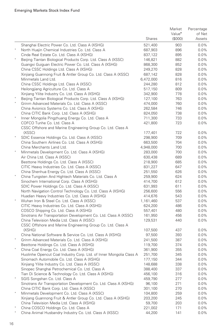|         |                                                                       |                    | Market             | Percentage |
|---------|-----------------------------------------------------------------------|--------------------|--------------------|------------|
|         |                                                                       |                    | Value <sup>•</sup> | of Net     |
|         |                                                                       | Shares             | (\$000)            | Assets     |
|         | Shanghai Electric Power Co. Ltd. Class A (XSHG)                       | 521,400            | 903                | $0.0\%$    |
|         | North Huajin Chemical Industries Co. Ltd. Class A                     | 687,903            | 896                | 0.0%       |
|         | Cinda Real Estate Co. Ltd. Class A (XSHG)                             | 837,122            | 895                | 0.0%       |
|         | Beijing Tiantan Biological Products Corp. Ltd. Class A (XSSC)         | 146,821            | 882                | 0.0%       |
|         | Guangxi Guiguan Electric Power Co. Ltd. Class A (XSHG)                | 868,300            | 852                | 0.0%       |
|         | China CSSC Holdings Ltd. Class A (XSHG)                               | 249,270            | 828                | 0.0%       |
|         | Xinjiang Guannong Fruit & Antler Group Co. Ltd. Class A (XSSC)        | 687,142            | 828                | 0.0%       |
|         | Minmetals Land Ltd.                                                   | 6,472,000          | 816                | 0.0%       |
|         | China CSSC Holdings Ltd. Class A (XSSC)                               | 244,280            | 812                | 0.0%       |
|         | Heilongjiang Agriculture Co. Ltd. Class A                             | 517,150            | 809                | 0.0%       |
|         | Xinjiang Yilite Industry Co. Ltd. Class A (XSHG)                      | 342,900            | 778                | 0.0%       |
| $\ast$  | Beijing Tiantan Biological Products Corp. Ltd. Class A (XSHG)         | 127,100            | 763                | 0.0%       |
|         | Grinm Advanced Materials Co. Ltd. Class A (XSSC)                      | 474,000            | 760                | 0.0%       |
|         | China Avionics Systems Co. Ltd. Class A (XSHG)                        | 262,584            | 746                | 0.0%       |
| $\star$ | China CITIC Bank Corp. Ltd. Class A (XSHG)                            | 824,050            | 738                | 0.0%       |
|         | Inner Mongolia Pingzhuang Energy Co. Ltd. Class A                     | 711,300            | 733                | 0.0%       |
|         | COFCO Tunhe Co. Ltd. Class A                                          | 421,800            | 723                | 0.0%       |
|         | CSSC Offshore and Marine Engineering Group Co. Ltd. Class A<br>(XSSC) |                    | 722                | 0.0%       |
| $\ast$  | SDIC Essence Holdings Co. Ltd. Class A (XSSC)                         | 177,401<br>298,900 | 709                | 0.0%       |
|         | China Southern Airlines Co. Ltd. Class A (XSHG)                       | 663,500            | 704                | 0.0%       |
|         | China Merchants Land Ltd.                                             | 4,948,000          | 700                | 0.0%       |
| $\ast$  | Minmetals Development Co. Ltd. Class A (XSHG)                         | 283,000            | 700                | 0.0%       |
|         | Air China Ltd. Class A (XSSC)                                         | 630,438            | 689                | 0.0%       |
|         | Besttone Holdings Co. Ltd. Class A (XSSC)                             | 218,900            | 685                | 0.0%       |
|         | CITIC Heavy Industries Co. Ltd. Class A (XSSC)                        | 831,227            | 647                | 0.0%       |
|         | China Shenhua Energy Co. Ltd. Class A (XSSC)                          | 251,550            | 626                | 0.0%       |
|         | China Tungsten And Hightech Materials Co. Ltd. Class A                | 259,900            | 624                | 0.0%       |
|         | Sinochem International Corp. Class A (XSHG)                           | 414,700            | 612                | 0.0%       |
|         | SDIC Power Holdings Co. Ltd. Class A (XSSC)                           | 631,993            | 611                | 0.0%       |
|         | North Navigation Control Technology Co. Ltd. Class A (XSHG)           | 256,600            | 556                | 0.0%       |
|         | Huadian Heavy Industries Co. Ltd. Class A (XSHG)                      | 414,676            | 543                | 0.0%       |
| $\ast$  | Wuhan Iron & Steel Co. Ltd. Class A (XSSC)                            | 1,161,460          | 537                | 0.0%       |
|         | CITIC Heavy Industries Co. Ltd. Class A (XSHG)                        | 624,200            | 486                | 0.0%       |
|         | COSCO Shipping Co. Ltd. Class A (XSHG)                                | 557,401            | 480                | 0.0%       |
|         | Sinotrans Air Transportation Development Co. Ltd. Class A (XSSC)      | 161,950            | 456                | 0.0%       |
|         | China Television Media Ltd. Class A (XSSC)                            | 129,531            | 440                | 0.0%       |
|         | CSSC Offshore and Marine Engineering Group Co. Ltd. Class A           |                    |                    |            |
|         | (XSHG)                                                                | 107,500            | 437                | $0.0\%$    |
|         | China National Software & Service Co. Ltd. Class A (XSHG)             | 97,500             | 393                | 0.0%       |
| $\ast$  | Grinm Advanced Materials Co. Ltd. Class A (XSHG)                      | 241,500            | 387                | 0.0%       |
|         | Besttone Holdings Co. Ltd. Class A (XSHG)                             | 119,700            | 374                | 0.0%       |
| $\ast$  | China Coal Energy Co. Ltd. Class A (XSHG)                             | 361,900            | 355                | 0.0%       |
|         | Huolinhe Opencut Coal Industry Corp. Ltd. of Inner Mongolia Class A   | 251,700            | 345                | 0.0%       |
|         | Sinomach Automobile Co. Ltd. Class A (XSHG)                           | 177,150            | 344                | $0.0\%$    |
|         | Xinjiang Yilite Industry Co. Ltd. Class A (XSSC)                      | 148,688            | 338                | 0.0%       |
|         | Sinopec Shanghai Petrochemical Co. Ltd. Class A                       | 388,400            | 337                | 0.0%       |
|         | Tian Di Science & Technology Co. Ltd. Class A (XSHG)                  | 456,100            | 316                | $0.0\%$    |
| $\star$ | SGIS Songshan Co. Ltd. Class A                                        | 459,790            | 277                | 0.0%       |
|         | Sinotrans Air Transportation Development Co. Ltd. Class A (XSHG)      | 96,100             | 271                | 0.0%       |
| $\ast$  | China CITIC Bank Corp. Ltd. Class A (XSSC)                            | 301,100            | 270                | 0.0%       |
|         | Minmetals Development Co. Ltd. Class A (XSSC)                         | 104,800            | 259                | 0.0%       |
|         | Xinjiang Guannong Fruit & Antler Group Co. Ltd. Class A (XSHG)        | 203,200            | 245                | 0.0%       |
|         | China Television Media Ltd. Class A (XSHG)                            | 59,700             | 203                | 0.0%       |
|         | China COSCO Holdings Co. Ltd. Class A                                 | 221,002            | 171                | $0.0\%$    |
|         | China Animal Husbandry Industry Co. Ltd. Class A (XSSC)               | 44,200             | 141                | 0.0%       |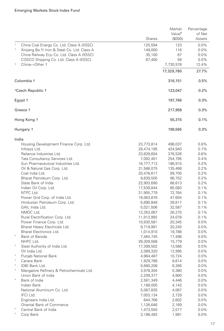|                                                         |            | Market             | Percentage |
|---------------------------------------------------------|------------|--------------------|------------|
|                                                         |            | Value <sup>•</sup> | of Net     |
|                                                         | Shares     | (\$000)            | Assets     |
| China Coal Energy Co. Ltd. Class A (XSSC)               | 125,594    | 123                | 0.0%       |
| $\star$<br>Xinjiang Ba Yi Iron & Steel Co. Ltd. Class A | 149,000    | 116                | $0.0\%$    |
| China Railway Erju Co. Ltd. Class A (XSSC)              | 35,100     | 67                 | $0.0\%$    |
| COSCO Shipping Co. Ltd. Class A (XSSC)                  | 67,400     | 58                 | $0.0\%$    |
| 1<br>China-Other +                                      |            |                    | 12.4%      |
|                                                         |            | 7,730,578          |            |
|                                                         |            | 17,329,780         | 27.7%      |
| Colombia +                                              |            | 316,151            | 0.5%       |
| <sup>1</sup> Czech Republic †                           |            | 123,047            | 0.2%       |
| Egypt †                                                 |            | 197,766            | 0.3%       |
| Greece t                                                |            | 217,958            | 0.3%       |
| Hong Kong t                                             |            | 55,315             | 0.1%       |
| Hungary †                                               |            | 199,565            | 0.3%       |
| India                                                   |            |                    |            |
| Housing Development Finance Corp. Ltd.                  | 23,773,814 | 496,037            | 0.8%       |
| Infosys Ltd.                                            | 28,474,195 | 424,940            | 0.7%       |
| Reliance Industries Ltd.                                | 23,839,604 | 376,526            | 0.6%       |
| Tata Consultancy Services Ltd.                          | 7,092,451  | 254,795            | 0.4%       |
| Sun Pharmaceutical Industries Ltd.                      | 16,777,713 | 186,915            | 0.3%       |
| Oil & Natural Gas Corp. Ltd.                            | 31,588,075 | 135,468            | 0.2%       |
| Coal India Ltd.                                         | 20,478,617 | 99,705             | 0.2%       |
| Bharat Petroleum Corp. Ltd.                             | 9,639,505  | 96,752             | 0.2%       |
| State Bank of India                                     | 22,903,690 | 88,613             | 0.2%       |
| Indian Oil Corp. Ltd.                                   | 17,539,844 | 85,083             | 0.1%       |
| NTPC Ltd.                                               | 31,905,779 | 72,764             | 0.1%       |
| Power Grid Corp. of India Ltd.                          | 18,063,876 | 47,604             | 0.1%       |
| Hindustan Petroleum Corp. Ltd.                          | 5,690,848  | 39,817             | 0.1%       |
| GAIL India Ltd.                                         | 5,021,506  | 32,587             | 0.1%       |
| NMDC Ltd.                                               | 13,353,067 | 26,275             | 0.1%       |
| Rural Electrification Corp. Ltd.                        | 11,913,992 | 24,078             | 0.1%       |
| Power Finance Corp. Ltd.                                | 10,930,581 | 20,345             | $0.0\%$    |
| Bharat Heavy Electricals Ltd.                           | 9,719,991  | 20,240             | $0.0\%$    |
| Bharat Electronics Ltd.                                 | 1,014,910  | 19,788             | $0.0\%$    |
| Bank of Baroda                                          | 7,464,745  | 17,498             | $0.0\%$    |
| NHPC Ltd.                                               | 39,309,568 | 15,779             | $0.0\%$    |
| $^{\ast}$<br>Steel Authority of India Ltd.              | 17,399,502 | 13,586             | $0.0\%$    |
| Oil India Ltd.                                          | 2,089,320  | 12,995             | $0.0\%$    |
| Punjab National Bank                                    | 4,964,487  | 10,724             | $0.0\%$    |
| Canara Bank                                             | 1,829,788  | 8,614              | $0.0\%$    |
| IDBI Bank Ltd.                                          | 5,680,208  | 6,266              | $0.0\%$    |
| Mangalore Refinery & Petrochemicals Ltd.                | 3,978,304  | 5,380              | $0.0\%$    |
| Union Bank of India                                     | 2,209,377  | 4,900              | $0.0\%$    |
| Bank of India                                           | 2,581,349  | 4,446              | $0.0\%$    |
| Indian Bank                                             | 1,188,005  | 4,142              | $0.0\%$    |
| National Aluminium Co. Ltd.                             | 5,087,835  | 4,067              | $0.0\%$    |
| IFCI Ltd.                                               | 7,003,134  | 2,729              | $0.0\%$    |
| Engineers India Ltd.                                    | 644,768    | 2,602              | $0.0\%$    |
| Oriental Bank of Commerce                               | 1,126,646  | 2,169              | $0.0\%$    |
| Central Bank of India                                   | 1,473,550  | 2,017              | $0.0\%$    |
| Corp Bank                                               | 3,188,493  | 1,991              | 0.0%       |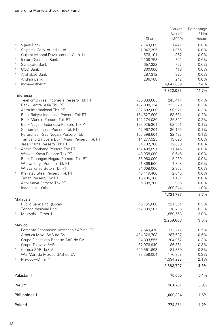|                                                      |               | Market             | Percentage |
|------------------------------------------------------|---------------|--------------------|------------|
|                                                      |               | Value <sup>•</sup> | of Net     |
|                                                      | <b>Shares</b> | (\$000)            | Assets     |
| $\ast$<br>Vijaya Bank                                | 2,143,889     | 1,421              | $0.0\%$    |
| Shipping Corp. of India Ltd.                         | 1,047,395     | 1,065              | 0.0%       |
| Gujarat Mineral Development Corp. Ltd.               | 576,191       | 957                | 0.0%       |
| Indian Overseas Bank                                 | 2,108,758     | 842                | $0.0\%$    |
| $^\star$<br>Syndicate Bank                           | 657,322       | 727                | 0.0%       |
| <b>UCO Bank</b>                                      | 800,000       | 418                | 0.0%       |
| Allahabad Bank                                       | 287,312       | 325                | 0.0%       |
| Andhra Bank                                          | 286,108       | 242                | 0.0%       |
| $\mathbf{1}$<br>India-Other +                        |               | 4,647,859          | 7.4%       |
|                                                      |               |                    | 11.7%      |
|                                                      |               | 7,322,093          |            |
| Indonesia<br>Telekomunikasi Indonesia Persero Tbk PT |               | 245,411            | 0.4%       |
| Bank Central Asia Tbk PT                             | 760,083,605   |                    |            |
| Astra International Tbk PT                           | 187,880,124   | 223,379            | 0.3%       |
|                                                      | 302,692,000   | 190,971            | 0.3%       |
| Bank Rakyat Indonesia Persero Tbk PT                 | 164,527,800   | 153,631            | 0.2%       |
| Bank Mandiri Persero Tbk PT                          | 142,274,080   | 125,322            | 0.2%       |
| Bank Negara Indonesia Persero Tbk PT                 | 123,025,361   | 52,521             | 0.1%       |
| Semen Indonesia Persero Tbk PT                       | 47,967,204    | 36,156             | 0.1%       |
| Perusahaan Gas Negara Persero Tbk                    | 165,598,604   | 32,437             | 0.1%       |
| Tambang Batubara Bukit Asam Persero Tbk PT           | 14,277,925    | 13,028             | 0.0%       |
| Jasa Marga Persero Tbk PT                            | 34,702,700    | 12,038             | 0.0%       |
| Aneka Tambang Persero Tbk PT                         | 162,408,891   | 11,146             | 0.0%       |
| Waskita Karya Persero Tbk PT                         | 48,058,000    | 9,646              | 0.0%       |
| Bank Tabungan Negara Persero Tbk PT                  | 35,960,000    | 5,260              | 0.0%       |
| Wijaya Karya Persero Tbk PT                          | 21,869,500    | 4,308              | 0.0%       |
| Wijaya Karya Beton Tbk PT                            | 34,608,000    | 2,357              | 0.0%       |
| Krakatau Steel Persero Tbk PT                        | 40,419,400    | 2,045              | 0.0%       |
| Timah Persero Tbk PT                                 | 16,286,100    | 1,161              | $0.0\%$    |
| Adhi Karya Persero Tbk PT                            | 5,388,200     | 936                | 0.0%       |
| Indonesia-Other +                                    |               | 600,044            | 1.0%       |
|                                                      |               | 1,721,797          | 2.7%       |
| Malaysia                                             |               |                    |            |
| Public Bank Bhd. (Local)                             | 46,755,000    | 221,304            | 0.3%       |
| Tenaga Nasional Bhd.                                 | 52,309,907    | 178,736            | 0.3%       |
| 1<br>Malaysia-Other +                                |               | 1,859,568          | 3.0%       |
|                                                      |               | 2,259,608          | 3.6%       |
| Mexico                                               |               |                    |            |
| Fomento Economico Mexicano SAB de CV                 | 32,549,470    | 312,217            | 0.5%       |
| America Movil SAB de CV                              |               |                    | 0.5%       |
|                                                      | 434,326,703   | 287,697            |            |
| Grupo Financiero Banorte SAB de CV                   | 34,803,555    | 204,962            | 0.3%       |
| Grupo Televisa SAB                                   | 37,976,940    | 186,861            | 0.3%       |
| Cemex SAB de CV                                      | 209,551,603   | 181,380            | 0.3%       |
| Wal-Mart de Mexico SAB de CV<br>$\mathbf{1}$         | 83,359,054    | 176,368            | 0.3%       |
| Mexico-Other +                                       |               | 1,334,222          | 2.1%       |
|                                                      |               | 2,683,707          | 4.3%       |
|                                                      |               |                    |            |
| Pakistan +                                           |               | 75,000             | 0.1%       |
| Peru t                                               |               | 161,261            | 0.3%       |
|                                                      |               |                    |            |
| Philippines +                                        |               | 1,009,334          | 1.6%       |
| Poland <sup>+</sup>                                  |               | 774,351            | 1.2%       |
|                                                      |               |                    |            |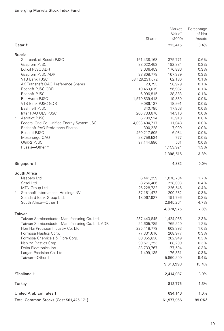|                                                 | <b>Shares</b>  | Market<br>Value <sup>•</sup><br>(\$000) | Percentage<br>of Net<br>Assets |
|-------------------------------------------------|----------------|-----------------------------------------|--------------------------------|
| Qatar +                                         |                | 223,415                                 | 0.4%                           |
| Russia                                          |                |                                         |                                |
| Sberbank of Russia PJSC                         | 161,438,168    | 375,771                                 | 0.6%                           |
| Gazprom PJSC                                    | 88,022,453     | 192,884                                 | 0.3%                           |
| Lukoil PJSC ADR                                 | 3,636,459      | 176,886                                 | 0.3%                           |
| Gazprom PJSC ADR                                | 38,808,778     | 167,339                                 | 0.3%                           |
| <b>VTB Bank PJSC</b>                            | 58,129,231,072 | 62,180                                  | 0.1%                           |
| AK Transneft OAO Preference Shares              | 23,793         | 56,979                                  | 0.1%                           |
| Rosneft PJSC GDR                                | 10,469,019     | 56,932                                  | 0.1%                           |
| Rosneft PJSC                                    | 6,996,815      | 38,383                                  | 0.1%                           |
| RusHydro PJSC                                   | 1,579,839,418  | 19,830                                  | $0.0\%$                        |
| VTB Bank PJSC GDR                               | 9,086,137      | 18,991                                  | 0.0%                           |
| <b>Bashneft PJSC</b>                            | 340,785        | 17,868                                  | $0.0\%$                        |
| Inter RAO UES PJSC                              | 266,733,670    | 14,310                                  | $0.0\%$                        |
| Aeroflot PJSC                                   | 6,789,524      | 13,910                                  | 0.0%                           |
| Federal Grid Co. Unified Energy System JSC      | 4,093,494,717  | 11,048                                  | 0.0%                           |
| Bashneft PAO Preference Shares                  | 300,228        | 7,009                                   | $0.0\%$                        |
| Rosseti PJSC                                    | 450,217,605    | 6,934                                   | $0.0\%$                        |
| Mosenergo OAO                                   | 28,759,534     | 777                                     | $0.0\%$                        |
| OGK-2 PJSC                                      | 97,144,880     | 561                                     | 0.0%                           |
| Russia-Other +                                  |                | 1,159,924                               | 1.9%                           |
|                                                 |                | 2,398,516                               | 3.8%                           |
| Singapore †                                     |                | 4,882                                   | 0.0%                           |
| South Africa                                    |                |                                         |                                |
| Naspers Ltd.                                    | 6,441,259      | 1,078,784                               | 1.7%                           |
| Sasol Ltd.                                      | 8,256,486      | 228,003                                 | 0.4%                           |
| MTN Group Ltd.                                  | 26,228,732     | 226,546                                 | 0.4%                           |
| Steinhoff International Holdings NV             | 37,181,472     | 200,582                                 | 0.3%                           |
| Standard Bank Group Ltd.                        | 18,067,927     | 191,796                                 | 0.3%                           |
| South Africa-Other +                            |                | 2,945,264                               | 4.7%                           |
| Taiwan                                          |                | 4,870,975                               | 7.8%                           |
| Taiwan Semiconductor Manufacturing Co. Ltd.     | 237,443,845    | 1,424,985                               | 2.3%                           |
| Taiwan Semiconductor Manufacturing Co. Ltd. ADR | 24,605,789     | 765,240                                 | 1.2%                           |
| Hon Hai Precision Industry Co. Ltd.             | 225,418,779    | 608,893                                 | 1.0%                           |
| Formosa Plastics Corp.                          | 77,331,616     | 208,977                                 | 0.3%                           |
| Formosa Chemicals & Fibre Corp.                 | 68,355,830     | 202,949                                 | 0.3%                           |
| Nan Ya Plastics Corp.                           | 90,671,253     | 188,299                                 | 0.3%                           |
| Delta Electronics Inc.                          | 33,733,767     | 177,594                                 | 0.3%                           |
| Largan Precision Co. Ltd.                       | 1,499,135      | 176,861                                 | 0.3%                           |
| Taiwan-Other +                                  |                | 5,860,200                               | 9.4%                           |
|                                                 |                | 9,613,998                               | 15.4%                          |
| <sup>1</sup> Thailand †                         |                | 2,414,087                               | 3.9%                           |
| Turkey t                                        |                | 812,775                                 | 1.3%                           |
|                                                 |                |                                         |                                |
| United Arab Emirates 1                          |                | 634,146                                 | 1.0%                           |
| Total Common Stocks (Cost \$61,426,171)         |                | 61,977,966                              | 99.0% <sup>2</sup>             |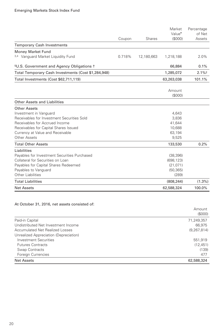|                                                                  |        |            | Market<br>Value <sup>•</sup> | Percentage<br>of Net |
|------------------------------------------------------------------|--------|------------|------------------------------|----------------------|
|                                                                  | Coupon | Shares     | (S000)                       | Assets               |
| <b>Temporary Cash Investments</b>                                |        |            |                              |                      |
| <b>Money Market Fund</b>                                         |        |            |                              |                      |
| 3,4 Vanguard Market Liquidity Fund                               | 0.718% | 12,180,663 | 1,218,188                    | 2.0%                 |
| <sup>5</sup> U.S. Government and Agency Obligations <sup>+</sup> |        |            | 66,884                       | 0.1%                 |
| Total Temporary Cash Investments (Cost \$1,284,948)              |        |            | 1,285,072                    | $2.1\%2$             |
| Total Investments (Cost \$62,711,119)                            |        |            | 63,263,038                   | 101.1%               |
|                                                                  |        |            | Amount<br>(S000)             |                      |
| Other Assets and Liabilities                                     |        |            |                              |                      |
| <b>Other Assets</b>                                              |        |            |                              |                      |
| Investment in Vanguard                                           |        |            | 4,643                        |                      |
| Receivables for Investment Securities Sold                       |        |            | 3,836                        |                      |
| Receivables for Accrued Income                                   |        |            | 41,644                       |                      |
| Receivables for Capital Shares Issued                            |        |            | 10,688                       |                      |
| Currency at Value and Receivable                                 |        |            | 63,194                       |                      |
| Other Assets                                                     |        |            | 9,525                        |                      |
| <b>Total Other Assets</b>                                        |        |            | 133,530                      | 0.2%                 |
| Liabilities                                                      |        |            |                              |                      |
| Pavables for Investment Securities Purchased                     |        |            | (38, 396)                    |                      |
| Collateral for Securities on Loan                                |        |            | (698, 123)                   |                      |
| Payables for Capital Shares Redeemed                             |        |            | (21, 071)                    |                      |
| Payables to Vanguard                                             |        |            | (50, 365)                    |                      |
| Other Liabilities                                                |        |            | (289)                        |                      |
| <b>Total Liabilities</b>                                         |        |            | (808, 244)                   | $(1.3\%)$            |
| <b>Net Assets</b>                                                |        |            | 62,588,324                   | 100.0%               |

#### At October 31, 2016, net assets consisted of:

|                                        | Amount        |
|----------------------------------------|---------------|
|                                        | (\$000)       |
| Paid-in Capital                        | 71,249,357    |
| Undistributed Net Investment Income    | 66.975        |
| Accumulated Net Realized Losses        | (9, 267, 814) |
| Unrealized Appreciation (Depreciation) |               |
| <b>Investment Securities</b>           | 551,919       |
| <b>Futures Contracts</b>               | (12, 451)     |
| Swap Contracts                         | (139)         |
| Foreign Currencies                     | 477           |
| Net Assets                             | 62,588,324    |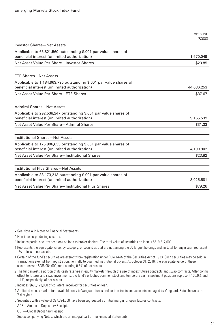|                                                                                                                     | Amount<br>(S000) |
|---------------------------------------------------------------------------------------------------------------------|------------------|
| <b>Investor Shares-Net Assets</b>                                                                                   |                  |
| Applicable to 65,821,560 outstanding \$.001 par value shares of<br>beneficial interest (unlimited authorization)    | 1,570,049        |
| Net Asset Value Per Share-Investor Shares                                                                           | \$23.85          |
| <b>ETF Shares-Net Assets</b>                                                                                        |                  |
| Applicable to 1,184,963,795 outstanding \$.001 par value shares of<br>beneficial interest (unlimited authorization) | 44,636,253       |
| Net Asset Value Per Share-ETF Shares                                                                                | \$37.67          |
| <b>Admiral Shares-Net Assets</b>                                                                                    |                  |
| Applicable to 292,538,247 outstanding \$.001 par value shares of<br>beneficial interest (unlimited authorization)   | 9,165,539        |
| Net Asset Value Per Share-Admiral Shares                                                                            | \$31.33          |
| Institutional Shares-Net Assets                                                                                     |                  |
| Applicable to 175,906,635 outstanding \$.001 par value shares of<br>beneficial interest (unlimited authorization)   | 4,190,902        |
| Net Asset Value Per Share-Institutional Shares                                                                      | \$23.82          |
| Institutional Plus Shares-Net Assets                                                                                |                  |
| Applicable to 38,173,213 outstanding \$.001 par value shares of<br>beneficial interest (unlimited authorization)    | 3,025,581        |
| Net Asset Value Per Share-Institutional Plus Shares                                                                 | \$79.26          |

- See Note A in Notes to Financial Statements.
- \* Non-income-producing security.
- ^ Includes partial security positions on loan to broker-dealers. The total value of securities on loan is \$619,217,000.
- † Represents the aggregate value, by category, of securities that are not among the 50 largest holdings and, in total for any issuer, represent 1% or less of net assets.
- 1 Certain of the fund's securities are exempt from registration under Rule 144A of the Securities Act of 1933. Such securities may be sold in transactions exempt from registration, normally to qualified institutional buyers. At October 31, 2016, the aggregate value of these securities was \$486,064,000, representing 0.8% of net assets.
- 2 The fund invests a portion of its cash reserves in equity markets through the use of index futures contracts and swap contracts. After giving effect to futures and swap investments, the fund's effective common stock and temporary cash investment positions represent 100.0% and 1.1%, respectively, of net assets.
- 3 Includes \$698,123,000 of collateral received for securities on loan.
- 4 Affiliated money market fund available only to Vanguard funds and certain trusts and accounts managed by Vanguard. Rate shown is the 7-day yield.
- 5 Securities with a value of \$27,394,000 have been segregated as initial margin for open futures contracts.

ADR—American Depositary Receipt.

GDR—Global Depositary Receipt.

See accompanying Notes, which are an integral part of the Financial Statements.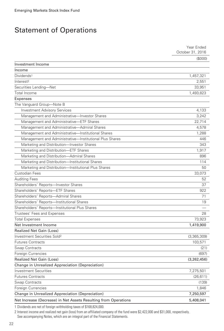### Statement of Operations

|                                                                 | Year Ended       |
|-----------------------------------------------------------------|------------------|
|                                                                 | October 31, 2016 |
|                                                                 | (S000)           |
| Investment Income                                               |                  |
| Income                                                          |                  |
| Dividends <sup>1</sup>                                          | 1,457,321        |
| Interest <sup>2</sup>                                           | 2,551            |
| Securities Lending-Net                                          | 33,951           |
| <b>Total Income</b>                                             | 1,493,823        |
| Expenses                                                        |                  |
| The Vanguard Group-Note B                                       |                  |
| <b>Investment Advisory Services</b>                             | 4,133            |
| Management and Administrative-Investor Shares                   | 3,242            |
| Management and Administrative—ETF Shares                        | 22,714           |
| Management and Administrative-Admiral Shares                    | 4,578            |
| Management and Administrative-Institutional Shares              | 1,288            |
| Management and Administrative-Institutional Plus Shares         | 446              |
| Marketing and Distribution-Investor Shares                      | 343              |
| Marketing and Distribution-ETF Shares                           | 1,917            |
| Marketing and Distribution-Admiral Shares                       | 896              |
| Marketing and Distribution-Institutional Shares                 | 114              |
| Marketing and Distribution-Institutional Plus Shares            | 50               |
| Custodian Fees                                                  | 33,073           |
| <b>Auditing Fees</b>                                            | 52               |
| Shareholders' Reports-Investor Shares                           | 37               |
| Shareholders' Reports-ETF Shares                                | 922              |
| Shareholders' Reports-Admiral Shares                            | 71               |
| Shareholders' Reports-Institutional Shares                      | 19               |
| Shareholders' Reports-Institutional Plus Shares                 |                  |
| Trustees' Fees and Expenses                                     | 28               |
| <b>Total Expenses</b>                                           | 73,923           |
| Net Investment Income                                           | 1,419,900        |
| <b>Realized Net Gain (Loss)</b>                                 |                  |
| Investment Securities Sold <sup>2</sup>                         | (3,365,309)      |
| <b>Futures Contracts</b>                                        | 103,571          |
| Swap Contracts                                                  | (21)             |
| Foreign Currencies                                              | (697)            |
| <b>Realized Net Gain (Loss)</b>                                 | (3,262,456)      |
| Change in Unrealized Appreciation (Depreciation)                |                  |
| <b>Investment Securities</b>                                    | 7,275,501        |
| <b>Futures Contracts</b>                                        | (26, 611)        |
| Swap Contracts                                                  | (139)            |
| Foreign Currencies                                              | 1,846            |
| Change in Unrealized Appreciation (Depreciation)                | 7,250,597        |
| Net Increase (Decrease) in Net Assets Resulting from Operations | 5,408,041        |

1 Dividends are net of foreign withholding taxes of \$168,824,000.

2 Interest income and realized net gain (loss) from an affiliated company of the fund were \$2,422,000 and \$31,000, respectively.

See accompanying Notes, which are an integral part of the Financial Statements.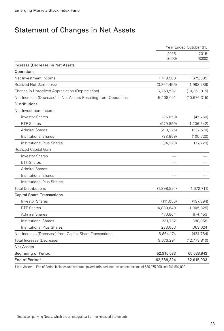# Statement of Changes in Net Assets

|                                                                 | Year Ended October 31, |                 |  |
|-----------------------------------------------------------------|------------------------|-----------------|--|
|                                                                 | 2016<br>(\$000)        | 2015<br>(\$000) |  |
| Increase (Decrease) in Net Assets                               |                        |                 |  |
| Operations                                                      |                        |                 |  |
| Net Investment Income                                           | 1,419,900              | 1,679,389       |  |
| Realized Net Gain (Loss)                                        | (3, 262, 456)          | (1,993,789)     |  |
| Change in Unrealized Appreciation (Depreciation)                | 7,250,597              | (10, 361, 915)  |  |
| Net Increase (Decrease) in Net Assets Resulting from Operations | 5,408,041              | (10, 676, 315)  |  |
| Distributions                                                   |                        |                 |  |
| Net Investment Income                                           |                        |                 |  |
| <b>Investor Shares</b>                                          | (35, 658)              | (45, 750)       |  |
| <b>ETF Shares</b>                                               | (979, 859)             | (1, 206, 542)   |  |
| <b>Admiral Shares</b>                                           | (210, 225)             | (237, 570)      |  |
| <b>Institutional Shares</b>                                     | (98, 859)              | (105, 620)      |  |
| <b>Institutional Plus Shares</b>                                | (74, 323)              | (77, 229)       |  |
| Realized Capital Gain                                           |                        |                 |  |
| <b>Investor Shares</b>                                          |                        |                 |  |
| <b>ETF Shares</b>                                               |                        |                 |  |
| <b>Admiral Shares</b>                                           |                        |                 |  |
| <b>Institutional Shares</b>                                     |                        |                 |  |
| <b>Institutional Plus Shares</b>                                |                        |                 |  |
| Total Distributions                                             | (1, 398, 924)          | (1,672,711)     |  |
| <b>Capital Share Transactions</b>                               |                        |                 |  |
| <b>Investor Shares</b>                                          | (111, 055)             | (137,894)       |  |
| <b>ETF Shares</b>                                               | 4,839,640              | (1,905,825)     |  |
| <b>Admiral Shares</b>                                           | 470,804                | 874,453         |  |
| <b>Institutional Shares</b>                                     | 231,732                | 380,858         |  |
| Institutional Plus Shares                                       | 233,053                | 363,624         |  |
| Net Increase (Decrease) from Capital Share Transactions         | 5,664,174              | (424,784)       |  |
| Total Increase (Decrease)                                       | 9,673,291              | (12, 773, 810)  |  |
| <b>Net Assets</b>                                               |                        |                 |  |
| <b>Beginning of Period</b>                                      | 52,915,033             | 65,688,843      |  |
| End of Period <sup>1</sup>                                      | 62,588,324             | 52,915,033      |  |

1 Net Assets—End of Period includes undistributed (overdistributed) net investment income of \$66,975,000 and \$41,604,000.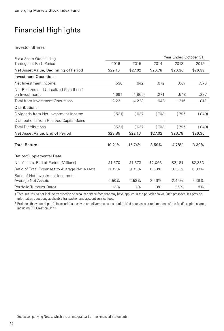#### Investor Shares

| For a Share Outstanding                                   |         | Year Ended October 31, |                          |         |         |
|-----------------------------------------------------------|---------|------------------------|--------------------------|---------|---------|
| Throughout Each Period                                    | 2016    | 2015                   | 2014                     | 2013    | 2012    |
| Net Asset Value, Beginning of Period                      | \$22.16 | \$27.02                | \$26.78                  | \$26.36 | \$26.39 |
| <b>Investment Operations</b>                              |         |                        |                          |         |         |
| Net Investment Income                                     | .530    | .642                   | .672                     | .667    | .576    |
| Net Realized and Unrealized Gain (Loss)<br>on Investments | 1.691   | (4.865)                | .271                     | .548    | .237    |
| <b>Total from Investment Operations</b>                   | 2.221   | (4.223)                | .943                     | 1.215   | .813    |
| <b>Distributions</b>                                      |         |                        |                          |         |         |
| Dividends from Net Investment Income                      | (.531)  | (.637)                 | (.703)                   | (.795)  | (.843)  |
| Distributions from Realized Capital Gains                 |         |                        | $\overline{\phantom{a}}$ |         |         |
| <b>Total Distributions</b>                                | (.531)  | (.637)                 | (.703)                   | (.795)  | (.843)  |
| Net Asset Value, End of Period                            | \$23.85 | \$22.16                | \$27.02                  | \$26.78 | \$26.36 |
| Total Return <sup>1</sup>                                 | 10.21%  | $-15.74%$              | 3.59%                    | 4.78%   | 3.30%   |
| Ratios/Supplemental Data                                  |         |                        |                          |         |         |
| Net Assets, End of Period (Millions)                      | \$1,570 | \$1,573                | \$2,063                  | \$2,181 | \$2,333 |
| Ratio of Total Expenses to Average Net Assets             | 0.32%   | 0.33%                  | 0.33%                    | 0.33%   | 0.33%   |
| Ratio of Net Investment Income to<br>Average Net Assets   | 2.50%   | 2.53%                  | 2.56%                    | 2.45%   | 2.38%   |
| Portfolio Turnover Rate <sup>2</sup>                      | 13%     | 7%                     | 9%                       | 26%     | 8%      |

1 Total returns do not include transaction or account service fees that may have applied in the periods shown. Fund prospectuses provide information about any applicable transaction and account service fees.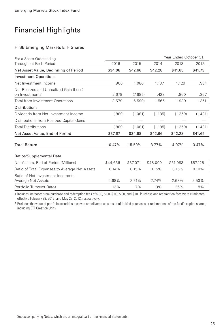#### FTSE Emerging Markets ETF Shares

| For a Share Outstanding                                                |          | Year Ended October 31, |          |          |          |
|------------------------------------------------------------------------|----------|------------------------|----------|----------|----------|
| Throughout Each Period                                                 | 2016     | 2015                   | 2014     | 2013     | 2012     |
| Net Asset Value, Beginning of Period                                   | \$34.98  | \$42.66                | \$42.28  | \$41.65  | \$41.73  |
| <b>Investment Operations</b>                                           |          |                        |          |          |          |
| Net Investment Income                                                  | .900     | 1.086                  | 1.137    | 1.129    | .984     |
| Net Realized and Unrealized Gain (Loss)<br>on Investments <sup>1</sup> | 2.679    | (7.685)                | .428     | .860     | .367     |
| <b>Total from Investment Operations</b>                                | 3.579    | (6.599)                | 1.565    | 1.989    | 1.351    |
| <b>Distributions</b>                                                   |          |                        |          |          |          |
| Dividends from Net Investment Income                                   | (.889)   | (1.081)                | (1.185)  | (1.359)  | (1.431)  |
| Distributions from Realized Capital Gains                              |          |                        |          |          |          |
| <b>Total Distributions</b>                                             | (.889)   | (1.081)                | (1.185)  | (1.359)  | (1.431)  |
| Net Asset Value, End of Period                                         | \$37.67  | \$34.98                | \$42.66  | \$42.28  | \$41.65  |
| <b>Total Return</b>                                                    | 10.47%   | $-15.59%$              | 3.77%    | 4.97%    | 3.47%    |
| Ratios/Supplemental Data                                               |          |                        |          |          |          |
| Net Assets, End of Period (Millions)                                   | \$44,636 | \$37,071               | \$48,000 | \$51,083 | \$57,125 |
| Ratio of Total Expenses to Average Net Assets                          | 0.14%    | 0.15%                  | 0.15%    | 0.15%    | 0.18%    |
| Ratio of Net Investment Income to<br>Average Net Assets                | 2.68%    | 2.71%                  | 2.74%    | 2.63%    | 2.53%    |
| Portfolio Turnover Rate <sup>2</sup>                                   | 13%      | 7%                     | 9%       | 26%      | 8%       |

1 Includes increases from purchase and redemption fees of \$.00, \$.00, \$.00, \$.00, and \$.01. Purchase and redemption fees were eliminated effective February 29, 2012, and May 23, 2012, respectively.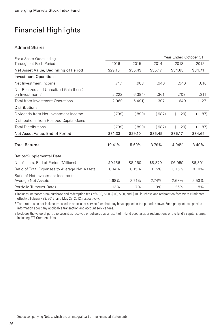#### Admiral Shares

| For a Share Outstanding                                                | Year Ended October 31, |           |         |         |         |
|------------------------------------------------------------------------|------------------------|-----------|---------|---------|---------|
| Throughout Each Period                                                 | 2016                   | 2015      | 2014    | 2013    | 2012    |
| Net Asset Value, Beginning of Period                                   | \$29.10                | \$35.49   | \$35.17 | \$34.65 | \$34.71 |
| <b>Investment Operations</b>                                           |                        |           |         |         |         |
| Net Investment Income                                                  | .747                   | .903      | .946    | .940    | .816    |
| Net Realized and Unrealized Gain (Loss)<br>on Investments <sup>1</sup> | 2.222                  | (6.394)   | .361    | .709    | .311    |
| <b>Total from Investment Operations</b>                                | 2.969                  | (5.491)   | 1.307   | 1.649   | 1.127   |
| <b>Distributions</b>                                                   |                        |           |         |         |         |
| Dividends from Net Investment Income                                   | (.739)                 | (.899)    | (.987)  | (1.129) | (1.187) |
| Distributions from Realized Capital Gains                              |                        |           |         |         |         |
| <b>Total Distributions</b>                                             | (.739)                 | (.899)    | (.987)  | (1.129) | (1.187) |
| Net Asset Value, End of Period                                         | \$31.33                | \$29.10   | \$35.49 | \$35.17 | \$34.65 |
| Total Return <sup>2</sup>                                              | 10.41%                 | $-15.60%$ | 3.79%   | 4.94%   | 3.49%   |
| Ratios/Supplemental Data                                               |                        |           |         |         |         |
| Net Assets, End of Period (Millions)                                   | \$9,166                | \$8,060   | \$8,870 | \$6,959 | \$6,801 |
| Ratio of Total Expenses to Average Net Assets                          | 0.14%                  | 0.15%     | 0.15%   | 0.15%   | 0.18%   |
| Ratio of Net Investment Income to<br>Average Net Assets                | 2.68%                  | 2.71%     | 2.74%   | 2.63%   | 2.53%   |
| Portfolio Turnover Rate <sup>3</sup>                                   | 13%                    | 7%        | 9%      | 26%     | 8%      |

1 Includes increases from purchase and redemption fees of \$.00, \$.00, \$.00, \$.00, and \$.01. Purchase and redemption fees were eliminated effective February 29, 2012, and May 23, 2012, respectively.

2 Total returns do not include transaction or account service fees that may have applied in the periods shown. Fund prospectuses provide information about any applicable transaction and account service fees.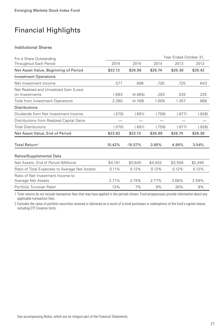#### Institutional Shares

| For a Share Outstanding                                   |         | Year Ended October 31, |         |         |         |
|-----------------------------------------------------------|---------|------------------------|---------|---------|---------|
| Throughout Each Period                                    | 2016    | 2015                   | 2014    | 2013    | 2012    |
| Net Asset Value, Beginning of Period                      | \$22.13 | \$26.99                | \$26.74 | \$26.36 | \$26.42 |
| <b>Investment Operations</b>                              |         |                        |         |         |         |
| Net Investment Income                                     | .577    | .696                   | .726    | .725    | .643    |
| Net Realized and Unrealized Gain (Loss)<br>on Investments | 1.683   | (4.865)                | .283    | .532    | .225    |
| <b>Total from Investment Operations</b>                   | 2.260   | (4.169)                | 1.009   | 1.257   | .868    |
| <b>Distributions</b>                                      |         |                        |         |         |         |
| Dividends from Net Investment Income                      | (.570)  | (.691)                 | (.759)  | (.877)  | (.928)  |
| Distributions from Realized Capital Gains                 |         |                        | $\sim$  |         |         |
| <b>Total Distributions</b>                                | (.570)  | (.691)                 | (.759)  | (.877)  | (.928)  |
| Net Asset Value, End of Period                            | \$23.82 | \$22.13                | \$26.99 | \$26.74 | \$26.36 |
| Total Return <sup>1</sup>                                 | 10.42%  | $-15.57%$              | 3.85%   | 4.95%   | 3.54%   |
| Ratios/Supplemental Data                                  |         |                        |         |         |         |
| Net Assets, End of Period (Millions)                      | \$4,191 | \$3,645                | \$4,002 | \$3,558 | \$2,495 |
| Ratio of Total Expenses to Average Net Assets             | 0.11%   | 0.12%                  | 0.12%   | 0.12%   | 0.12%   |
| Ratio of Net Investment Income to<br>Average Net Assets   | 2.71%   | 2.74%                  | 2.77%   | 2.66%   | 2.59%   |
| Portfolio Turnover Rate <sup>2</sup>                      | 13%     | 7%                     | 9%      | 26%     | 8%      |

1 Total returns do not include transaction fees that may have applied in the periods shown. Fund prospectuses provide information about any applicable transaction fees.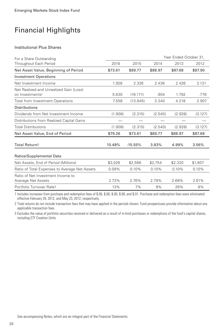#### Institutional Plus Shares

| For a Share Outstanding                                                | Year Ended October 31, |           |         |         |         |
|------------------------------------------------------------------------|------------------------|-----------|---------|---------|---------|
| Throughout Each Period                                                 | 2016                   | 2015      | 2014    | 2013    | 2012    |
| Net Asset Value, Beginning of Period                                   | \$73.61                | \$89.77   | \$88.97 | \$87.68 | \$87.90 |
| <b>Investment Operations</b>                                           |                        |           |         |         |         |
| Net Investment Income                                                  | 1.928                  | 2.326     | 2.436   | 2.426   | 2.131   |
| Net Realized and Unrealized Gain (Loss)<br>on Investments <sup>1</sup> | 5.630                  | (16.171)  | .904    | 1.792   | .776    |
| <b>Total from Investment Operations</b>                                | 7.558                  | (13.845)  | 3.340   | 4.218   | 2.907   |
| <b>Distributions</b>                                                   |                        |           |         |         |         |
| Dividends from Net Investment Income                                   | (1.908)                | (2.315)   | (2.540) | (2.928) | (3.127) |
| Distributions from Realized Capital Gains                              |                        |           |         |         |         |
| <b>Total Distributions</b>                                             | (1.908)                | (2.315)   | (2.540) | (2.928) | (3.127) |
| Net Asset Value, End of Period                                         | \$79.26                | \$73.61   | \$89.77 | \$88.97 | \$87.68 |
| Total Return <sup>2</sup>                                              | 10.48%                 | $-15.55%$ | 3.83%   | 4.99%   | 3.56%   |
| Ratios/Supplemental Data                                               |                        |           |         |         |         |
| Net Assets, End of Period (Millions)                                   | \$3,026                | \$2,566   | \$2,754 | \$2,320 | \$1,607 |
| Ratio of Total Expenses to Average Net Assets                          | 0.09%                  | 0.10%     | 0.10%   | 0.10%   | 0.10%   |
| Ratio of Net Investment Income to<br>Average Net Assets                | 2.73%                  | 2.76%     | 2.79%   | 2.68%   | 2.61%   |
| Portfolio Turnover Rate <sup>3</sup>                                   | 13%                    | 7%        | 9%      | 26%     | 8%      |

1 Includes increases from purchase and redemption fees of \$.00, \$.00, \$.00, \$.00, and \$.01. Purchase and redemption fees were eliminated effective February 29, 2012, and May 23, 2012, respectively.

2 Total returns do not include transaction fees that may have applied in the periods shown. Fund prospectuses provide information about any applicable transaction fees.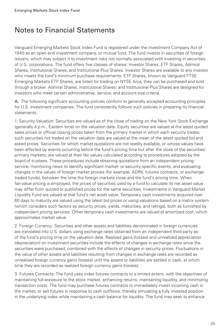### Notes to Financial Statements

Vanguard Emerging Markets Stock Index Fund is registered under the Investment Company Act of 1940 as an open-end investment company, or mutual fund. The fund invests in securities of foreign issuers, which may subject it to investment risks not normally associated with investing in securities of U.S. corporations. The fund offers five classes of shares: Investor Shares, ETF Shares, Admiral Shares, Institutional Shares, and Institutional Plus Shares. Investor Shares are available to any investor who meets the fund's minimum purchase requirements. ETF Shares, known as Vanguard FTSE Emerging Markets ETF Shares, are listed for trading on NYSE Arca; they can be purchased and sold through a broker. Admiral Shares, Institutional Shares, and Institutional Plus Shares are designed for investors who meet certain administrative, service, and account-size criteria.

A. The following significant accounting policies conform to generally accepted accounting principles for U.S. investment companies. The fund consistently follows such policies in preparing its financial statements.

1. Security Valuation: Securities are valued as of the close of trading on the New York Stock Exchange (generally 4 p.m., Eastern time) on the valuation date. Equity securities are valued at the latest quoted sales prices or official closing prices taken from the primary market in which each security trades; such securities not traded on the valuation date are valued at the mean of the latest quoted bid and asked prices. Securities for which market quotations are not readily available, or whose values have been affected by events occurring before the fund's pricing time but after the close of the securities' primary markets, are valued at their fair values calculated according to procedures adopted by the board of trustees. These procedures include obtaining quotations from an independent pricing service, monitoring news to identify significant market- or security-specific events, and evaluating changes in the values of foreign market proxies (for example, ADRs, futures contracts, or exchangetraded funds), between the time the foreign markets close and the fund's pricing time. When fair-value pricing is employed, the prices of securities used by a fund to calculate its net asset value may differ from quoted or published prices for the same securities. Investments in Vanguard Market Liquidity Fund are valued at that fund's net asset value. Temporary cash investments acquired over 60 days to maturity are valued using the latest bid prices or using valuations based on a matrix system (which considers such factors as security prices, yields, maturities, and ratings), both as furnished by independent pricing services. Other temporary cash investments are valued at amortized cost, which approximates market value.

2. Foreign Currency: Securities and other assets and liabilities denominated in foreign currencies are translated into U.S. dollars using exchange rates obtained from an independent third party as of the fund's pricing time on the valuation date. Realized gains (losses) and unrealized appreciation (depreciation) on investment securities include the effects of changes in exchange rates since the securities were purchased, combined with the effects of changes in security prices. Fluctuations in the value of other assets and liabilities resulting from changes in exchange rates are recorded as unrealized foreign currency gains (losses) until the assets or liabilities are settled in cash, at which time they are recorded as realized foreign currency gains (losses).

3. Futures Contracts: The fund uses index futures contracts to a limited extent, with the objectives of maintaining full exposure to the stock market, enhancing returns, maintaining liquidity, and minimizing transaction costs. The fund may purchase futures contracts to immediately invest incoming cash in the market, or sell futures in response to cash outflows, thereby simulating a fully invested position in the underlying index while maintaining a cash balance for liquidity. The fund may seek to enhance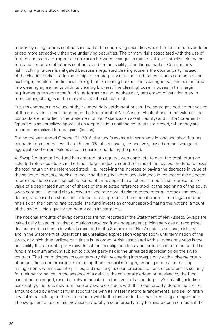returns by using futures contracts instead of the underlying securities when futures are believed to be priced more attractively than the underlying securities. The primary risks associated with the use of futures contracts are imperfect correlation between changes in market values of stocks held by the fund and the prices of futures contracts, and the possibility of an illiquid market. Counterparty risk involving futures is mitigated because a regulated clearinghouse is the counterparty instead of the clearing broker. To further mitigate counterparty risk, the fund trades futures contracts on an exchange, monitors the financial strength of its clearing brokers and clearinghouse, and has entered into clearing agreements with its clearing brokers. The clearinghouse imposes initial margin requirements to secure the fund's performance and requires daily settlement of variation margin representing changes in the market value of each contract.

Futures contracts are valued at their quoted daily settlement prices. The aggregate settlement values of the contracts are not recorded in the Statement of Net Assets. Fluctuations in the value of the contracts are recorded in the Statement of Net Assets as an asset (liability) and in the Statement of Operations as unrealized appreciation (depreciation) until the contracts are closed, when they are recorded as realized futures gains (losses).

During the year ended October 31, 2016, the fund's average investments in long and short futures contracts represented less than 1% and 0% of net assets, respectively, based on the average of aggregate settlement values at each quarter-end during the period.

4. Swap Contracts: The fund has entered into equity swap contracts to earn the total return on selected reference stocks in the fund's target index. Under the terms of the swaps, the fund receives the total return on the referenced stock (i.e., receiving the increase or paying the decrease in value of the selected reference stock and receiving the equivalent of any dividends in respect of the selected referenced stock) over a specified period of time, applied to a notional amount that represents the value of a designated number of shares of the selected reference stock at the beginning of the equity swap contract. The fund also receives a fixed rate spread related to the reference stock and pays a floating rate based on short-term interest rates, applied to the notional amount. To mitigate interest rate risk on the floating rate payable, the fund invests an amount approximating the notional amount of the swap in high-quality temporary cash investments.

The notional amounts of swap contracts are not recorded in the Statement of Net Assets. Swaps are valued daily based on market quotations received from independent pricing services or recognized dealers and the change in value is recorded in the Statement of Net Assets as an asset (liability) and in the Statement of Operations as unrealized appreciation (depreciation) until termination of the swap, at which time realized gain (loss) is recorded. A risk associated with all types of swaps is the possibility that a counterparty may default on its obligation to pay net amounts due to the fund. The fund's maximum amount subject to counterparty risk is the unrealized appreciation on the swap contract. The fund mitigates its counterparty risk by entering into swaps only with a diverse group of prequalified counterparties, monitoring their financial strength, entering into master netting arrangements with its counterparties, and requiring its counterparties to transfer collateral as security for their performance. In the absence of a default, the collateral pledged or received by the fund cannot be repledged, resold or rehypothecated. In the event of a counterparty's default (including bankruptcy), the fund may terminate any swap contracts with that counterparty, determine the net amount owed by either party in accordance with its master netting arrangements, and sell or retain any collateral held up to the net amount owed to the fund under the master netting arrangements. The swap contracts contain provisions whereby a counterparty may terminate open contracts if the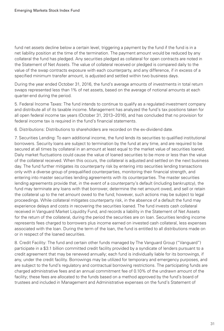fund net assets decline below a certain level, triggering a payment by the fund if the fund is in a net liability position at the time of the termination. The payment amount would be reduced by any collateral the fund has pledged. Any securities pledged as collateral for open contracts are noted in the Statement of Net Assets. The value of collateral received or pledged is compared daily to the value of the swap contracts exposure with each counterparty, and any difference, if in excess of a specified minimum transfer amount, is adjusted and settled within two business days.

During the year ended October 31, 2016, the fund's average amounts of investments in total return swaps represented less than 1% of net assets, based on the average of notional amounts at each quarter-end during the period.

5. Federal Income Taxes: The fund intends to continue to qualify as a regulated investment company and distribute all of its taxable income. Management has analyzed the fund's tax positions taken for all open federal income tax years (October 31, 2013–2016), and has concluded that no provision for federal income tax is required in the fund's financial statements.

6. Distributions: Distributions to shareholders are recorded on the ex-dividend date.

7. Securities Lending: To earn additional income, the fund lends its securities to qualified institutional borrowers. Security loans are subject to termination by the fund at any time, and are required to be secured at all times by collateral in an amount at least equal to the market value of securities loaned. Daily market fluctuations could cause the value of loaned securities to be more or less than the value of the collateral received. When this occurs, the collateral is adjusted and settled on the next business day. The fund further mitigates its counterparty risk by entering into securities lending transactions only with a diverse group of prequalified counterparties, monitoring their financial strength, and entering into master securities lending agreements with its counterparties. The master securities lending agreements provide that, in the event of a counterparty's default (including bankruptcy), the fund may terminate any loans with that borrower, determine the net amount owed, and sell or retain the collateral up to the net amount owed to the fund; however, such actions may be subject to legal proceedings. While collateral mitigates counterparty risk, in the absence of a default the fund may experience delays and costs in recovering the securities loaned. The fund invests cash collateral received in Vanguard Market Liquidity Fund, and records a liability in the Statement of Net Assets for the return of the collateral, during the period the securities are on loan. Securities lending income represents fees charged to borrowers plus income earned on invested cash collateral, less expenses associated with the loan. During the term of the loan, the fund is entitled to all distributions made on or in respect of the loaned securities.

8. Credit Facility: The fund and certain other funds managed by The Vanguard Group ("Vanguard") participate in a \$3.1 billion committed credit facility provided by a syndicate of lenders pursuant to a credit agreement that may be renewed annually; each fund is individually liable for its borrowings, if any, under the credit facility. Borrowings may be utilized for temporary and emergency purposes, and are subject to the fund's regulatory and contractual borrowing restrictions. The participating funds are charged administrative fees and an annual commitment fee of 0.10% of the undrawn amount of the facility; these fees are allocated to the funds based on a method approved by the fund's board of trustees and included in Management and Administrative expenses on the fund's Statement of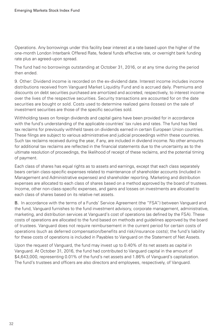Operations. Any borrowings under this facility bear interest at a rate based upon the higher of the one-month London Interbank Offered Rate, federal funds effective rate, or overnight bank funding rate plus an agreed-upon spread.

The fund had no borrowings outstanding at October 31, 2016, or at any time during the period then ended.

9. Other: Dividend income is recorded on the ex-dividend date. Interest income includes income distributions received from Vanguard Market Liquidity Fund and is accrued daily. Premiums and discounts on debt securities purchased are amortized and accreted, respectively, to interest income over the lives of the respective securities. Security transactions are accounted for on the date securities are bought or sold. Costs used to determine realized gains (losses) on the sale of investment securities are those of the specific securities sold.

Withholding taxes on foreign dividends and capital gains have been provided for in accordance with the fund's understanding of the applicable countries' tax rules and rates. The fund has filed tax reclaims for previously withheld taxes on dividends earned in certain European Union countries. These filings are subject to various administrative and judicial proceedings within these countries. Such tax reclaims received during the year, if any, are included in dividend income. No other amounts for additional tax reclaims are reflected in the financial statements due to the uncertainty as to the ultimate resolution of proceedings, the likelihood of receipt of these reclaims, and the potential timing of payment.

Each class of shares has equal rights as to assets and earnings, except that each class separately bears certain class-specific expenses related to maintenance of shareholder accounts (included in Management and Administrative expenses) and shareholder reporting. Marketing and distribution expenses are allocated to each class of shares based on a method approved by the board of trustees. Income, other non-class-specific expenses, and gains and losses on investments are allocated to each class of shares based on its relative net assets.

B. In accordance with the terms of a Funds' Service Agreement (the "FSA") between Vanguard and the fund, Vanguard furnishes to the fund investment advisory, corporate management, administrative, marketing, and distribution services at Vanguard's cost of operations (as defined by the FSA). These costs of operations are allocated to the fund based on methods and guidelines approved by the board of trustees. Vanguard does not require reimbursement in the current period for certain costs of operations (such as deferred compensation/benefits and risk/insurance costs); the fund's liability for these costs of operations is included in Payables to Vanguard on the Statement of Net Assets.

Upon the request of Vanguard, the fund may invest up to 0.40% of its net assets as capital in Vanguard. At October 31, 2016, the fund had contributed to Vanguard capital in the amount of \$4,643,000, representing 0.01% of the fund's net assets and 1.86% of Vanguard's capitalization. The fund's trustees and officers are also directors and employees, respectively, of Vanguard.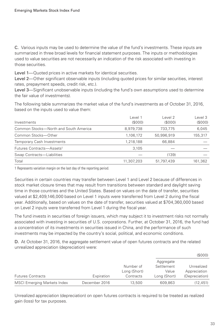C. Various inputs may be used to determine the value of the fund's investments. These inputs are summarized in three broad levels for financial statement purposes. The inputs or methodologies used to value securities are not necessarily an indication of the risk associated with investing in those securities.

Level 1—Quoted prices in active markets for identical securities.

Level 2—Other significant observable inputs (including quoted prices for similar securities, interest rates, prepayment speeds, credit risk, etc.).

Level 3—Significant unobservable inputs (including the fund's own assumptions used to determine the fair value of investments).

The following table summarizes the market value of the fund's investments as of October 31, 2016, based on the inputs used to value them:

| Investments                           | Level 1<br>(S000) | Level 2<br>(S000) | Level 3<br>(S000) |
|---------------------------------------|-------------------|-------------------|-------------------|
| Common Stocks-North and South America | 8,979,738         | 733.775           | 6.045             |
| Common Stocks-Other                   | 1,106,172         | 50,996,919        | 155,317           |
| <b>Temporary Cash Investments</b>     | 1,218,188         | 66.884            |                   |
| Futures Contracts-Assets <sup>1</sup> | 3.105             |                   |                   |
| Swap Contracts-Liabilities            |                   | (139)             |                   |
| Total                                 | 11,307,203        | 51,797,439        | 161,362           |

1 Represents variation margin on the last day of the reporting period.

Securities in certain countries may transfer between Level 1 and Level 2 because of differences in stock market closure times that may result from transitions between standard and daylight saving time in those countries and the United States. Based on values on the date of transfer, securities valued at \$2,409,146,000 based on Level 1 inputs were transferred from Level 2 during the fiscal year. Additionally, based on values on the date of transfer, securities valued at \$704,360,000 based on Level 2 inputs were transferred from Level 1 during the fiscal year.

The fund invests in securities of foreign issuers, which may subject it to investment risks not normally associated with investing in securities of U.S. corporations. Further, at October 31, 2016, the fund had a concentration of its investments in securities issued in China, and the performance of such investments may be impacted by the country's social, political, and economic conditions.

D. At October 31, 2016, the aggregate settlement value of open futures contracts and the related unrealized appreciation (depreciation) were:

|                                    |               |                                        | (S000)                                           |                                              |  |
|------------------------------------|---------------|----------------------------------------|--------------------------------------------------|----------------------------------------------|--|
| <b>Futures Contracts</b>           | Expiration    | Number of<br>Long (Short)<br>Contracts | Aggregate<br>Settlement<br>Value<br>Long (Short) | Unrealized<br>Appreciation<br>(Depreciation) |  |
| <b>MSCI Emerging Markets Index</b> | December 2016 | 13,500                                 | 609,863                                          | (12, 451)                                    |  |

Unrealized appreciation (depreciation) on open futures contracts is required to be treated as realized gain (loss) for tax purposes.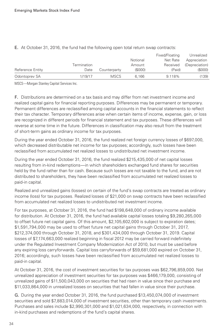|                  |             |              |          | Fixed/Floating | Unrealized     |
|------------------|-------------|--------------|----------|----------------|----------------|
|                  |             |              | Notional | Net Rate       | Appreciation   |
|                  | Termination |              | Amount   | Received       | (Depreciation) |
| Reference Entity | Date        | Counterparty | (S000)   | (Paid)         | $($ \$000 $)$  |
| Odontoprey SA    | 1/19/17     | <b>MSCS</b>  | 6.166    | 9.118%         | (139)          |

E. At October 31, 2016, the fund had the following open total return swap contracts:

MSCS—Morgan Stanley Capital Services Inc.

F. Distributions are determined on a tax basis and may differ from net investment income and realized capital gains for financial reporting purposes. Differences may be permanent or temporary. Permanent differences are reclassified among capital accounts in the financial statements to reflect their tax character. Temporary differences arise when certain items of income, expense, gain, or loss are recognized in different periods for financial statement and tax purposes. These differences will reverse at some time in the future. Differences in classification may also result from the treatment of short-term gains as ordinary income for tax purposes.

During the year ended October 31, 2016, the fund realized net foreign currency losses of \$697,000, which decreased distributable net income for tax purposes; accordingly, such losses have been reclassified from accumulated net realized losses to undistributed net investment income.

During the year ended October 31, 2016, the fund realized \$215,435,000 of net capital losses resulting from in-kind redemptions—in which shareholders exchanged fund shares for securities held by the fund rather than for cash. Because such losses are not taxable to the fund, and are not distributed to shareholders, they have been reclassified from accumulated net realized losses to paid-in capital.

Realized and unrealized gains (losses) on certain of the fund's swap contracts are treated as ordinary income (loss) for tax purposes. Realized losses of \$21,000 on swap contracts have been reclassified from accumulated net realized losses to undistributed net investment income.

For tax purposes, at October 31, 2016, the fund had \$198,648,000 of ordinary income available for distribution. At October 31, 2016, the fund had available capital losses totaling \$9,280,265,000 to offset future net capital gains. Of this amount, \$2,105,602,000 is subject to expiration dates; \$1,591,794,000 may be used to offset future net capital gains through October 31, 2017, \$212,374,000 through October 31, 2018, and \$301,434,000 through October 31, 2019. Capital losses of \$7,174,663,000 realized beginning in fiscal 2012 may be carried forward indefinitely under the Regulated Investment Company Modernization Act of 2010, but must be used before any expiring loss carryforwards. Capital loss carryforwards of \$59,681,000 expired on October 31, 2016; accordingly, such losses have been reclassified from accumulated net realized losses to paid-in capital.

At October 31, 2016, the cost of investment securities for tax purposes was \$62,796,859,000. Net unrealized appreciation of investment securities for tax purposes was \$466,179,000, consisting of unrealized gains of \$11,500,043,000 on securities that had risen in value since their purchase and \$11,033,864,000 in unrealized losses on securities that had fallen in value since their purchase.

G. During the year ended October 31, 2016, the fund purchased \$13,450,074,000 of investment securities and sold \$7,883,014,000 of investment securities, other than temporary cash investments. Purchases and sales include \$2,990,301,000 and \$1,021,634,000, respectively, in connection with in-kind purchases and redemptions of the fund's capital shares.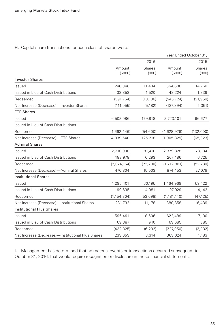# H. Capital share transactions for each class of shares were:

|                                                   | Year Ended October 31, |                        |                   |                        |
|---------------------------------------------------|------------------------|------------------------|-------------------|------------------------|
|                                                   | 2016                   |                        |                   | 2015                   |
|                                                   | Amount<br>(S000)       | <b>Shares</b><br>(000) | Amount<br>(\$000) | <b>Shares</b><br>(000) |
| <b>Investor Shares</b>                            |                        |                        |                   |                        |
| Issued                                            | 246,846                | 11,404                 | 364,606           | 14,768                 |
| Issued in Lieu of Cash Distributions              | 33,853                 | 1,520                  | 43,224            | 1,839                  |
| Redeemed                                          | (391, 754)             | (18, 106)              | (545, 724)        | (21, 958)              |
| Net Increase (Decrease)-Investor Shares           | (111, 055)             | (5, 182)               | (137, 894)        | (5, 351)               |
| <b>ETF Shares</b>                                 |                        |                        |                   |                        |
| Issued                                            | 6,502,086              | 179,818                | 2,723,101         | 66,677                 |
| Issued in Lieu of Cash Distributions              |                        |                        |                   |                        |
| Redeemed                                          | (1,662,446)            | (54, 600)              | (4,628,926)       | (132,000)              |
| Net Increase (Decrease)-ETF Shares                | 4,839,640              | 125,218                | (1,905,825)       | (65, 323)              |
| <b>Admiral Shares</b>                             |                        |                        |                   |                        |
| Issued                                            | 2,310,990              | 81,410                 | 2,379,828         | 73,134                 |
| Issued in Lieu of Cash Distributions              | 183,978                | 6,293                  | 207,486           | 6,725                  |
| Redeemed                                          | (2,024,164)            | (72, 200)              | (1,712,861)       | (52,780)               |
| Net Increase (Decrease)-Admiral Shares            | 470,804                | 15,503                 | 874,453           | 27,079                 |
| <b>Institutional Shares</b>                       |                        |                        |                   |                        |
| Issued                                            | 1,295,401              | 60,195                 | 1,464,969         | 59,422                 |
| Issued in Lieu of Cash Distributions              | 90,635                 | 4,081                  | 97,029            | 4,142                  |
| Redeemed                                          | (1, 154, 304)          | (53,098)               | (1, 181, 140)     | (47, 125)              |
| Net Increase (Decrease)-Institutional Shares      | 231,732                | 11,178                 | 380,858           | 16,439                 |
| <b>Institutional Plus Shares</b>                  |                        |                        |                   |                        |
| Issued                                            | 596,491                | 8,606                  | 622,489           | 7,130                  |
| Issued in Lieu of Cash Distributions              | 69,387                 | 940                    | 69,085            | 885                    |
| Redeemed                                          | (432, 825)             | (6, 232)               | (327, 950)        | (3,832)                |
| Net Increase (Decrease)-Institutional Plus Shares | 233,053                | 3,314                  | 363,624           | 4,183                  |

I. Management has determined that no material events or transactions occurred subsequent to October 31, 2016, that would require recognition or disclosure in these financial statements.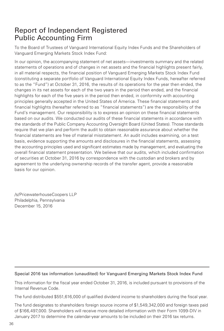# Report of Independent Registered Public Accounting Firm

To the Board of Trustees of Vanguard International Equity Index Funds and the Shareholders of Vanguard Emerging Markets Stock Index Fund:

In our opinion, the accompanying statement of net assets—investments summary and the related statements of operations and of changes in net assets and the financial highlights present fairly, in all material respects, the financial position of Vanguard Emerging Markets Stock Index Fund (constituting a separate portfolio of Vanguard International Equity Index Funds, hereafter referred to as the "Fund") at October 31, 2016, the results of its operations for the year then ended, the changes in its net assets for each of the two years in the period then ended, and the financial highlights for each of the five years in the period then ended, in conformity with accounting principles generally accepted in the United States of America. These financial statements and financial highlights (hereafter referred to as "financial statements") are the responsibility of the Fund's management. Our responsibility is to express an opinion on these financial statements based on our audits. We conducted our audits of these financial statements in accordance with the standards of the Public Company Accounting Oversight Board (United States). Those standards require that we plan and perform the audit to obtain reasonable assurance about whether the financial statements are free of material misstatement. An audit includes examining, on a test basis, evidence supporting the amounts and disclosures in the financial statements, assessing the accounting principles used and significant estimates made by management, and evaluating the overall financial statement presentation. We believe that our audits, which included confirmation of securities at October 31, 2016 by correspondence with the custodian and brokers and by agreement to the underlying ownership records of the transfer agent, provide a reasonable basis for our opinion.

/s/PricewaterhouseCoopers LLP Philadelphia, Pennsylvania December 15, 2016

## Special 2016 tax information (unaudited) for Vanguard Emerging Markets Stock Index Fund

This information for the fiscal year ended October 31, 2016, is included pursuant to provisions of the Internal Revenue Code.

The fund distributed \$551,616,000 of qualified dividend income to shareholders during the fiscal year.

The fund designates to shareholders foreign source income of \$1,549,342,000 and foreign taxes paid of \$166,497,000. Shareholders will receive more detailed information with their Form 1099-DIV in January 2017 to determine the calendar-year amounts to be included on their 2016 tax returns.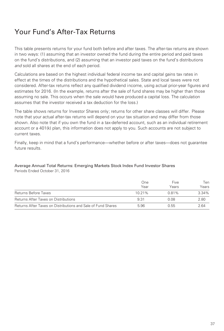# Your Fund's After-Tax Returns

This table presents returns for your fund both before and after taxes. The after-tax returns are shown in two ways: (1) assuming that an investor owned the fund during the entire period and paid taxes on the fund's distributions, and (2) assuming that an investor paid taxes on the fund's distributions and sold all shares at the end of each period.

Calculations are based on the highest individual federal income tax and capital gains tax rates in effect at the times of the distributions and the hypothetical sales. State and local taxes were not considered. After-tax returns reflect any qualified dividend income, using actual prior-year figures and estimates for 2016. (In the example, returns after the sale of fund shares may be higher than those assuming no sale. This occurs when the sale would have produced a capital loss. The calculation assumes that the investor received a tax deduction for the loss.)

The table shows returns for Investor Shares only; returns for other share classes will differ. Please note that your actual after-tax returns will depend on your tax situation and may differ from those shown. Also note that if you own the fund in a tax-deferred account, such as an individual retirement account or a 401(k) plan, this information does not apply to you. Such accounts are not subject to current taxes.

Finally, keep in mind that a fund's performance—whether before or after taxes—does not guarantee future results.

# Average Annual Total Returns: Emerging Markets Stock Index Fund Investor Shares

Periods Ended October 31, 2016

|                                                              | One<br>Year | Five<br>Years | Ten<br>Years |
|--------------------------------------------------------------|-------------|---------------|--------------|
| Returns Before Taxes                                         | 10 21%      | 0.81%         | 3.34%        |
| Returns After Taxes on Distributions                         | 9.31        | 0.08          | 2.80         |
| Returns After Taxes on Distributions and Sale of Fund Shares | 5.96        | 0.55          | 2.64         |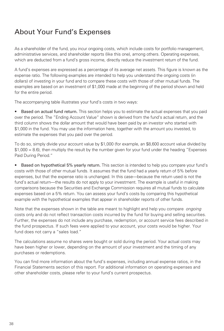# About Your Fund's Expenses

As a shareholder of the fund, you incur ongoing costs, which include costs for portfolio management, administrative services, and shareholder reports (like this one), among others. Operating expenses, which are deducted from a fund's gross income, directly reduce the investment return of the fund.

A fund's expenses are expressed as a percentage of its average net assets. This figure is known as the expense ratio. The following examples are intended to help you understand the ongoing costs (in dollars) of investing in your fund and to compare these costs with those of other mutual funds. The examples are based on an investment of \$1,000 made at the beginning of the period shown and held for the entire period.

The accompanying table illustrates your fund's costs in two ways:

• Based on actual fund return. This section helps you to estimate the actual expenses that you paid over the period. The "Ending Account Value" shown is derived from the fund's actual return, and the third column shows the dollar amount that would have been paid by an investor who started with \$1,000 in the fund. You may use the information here, together with the amount you invested, to estimate the expenses that you paid over the period.

To do so, simply divide your account value by \$1,000 (for example, an \$8,600 account value divided by \$1,000 = 8.6), then multiply the result by the number given for your fund under the heading "Expenses Paid During Period."

• Based on hypothetical 5% yearly return. This section is intended to help you compare your fund's costs with those of other mutual funds. It assumes that the fund had a yearly return of 5% before expenses, but that the expense ratio is unchanged. In this case—because the return used is not the fund's actual return—the results do not apply to your investment. The example is useful in making comparisons because the Securities and Exchange Commission requires all mutual funds to calculate expenses based on a 5% return. You can assess your fund's costs by comparing this hypothetical example with the hypothetical examples that appear in shareholder reports of other funds.

Note that the expenses shown in the table are meant to highlight and help you compare *ongoing* costs only and do not reflect transaction costs incurred by the fund for buying and selling securities. Further, the expenses do not include any purchase, redemption, or account service fees described in the fund prospectus. If such fees were applied to your account, your costs would be higher. Your fund does not carry a "sales load."

The calculations assume no shares were bought or sold during the period. Your actual costs may have been higher or lower, depending on the amount of your investment and the timing of any purchases or redemptions.

You can find more information about the fund's expenses, including annual expense ratios, in the Financial Statements section of this report. For additional information on operating expenses and other shareholder costs, please refer to your fund's current prospectus.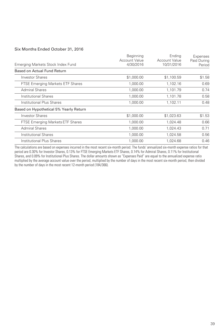### Six Months Ended October 31, 2016

|                                         | Beginning<br>Account Value | Endina<br><b>Account Value</b> | Expenses<br>Paid During |
|-----------------------------------------|----------------------------|--------------------------------|-------------------------|
| Emerging Markets Stock Index Fund       | 4/30/2016                  | 10/31/2016                     | Period                  |
| Based on Actual Fund Return             |                            |                                |                         |
| <b>Investor Shares</b>                  | \$1,000.00                 | \$1,100.59                     | \$1.58                  |
| <b>FTSE Emerging Markets ETF Shares</b> | 1,000.00                   | 1,102.16                       | 0.69                    |
| <b>Admiral Shares</b>                   | 1,000.00                   | 1.101.79                       | 0.74                    |
| Institutional Shares                    | 1,000.00                   | 1,101.78                       | 0.58                    |
| Institutional Plus Shares               | 1,000.00                   | 1,102.11                       | 0.48                    |
| Based on Hypothetical 5% Yearly Return  |                            |                                |                         |
| <b>Investor Shares</b>                  | \$1,000.00                 | \$1,023.63                     | \$1.53                  |
| FTSE Emerging Markets ETF Shares        | 1.000.00                   | 1,024.48                       | 0.66                    |
| <b>Admiral Shares</b>                   | 1,000.00                   | 1.024.43                       | 0.71                    |
| Institutional Shares                    | 1,000.00                   | 1,024.58                       | 0.56                    |
| Institutional Plus Shares               | 1,000.00                   | 1.024.68                       | 0.46                    |

The calculations are based on expenses incurred in the most recent six-month period. The funds' annualized six-month expense ratios for that period are 0.30% for Investor Shares, 0.13% for FTSE Emerging Markets ETF Shares, 0.14% for Admiral Shares, 0.11% for Institutional Shares, and 0.09% for Institutional Plus Shares. The dollar amounts shown as "Expenses Paid" are equal to the annualized expense ratio multiplied by the average account value over the period, multiplied by the number of days in the most recent six-month period, then divided by the number of days in the most recent 12-month period (184/366).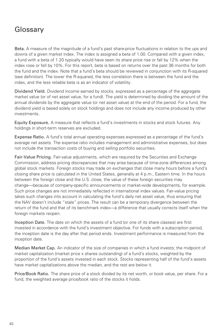# Glossary

Beta. A measure of the magnitude of a fund's past share-price fluctuations in relation to the ups and downs of a given market index. The index is assigned a beta of 1.00. Compared with a given index, a fund with a beta of 1.20 typically would have seen its share price rise or fall by 12% when the index rose or fell by 10%. For this report, beta is based on returns over the past 36 months for both the fund and the index. Note that a fund's beta should be reviewed in conjunction with its R-squared (see definition). The lower the R-squared, the less correlation there is between the fund and the index, and the less reliable beta is as an indicator of volatility.

Dividend Yield. Dividend income earned by stocks, expressed as a percentage of the aggregate market value (or of net asset value, for a fund). The yield is determined by dividing the amount of the annual dividends by the aggregate value (or net asset value) at the end of the period. For a fund, the dividend yield is based solely on stock holdings and does not include any income produced by other investments.

Equity Exposure. A measure that reflects a fund's investments in stocks and stock futures. Any holdings in short-term reserves are excluded.

Expense Ratio. A fund's total annual operating expenses expressed as a percentage of the fund's average net assets. The expense ratio includes management and administrative expenses, but does not include the transaction costs of buying and selling portfolio securities.

Fair-Value Pricing. Fair-value adjustments, which are required by the Securities and Exchange Commission, address pricing discrepancies that may arise because of time-zone differences among global stock markets. Foreign stocks may trade on exchanges that close many hours before a fund's closing share price is calculated in the United States, generally at 4 p.m., Eastern time. In the hours between the foreign close and the U.S. close, the value of these foreign securities may change—because of company-specific announcements or market-wide developments, for example. Such price changes are not immediately reflected in international index values. Fair-value pricing takes such changes into account in calculating the fund's daily net asset value, thus ensuring that the NAV doesn't include "stale" prices. The result can be a temporary divergence between the return of the fund and that of its benchmark index—a difference that usually corrects itself when the foreign markets reopen.

Inception Date. The date on which the assets of a fund (or one of its share classes) are first invested in accordance with the fund's investment objective. For funds with a subscription period, the inception date is the day after that period ends. Investment performance is measured from the inception date.

Median Market Cap. An indicator of the size of companies in which a fund invests; the midpoint of market capitalization (market price x shares outstanding) of a fund's stocks, weighted by the proportion of the fund's assets invested in each stock. Stocks representing half of the fund's assets have market capitalizations above the median, and the rest are below it.

Price/Book Ratio. The share price of a stock divided by its net worth, or book value, per share. For a fund, the weighted average price/book ratio of the stocks it holds.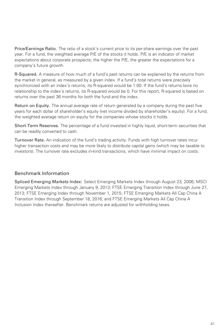Price/Earnings Ratio. The ratio of a stock's current price to its per-share earnings over the past year. For a fund, the weighted average P/E of the stocks it holds. P/E is an indicator of market expectations about corporate prospects; the higher the P/E, the greater the expectations for a company's future growth.

R-Squared. A measure of how much of a fund's past returns can be explained by the returns from the market in general, as measured by a given index. If a fund's total returns were precisely synchronized with an index's returns, its R-squared would be 1.00. If the fund's returns bore no relationship to the index's returns, its R-squared would be 0. For this report, R-squared is based on returns over the past 36 months for both the fund and the index.

Return on Equity. The annual average rate of return generated by a company during the past five years for each dollar of shareholder's equity (net income divided by shareholder's equity). For a fund, the weighted average return on equity for the companies whose stocks it holds.

Short-Term Reserves. The percentage of a fund invested in highly liquid, short-term securities that can be readily converted to cash.

Turnover Rate. An indication of the fund's trading activity. Funds with high turnover rates incur higher transaction costs and may be more likely to distribute capital gains (which may be taxable to investors). The turnover rate excludes in-kind transactions, which have minimal impact on costs.

# Benchmark Information

Spliced Emerging Markets Index: Select Emerging Markets Index through August 23, 2006; MSCI Emerging Markets Index through January 9, 2013; FTSE Emerging Transition Index through June 27, 2013; FTSE Emerging Index through November 1, 2015; FTSE Emerging Markets All Cap China A Transition Index through September 18, 2016; and FTSE Emerging Markets All Cap China A Inclusion Index thereafter. Benchmark returns are adjusted for withholding taxes.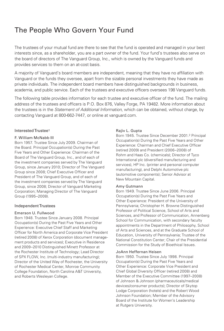# The People Who Govern Your Fund

The trustees of your mutual fund are there to see that the fund is operated and managed in your best interests since, as a shareholder, you are a part owner of the fund. Your fund's trustees also serve on the board of directors of The Vanguard Group, Inc., which is owned by the Vanguard funds and provides services to them on an at-cost basis.

A majority of Vanguard's board members are independent, meaning that they have no affiliation with Vanguard or the funds they oversee, apart from the sizable personal investments they have made as private individuals. The independent board members have distinguished backgrounds in business, academia, and public service. Each of the trustees and executive officers oversees 198 Vanguard funds.

The following table provides information for each trustee and executive officer of the fund. The mailing address of the trustees and officers is P.O. Box 876, Valley Forge, PA 19482. More information about the trustees is in the Statement of Additional Information, which can be obtained, without charge, by contacting Vanguard at 800-662-7447, or online at vanguard.com.

#### Interested Trustee1

#### F. William McNabb III

Born 1957. Trustee Since July 2009. Chairman of the Board. Principal Occupation(s) During the Past Five Years and Other Experience: Chairman of the Board of The Vanguard Group, Inc., and of each of the investment companies served by The Vanguard Group, since January 2010; Director of The Vanguard Group since 2008; Chief Executive Officer and President of The Vanguard Group, and of each of the investment companies served by The Vanguard Group, since 2008; Director of Vanguard Marketing Corporation; Managing Director of The Vanguard Group (1995–2008).

#### Independent Trustees

#### Emerson U. Fullwood

Born 1948. Trustee Since January 2008. Principal Occupation(s) During the Past Five Years and Other Experience: Executive Chief Staff and Marketing Officer for North America and Corporate Vice President (retired 2008) of Xerox Corporation (document management products and services); Executive in Residence and 2009–2010 Distinguished Minett Professor at the Rochester Institute of Technology; Lead Director of SPX FLOW, Inc. (multi-industry manufacturing); Director of the United Way of Rochester, the University of Rochester Medical Center, Monroe Community College Foundation, North Carolina A&T University, and Roberts Wesleyan College.

#### Rajiv L. Gupta

Born 1945. Trustee Since December 2001.2 Principal Occupation(s) During the Past Five Years and Other Experience: Chairman and Chief Executive Officer (retired 2009) and President (2006–2008) of Rohm and Haas Co. (chemicals); Director of Tyco International plc (diversified manufacturing and services), HP Inc. (printer and personal computer manufacturing), and Delphi Automotive plc (automotive components); Senior Advisor at New Mountain Capital.

#### Amy Gutmann

Born 1949. Trustee Since June 2006. Principal Occupation(s) During the Past Five Years and Other Experience: President of the University of Pennsylvania; Christopher H. Browne Distinguished Professor of Political Science, School of Arts and Sciences, and Professor of Communication, Annenberg School for Communication, with secondary faculty appointments in the Department of Philosophy, School of Arts and Sciences, and at the Graduate School of Education, University of Pennsylvania; Trustee of the National Constitution Center; Chair of the Presidential Commission for the Study of Bioethical Issues.

#### JoAnn Heffernan Heisen

Born 1950. Trustee Since July 1998. Principal Occupation(s) During the Past Five Years and Other Experience: Corporate Vice President and Chief Global Diversity Officer (retired 2008) and Member of the Executive Committee (1997–2008) of Johnson & Johnson (pharmaceuticals/medical devices/consumer products); Director of Skytop Lodge Corporation (hotels) and the Robert Wood Johnson Foundation; Member of the Advisory Board of the Institute for Women's Leadership at Rutgers University.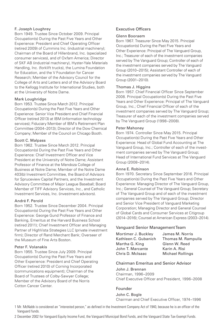#### F. Joseph Loughrey

Born 1949. Trustee Since October 2009. Principal Occupation(s) During the Past Five Years and Other Experience: President and Chief Operating Officer (retired 2009) of Cummins Inc. (industrial machinery); Chairman of the Board of Hillenbrand, Inc. (specialized consumer services), and of Oxfam America; Director of SKF AB (industrial machinery), Hyster-Yale Materials Handling, Inc. (forklift trucks), the Lumina Foundation for Education, and the V Foundation for Cancer Research; Member of the Advisory Council for the College of Arts and Letters and of the Advisory Board to the Kellogg Institute for International Studies, both at the University of Notre Dame.

### Mark Loughridge

Born 1953. Trustee Since March 2012. Principal Occupation(s) During the Past Five Years and Other Experience: Senior Vice President and Chief Financial Officer (retired 2013) at IBM (information technology services); Fiduciary Member of IBM's Retirement Plan Committee (2004–2013); Director of the Dow Chemical Company; Member of the Council on Chicago Booth.

### Scott C. Malpass

Born 1962. Trustee Since March 2012. Principal Occupation(s) During the Past Five Years and Other Experience: Chief Investment Officer and Vice President at the University of Notre Dame; Assistant Professor of Finance at the Mendoza College of Business at Notre Dame; Member of the Notre Dame 403(b) Investment Committee, the Board of Advisors for Spruceview Capital Partners, and the Investment Advisory Committee of Major League Baseball; Board Member of TIFF Advisory Services, Inc., and Catholic Investment Services, Inc. (investment advisors).

### André F. Perold

Born 1952. Trustee Since December 2004. Principal Occupation(s) During the Past Five Years and Other Experience: George Gund Professor of Finance and Banking, Emeritus at the Harvard Business School (retired 2011); Chief Investment Officer and Managing Partner of HighVista Strategies LLC (private investment firm); Director of Rand Merchant Bank; Overseer of the Museum of Fine Arts Boston.

#### Peter F. Volanakis

Born 1955. Trustee Since July 2009. Principal Occupation(s) During the Past Five Years and Other Experience: President and Chief Operating Officer (retired 2010) of Corning Incorporated (communications equipment); Chairman of the Board of Trustees of Colby-Sawyer College; Member of the Advisory Board of the Norris Cotton Cancer Center.

## Executive Officers

#### Glenn Booraem

Born 1967. Treasurer Since May 2015. Principal Occupation(s) During the Past Five Years and Other Experience: Principal of The Vanguard Group, Inc.; Treasurer of each of the investment companies served by The Vanguard Group; Controller of each of the investment companies served by The Vanguard Group (2010–2015); Assistant Controller of each of the investment companies served by The Vanguard Group (2001–2010).

#### Thomas J. Higgins

Born 1957. Chief Financial Officer Since September 2008. Principal Occupation(s) During the Past Five Years and Other Experience: Principal of The Vanguard Group, Inc.; Chief Financial Officer of each of the investment companies served by The Vanguard Group; Treasurer of each of the investment companies served by The Vanguard Group (1998–2008).

#### Peter Mahoney

Born 1974. Controller Since May 2015. Principal Occupation(s) During the Past Five Years and Other Experience: Head of Global Fund Accounting at The Vanguard Group, Inc.; Controller of each of the investment companies served by The Vanguard Group; Head of International Fund Services at The Vanguard Group (2008–2014).

#### Anne E. Robinson

Born 1970. Secretary Since September 2016. Principal Occupation(s) During the Past Five Years and Other Experience: Managing Director of The Vanguard Group, Inc.; General Counsel of The Vanguard Group; Secretary of The Vanguard Group and of each of the investment companies served by The Vanguard Group; Director and Senior Vice President of Vanguard Marketing Corporation; Managing Director and General Counsel of Global Cards and Consumer Services at Citigroup (2014–2016); Counsel at American Express (2003–2014).

## Vanguard Senior Management Team

| Mortimer J. Buckley  | James M. Norris         |
|----------------------|-------------------------|
| Kathleen C. Gubanich | Thomas M. Rampulla      |
| Martha G. King       | Glenn W. Reed           |
| John T. Marcante     | Karin A. Risi           |
| Chris D. McIsaac     | <b>Michael Rollings</b> |

#### Chairman Emeritus and Senior Advisor

John J. Brennan Chairman, 1996–2009

Chief Executive Officer and President, 1996–2008

## Founder

#### John C. Bogle

Chairman and Chief Executive Officer, 1974–1996

- 1 Mr. McNabb is considered an "interested person," as defined in the Investment Company Act of 1940, because he is an officer of the Vanguard funds.
- 2 December 2002 for Vanguard Equity Income Fund, the Vanguard Municipal Bond Funds, and the Vanguard State Tax-Exempt Funds.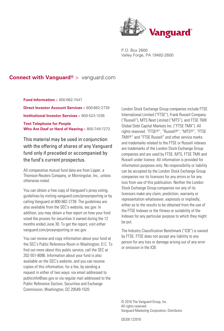

P.O. Box 2600 Valley Forge, PA 19482-2600

## **Connect with Vanguard®** > vanguard.com

**Fund Information** > 800-662-7447 **Direct Investor Account Services** > 800-662-2739 **Institutional Investor Services** > 800-523-1036 **Text Telephone for People Who Are Deaf or Hard of Hearing** > 800-749-7273

This material may be used in conjunction with the offering of shares of any Vanguard fund only if preceded or accompanied by the fund's current prospectus.

All comparative mutual fund data are from Lipper, a Thomson Reuters Company, or Morningstar, Inc., unless otherwise noted.

You can obtain a free copy of Vanguard's proxy voting guidelines by visiting vanguard.com/proxyreporting or by calling Vanguard at 800-662-2739. The guidelines are also available from the SEC's website, sec.gov. In addition, you may obtain a free report on how your fund voted the proxies for securities it owned during the 12 months ended June 30. To get the report, visit either vanguard.com/proxyreporting or sec.gov.

You can review and copy information about your fund at the SEC's Public Reference Room in Washington, D.C. To find out more about this public service, call the SEC at 202-551-8090. Information about your fund is also available on the SEC's website, and you can receive copies of this information, for a fee, by sending a request in either of two ways: via email addressed to publicinfo@sec.gov or via regular mail addressed to the Public Reference Section, Securities and Exchange Commission, Washington, DC 20549-1520.

London Stock Exchange Group companies include FTSE International Limited ("FTSE"), Frank Russell Company ("Russell"), MTS Next Limited ("MTS"), and FTSE TMX Global Debt Capital Markets Inc. ("FTSE TMX"). All rights reserved. "FTSE®", "Russell®", "MTS®", "FTSE TMX®" and "FTSE Russell" and other service marks and trademarks related to the FTSE or Russell indexes are trademarks of the London Stock Exchange Group companies and are used by FTSE, MTS, FTSE TMX and Russell under licence. All information is provided for information purposes only. No responsibility or liability can be accepted by the London Stock Exchange Group companies nor its licensors for any errors or for any loss from use of this publication. Neither the London Stock Exchange Group companies nor any of its licensors make any claim, prediction, warranty or representation whatsoever, expressly or impliedly, either as to the results to be obtained from the use of the FTSE Indexes or the fitness or suitability of the Indexes for any particular purpose to which they might be put.

The Industry Classification Benchmark ("ICB") is owned by FTSE. FTSE does not accept any liability to any person for any loss or damage arising out of any error or omission in the ICB.

© 2016 The Vanguard Group, Inc. All rights reserved. Vanguard Marketing Corporation, Distributor.

Q5330 122016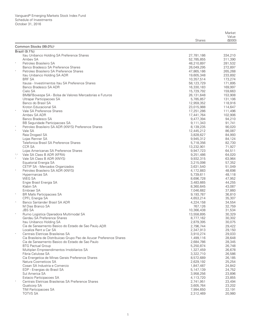|                   |                                                                                 |                          | Market             |
|-------------------|---------------------------------------------------------------------------------|--------------------------|--------------------|
|                   |                                                                                 | <b>Shares</b>            | Value<br>(\$000)   |
|                   | Common Stocks (99.0%) <sup>1</sup>                                              |                          |                    |
|                   | Brazil (9.1%)                                                                   |                          |                    |
|                   | Itau Unibanco Holding SA Preference Shares                                      | 27,781,186               | 334,210            |
| $\star$           | Ambey SA                                                                        | 52,785,855               | 311,390            |
|                   | Petroleo Brasileiro SA                                                          | 48,210,897               | 281,532            |
|                   | Banco Bradesco SA Preference Shares<br>Petroleo Brasileiro SA Preference Shares | 26,049,295               | 272,897            |
|                   | Itau Unibanco Holding SA ADR                                                    | 47,865,186<br>19,605,348 | 265,268<br>233,892 |
|                   | <b>BRF SA</b>                                                                   | 10,357,514               | 173,274            |
|                   | Itausa - Investimentos Itau SA Preference Shares                                | 58,123,729               | 171,895            |
|                   | Banco Bradesco SA ADR                                                           | 16,330,183               | 169,997            |
|                   | Cielo SA                                                                        | 15,729,792               | 159,663            |
|                   | BM&FBovespa SA - Bolsa de Valores Mercadorias e Futuros                         | 26,131,648               | 153,908            |
|                   | Ultrapar Participacoes SA                                                       | 5,785,857                | 131,106            |
|                   | Banco do Brasil SA                                                              | 12,959,352               | 118,916            |
|                   | Kroton Educacional SA                                                           | 23,015,988               | 114,647            |
|                   | Vale SA Preference Shares<br>Ambey SA ADR                                       | 17,251,286               | 111,496            |
|                   | Banco Bradesco SA                                                               | 17,441,764<br>9,477,394  | 102,906<br>94,210  |
|                   | BB Seguridade Participacoes SA                                                  | 9,111,343                | 91,741             |
|                   | Petroleo Brasileiro SA ADR (XNYS) Preference Shares                             | 8,139,235                | 90,020             |
|                   | Vale SA                                                                         | 12,445,212               | 86,087             |
|                   | Raia Drogasil SA                                                                | 3,828,627                | 84,993             |
|                   | Lojas Renner SA                                                                 | 9,945,312                | 84,124             |
|                   | Telefonica Brasil SA Preference Shares                                          | 5,718,356                | 82,730             |
|                   | <b>CCR SA</b>                                                                   | 13,232,901               | 71,927             |
|                   | Lojas Americanas SA Preference Shares                                           | 9,947,723                | 64,511             |
| ${}^\star,\wedge$ | Vale SA Class B ADR (XFRA)                                                      | 9,251,486                | 64,020             |
|                   | Vale SA Class B ADR (XNYS)<br>Equatorial Energia SA                             | 9,932,315<br>3,215,098   | 63,964<br>57,352   |
|                   | CETIP SA - Mercados Organizados                                                 | 3,631,540                | 51,049             |
|                   | Petroleo Brasileiro SA ADR (XNYS)                                               | 4,172,883                | 48,698             |
|                   | Hypermarcas SA                                                                  | 5,739,611                | 48,118             |
|                   | WEG SA                                                                          | 8,696,728                | 47,952             |
|                   | Engie Brasil Energia SA                                                         | 3,483,665                | 44,255             |
|                   | Klabin SA                                                                       | 8,360,645                | 43,087             |
|                   | Embraer SA                                                                      | 7,046,682                | 37,860             |
|                   | <b>BR Malls Participacoes SA</b>                                                | 9,193,787                | 36,810             |
| $\wedge$          | <b>CPFL Energia SA</b><br>Banco Santander Brasil SA ADR                         | 4,653,214<br>4,224,158   | 35,307<br>34,554   |
|                   | M Dias Branco SA                                                                | 767,126                  | 32,759             |
|                   | <b>JBS SA</b>                                                                   | 10,366,438               | 31,534             |
|                   | Rumo Logistica Operadora Multimodal SA                                          | 13,558,895               | 30,329             |
|                   | Gerdau SA Preference Shares                                                     | 8,777,162                | 30,302             |
|                   | Itau Unibanco Holding SA                                                        | 2,879,395                | 30,075             |
|                   | Cia de Saneamento Basico do Estado de Sao Paulo ADR                             | 2,796,744                | 29,422             |
|                   | Localiza Rent a Car SA                                                          | 2,347,913                | 29,150             |
|                   | Centrais Eletricas Brasileiras SA                                               | 3,910,274                | 29,033             |
|                   | Cia Brasileira de Distribuicao Grupo Pao de Acucar Preference Shares            | 1,499,116                | 28,648             |
|                   | Cia de Saneamento Basico do Estado de Sao Paulo<br><b>BTG Pactual Group</b>     | 2,684,786<br>5,250,874   | 28,345<br>26,748   |
|                   | Multiplan Empreendimentos Imobiliarios SA                                       | 1,327,459                | 26,678             |
|                   | Fibria Celulose SA                                                              | 3,322,710                | 26,586             |
|                   | Cia Energetica de Minas Gerais Preference Shares                                | 8,572,689                | 26,185             |
|                   | Natura Cosmeticos SA                                                            | 2,629,192                | 25,254             |
|                   | Cosan SA Industria e Comercio                                                   | 1,847,487                | 24,842             |
|                   | EDP - Energias do Brasil SA                                                     | 5,147,139                | 24,752             |
|                   | Sul America SA                                                                  | 3,958,256                | 23,896             |
|                   | Estacio Participacoes SA                                                        | 4,113,720                | 23,855             |
|                   | Centrais Eletricas Brasileiras SA Preference Shares<br>Qualicorp SA             | 2,741,951                | 23,494             |
|                   | <b>TIM Participacoes SA</b>                                                     | 3,605,764<br>7,994,650   | 23,202<br>22,191   |
|                   | <b>TOTVS SA</b>                                                                 | 2,312,469                | 20,980             |
|                   |                                                                                 |                          |                    |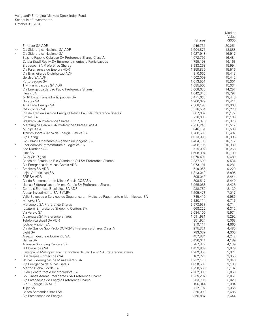|             |                                                                                 |                      | Market           |
|-------------|---------------------------------------------------------------------------------|----------------------|------------------|
|             |                                                                                 |                      | Value            |
|             |                                                                                 | <b>Shares</b>        | (\$000)          |
| $^*,\wedge$ | Embraer SA ADR<br>Cia Siderurgica Nacional SA ADR                               | 946,731<br>5,604,871 | 20,251<br>18,888 |
|             | Cia Siderurgica Nacional SA                                                     | 5,027,948            | 16,917           |
|             | Suzano Papel e Celulose SA Preference Shares Class A                            | 4,672,796            | 16,484           |
|             | Cyrela Brazil Realty SA Empreendimentos e Participacoes                         | 4,799,198            | 16,163           |
|             | Bradespar SA Preference Shares                                                  | 3,933,263            | 15,994           |
|             | Cia Paranaense de Energia ADR                                                   | 1,359,830            | 15,516           |
|             | Cia Brasileira de Distribuicao ADR                                              | 810,665              | 15,443           |
|             | Gerdau SA ADR                                                                   | 4,502,009            | 15,442           |
|             | Porto Seguro SA                                                                 | 1,613,551            | 15,301           |
|             | TIM Participacoes SA ADR                                                        | 1,085,508            | 15,034           |
|             | Cia Energetica de Sao Paulo Preference Shares                                   | 3,068,633            | 14,257           |
|             | Fleury SA                                                                       | 1,042,348            | 13,797           |
|             | MRV Engenharia e Participacoes SA                                               | 3,471,633            | 13,443           |
|             | Duratex SA                                                                      | 4,966,029            | 13,411           |
|             | AES Tiete Energia SA<br>Odontoprev SA                                           | 2,568,193            | 13,308<br>13,228 |
|             | Cia de Transmissao de Energia Eletrica Paulista Preference Shares               | 3,518,554<br>607,067 | 13,172           |
|             | Smiles SA                                                                       | 718,080              | 13,106           |
|             | Braskem SA Preference Shares                                                    | 1,397,378            | 12,376           |
| $\ast$      | Metalurgica Gerdau SA Preference Shares Class A                                 | 7,736,243            | 11,512           |
|             | Multiplus SA                                                                    | 848,161              | 11,500           |
|             | Transmissora Alianca de Energia Eletrica SA                                     | 1,768,536            | 11,497           |
|             | Cia Hering                                                                      | 1,813,035            | 10,996           |
|             | CVC Brasil Operadora e Agencia de Viagens SA                                    | 1,404,100            | 10,777           |
| $\ast$      | EcoRodovias Infraestrutura e Logistica SA                                       | 3,498,796            | 10,380           |
|             | Sao Martinho SA                                                                 | 515,092              | 10,258           |
|             | Linx SA                                                                         | 1,698,394            | 10,109           |
| $\ast$      | <b>B2W Cia Digital</b>                                                          | 1,970,491            | 9,680            |
|             | Banco do Estado do Rio Grande do Sul SA Preference Shares                       | 2,237,600            | 9,534            |
| $\wedge$    | Cia Energetica de Minas Gerais ADR                                              | 3,073,101            | 9,281            |
|             | Braskem SA ADR<br>Lojas Americanas SA                                           | 519,956<br>1,813,042 | 9,229<br>8,895   |
| $\wedge$    | <b>BRF SA ADR</b>                                                               | 505,042              | 8,444            |
|             | Cia de Saneamento de Minas Gerais-COPASA                                        | 808,517              | 8,440            |
| $\ast$      | Usinas Siderurgicas de Minas Gerais SA Preference Shares                        | 5,965,088            | 8,428            |
| $\ast$      | Centrais Eletricas Brasileiras SA ADR                                           | 938,782              | 8,139            |
|             | Alupar Investimento SA (BVMF)                                                   | 1,205,473            | 7,017            |
|             | Valid Solucoes e Servicos de Seguranca em Meios de Pagamento e Identificacao SA | 745,412              | 6,985            |
| $\ast$      | Minerva SA                                                                      | 2,120,114            | 6,715            |
| $\ast$      | Marcopolo SA Preference Shares                                                  | 6,573,933            | 6,714            |
|             | Iguatemi Empresa de Shopping Centers SA                                         | 668,222              | 6,312            |
|             | Via Varejo SA                                                                   | 2,084,100            | 5,974            |
|             | Alpargatas SA Preference Shares                                                 | 1,591,981            | 5,292            |
|             | Telefonica Brasil SA ADR                                                        | 351,924              | 5,068            |
|             | lochpe Maxion SA<br>Cia de Gas de Sao Paulo COMGAS Preference Shares Class A    | 919,117<br>275,321   | 4,665<br>4,485   |
|             | Light SA                                                                        | 783,089              | 4,305            |
|             | Arezzo Industria e Comercio SA                                                  | 457,884              | 4,242            |
|             | Gafisa SA                                                                       | 5,436,011            | 4,189            |
|             | Aliansce Shopping Centers SA                                                    | 787,377              | 4,139            |
|             | <b>BR Properties SA</b>                                                         | 1,459,939            | 3,929            |
|             | Eletropaulo Metropolitana Eletricidade de Sao Paulo SA Preference Shares        | 1,209,350            | 3,921            |
|             | Guararapes Confeccoes SA                                                        | 162,220              | 3,355            |
| $\ast$      | Usinas Siderurgicas de Minas Gerais SA                                          | 1,212,176            | 3,349            |
|             | Cia Energetica de Minas Gerais                                                  | 1,050,595            | 3,193            |
| $\ast$      | Marfrig Global Foods SA                                                         | 1,790,568            | 3,192            |
|             | Even Construtora e Incorporadora SA                                             | 2,202,300            | 3,063            |
| $\star$     | Gol Linhas Aereas Inteligentes SA Preference Shares                             | 1,239,202            | 3,051            |
|             | Cia Paranaense de Energia Preference Shares                                     | 263,705              | 3,020            |
|             | CPFL Energia SA ADR                                                             | 196,944              | 2,994            |
|             | <b>Tupy SA</b><br>Banco Santander Brasil SA                                     | 712,192              | 2,956<br>2,686   |
|             | Cia Paranaense de Energia                                                       | 326,000<br>356,887   |                  |
|             |                                                                                 |                      | 2,644            |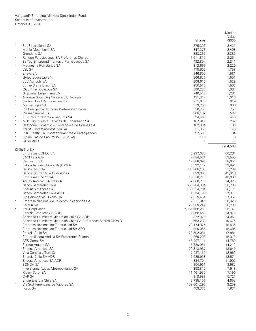|            |                                                                 |               | Market    |
|------------|-----------------------------------------------------------------|---------------|-----------|
|            |                                                                 |               | Value     |
|            |                                                                 | <b>Shares</b> | (\$000)   |
| $\sqrt{2}$ | Ser Educacional SA                                              | 375,396       | 2,431     |
|            | Mahle-Metal Leve SA                                             | 347,373       | 2,408     |
|            | Grendene SA                                                     | 388,237       | 2,386     |
| $\ast$     | Randon Participacoes SA Preference Shares                       | 1,511,817     | 2,264     |
|            | Ez Tec Empreendimentos e Participacoes SA                       | 432,804       | 2,241     |
| $\ast$     | Magnesita Refratarios SA                                        | 312,669       | 2,220     |
|            | <b>JSL SA</b>                                                   | 479,600       | 1,758     |
| $\ast$     | Eneva SA                                                        | 346,800       | 1,581     |
|            | <b>GAEC Educacao SA</b>                                         | 366,826       | 1,551     |
|            | <b>SLC Agricola SA</b>                                          | 308,615       | 1,529     |
|            | Sonae Sierra Brasil SA                                          | 250,510       | 1,506     |
|            | <b>QGEP Participacoes SA</b>                                    | 800,225       | 1,384     |
|            | Direcional Engenharia SA                                        | 740,543       | 1,281     |
| $\ast$     | Aliansce Shopping Centers SA Receipts                           | 191,347       | 1,016     |
|            | Santos Brasil Participacoes SA                                  | 971,675       | 919       |
| $\ast$     | Marisa Lojas SA                                                 | 373,200       | 906       |
|            | Cia Energetica do Ceara Preference Shares                       | 50,700        | 757       |
|            | Paranapanema SA                                                 | 968,162       | 522       |
| $\ast$     | FPC Par Corretora de Seguros SA                                 | 94,400        | 446       |
|            | Mills Estruturas e Servicos de Engenharia SA                    | 167,841       | 262       |
| $\ast$     | Restoque Comercio e Confeccoes de Roupas SA                     | 162,904       | 199       |
|            | Itausa - Investimentos Itau SA                                  | 51,353        | 143       |
|            | PDG Realty SA Empreendimentos e Participacoes                   | 92,600        | 84        |
| $\ast$     | Cia de Gas de Sao Paulo - COMGAS                                | 178           | 3         |
| $\ast$     | Oi SA ADR                                                       |               |           |
|            |                                                                 |               | 5,704,508 |
|            | Chile (1.4%)                                                    |               |           |
|            | Empresas COPEC SA                                               | 5,997,088     | 60,261    |
|            | <b>SACI Falabella</b>                                           | 7,584,571     | 59,555    |
|            | Cencosud SA                                                     | 17,808,096    | 58,054    |
| $\ast$     | Latam Airlines Group SA (XSGO)                                  | 5,522,112     | 52,891    |
|            | Banco de Chile                                                  | 430,908,163   | 51,289    |
|            | Banco de Credito e Inversiones                                  | 833,063       | 42,818    |
|            | Empresas CMPC SA                                                | 18,510,710    | 40,098    |
|            | Aguas Andinas SA Class A                                        | 52,060,210    | 34,325    |
|            | Banco Santander Chile                                           | 550,204,304   | 30,786    |
|            | Enersis Americas SA                                             | 166,324,784   | 28,171    |
|            | Banco Santander Chile ADR                                       | 1,224,108     | 27,971    |
|            | Cia Cervecerias Unidas SA                                       | 2,519,454     | 27,061    |
|            | Empresa Nacional de Telecomunicaciones SA                       | 2,511,049     | 26,928    |
|            | Colbun SA                                                       | 123,009,242   | 26,799    |
|            | Itau CorpBanca                                                  | 2,765,668,253 | 25,141    |
|            | Enersis Americas SA ADR                                         | 2,868,463     | 24,870    |
|            | Sociedad Quimica y Minera de Chile SA ADR                       | 822,329       | 24,061    |
|            | Sociedad Quimica y Minera de Chile SA Preference Shares Class B | 663,282       | 19,675    |
|            | Empresa Nacional de Electricidad SA                             | 28,174,325    | 19,435    |
|            | Empresa Nacional de Electricidad SA ADR                         | 900,055       | 18,685    |
|            | Enersis Chile SA                                                | 178,592,081   | 17,881    |
|            | Embotelladora Andina SA Preference Shares                       | 4,069,203     | 16,318    |
|            | AES Gener SA                                                    | 43,407,111    | 14,789    |
|            | Parque Arauco SA                                                | 5,730,961     | 14,212    |
|            | Endesa Americas SA                                              | 29,313,967    | 13,640    |
|            | Vina Concha y Toro SA                                           | 7,427,152     | 12,962    |
|            | Enersis Chile SA ADR                                            | 2,529,928     | 12,574    |
|            | Endesa Americas SA ADR                                          | 834,704       | 11,995    |
|            | SONDA SA                                                        | 4,154,961     | 8,587     |
|            | Inversiones Aguas Metropolitanas SA                             | 4,358,815     | 7,948     |
|            | Ripley Corp. SA                                                 | 11,461,932    | 7,190     |
|            | CAP SA                                                          | 819,583       | 5,721     |
|            | Engie Energia Chile SA                                          | 2,735,106     | 4,853     |
|            | Cia Sud Americana de Vapores SA                                 | 159,801,296   | 3,259     |
|            | Forus SA                                                        | 453,372       | 1,634     |
|            |                                                                 |               |           |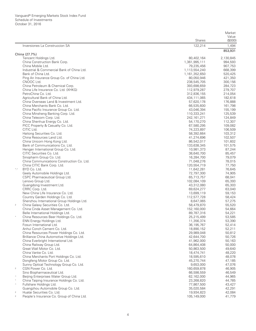|                                                                                      |                            | Market             |
|--------------------------------------------------------------------------------------|----------------------------|--------------------|
|                                                                                      |                            | Value              |
|                                                                                      | Shares                     | (\$000)            |
| Inversiones La Construccion SA                                                       | 122,214                    | 1,494<br>853,931   |
| China (27.7%)                                                                        |                            |                    |
| Tencent Holdings Ltd.                                                                | 80,402,164                 | 2,130,845          |
| China Construction Bank Corp.                                                        | 1,361,995,111              | 994,593            |
| China Mobile Ltd.                                                                    | 79,235,456                 | 907,753            |
| Industrial & Commercial Bank of China Ltd.                                           | 1,113,554,240              | 668,399            |
| Bank of China Ltd.                                                                   | 1,161,352,650              | 520,425            |
| Ping An Insurance Group Co. of China Ltd.                                            | 80,050,946                 | 421,350            |
| CNOOC Ltd.                                                                           | 238,545,705                | 300,156            |
| China Petroleum & Chemical Corp.<br>China Life Insurance Co. Ltd. (XHKG)             | 393,698,659                | 284,723            |
| PetroChina Co. Ltd.                                                                  | 112,979,287<br>312,836,155 | 279,707<br>214,054 |
| Agricultural Bank of China Ltd.                                                      | 434,111,065                | 182,618            |
| China Overseas Land & Investment Ltd.                                                | 57,620,178                 | 176,888            |
| China Merchants Bank Co. Ltd.                                                        | 66,535,600                 | 161,798            |
| China Pacific Insurance Group Co. Ltd.                                               | 43,046,394                 | 155,199            |
| China Minsheng Banking Corp. Ltd.                                                    | 110,333,241                | 125,539            |
| China Telecom Corp. Ltd.                                                             | 242, 161, 271              | 124,849            |
| China Shenhua Energy Co. Ltd.                                                        | 54,170,270                 | 112,307            |
| PICC Property & Casualty Co. Ltd.                                                    | 67,580,295                 | 109,082            |
| CITIC Ltd.                                                                           | 74,223,897                 | 106,509            |
| Haitong Securities Co. Ltd.                                                          | 58,392,664                 | 103,312            |
| China Resources Land Ltd.                                                            | 41,274,696                 | 102,507            |
| China Unicom Hong Kong Ltd.                                                          | 86,542,017                 | 101,602            |
| Bank of Communications Co. Ltd.                                                      | 133,638,345                | 101,575            |
| Hengan International Group Co. Ltd.                                                  | 10,981,373                 | 87,244             |
| CITIC Securities Co. Ltd.                                                            | 38,640,700                 | 85,457             |
| Sinopharm Group Co. Ltd.                                                             | 16,284,700                 | 79,079             |
| China Communications Construction Co. Ltd.<br>China CITIC Bank Corp. Ltd.            | 71,048,276<br>120,554,719  | 78,015<br>77,750   |
| BYD Co. Ltd.<br>$^*,\wedge$                                                          | 11,642,281                 | 76,645             |
| Geely Automobile Holdings Ltd.                                                       | 72,797,300                 | 74,905             |
| CSPC Pharmaceutical Group Ltd.                                                       | 65,713,757                 | 68,041             |
| Lenovo Group Ltd.                                                                    | 102,084,109                | 65,393             |
| Guangdong Investment Ltd.                                                            | 43,312,080                 | 65,303             |
| CRRC Corp. Ltd.                                                                      | 69,624,277                 | 63,040             |
| New China Life Insurance Co. Ltd.                                                    | 13,699,119                 | 59,153             |
| Country Garden Holdings Co. Ltd.                                                     | 112,577,728                | 58,424             |
| Shenzhou International Group Holdings Ltd.                                           | 8,647,065                  | 57,275             |
| $\sqrt{2}$<br>China Galaxy Securities Co. Ltd.                                       | 58,479,870                 | 55,520             |
| China Cinda Asset Management Co. Ltd.                                                | 152,160,000                | 54,664             |
| Belle International Holdings Ltd.                                                    | 89,787,316                 | 54,221             |
| China Resources Beer Holdings Co. Ltd.                                               | 25,215,499                 | 53,585             |
| ENN Energy Holdings Ltd.                                                             | 11,356,374                 | 53,390             |
| Fosun International Ltd.                                                             | 36, 195, 767               | 52,414             |
| Anhui Conch Cement Co. Ltd.                                                          | 18,890,152                 | 52,211             |
| China Resources Power Holdings Co. Ltd.<br>Brilliance China Automotive Holdings Ltd. | 29,989,048                 | 50,812             |
| China Everbright International Ltd.                                                  | 42,644,700<br>41,962,000   | 50,726<br>50,163   |
| China Railway Group Ltd.                                                             | 64,864,408                 | 50,000             |
| Great Wall Motor Co. Ltd.                                                            | 50,863,500                 | 49,640             |
| China Vanke Co. Ltd.                                                                 | 18,474,741                 | 48,220             |
| China Merchants Port Holdings Co. Ltd.                                               | 18,595,610                 | 48,078             |
| Dongfeng Motor Group Co. Ltd.                                                        | 45,270,744                 | 47,185             |
| Sunny Optical Technology Group Co. Ltd.                                              | 9,653,000                  | 47,076             |
| $\sqrt{2}$<br>CGN Power Co. Ltd.                                                     | 160,659,878                | 46,905             |
| Sino Biopharmaceutical Ltd.                                                          | 66,598,559                 | 46,549             |
| Beijing Enterprises Water Group Ltd.<br>$\land$                                      | 62,162,000                 | 44,965             |
| $\frac{1}{N}$<br>China Taiping Insurance Holdings Co. Ltd.                           | 23,268,820                 | 44,785             |
| Fullshare Holdings Ltd.<br>$\wedge$                                                  | 77,867,500                 | 43,427             |
| Guangzhou Automobile Group Co. Ltd.                                                  | 35,020,584                 | 42,291             |
| Huatai Securities Co. Ltd.<br>$\sqrt{2}$                                             | 19,934,823                 | 42,084             |
| People's Insurance Co. Group of China Ltd.<br>$\sqrt{2}$                             | 105,149,000                | 41,779             |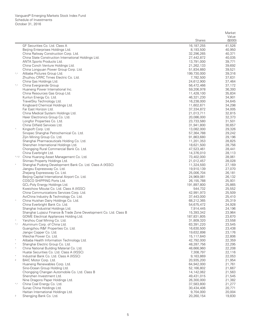|                        |                                                                           |                           | Market           |
|------------------------|---------------------------------------------------------------------------|---------------------------|------------------|
|                        |                                                                           | <b>Shares</b>             | Value<br>(\$000) |
|                        | GF Securities Co. Ltd. Class A                                            | 16,187,255                | 41,526           |
|                        | Beijing Enterprises Holdings Ltd.                                         | 8,193,500                 | 40,950           |
|                        | China Railway Construction Corp. Ltd.                                     | 32,296,265                | 40,371           |
|                        | China State Construction International Holdings Ltd.                      | 27,442,872                | 40,035           |
|                        | ANTA Sports Products Ltd.                                                 | 13,791,000                | 39,771           |
|                        | China Conch Venture Holdings Ltd.                                         | 21,262,133                | 39,692           |
|                        | China Longyuan Power Group Corp. Ltd.                                     | 51,834,660                | 39,521           |
| ${}^\star,\wedge$      | Alibaba Pictures Group Ltd.                                               | 199,730,000               | 39,316           |
|                        | Zhuzhou CRRC Times Electric Co. Ltd.                                      | 7,782,500                 | 37,631           |
| $^*,\wedge$            | China Gas Holdings Ltd.<br>China Evergrande Group                         | 24,612,900<br>56,472,466  | 37,464<br>37,172 |
|                        | Huaneng Power International Inc.                                          | 59,206,978                | 36,393           |
|                        | China Resources Gas Group Ltd.                                            | 11,428,100                | 35,834           |
|                        | Kunlun Energy Co. Ltd.                                                    | 46,321,230                | 34,901           |
|                        | TravelSky Technology Ltd.                                                 | 16,238,000                | 34,645           |
|                        | Kingboard Chemical Holdings Ltd.                                          | 11,602,671                | 34,298           |
|                        | Far East Horizon Ltd.                                                     | 37,334,872                | 34,005           |
|                        | China Medical System Holdings Ltd.                                        | 21,013,711                | 32,815           |
|                        | Haier Electronics Group Co. Ltd.                                          | 20,086,000                | 32,373           |
|                        | Longfor Properties Co. Ltd.                                               | 23,733,580                | 31,501           |
|                        | China Oilfield Services Ltd.                                              | 31,941,800                | 30,657           |
| $\wedge$               | Kingsoft Corp. Ltd.                                                       | 13,082,000                | 29,326           |
|                        | Sinopec Shanghai Petrochemical Co. Ltd.<br>Zijin Mining Group Co. Ltd.    | 57,364,788<br>91,863,680  | 29,242<br>29,196 |
|                        | Shanghai Pharmaceuticals Holding Co. Ltd.                                 | 11,201,353                | 28,825           |
|                        | Shenzhen International Holdings Ltd.                                      | 18,621,500                | 28,756           |
|                        | Chongqing Rural Commercial Bank Co. Ltd.                                  | 47,523,461                | 28,441           |
|                        | China Everbright Ltd.                                                     | 14,376,010                | 28,113           |
|                        | *.^.2 China Huarong Asset Management Co. Ltd.                             | 73,402,000                | 28,061           |
|                        | Shimao Property Holdings Ltd.                                             | 21,012,457                | 28,028           |
|                        | Shanghai Pudong Development Bank Co. Ltd. Class A (XSSC)                  | 11,324,593                | 27,169           |
|                        | Jiangsu Expressway Co. Ltd.                                               | 19,910,139                | 27,070           |
|                        | Zhejiang Expressway Co. Ltd.                                              | 25,006,704                | 26,181           |
|                        | Beijing Capital International Airport Co. Ltd.                            | 24,969,081                | 26,132           |
|                        | COSCO SHIPPING Ports Ltd.<br>GCL-Poly Energy Holdings Ltd.                | 26,155,788<br>191,897,800 | 25,931<br>25,865 |
|                        | Kweichow Moutai Co. Ltd. Class A (XSSC)                                   | 544,732                   | 25,552           |
|                        | China Communications Services Corp. Ltd.                                  | 42,991,973                | 25,509           |
|                        | AviChina Industry & Technology Co. Ltd.                                   | 37,443,000                | 25,410           |
| $\land$                | China Huishan Dairy Holdings Co. Ltd.                                     | 68,212,365                | 25,319           |
|                        | China Everbright Bank Co. Ltd.                                            | 54,675,472                | 24,928           |
|                        | Shanghai Industrial Holdings Ltd.                                         | 7,914,445                 | 24,196           |
|                        | Shanghai Lujiazui Finance & Trade Zone Development Co. Ltd. Class B       | 15,393,342                | 23,964           |
|                        | GOME Electrical Appliances Holding Ltd.                                   | 187,831,805               | 23,670           |
| $\land$<br>$^*,\wedge$ | Yanzhou Coal Mining Co. Ltd.<br>Aluminum Corp. of China Ltd.              | 31,809,320                | 23,558           |
|                        | Guangzhou R&F Properties Co. Ltd.                                         | 63,391,220<br>16,630,500  | 23,545<br>23,438 |
|                        | Jiangxi Copper Co. Ltd.                                                   | 19,632,898                | 23,176           |
|                        | Weichai Power Co. Ltd.                                                    | 15,117,640                | 22,806           |
|                        | Alibaba Health Information Technology Ltd.                                | 42,792,000                | 22,359           |
| $\ast$                 | Shanghai Electric Group Co. Ltd.                                          | 48,287,756                | 22,295           |
| $\wedge$               | China National Building Material Co. Ltd.                                 | 48,666,960                | 22,208           |
|                        | Huatai Securities Co. Ltd. Class A (XSSC)                                 | 7,308,797                 | 22,116           |
|                        | Industrial Bank Co. Ltd. Class A (XSSC)                                   | 9,163,869                 | 22,053           |
| $\sqrt{2}$             | BAIC Motor Corp. Ltd.                                                     | 20,935,200                | 21,954           |
|                        | Huaneng Renewables Corp. Ltd.                                             | 64,942,000                | 21,761           |
|                        | Sino-Ocean Group Holding Ltd.                                             | 52,166,802                | 21,667           |
|                        | Chongqing Changan Automobile Co. Ltd. Class B<br>Shenzhen Investment Ltd. | 14,142,062<br>49,431,015  | 21,563<br>21,545 |
|                        | Nine Dragons Paper Holdings Ltd.                                          | 26,300,000                | 21,382           |
| ${}^\star,\wedge$      | China Coal Energy Co. Ltd.                                                | 37,583,800                | 21,277           |
|                        | Sunac China Holdings Ltd.                                                 | 30,434,406                | 20,771           |
|                        | Haitian International Holdings Ltd.                                       | 9,704,000                 | 20,004           |
| $\,2$                  | Shengjing Bank Co. Ltd.                                                   | 20,260,154                | 19,830           |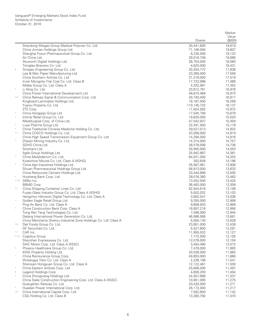|                |                                                                                                              |                           | Market           |
|----------------|--------------------------------------------------------------------------------------------------------------|---------------------------|------------------|
|                |                                                                                                              |                           | Value            |
|                |                                                                                                              | <b>Shares</b>             | (\$000)          |
|                | Shandong Weigao Group Medical Polymer Co. Ltd.                                                               | 30,441,800                | 19,819           |
|                | China Jinmao Holdings Group Ltd.                                                                             | 71,106,094                | 19,607           |
|                | Shanghai Fosun Pharmaceutical Group Co. Ltd.<br>Air China Ltd.                                               | 6,230,500<br>29,018,748   | 19,132<br>19,066 |
|                | Skyworth Digital Holdings Ltd.                                                                               | 28,754,000                | 18,560           |
|                | Tsingtao Brewery Co. Ltd.                                                                                    | 4,620,000                 | 18,431           |
| $\sqrt{2}$     | Sinopec Engineering Group Co. Ltd.                                                                           | 20,204,772                | 17,838           |
|                | Lee & Man Paper Manufacturing Ltd.                                                                           | 23,365,000                | 17,556           |
|                | China Southern Airlines Co. Ltd.                                                                             | 31,218,000                | 17,519           |
|                | Inner Mongolia Yitai Coal Co. Ltd. Class B                                                                   | 17,723,998                | 17,486           |
|                | Midea Group Co. Ltd. Class A                                                                                 | 4,332,991                 | 17,352           |
| $\ast$         | Li Ning Co. Ltd.                                                                                             | 23,812,791                | 16,976           |
|                | China Power International Development Ltd.                                                                   | 46,674,469                | 16,973           |
| $^{\wedge}$ ,2 | China Railway Signal & Communication Corp. Ltd.                                                              | 20,740,400                | 16,817           |
|                | Kingboard Laminates Holdings Ltd.<br>Yuexiu Property Co. Ltd.                                                | 18,187,500                | 16,298<br>16,137 |
|                | ZTE Corp.                                                                                                    | 110,145,732<br>11,624,592 | 15,972           |
| $\land$        | China Hongqiao Group Ltd.                                                                                    | 17,545,756                | 15,679           |
| $\wedge$       | Intime Retail Group Co. Ltd.                                                                                 | 19,820,000                | 15,520           |
|                | Metallurgical Corp. of China Ltd.                                                                            | 47,542,937                | 15,459           |
| $\wedge$       | Luye Pharma Group Ltd.                                                                                       | 22,491,500                | 15,118           |
| $\land$        | China Traditional Chinese Medicine Holding Co. Ltd.                                                          | 29,027,013                | 14,832           |
| $^*,\wedge$    | China COSCO Holdings Co. Ltd.                                                                                | 43,008,000                | 14,819           |
|                | China High Speed Transmission Equipment Group Co. Ltd.                                                       | 14,294,000                | 14,816           |
| $\wedge$       | Zhaojin Mining Industry Co. Ltd.                                                                             | 14,374,000                | 14,757           |
|                | SOHO China Ltd.                                                                                              | 28,578,006                | 14,736           |
|                | Sinotrans Ltd.                                                                                               | 30,905,000                | 14,553           |
| $\wedge$       | Agile Group Holdings Ltd.<br>China Molybdenum Co. Ltd.                                                       | 25,942,887<br>64,031,000  | 14,381<br>14,203 |
|                | Kweichow Moutai Co. Ltd. Class A (XSHG)                                                                      | 302,648                   | 14,196           |
| $\ast$         | China Agri-Industries Holdings Ltd.                                                                          | 35,587,961                | 13,908           |
|                | Sihuan Pharmaceutical Holdings Group Ltd.                                                                    | 56,913,000                | 13,633           |
|                | China Resources Cement Holdings Ltd.                                                                         | 33,444,686                | 13,505           |
| $\wedge$       | Huishang Bank Corp. Ltd.                                                                                     | 28,076,380                | 13,483           |
|                | *.^.2 3SBio Inc.                                                                                             | 13,452,500                | 13,425           |
|                | <b>BBMG Corp.</b>                                                                                            | 36,463,000                | 13,309           |
| $^*,\wedge$    | China Shipping Container Lines Co. Ltd.                                                                      | 62,944,618                | 13,199           |
|                | Fuyao Glass Industry Group Co. Ltd. Class A (XSHG)<br>Hangzhou Hikvision Digital Technology Co. Ltd. Class A | 5,002,032<br>3,602,047    | 13,103<br>13,036 |
| $\wedge$       | Golden Eagle Retail Group Ltd.                                                                               | 9,355,000                 | 12,999           |
|                | Ping An Bank Co. Ltd. Class A                                                                                | 9,608,503                 | 12,969           |
|                | China Construction Bank Corp. Class A                                                                        | 16,697,218                | 12,956           |
|                | Tong Ren Tang Technologies Co. Ltd.                                                                          | 7,098,000                 | 12,945           |
|                | Datang International Power Generation Co. Ltd.                                                               | 46,996,568                | 12,661           |
|                | China Merchants Shekou Industrial Zone Holdings Co. Ltd. Class A                                             | 5,050,130                 | 12,628           |
| $^{\wedge,2}$  | Dali Foods Group Co. Ltd.                                                                                    | 23,901,000                | 12,438           |
|                | GF Securities Co. Ltd.                                                                                       | 5,527,600                 | 12,281           |
| *,^            | CAR Inc.                                                                                                     | 11,955,532                | 12,127           |
| $*, \wedge, 2$ | Cogobuy Group<br>Shenzhen Expressway Co. Ltd.                                                                | 7,772,000<br>12,078,000   | 12,105<br>12,104 |
|                | SAIC Motor Corp. Ltd. Class A (XSSC)                                                                         | 3,454,480                 | 12,072           |
| $\wedge$       | Phoenix Healthcare Group Co. Ltd.                                                                            | 7,478,000                 | 11,883           |
|                | KWG Property Holding Ltd.                                                                                    | 20,536,500                | 11,883           |
| $\land$        | China Reinsurance Group Corp.                                                                                | 49,853,000                | 11,866           |
|                | Wuliangye Yibin Co. Ltd. Class A                                                                             | 2,236,198                 | 11,541           |
|                | Shenwan Hongyuan Group Co. Ltd. Class A                                                                      | 12,122,481                | 11,530           |
| $\land$        | China Eastern Airlines Corp. Ltd.                                                                            | 25,606,000                | 11,497           |
| $\sqrt{2}$     | Legend Holdings Corp.                                                                                        | 4,600,200                 | 11,454           |
| $\wedge$       | China Zhongwang Holdings Ltd.                                                                                | 24,557,686                | 11,337           |
|                | China State Construction Engineering Corp. Ltd. Class A (XSSC)                                               | 10,651,095                | 11,275           |
| $\wedge$       | Guangshen Railway Co. Ltd.                                                                                   | 20,420,000                | 11,271           |
| $^*,2$         | Huadian Power International Corp. Ltd.<br>China International Capital Corp. Ltd.                             | 26,172,000<br>7,592,800   | 11,217<br>11,142 |
|                | CSG Holding Co. Ltd. Class B                                                                                 | 13,280,792                | 11,070           |
|                |                                                                                                              |                           |                  |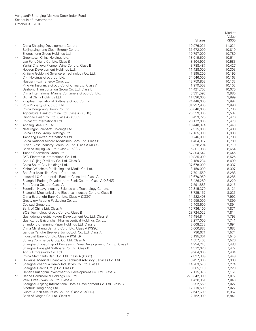|                            |                                                                                                        |                          | Market           |
|----------------------------|--------------------------------------------------------------------------------------------------------|--------------------------|------------------|
|                            |                                                                                                        | <b>Shares</b>            | Value<br>(\$000) |
|                            |                                                                                                        |                          |                  |
|                            | China Shipping Development Co. Ltd.<br>Beijing Jingneng Clean Energy Co. Ltd.                          | 19,976,021<br>35,672,000 | 11,021<br>10,819 |
|                            | Zhongsheng Group Holdings Ltd.                                                                         | 10,797,000               | 10,780           |
| $^*,\wedge$                | Greentown China Holdings Ltd.                                                                          | 13,019,500               | 10,614           |
|                            | Lao Feng Xiang Co. Ltd. Class B                                                                        | 3,104,906                | 10,583           |
|                            | Yantai Changyu Pioneer Wine Co. Ltd. Class B                                                           | 3,788,487                | 10,427           |
|                            | Hopson Development Holdings Ltd.                                                                       | 11,428,000               | 10,303           |
| $\land$                    | Xinjiang Goldwind Science & Technology Co. Ltd.                                                        | 7,395,200                | 10,195           |
|                            | CIFI Holdings Group Co. Ltd.                                                                           | 34,546,000               | 10,163           |
|                            | Huadian Fuxin Energy Corp. Ltd.                                                                        | 43,759,852               | 10,133           |
|                            | Ping An Insurance Group Co. of China Ltd. Class A                                                      | 1,979,552                | 10,103           |
|                            | Dazhong Transportation Group Co. Ltd. Class B                                                          | 14,421,708               | 10,075           |
| $\land$                    | China International Marine Containers Group Co. Ltd.                                                   | 8,391,598                | 9,985            |
| $\wedge$                   | Digital China Holdings Ltd.                                                                            | 11,836,000               | 9,899            |
| $^*,\wedge$<br>$^*,\wedge$ | Kingdee International Software Group Co. Ltd.<br>Poly Property Group Co. Ltd.                          | 24,448,000<br>31,297,900 | 9,897<br>9,896   |
|                            | China Dongxiang Group Co. Ltd.                                                                         | 50,046,000               | 9,730            |
|                            | Agricultural Bank of China Ltd. Class A (XSHG)                                                         | 20,559,300               | 9,587            |
|                            | Qingdao Haier Co. Ltd. Class A (XSSC)                                                                  | 6,433,725                | 9,476            |
| ${}^\star,\wedge$          | Chinasoft International Ltd.                                                                           | 20,172,000               | 9,473            |
| ${}^\star,\wedge$          | Angang Steel Co. Ltd.                                                                                  | 18,440,374               | 9,443            |
| $\wedge$                   | NetDragon Websoft Holdings Ltd.                                                                        | 2,915,000                | 9,408            |
|                            | China Lesso Group Holdings Ltd.                                                                        | 12,135,000               | 8,883            |
|                            | Tianneng Power International Ltd.                                                                      | 9,746,000                | 8,798            |
|                            | China National Accord Medicines Corp. Ltd. Class B                                                     | 1,404,917                | 8,780            |
|                            | Fuyao Glass Industry Group Co. Ltd. Class A (XSSC)                                                     | 3,328,294                | 8,719            |
|                            | Bank of Beijing Co. Ltd. Class A (XSSC)                                                                | 6,301,988                | 8,664            |
| $^{*}$ ,2                  | Tianhe Chemicals Group Ltd.                                                                            | 57,304,542               | 8,645            |
|                            | BYD Electronic International Co. Ltd.                                                                  | 10,835,000               | 8,525            |
| $\land$                    | Anhui Gujing Distillery Co. Ltd. Class B                                                               | 2,189,234                | 8,499            |
|                            | China South City Holdings Ltd.<br>Xinhua Winshare Publishing and Media Co. Ltd.                        | 37,678,000<br>8,150,000  | 8,337<br>8,307   |
| $^{\wedge}$ ,2             | Red Star Macalline Group Corp. Ltd.                                                                    | 7,701,559                | 8,288            |
|                            | Industrial & Commercial Bank of China Ltd. Class A                                                     | 12,670,959               | 8,285            |
|                            | Shanghai Pudong Development Bank Co. Ltd. Class A (XSHG)                                               | 3,426,289                | 8,220            |
|                            | PetroChina Co. Ltd. Class A                                                                            | 7,591,886                | 8,215            |
| $\wedge$                   | Zoomlion Heavy Industry Science and Technology Co. Ltd.                                                | 22,315,379               | 8,121            |
|                            | Shanghai Mechanical and Electrical Industry Co. Ltd. Class B                                           | 3,735,157                | 8,035            |
|                            | China Everbright Bank Co. Ltd. Class A (XSSC)                                                          | 14,222,403               | 7,992            |
|                            | Greatview Aseptic Packaging Co. Ltd.                                                                   | 15,559,000               | 7,899            |
|                            | Coolpad Group Ltd.                                                                                     | 45,408,600               | 7,894            |
|                            | Bank of China Ltd. Class A                                                                             | 15,736,100               | 7,871            |
|                            | BOE Technology Group Co. Ltd. Class B                                                                  | 28,724,022               | 7,814            |
|                            | Guangdong Electric Power Development Co. Ltd. Class B                                                  | 17,484,844               | 7,793<br>7,741   |
|                            | Guangzhou Baiyunshan Pharmaceutical Holdings Co. Ltd.<br>Shandong Chenming Paper Holdings Ltd. Class B | 3,277,000<br>8,608,238   | 7,694            |
|                            | China Minsheng Banking Corp. Ltd. Class A (XSSC)                                                       | 5,660,888                | 7,683            |
|                            | Jiangsu Yanghe Brewery Joint-Stock Co. Ltd. Class A                                                    | 736,671                  | 7,574            |
|                            | Industrial Bank Co. Ltd. Class A (XSHG)                                                                | 3,135,301                | 7,545            |
|                            | Suning Commerce Group Co. Ltd. Class A                                                                 | 4,557,400                | 7,526            |
|                            | Shanghai Jinqiao Export Processing Zone Development Co. Ltd. Class B                                   | 4,934,243                | 7,488            |
|                            | Shanghai Baosight Software Co. Ltd. Class B                                                            | 4,312,026                | 7,472            |
|                            | Anhui Expressway Co. Ltd.                                                                              | 9,264,000                | 7,464            |
|                            | China Merchants Bank Co. Ltd. Class A (XSSC)                                                           | 2,827,339                | 7,449            |
| $\sqrt{2}$                 | Universal Medical Financial & Technical Advisory Services Co. Ltd.                                     | 8,497,000                | 7,309            |
|                            | Shanghai Zhenhua Heavy Industries Co. Ltd. Class B                                                     | 14,703,579               | 7,274            |
|                            | Shanghai Haixin Group Co. Class B                                                                      | 8,385,119                | 7,229            |
|                            | Henan Shuanghui Investment & Development Co. Ltd. Class A                                              | 2,115,976                | 7,151            |
| $^*,\wedge$                | Renhe Commercial Holdings Co. Ltd.                                                                     | 273,342,999              | 7,077            |
|                            | Wuxi Little Swan Co. Ltd. Class A                                                                      | 1,428,951                | 7,043            |
|                            | Shanghai Jinjiang International Hotels Development Co. Ltd. Class B                                    | 3,292,550                | 7,022            |
|                            | Sinotruk Hong Kong Ltd.<br>Guotai Junan Securities Co. Ltd. Class A (XSHG)                             | 12,719,500               | 7,022<br>6,962   |
|                            | Bank of Ningbo Co. Ltd. Class A                                                                        | 2,647,600<br>2,762,900   | 6,841            |
|                            |                                                                                                        |                          |                  |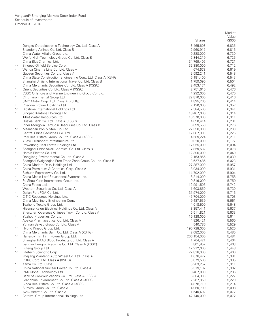|                       |                                                                                                        |                         | Market           |
|-----------------------|--------------------------------------------------------------------------------------------------------|-------------------------|------------------|
|                       |                                                                                                        | <b>Shares</b>           | Value<br>(\$000) |
|                       | Dongxu Optoelectronic Technology Co. Ltd. Class A                                                      | 3,465,608               | 6,835            |
|                       | Shandong Airlines Co. Ltd. Class B                                                                     | 2,960,917               | 6,816            |
|                       | China Water Affairs Group Ltd.                                                                         | 9,288,000               | 6,739            |
|                       | Weifu High-Technology Group Co. Ltd. Class B                                                           | 2,844,219               | 6,725            |
|                       | China BlueChemical Ltd.                                                                                | 34,769,405              | 6,721            |
| ${}^\star,\wedge$     | Sinopec Oilfield Service Corp.                                                                         | 32,380,000              | 6,712            |
|                       | Wanda Cinema Line Co. Ltd. Class A                                                                     | 674,673                 | 6,619            |
|                       | Guosen Securities Co. Ltd. Class A                                                                     | 2,592,241               | 6,548            |
|                       | China State Construction Engineering Corp. Ltd. Class A (XSHG)                                         | 6,181,400               | 6,543            |
|                       | Shanghai Jinjiang International Travel Co. Ltd. Class B                                                | 1,759,090               | 6,504            |
| $\ast$                | China Merchants Securities Co. Ltd. Class A (XSSC)                                                     | 2,453,174               | 6,492            |
|                       | Orient Securities Co. Ltd. Class A (XSSC)                                                              | 2,751,610               | 6,476            |
| $\wedge$<br>$\wedge$  | CSSC Offshore and Marine Engineering Group Co. Ltd.<br>CT Environmental Group Ltd.                     | 4,292,000               | 6,470            |
|                       | SAIC Motor Corp. Ltd. Class A (XSHG)                                                                   | 22,870,000<br>1,835,265 | 6,416<br>6,414   |
| $\wedge$              | Chaowei Power Holdings Ltd.                                                                            | 7,120,000               | 6,357            |
| $^*,\wedge$           | Biostime International Holdings Ltd.                                                                   | 2,584,500               | 6,341            |
| $\wedge$              | Sinopec Kantons Holdings Ltd.                                                                          | 13,467,000              | 6,314            |
|                       | Tibet Water Resources Ltd.                                                                             | 16,970,000              | 6,311            |
|                       | Huaxia Bank Co. Ltd. Class A (XSSC)                                                                    | 4,090,414               | 6,281            |
|                       | Inner Mongolia Eerduosi Resourses Co. Ltd. Class B                                                     | 6,099,550               | 6,276            |
| ${}^\star,\wedge$     | Maanshan Iron & Steel Co. Ltd.                                                                         | 27,358,000              | 6,233            |
|                       | Central China Securities Co. Ltd.                                                                      | 12,067,000              | 6,225            |
|                       | Poly Real Estate Group Co. Ltd. Class A (XSSC)                                                         | 4,589,224               | 6,211            |
| $\wedge$              | Yuexiu Transport Infrastructure Ltd.                                                                   | 9,020,000               | 6,177            |
|                       | Powerlong Real Estate Holdings Ltd.                                                                    | 17,955,000              | 6,094            |
|                       | Shanghai Chlor-Alkali Chemical Co. Ltd. Class B                                                        | 7,859,532               | 6,078            |
| $\wedge$              | Harbin Electric Co. Ltd.                                                                               | 12,396,000              | 6,040            |
|                       | Dongjiang Environmental Co. Ltd. Class A<br>Shanghai Waigaoqiao Free Trade Zone Group Co. Ltd. Class B | 2,163,866<br>3,627,486  | 6,039<br>6,023   |
| ${}^\star,\wedge$     | China Modern Dairy Holdings Ltd.                                                                       | 27,387,000              | 5,957            |
|                       | China Petroleum & Chemical Corp. Class A                                                               | 8,034,099               | 5,931            |
|                       | Sichuan Expressway Co. Ltd.                                                                            | 14,702,000              | 5,904            |
| $\land$               | China Maple Leaf Educational Systems Ltd.                                                              | 8,214,000               | 5,758            |
| $\mathord{\wedge}, 2$ | Fu Shou Yuan International Group Ltd.                                                                  | 9,816,000               | 5,750            |
|                       | China Foods Ltd.                                                                                       | 12,991,506              | 5,742            |
|                       | Western Securities Co. Ltd. Class A                                                                    | 1,603,850               | 5,730            |
| $\wedge$              | Dalian Port PDA Co. Ltd.                                                                               | 31,974,000              | 5,716            |
| ${}^\star,\wedge$     | CITIC Resources Holdings Ltd.                                                                          | 45,704,000              | 5,703            |
|                       | China Machinery Engineering Corp.                                                                      | 9,487,639               | 5,661            |
|                       | Texhong Textile Group Ltd.                                                                             | 4,018,500               | 5,648            |
|                       | Hisense Kelon Electrical Holdings Co. Ltd. Class A                                                     | 3,357,441               | 5,637            |
| $\wedge$              | Shenzhen Overseas Chinese Town Co. Ltd. Class A                                                        | 5,511,821               | 5,633<br>5,614   |
|                       | Yuzhou Properties Co. Ltd.<br>Apeloa Pharmaceutical Co. Ltd. Class A                                   | 15,128,000<br>4,826,421 | 5,560            |
|                       | Yunnan Baiyao Group Co. Ltd. Class A                                                                   | 540,786                 | 5,529            |
| $^*,\wedge$           | Hybrid Kinetic Group Ltd.                                                                              | 190,728,000             | 5,520            |
|                       | China Merchants Bank Co. Ltd. Class A (XSHG)                                                           | 2,082,000               | 5,485            |
| $^*,\wedge$           | Hanergy Thin Film Power Group Ltd.                                                                     | 206,154,000             | 5,481            |
|                       | Shanghai RAAS Blood Products Co. Ltd. Class A                                                          | 1,704,421               | 5,464            |
|                       | Jiangsu Hengrui Medicine Co. Ltd. Class A (XSSC)                                                       | 801,852                 | 5,463            |
| $\wedge$              | Fufeng Group Ltd.                                                                                      | 12,912,000              | 5,448            |
| $^*,\wedge$           | Lifetech Scientific Corp.                                                                              | 22,818,000              | 5,400            |
|                       | Zhejiang Wanfeng Auto Wheel Co. Ltd. Class A                                                           | 1,678,472               | 5,381            |
|                       | CRRC Corp. Ltd. Class A (XSHG)                                                                         | 3,879,500               | 5,335            |
| $\ast$                | Kama Co. Ltd. Class B                                                                                  | 5,203,252               | 5,311            |
|                       | China National Nuclear Power Co. Ltd. Class A                                                          | 5,319,107               | 5,302            |
| $\wedge$              | PAX Global Technology Ltd.                                                                             | 8,467,000               | 5,286            |
|                       | Bank of Communications Co. Ltd. Class A (XSSC)                                                         | 6,304,333               | 5,227            |
|                       | Grandblue Environment Co. Ltd. Class A (XSSC)                                                          | 2,267,860               | 5,220            |
|                       | Cinda Real Estate Co. Ltd. Class A (XSSC)<br>Sunvim Group Co. Ltd. Class A                             | 4,878,719<br>4,960,700  | 5,214<br>5,098   |
|                       | AVIC Aircraft Co. Ltd. Class A                                                                         | 1,540,402               | 5,072            |
| ${}^\star,\wedge$     | Carnival Group International Holdings Ltd.                                                             | 42,740,000              | 5,072            |
|                       |                                                                                                        |                         |                  |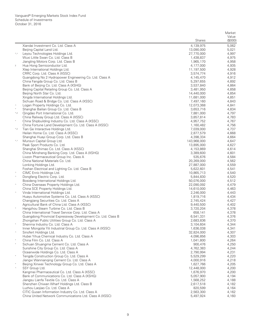|                |                                                                                                                       |                         | Market           |
|----------------|-----------------------------------------------------------------------------------------------------------------------|-------------------------|------------------|
|                |                                                                                                                       | Shares                  | Value<br>(\$000) |
|                | Xiandai Investment Co. Ltd. Class A                                                                                   | 4,139,975               | 5,062            |
|                | Beijing Capital Land Ltd.                                                                                             | 13,090,000              | 5,021            |
| *,^            | Leyou Technologies Holdings Ltd.                                                                                      | 27,770,000              | 4,997            |
|                | Wuxi Little Swan Co. Ltd. Class B                                                                                     | 1,438,837               | 4,975            |
|                | Jiangling Motors Corp. Ltd. Class B                                                                                   | 1,965,170               | 4,958            |
| $\overline{2}$ | Hua Hong Semiconductor Ltd.                                                                                           | 4,177,000               | 4,935            |
|                | Xtep International Holdings Ltd.                                                                                      | 11,197,500              | 4,928            |
|                | CRRC Corp. Ltd. Class A (XSSC)                                                                                        | 3,574,774               | 4,916            |
|                | Guangdong No 2 Hydropower Engineering Co. Ltd. Class A                                                                | 4,145,470               | 4,912            |
|                | China Fangda Group Co. Ltd. Class B                                                                                   | 5,297,655               | 4,892            |
|                | Bank of Beijing Co. Ltd. Class A (XSHG)<br>Beijing Capital Retailing Group Co. Ltd. Class A                           | 3,537,840<br>3,481,950  | 4,864<br>4,858   |
|                | Beijing North Star Co. Ltd.                                                                                           | 14,440,000              | 4,854            |
|                | Xingda International Holdings Ltd.                                                                                    | 11,681,000              | 4,851            |
|                | Sichuan Road & Bridge Co. Ltd. Class A (XSSC)                                                                         | 7,497,160               | 4,843            |
| $\land$        | Logan Property Holdings Co. Ltd.                                                                                      | 12,073,368              | 4,841            |
|                | Shanghai Bailian Group Co. Ltd. Class B                                                                               | 3,653,716               | 4,834            |
| $^*$ ,2        | Qingdao Port International Co. Ltd.                                                                                   | 7,881,000               | 4,797            |
|                | China Railway Group Ltd. Class A (XSSC)                                                                               | 3,857,814               | 4,783            |
| $\ast$         | China Shipbuilding Industry Co. Ltd. Class A (XSSC)                                                                   | 4,957,752               | 4,767            |
|                | China Fortune Land Development Co. Ltd. Class A (XSSC)                                                                | 1,160,482               | 4,756            |
| $^*,2$         | Tian Ge Interactive Holdings Ltd.<br>Heilan Home Co. Ltd. Class A (XSSC)                                              | 7,039,000<br>2,877,579  | 4,737<br>4,668   |
|                | Shanghai Huayi Group Corp. Ltd. Class B                                                                               | 4,398,334               | 4,664            |
| $^*,\wedge$    | Munsun Capital Group Ltd.                                                                                             | 143,968,000             | 4,647            |
|                | Peak Sport Products Co. Ltd.                                                                                          | 13,895,000              | 4,627            |
|                | Shanghai Shimao Co. Ltd. Class A (XSSC)                                                                               | 4,153,869               | 4,614            |
|                | China Minsheng Banking Corp. Ltd. Class A (XSHG)                                                                      | 3,389,600               | 4,601            |
|                | Livzon Pharmaceutical Group Inc. Class A                                                                              | 535,676                 | 4,584            |
|                | China National Materials Co. Ltd.                                                                                     | 20,269,000              | 4,562            |
|                | Lonking Holdings Ltd.                                                                                                 | 27,887,000              | 4,559            |
| $\wedge$       | Foshan Electrical and Lighting Co. Ltd. Class B<br>CIMC Enric Holdings Ltd.                                           | 5,622,601<br>10,865,713 | 4,541<br>4,540   |
| $\wedge$       | Dongfang Electric Corp. Ltd.                                                                                          | 5,844,830               | 4,520            |
|                | Bosideng International Holdings Ltd.                                                                                  | 50,076,000              | 4,512            |
| $\land$        | China Overseas Property Holdings Ltd.                                                                                 | 22,090,092              | 4,479            |
|                | China SCE Property Holdings Ltd.                                                                                      | 14,610,000              | 4,463            |
| $\wedge$       | Vinda International Holdings Ltd.                                                                                     | 2,246,000               | 4,443            |
|                | Huayu Automotive Systems Co. Ltd. Class A (XSSC)                                                                      | 1,819,716               | 4,434            |
|                | Changjiang Securities Co. Ltd. Class A                                                                                | 2,745,424               | 4,427            |
|                | Agricultural Bank of China Ltd. Class A (XSSC)                                                                        | 9,440,500               | 4,402            |
|                | Hangzhou Steam Turbine Co. Ltd. Class B                                                                               | 3,720,204               | 4,378            |
|                | China International Travel Service Corp. Ltd. Class A<br>Guangdong Provincial Expressway Development Co. Ltd. Class B | 658,141<br>6,541,331    | 4,378<br>4,376   |
|                | Zhongshan Public Utilities Group Co. Ltd. Class A                                                                     | 2,683,836               | 4,370            |
|                | Shenma Industry Co. Ltd. Class A                                                                                      | 3,104,604               | 4,344            |
|                | Inner Mongolia Yili Industrial Group Co. Ltd. Class A (XSSC)                                                          | 1,636,038               | 4,341            |
| $\wedge$       | Sinofert Holdings Ltd.                                                                                                | 32,824,000              | 4,307            |
|                | Hubei Yihua Chemical Industry Co. Ltd. Class A                                                                        | 4,096,856               | 4,303            |
|                | China Film Co. Ltd. Class A                                                                                           | 1,041,800               | 4,264            |
|                | Sichuan Shuangma Cement Co. Ltd. Class A                                                                              | 900,476                 | 4,250            |
|                | Sunshine City Group Co. Ltd. Class A                                                                                  | 4,762,383<br>2,790,994  | 4,244            |
|                | Oceanwide Holdings Co. Ltd. Class A<br>Tengda Construction Group Co. Ltd. Class A                                     | 5,529,299               | 4,231<br>4,220   |
|                | Jiangxi Wannianging Cement Co. Ltd. Class A                                                                           | 4,000,916               | 4,218            |
|                | Beijing Xinwei Technology Group Co. Ltd. Class A                                                                      | 1,627,766               | 4,205            |
| $\land$        | SSY Group Ltd.                                                                                                        | 12,448,000              | 4,200            |
|                | Kangmei Pharmaceutical Co. Ltd. Class A (XSSC)                                                                        | 1,676,970               | 4,200            |
|                | Bank of Communications Co. Ltd. Class A (XSHG)                                                                        | 5,057,900               | 4,194            |
|                | Jiangsu Lianfa Textile Co. Ltd. Class A                                                                               | 1,568,252               | 4,188            |
|                | Shenzhen Chiwan Wharf Holdings Ltd. Class B                                                                           | 2,617,518               | 4,182            |
|                | Luzhou Laojiao Co. Ltd. Class A                                                                                       | 820,599                 | 4,164            |
|                | CITIC Guoan Information Industry Co. Ltd. Class A                                                                     | 2,563,300               | 4,162            |
|                | China United Network Communications Ltd. Class A (XSSC)                                                               | 5,497,924               | 4,160            |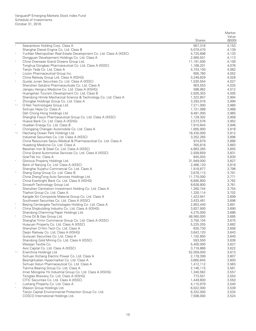|             |                                                                                                                 |                         | Market         |
|-------------|-----------------------------------------------------------------------------------------------------------------|-------------------------|----------------|
|             |                                                                                                                 |                         | Value          |
|             |                                                                                                                 | <b>Shares</b>           | (\$000)        |
|             | Searainbow Holding Corp. Class A                                                                                | 567,316<br>5,079,470    | 4,153<br>4,139 |
| $\ast$      | Shanghai Diesel Engine Co. Ltd. Class B<br>YunNan Metropolitan Real Estate Development Co. Ltd. Class A (XSSC)  | 4,725,698               | 4,133          |
|             | Dongquan Development Holdings Co. Ltd. Class A                                                                  | 2,560,501               | 4,113          |
| $\ast$      | China Overseas Grand Oceans Group Ltd.                                                                          | 11,191,000              | 4,109          |
|             | Tonghua Dongbao Pharmaceutical Co. Ltd. Class A (XSSC)                                                          | 1,169,201               | 4,076          |
|             | Tianjin Teda Co. Ltd. Class A                                                                                   | 4,743,100               | 4,062          |
| $\wedge$    | Livzon Pharmaceutical Group Inc.                                                                                | 695,760                 | 4,052          |
| $\ast$      | China Railway Group Ltd. Class A (XSHG)<br>Guotai Junan Securities Co. Ltd. Class A (XSSC)                      | 3,248,829               | 4,028          |
|             | Shenzhen Salubris Pharmaceuticals Co. Ltd. Class A                                                              | 1,530,554<br>903,553    | 4,027<br>4,025 |
|             | Jiangsu Hengrui Medicine Co. Ltd. Class A (XSHG)                                                                | 588,962                 | 4,012          |
|             | Huangshan Tourism Development Co. Ltd. Class B                                                                  | 2,926,303               | 4,005          |
|             | Shandong Himile Mechanical Science & Technology Co. Ltd. Class A                                                | 1,322,857               | 3,994          |
|             | Zhongbai Holdings Group Co. Ltd. Class A                                                                        | 3,293,016               | 3,990          |
| $^*,\wedge$ | O-Net Technologies Group Ltd.                                                                                   | 7,311,000               | 3,980          |
|             | Sichuan Hejia Co. Class A                                                                                       | 1,721,088               | 3,968          |
|             | Dah Chong Hong Holdings Ltd.<br>Shanghai Fosun Pharmaceutical Group Co. Ltd. Class A (XSSC)                     | 9,481,000<br>1,129,302  | 3,965<br>3,958 |
|             | Huaxia Bank Co. Ltd. Class A (XSHG)                                                                             | 2,573,576               | 3,952          |
| $\ast$      | Huadian Energy Co. Ltd. Class B                                                                                 | 7,910,644               | 3,946          |
|             | Chongqing Changan Automobile Co. Ltd. Class A                                                                   | 1,695,900               | 3,918          |
| $^{*}$ ,2   | Haichang Ocean Park Holdings Ltd.                                                                               | 18,430,000              | 3,912          |
|             | Industrial Securities Co. Ltd. Class A (XSSC)                                                                   | 3,352,265               | 3,896          |
|             | China Resources Sanjiu Medical & Pharmaceutical Co. Ltd. Class A                                                | 974,679                 | 3,866          |
|             | Huadong Medicine Co. Ltd. Class A<br>Baoshan Iron & Steel Co. Ltd. Class A (XSSC)                               | 355,618<br>4,663,265    | 3,863<br>3,855 |
|             | China Grand Automotive Services Co. Ltd. Class A (XSSC)                                                         | 2,938,659               | 3,831          |
|             | GoerTek Inc. Class A                                                                                            | 845,003                 | 3,830          |
|             | Glorious Property Holdings Ltd.                                                                                 | 31,949,000              | 3,827          |
|             | Bank of Nanjing Co. Ltd. Class A (XSSC)                                                                         | 2,466,120               | 3,816          |
|             | Shanghai Xujiahui Commercial Co. Ltd. Class A                                                                   | 1,918,877               | 3,798          |
| $\ast$      | Shang Gong Group Co. Ltd. Class B<br>China ZhengTong Auto Services Holdings Ltd.                                | 3,678,113<br>11,770,000 | 3,791<br>3,771 |
|             | China Everbright Bank Co. Ltd. Class A (XSHG)                                                                   | 6,695,800               | 3,762          |
| $\wedge$    | Sinosoft Technology Group Ltd.                                                                                  | 8,626,800               | 3,761          |
|             | Shenzhen Centralcon Investment Holding Co. Ltd. Class A                                                         | 1,260,744               | 3,754          |
|             | Thaihot Group Co. Ltd. Class A                                                                                  | 1,330,114               | 3,702          |
|             | Kangde Xin Composite Material Group Co. Ltd. Class A                                                            | 1,423,941               | 3,699          |
|             | Southwest Securities Co. Ltd. Class A (XSSC)                                                                    | 3,433,481               | 3,696          |
| $\ast$      | Beijing Centergate Technologies Holding Co. Ltd. Class A<br>China Shipbuilding Industry Co. Ltd. Class A (XSHG) | 2,953,440<br>3,837,900  | 3,691<br>3,690 |
|             | Shandong Chenming Paper Holdings Ltd.                                                                           | 4,275,000               | 3,686          |
|             | China Oil & Gas Group Ltd.                                                                                      | 48,560,000              | 3,685          |
|             | Shanghai Yimin Commerce Group Co. Ltd. Class A (XSSC)                                                           | 3,750,104               | 3,675          |
|             | Huayuan Property Co. Ltd. Class A (XSSC)                                                                        | 5,225,205               | 3,662          |
|             | Shenzhen O-film Tech Co. Ltd. Class A                                                                           | 635,730                 | 3,658          |
|             | Dagin Railway Co. Ltd. Class A (XSHG)                                                                           | 3,643,120               | 3,643          |
|             | Guoyuan Securities Co. Ltd. Class A<br>Shandong Gold Mining Co. Ltd. Class A (XSSC)                             | 1,102,850<br>593,550    | 3,640<br>3,636 |
|             | Weigiao Textile Co.                                                                                             | 5,400,000               | 3,627          |
|             | Avic Capital Co. Ltd. Class A (XSSC)                                                                            | 3,716,868               | 3,622          |
| $^*,\wedge$ | Enerchina Holdings Ltd.                                                                                         | 52,059,000              | 3,613          |
|             | Sichuan Xichang Electric Power Co. Ltd. Class A                                                                 | 2,178,399               | 3,607          |
|             | BeijingHualian Hypermarket Co. Ltd. Class A                                                                     | 3,660,845               | 3,600          |
|             | Sichuan Kelun Pharmaceutical Co. Ltd. Class A                                                                   | 1,412,112               | 3,563          |
|             | Tianma Bearing Group Co. Ltd. Class A<br>Inner Mongolia Yili Industrial Group Co. Ltd. Class A (XSHG)           | 2,146,115<br>1,340,562  | 3,561<br>3,557 |
|             | Tsingtao Brewery Co. Ltd. Class A (XSHG)                                                                        | 773,551                 | 3,554          |
|             | CITIC Securities Co. Ltd. Class A (XSSC)                                                                        | 1,449,600               | 3,550          |
|             | Lushang Property Co. Ltd. Class A                                                                               | 4,115,979               | 3,540          |
| $\wedge$    | Wasion Group Holdings Ltd.                                                                                      | 6,022,000               | 3,539          |
|             | Tianjin Capital Environmental Protection Group Co. Ltd.                                                         | 6,332,000               | 3,534          |
|             | COSCO International Holdings Ltd.                                                                               | 7,598,000               | 3,524          |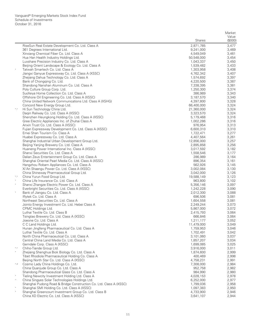|               |                                                                                                    |                         | Market           |
|---------------|----------------------------------------------------------------------------------------------------|-------------------------|------------------|
|               |                                                                                                    | <b>Shares</b>           | Value<br>(\$000) |
|               | RiseSun Real Estate Development Co. Ltd. Class A                                                   | 2,871,785               | 3,477            |
|               | 361 Degrees International Ltd.                                                                     | 9,241,000               | 3,469            |
|               | Xinxiang Chemical Fiber Co. Ltd. Class A                                                           | 4,549,049               | 3,461            |
|               | Hua Han Health Industry Holdings Ltd.                                                              | 50,548,000              | 3,454            |
|               | Luxshare Precision Industry Co. Ltd. Class A                                                       | 1,043,337               | 3,450            |
|               | Beijing Orient Landscape & Ecology Co. Ltd. Class A                                                | 1,539,482               | 3,433            |
| $\ast$        | Tatwah Smartech Co. Ltd. Class A                                                                   | 1,303,958               | 3,408            |
|               | Jiangxi Ganyue Expressway Co. Ltd. Class A (XSSC)<br>Zhejiang Dahua Technology Co. Ltd. Class A    | 4,762,342<br>1,574,692  | 3,407<br>3,397   |
|               | Bank of Chongging Co. Ltd.                                                                         | 4,220,500               | 3,387            |
|               | Shandong Nanshan Aluminum Co. Ltd. Class A                                                         | 7,338,395               | 3,381            |
|               | Poly Culture Group Corp. Ltd.                                                                      | 1,250,300               | 3,374            |
|               | Suofeiya Home Collection Co. Ltd. Class A                                                          | 386,989                 | 3,343            |
|               | Offshore Oil Engineering Co. Ltd. Class A (XSSC)                                                   | 3,187,570               | 3,340            |
|               | China United Network Communications Ltd. Class A (XSHG)                                            | 4,397,800               | 3,328            |
|               | Concord New Energy Group Ltd.                                                                      | 66,400,000              | 3,324            |
| *,^           | Hi Sun Technology China Ltd.<br>Daqin Railway Co. Ltd. Class A (XSSC)                              | 21,360,000<br>3,323,570 | 3,324<br>3,324   |
|               | Shenzhen Heungkong Holding Co. Ltd. Class A (XSSC)                                                 | 5,179,468               | 3,316            |
|               | Gree Electric Appliances Inc. of Zhuhai Class A                                                    | 1,002,286               | 3,316            |
|               | Anxin Trust Co. Ltd. Class A (XSSC)                                                                | 976,954                 | 3,313            |
|               | Fujian Expressway Development Co. Ltd. Class A (XSSC)                                              | 6,600,310               | 3,310            |
|               | Emei Shan Tourism Co. Class A                                                                      | 1,722,471               | 3,277            |
|               | Huabei Expressway Co. Ltd. Class A                                                                 | 4,407,564               | 3,261            |
|               | Shanghai Industrial Urban Development Group Ltd.                                                   | 12,856,000              | 3,257            |
|               | Beijing Yanjing Brewery Co. Ltd. Class A                                                           | 2,895,858               | 3,256            |
|               | Huaneng Power International Inc. Class A (XSSC)<br>Shanxi Securities Co. Ltd. Class A              | 3,017,592<br>1,558,546  | 3,182<br>3,177   |
|               | Dalian Zeus Entertainment Group Co. Ltd. Class A                                                   | 286,989                 | 3,164            |
|               | Shanghai Oriental Pearl Media Co. Ltd. Class A (XSSC)                                              | 896,354                 | 3,161            |
|               | Hangzhou Robam Appliances Co. Ltd. Class A                                                         | 562,926                 | 3,145            |
|               | Xi'An Shaangu Power Co. Ltd. Class A (XSSC)                                                        | 3,002,084               | 3,130            |
|               | China Shineway Pharmaceutical Group Ltd.                                                           | 3,042,000               | 3,126            |
| $^*,\wedge$   | China Yurun Food Group Ltd.                                                                        | 19,588,149              | 3,123            |
| $\ast$        | China Life Insurance Co. Ltd. Class A                                                              | 963,800                 | 3,102            |
|               | Shanxi Zhangze Electric Power Co. Ltd. Class A<br>Everbright Securities Co. Ltd. Class A (XSSC)    | 5,356,146<br>1,242,228  | 3,097<br>3,090   |
| $\ast$        | Bank of Jiangsu Co. Ltd. Class A                                                                   | 2,012,300               | 3,088            |
|               | Iflytek Co. Ltd. Class A                                                                           | 696,506                 | 3,081            |
|               | Northeast Securities Co. Ltd. Class A                                                              | 1,604,558               | 3,081            |
|               | Jointo Energy Investment Co. Ltd. Hebei Class A                                                    | 2,249,244               | 3,073            |
|               | CPMC Holdings Ltd.                                                                                 | 5,867,000               | 3,072            |
|               | Luthai Textile Co. Ltd. Class B                                                                    | 2,415,793               | 3,064            |
|               | Tsingtao Brewery Co. Ltd. Class A (XSSC)                                                           | 666,846                 | 3,064            |
|               | Joeone Co. Ltd. Class A<br>C C Land Holdings Ltd.                                                  | 1,211,177<br>11,479,000 | 3,052<br>3,049   |
|               | Hunan Jingfeng Pharmaceutical Co. Ltd. Class A                                                     | 1,759,953               | 3,046            |
|               | Luthai Textile Co. Ltd. Class A                                                                    | 1,702,491               | 3,042            |
|               | North China Pharmaceutical Co. Ltd. Class A                                                        | 3,101,060               | 3,037            |
|               | Central China Land Media Co. Ltd. Class A                                                          | 1,857,207               | 3,034            |
|               | Gemdale Corp. Class A (XSSC)                                                                       | 1,699,085               | 3,025            |
| ۰,۸           | Chiho-Tiande Group Ltd.                                                                            | 3,916,000               | 3,011            |
|               | Zhejiang Shenghua Biok Biology Co. Ltd. Class A                                                    | 1,874,600               | 2,999            |
|               | Tibet Rhodiola Pharmaceutical Holding Co. Class A<br>Beijing North Star Co. Ltd. Class A (XSSC)    | 400,469<br>4,758,231    | 2,998<br>2,991   |
| $^{\wedge},2$ | Cosmo Lady China Holdings Co. Ltd.                                                                 | 7,308,000               | 2,984            |
|               | China Quanjude Group Co. Ltd. Class A                                                              | 952,758                 | 2,982            |
|               | Shandong Pharmaceutical Glass Co. Ltd. Class A                                                     | 984,990                 | 2,980            |
|               | Tieling Newcity Investment Holding Ltd. Class A                                                    | 4,028,153               | 2,978            |
| $\wedge$      | China Singyes Solar Technologies Holdings Ltd.                                                     | 6,252,000               | 2,977            |
|               | Shanghai Pudong Road & Bridge Construction Co. Ltd. Class A (XSSC)                                 | 1,799,036               | 2,958            |
| $\ast$        | Shanghai SMI Holding Co. Ltd. Class A (XSSC)                                                       | 1,097,383               | 2,950            |
|               | Shanghai Greencourt Investment Group Co. Ltd. Class B<br>China XD Electric Co. Ltd. Class A (XSSC) | 4,733,900               | 2,946            |
|               |                                                                                                    | 3,641,107               | 2,944            |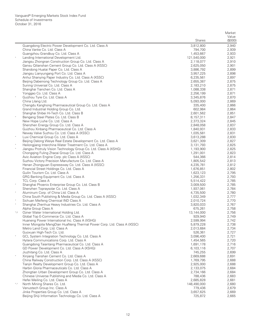|             |                                                                                                    |                        | Market           |
|-------------|----------------------------------------------------------------------------------------------------|------------------------|------------------|
|             |                                                                                                    | <b>Shares</b>          | Value<br>(\$000) |
|             | Guangdong Electric Power Development Co. Ltd. Class A                                              | 3,812,800              | 2,940            |
|             | China Vanke Co. Ltd. Class A                                                                       | 794,700                | 2,939            |
|             | Guangzhou Grandbuy Co. Ltd. Class A                                                                | 1,453,667              | 2,933            |
| $_{\rm *}$  | Landing International Development Ltd.                                                             | 121,540,000            | 2,921            |
|             | Jiangsu Zhongnan Construction Group Co. Ltd. Class A                                               | 2,118,077              | 2,910            |
|             | Gansu Qilianshan Cement Group Co. Ltd. Class A (XSSC)                                              | 2,625,050              | 2,901            |
|             | Shandong Huatai Paper Co. Ltd. Class A                                                             | 3,886,792              | 2,899            |
|             | Jiangsu Lianyungang Port Co. Ltd. Class A<br>Anhui Shanying Paper Industry Co. Ltd. Class A (XSSC) | 3,957,225<br>6,235,561 | 2,898<br>2,897   |
|             | Beijing Dabeinong Technology Group Co. Ltd. Class A                                                | 2,655,387              | 2,875            |
|             | Suning Universal Co. Ltd. Class A                                                                  | 2,183,210              | 2,875            |
|             | Shanghai Tianchen Co. Ltd. Class A                                                                 | 1,088,338              | 2,871            |
|             | Yonggao Co. Ltd. Class A                                                                           | 2,256,199              | 2,871            |
| $\ast$      | Guizhou Tyre Co. Ltd. Class A                                                                      | 3,345,876              | 2,870            |
|             | China Lilang Ltd.                                                                                  | 5,093,000              | 2,869            |
|             | Chengdu Kanghong Pharmaceutical Group Co. Ltd. Class A                                             | 335,400                | 2,866            |
|             | Grand Industrial Holding Group Co. Ltd.                                                            | 602,984                | 2,864            |
|             | Shanghai Shibei Hi-Tech Co. Ltd. Class B                                                           | 2,601,562              | 2,851            |
| $\ast$      | Bengang Steel Plates Co. Ltd. Class B                                                              | 8,157,311              | 2,847            |
|             | New Hope Liuhe Co. Ltd. Class A                                                                    | 2,373,324              | 2,845            |
|             | Shenzhen Energy Group Co. Ltd. Class A                                                             | 2,848,058              | 2,837            |
|             | Guizhou Xinbang Pharmaceutical Co. Ltd. Class A                                                    | 1,840,931              | 2,833            |
| $_{\rm *}$  | Neway Valve Suzhou Co. Ltd. Class A (XSSC)<br>Luxi Chemical Group Co. Ltd. Class A                 | 1,035,581<br>3,613,288 | 2,831<br>2,830   |
|             | Beijing Dalong Weiye Real Estate Development Co. Ltd. Class A                                      | 3,621,309              | 2,827            |
| $\ast$      | Heilongjiang Interchina Water Treatment Co. Ltd. Class A                                           | 3,131,793              | 2,825            |
|             | Jiangsu Protruly Vision Technology Group Co. Ltd. Class A (XSHG)                                   | 1,193,900              | 2,825            |
|             | Chongqing Fuling Zhacai Group Co. Ltd. Class A                                                     | 1,291,001              | 2,823            |
|             | Avic Aviation Engine Corp. plc Class A (XSSC)                                                      | 544,366                | 2,814            |
|             | Suzhou Victory Precision Manufacture Co. Ltd. Class A                                              | 1,805,542              | 2,813            |
|             | Henan Zhongyuan Expressway Co. Ltd. Class A (XSSC)                                                 | 4,235,781              | 2,812            |
|             | Financial Street Holdings Co. Ltd. Class A                                                         | 1,676,851              | 2,802            |
|             | Guilin Tourism Co. Ltd. Class A                                                                    | 1,623,123              | 2,795            |
|             | GRG Banking Equipment Co. Ltd. Class A                                                             | 1,256,331              | 2,793            |
| $_{\rm *}$  | TCL Corp. Class A                                                                                  | 5,514,422              | 2,785            |
|             | Shanghai Phoenix Enterprise Group Co. Ltd. Class B                                                 | 3,009,500              | 2,785            |
| $\ast$      | Shenzhen Topraysolar Co. Ltd. Class A<br>Aluminum Corp. of China Ltd. Class A                      | 1,937,061<br>4,735,500 | 2,784<br>2,780   |
|             | China South Publishing & Media Group Co. Ltd. Class A (XSSC)                                       | 1,032,349              | 2,777            |
| $\ast$      | Sichuan Meifeng Chemical IND Class A                                                               | 2,010,724              | 2,770            |
| $\ast$      | Shanghai Zhenhua Heavy Industries Co. Ltd. Class A                                                 | 3,820,033              | 2,767            |
|             | Alpha Group Class A                                                                                | 675,261                | 2,758            |
| $^*$ ,2     | Ozner Water International Holding Ltd.                                                             | 13,144,000             | 2,756            |
|             | Global Top E-Commerce Co. Ltd. Class A                                                             | 929,940                | 2,749            |
|             | Huaneng Power International Inc. Class A (XSHG)                                                    | 2,599,994              | 2,742            |
|             | Inner Mongolia MengDian HuaNeng Thermal Power Corp. Ltd. Class A (XSSC)                            | 5,879,228              | 2,738            |
|             | Metro Land Corp. Ltd. Class A                                                                      | 2,013,684              | 2,734            |
|             | Guoxuan High-Tech Co. Ltd.                                                                         | 526,361                | 2,727            |
|             | GCL System Integration Technology Co. Ltd. Class A<br>Hytera Communications Corp. Ltd. Class A     | 3,096,400              | 2,721<br>2,720   |
|             | Guangdong Taiantang Pharmaceutical Co. Ltd. Class A                                                | 1,454,565<br>1,691,178 | 2,716            |
|             | GD Power Development Co. Ltd. Class A (XSHG)                                                       | 6,103,116              | 2,707            |
|             | Jiuzhitang Co. Ltd. Class A                                                                        | 745,255                | 2,699            |
| $_{\rm *}$  | Xinjiang Tianshan Cement Co. Ltd. Class A                                                          | 2,669,688              | 2,691            |
|             | China Railway Construction Corp. Ltd. Class A (XSSC)                                               | 1,769,795              | 2,688            |
|             | Tianjin Realty Development Group Co. Ltd. Class A                                                  | 2,925,000              | 2,688            |
|             | Harbin Gloria Pharmaceuticals Co. Ltd. Class A                                                     | 2,133,075              | 2,684            |
|             | Zhongtian Urban Development Group Co. Ltd. Class A                                                 | 2,734,166              | 2,684            |
|             | Chinese Universe Publishing and Media Co. Ltd. Class A                                             | 788,436                | 2,683            |
|             | Hefei Meiling Co. Ltd. Class A                                                                     | 2,685,828              | 2,681            |
| $^*,\wedge$ | North Mining Shares Co. Ltd.                                                                       | 148,490,000            | 2,680            |
|             | Venustech Group Inc. Class A                                                                       | 779,436                | 2,679            |
|             | Jinke Properties Group Co. Ltd. Class A                                                            | 3,657,625              | 2,669            |
|             | Beijing Shiji Information Technology Co. Ltd. Class A                                              | 725,872                | 2,665            |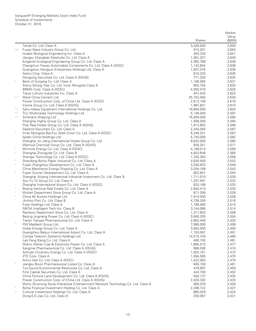| (\$000)<br><b>Shares</b><br>Tande Co. Ltd. Class A<br>3,429,500<br>2,659<br>$\wedge, 2$<br>Fuyao Glass Industry Group Co. Ltd.<br>915,201<br>2,654<br>Hualan Biological Engineering Inc. Class A<br>2,641<br>493,320<br>Jiangsu Changbao Steeltube Co. Ltd. Class A<br>1,361,327<br>2,640<br>Kingenta Ecological Engineering Group Co. Ltd. Class A<br>2,362,788<br>2,639<br>Changchun Faway Automobile Components Co. Ltd. Class A (XSSC)<br>2,638<br>1,143,854<br>Guangzhou Hengyun Enterprises Holdings Ltd. Class A<br>2,638<br>1,557,076<br>Aisino Corp. Class A<br>2,635<br>810,220<br>Dongxing Securities Co. Ltd. Class A (XSHG)<br>771,200<br>2,635<br>$\ast$<br>Bank of Guiyang Co. Ltd. Class A<br>1,108,565<br>2,631<br>Xishui Strong Year Co. Ltd. Inner Mongolia Class A<br>902,704<br>2,625<br>BBMG Corp. Class A (XSSC)<br>4,055,470<br>2,625<br>Tiangi Lithium Industries Inc. Class A<br>2,622<br>447,543<br>West China Cement Ltd.<br>25,752,000<br>2,620<br>${}^\star,\wedge$<br>Power Construction Corp. of China Ltd. Class A (XSSC)<br>2,616<br>2,613,156<br>Inzone Group Co. Ltd. Class A (XSHG)<br>2,610<br>1,987,631<br>Sany Heavy Equipment International Holdings Co. Ltd.<br>16,694,000<br>2,604<br>${}^\star,\wedge$<br>TCL Multimedia Technology Holdings Ltd.<br>2,597<br>5,136,000<br>${}^\star,\wedge$<br>Sinotrans Shipping Ltd.<br>2,595<br>$^*,\wedge$<br>16,009,500<br>Shanghai Highly Group Co. Ltd. Class A<br>2,590<br>1,408,500<br>Poly Real Estate Group Co. Ltd. Class A (XSHG)<br>2,589<br>1,912,852<br>Sealand Securities Co. Ltd. Class A<br>2,444,050<br>2,587<br>$\ast$<br>Inner Mongolia BaoTou Steel Union Co. Ltd. Class A (XSSC)<br>2,587<br>6,246,241<br>Ajisen China Holdings Ltd.<br>5,740,000<br>2,582<br>Shanghai Jin Jiang International Hotels Group Co. Ltd.<br>2,580<br>8,832,000<br>Wanhua Chemical Group Co. Ltd. Class A (XSHG)<br>2,571<br>835,251<br>Wintime Energy Co. Ltd. Class A (XSSC)<br>4,108,014<br>2,569<br>$\ast$<br>Shanghai Zhongyida Co. Ltd. Class B<br>2,568<br>4,643,648<br>Shengyi Technology Co. Ltd. Class A (XSSC)<br>1,325,283<br>2,556<br>Shandong Bohui Paper Industrial Co. Ltd. Class A<br>2,552<br>4,830,400<br>$\ast$<br>Fujian Zhangzhou Development Co. Ltd. Class A<br>2,549<br>3,250,833<br>China Merchants Energy Shipping Co. Ltd. Class A<br>2,543<br>3,204,169<br>$\ast$<br>2,540<br>Fujian Sunner Development Co. Ltd. Class A<br>652,847<br>Shanghai Jinjiang International Industrial Investment Co. Ltd. Class B<br>1,711,010<br>2,539<br>Sou Yu Te Group Co. Ltd. Class A<br>1,207,591<br>2,533<br>Shanghai International Airport Co. Ltd. Class A (XSSC)<br>633,189<br>2,533<br>Beijing Vantone Real Estate Co. Ltd. Class A<br>2,640,410<br>2,530<br>$\ast$<br>Wuhan Department Store Group Co. Ltd. Class A<br>2,529<br>871,290<br>China All Access Holdings Ltd.<br>2,528<br>$\wedge$<br>7,914,000<br>Jinzhou Port Co. Ltd. Class B<br>4,738,200<br>2,516<br>Fiyta Holdings Ltd. Class A<br>1,190,485<br>2,515<br>INESA Intelligent Tech Inc. Class B<br>2,514<br>3,144,066<br>Rainbow Department Store Co. Ltd. Class A<br>2,508<br>1,317,833<br>2,504<br>Beijing Jingneng Power Co. Ltd. Class A (XSSC)<br>3,945,293<br>Tianjin Tianyao Pharmaceutical Co. Ltd. Class A<br>2,655,448<br>2,503<br>PW Medtech Group Ltd.<br>7,995,000<br>2,499<br>Hubei Energy Group Co. Ltd. Class A<br>2,493<br>3,564,555<br>Guangzhou Baiyun International Airport Co. Ltd. Class A<br>1,153,067<br>2,491<br>Comba Telecom Systems Holdings Ltd.<br>14,015,740<br>2,485<br>Lao Feng Xiang Co. Ltd. Class A<br>2,481<br>406,700<br>Shanxi Xishan Coal & Electricity Power Co. Ltd. Class A<br>1,685,573<br>2,477<br>Kangmei Pharmaceutical Co. Ltd. Class A (XSHG)<br>988,000<br>2,474<br>1,925,161<br>Sichuan Chuantou Energy Co. Ltd. Class A (XSSC)<br>2,472<br>ZTE Corp. Class A<br>1,094,565<br>2,470<br>Anhui Heli Co. Ltd. Class A (XSSC)<br>1,422,063<br>2,470<br>$\ast$<br>Jiangsu Bicon Pharmaceutical Listed Co. Class A<br>645,100<br>2,461<br>Tus-Sound Environmental Resources Co. Ltd. Class A<br>479,697<br>2,459<br>First Capital Securities Co. Ltd. Class A<br>444,700<br>2,452<br>China Fortune Land Development Co. Ltd. Class A (XSHG)<br>594,137<br>2,435<br>Power Construction Corp. of China Ltd. Class A (XSHG)<br>2,430,302<br>2,433<br>Wuhu Shunrong Sangi Interactive Entertainment Network Technology Co. Ltd. Class A<br>856,078<br>2,428<br>Bohai Financial Investment Holding Co. Ltd. Class A<br>2,288,722<br>2,427<br>Cultural Investment Holdings Co. Ltd. Class A<br>685,029<br>2,424<br>Dong-E-E-Jiao Co. Ltd. Class A<br>293,067<br>2,421 |  | Market |
|-----------------------------------------------------------------------------------------------------------------------------------------------------------------------------------------------------------------------------------------------------------------------------------------------------------------------------------------------------------------------------------------------------------------------------------------------------------------------------------------------------------------------------------------------------------------------------------------------------------------------------------------------------------------------------------------------------------------------------------------------------------------------------------------------------------------------------------------------------------------------------------------------------------------------------------------------------------------------------------------------------------------------------------------------------------------------------------------------------------------------------------------------------------------------------------------------------------------------------------------------------------------------------------------------------------------------------------------------------------------------------------------------------------------------------------------------------------------------------------------------------------------------------------------------------------------------------------------------------------------------------------------------------------------------------------------------------------------------------------------------------------------------------------------------------------------------------------------------------------------------------------------------------------------------------------------------------------------------------------------------------------------------------------------------------------------------------------------------------------------------------------------------------------------------------------------------------------------------------------------------------------------------------------------------------------------------------------------------------------------------------------------------------------------------------------------------------------------------------------------------------------------------------------------------------------------------------------------------------------------------------------------------------------------------------------------------------------------------------------------------------------------------------------------------------------------------------------------------------------------------------------------------------------------------------------------------------------------------------------------------------------------------------------------------------------------------------------------------------------------------------------------------------------------------------------------------------------------------------------------------------------------------------------------------------------------------------------------------------------------------------------------------------------------------------------------------------------------------------------------------------------------------------------------------------------------------------------------------------------------------------------------------------------------------------------------------------------------------------------------------------------------------------------------------------------------------------------------------------------------------------------------------------------------------------------------------------------------------------------------------------------------------------------------------------------------------------------------------------------------------------------------------------------------------------------------------------------------------------------------------------------------------------------------------------------------------------------------------------------------------------------------------------------------------------------------------------------------------------------------------------------------------------------------------------------------------------------------------------------------------------------------------------------------------------------|--|--------|
|                                                                                                                                                                                                                                                                                                                                                                                                                                                                                                                                                                                                                                                                                                                                                                                                                                                                                                                                                                                                                                                                                                                                                                                                                                                                                                                                                                                                                                                                                                                                                                                                                                                                                                                                                                                                                                                                                                                                                                                                                                                                                                                                                                                                                                                                                                                                                                                                                                                                                                                                                                                                                                                                                                                                                                                                                                                                                                                                                                                                                                                                                                                                                                                                                                                                                                                                                                                                                                                                                                                                                                                                                                                                                                                                                                                                                                                                                                                                                                                                                                                                                                                                                                                                                                                                                                                                                                                                                                                                                                                                                                                                                                                                                   |  | Value  |
|                                                                                                                                                                                                                                                                                                                                                                                                                                                                                                                                                                                                                                                                                                                                                                                                                                                                                                                                                                                                                                                                                                                                                                                                                                                                                                                                                                                                                                                                                                                                                                                                                                                                                                                                                                                                                                                                                                                                                                                                                                                                                                                                                                                                                                                                                                                                                                                                                                                                                                                                                                                                                                                                                                                                                                                                                                                                                                                                                                                                                                                                                                                                                                                                                                                                                                                                                                                                                                                                                                                                                                                                                                                                                                                                                                                                                                                                                                                                                                                                                                                                                                                                                                                                                                                                                                                                                                                                                                                                                                                                                                                                                                                                                   |  |        |
|                                                                                                                                                                                                                                                                                                                                                                                                                                                                                                                                                                                                                                                                                                                                                                                                                                                                                                                                                                                                                                                                                                                                                                                                                                                                                                                                                                                                                                                                                                                                                                                                                                                                                                                                                                                                                                                                                                                                                                                                                                                                                                                                                                                                                                                                                                                                                                                                                                                                                                                                                                                                                                                                                                                                                                                                                                                                                                                                                                                                                                                                                                                                                                                                                                                                                                                                                                                                                                                                                                                                                                                                                                                                                                                                                                                                                                                                                                                                                                                                                                                                                                                                                                                                                                                                                                                                                                                                                                                                                                                                                                                                                                                                                   |  |        |
|                                                                                                                                                                                                                                                                                                                                                                                                                                                                                                                                                                                                                                                                                                                                                                                                                                                                                                                                                                                                                                                                                                                                                                                                                                                                                                                                                                                                                                                                                                                                                                                                                                                                                                                                                                                                                                                                                                                                                                                                                                                                                                                                                                                                                                                                                                                                                                                                                                                                                                                                                                                                                                                                                                                                                                                                                                                                                                                                                                                                                                                                                                                                                                                                                                                                                                                                                                                                                                                                                                                                                                                                                                                                                                                                                                                                                                                                                                                                                                                                                                                                                                                                                                                                                                                                                                                                                                                                                                                                                                                                                                                                                                                                                   |  |        |
|                                                                                                                                                                                                                                                                                                                                                                                                                                                                                                                                                                                                                                                                                                                                                                                                                                                                                                                                                                                                                                                                                                                                                                                                                                                                                                                                                                                                                                                                                                                                                                                                                                                                                                                                                                                                                                                                                                                                                                                                                                                                                                                                                                                                                                                                                                                                                                                                                                                                                                                                                                                                                                                                                                                                                                                                                                                                                                                                                                                                                                                                                                                                                                                                                                                                                                                                                                                                                                                                                                                                                                                                                                                                                                                                                                                                                                                                                                                                                                                                                                                                                                                                                                                                                                                                                                                                                                                                                                                                                                                                                                                                                                                                                   |  |        |
|                                                                                                                                                                                                                                                                                                                                                                                                                                                                                                                                                                                                                                                                                                                                                                                                                                                                                                                                                                                                                                                                                                                                                                                                                                                                                                                                                                                                                                                                                                                                                                                                                                                                                                                                                                                                                                                                                                                                                                                                                                                                                                                                                                                                                                                                                                                                                                                                                                                                                                                                                                                                                                                                                                                                                                                                                                                                                                                                                                                                                                                                                                                                                                                                                                                                                                                                                                                                                                                                                                                                                                                                                                                                                                                                                                                                                                                                                                                                                                                                                                                                                                                                                                                                                                                                                                                                                                                                                                                                                                                                                                                                                                                                                   |  |        |
|                                                                                                                                                                                                                                                                                                                                                                                                                                                                                                                                                                                                                                                                                                                                                                                                                                                                                                                                                                                                                                                                                                                                                                                                                                                                                                                                                                                                                                                                                                                                                                                                                                                                                                                                                                                                                                                                                                                                                                                                                                                                                                                                                                                                                                                                                                                                                                                                                                                                                                                                                                                                                                                                                                                                                                                                                                                                                                                                                                                                                                                                                                                                                                                                                                                                                                                                                                                                                                                                                                                                                                                                                                                                                                                                                                                                                                                                                                                                                                                                                                                                                                                                                                                                                                                                                                                                                                                                                                                                                                                                                                                                                                                                                   |  |        |
|                                                                                                                                                                                                                                                                                                                                                                                                                                                                                                                                                                                                                                                                                                                                                                                                                                                                                                                                                                                                                                                                                                                                                                                                                                                                                                                                                                                                                                                                                                                                                                                                                                                                                                                                                                                                                                                                                                                                                                                                                                                                                                                                                                                                                                                                                                                                                                                                                                                                                                                                                                                                                                                                                                                                                                                                                                                                                                                                                                                                                                                                                                                                                                                                                                                                                                                                                                                                                                                                                                                                                                                                                                                                                                                                                                                                                                                                                                                                                                                                                                                                                                                                                                                                                                                                                                                                                                                                                                                                                                                                                                                                                                                                                   |  |        |
|                                                                                                                                                                                                                                                                                                                                                                                                                                                                                                                                                                                                                                                                                                                                                                                                                                                                                                                                                                                                                                                                                                                                                                                                                                                                                                                                                                                                                                                                                                                                                                                                                                                                                                                                                                                                                                                                                                                                                                                                                                                                                                                                                                                                                                                                                                                                                                                                                                                                                                                                                                                                                                                                                                                                                                                                                                                                                                                                                                                                                                                                                                                                                                                                                                                                                                                                                                                                                                                                                                                                                                                                                                                                                                                                                                                                                                                                                                                                                                                                                                                                                                                                                                                                                                                                                                                                                                                                                                                                                                                                                                                                                                                                                   |  |        |
|                                                                                                                                                                                                                                                                                                                                                                                                                                                                                                                                                                                                                                                                                                                                                                                                                                                                                                                                                                                                                                                                                                                                                                                                                                                                                                                                                                                                                                                                                                                                                                                                                                                                                                                                                                                                                                                                                                                                                                                                                                                                                                                                                                                                                                                                                                                                                                                                                                                                                                                                                                                                                                                                                                                                                                                                                                                                                                                                                                                                                                                                                                                                                                                                                                                                                                                                                                                                                                                                                                                                                                                                                                                                                                                                                                                                                                                                                                                                                                                                                                                                                                                                                                                                                                                                                                                                                                                                                                                                                                                                                                                                                                                                                   |  |        |
|                                                                                                                                                                                                                                                                                                                                                                                                                                                                                                                                                                                                                                                                                                                                                                                                                                                                                                                                                                                                                                                                                                                                                                                                                                                                                                                                                                                                                                                                                                                                                                                                                                                                                                                                                                                                                                                                                                                                                                                                                                                                                                                                                                                                                                                                                                                                                                                                                                                                                                                                                                                                                                                                                                                                                                                                                                                                                                                                                                                                                                                                                                                                                                                                                                                                                                                                                                                                                                                                                                                                                                                                                                                                                                                                                                                                                                                                                                                                                                                                                                                                                                                                                                                                                                                                                                                                                                                                                                                                                                                                                                                                                                                                                   |  |        |
|                                                                                                                                                                                                                                                                                                                                                                                                                                                                                                                                                                                                                                                                                                                                                                                                                                                                                                                                                                                                                                                                                                                                                                                                                                                                                                                                                                                                                                                                                                                                                                                                                                                                                                                                                                                                                                                                                                                                                                                                                                                                                                                                                                                                                                                                                                                                                                                                                                                                                                                                                                                                                                                                                                                                                                                                                                                                                                                                                                                                                                                                                                                                                                                                                                                                                                                                                                                                                                                                                                                                                                                                                                                                                                                                                                                                                                                                                                                                                                                                                                                                                                                                                                                                                                                                                                                                                                                                                                                                                                                                                                                                                                                                                   |  |        |
|                                                                                                                                                                                                                                                                                                                                                                                                                                                                                                                                                                                                                                                                                                                                                                                                                                                                                                                                                                                                                                                                                                                                                                                                                                                                                                                                                                                                                                                                                                                                                                                                                                                                                                                                                                                                                                                                                                                                                                                                                                                                                                                                                                                                                                                                                                                                                                                                                                                                                                                                                                                                                                                                                                                                                                                                                                                                                                                                                                                                                                                                                                                                                                                                                                                                                                                                                                                                                                                                                                                                                                                                                                                                                                                                                                                                                                                                                                                                                                                                                                                                                                                                                                                                                                                                                                                                                                                                                                                                                                                                                                                                                                                                                   |  |        |
|                                                                                                                                                                                                                                                                                                                                                                                                                                                                                                                                                                                                                                                                                                                                                                                                                                                                                                                                                                                                                                                                                                                                                                                                                                                                                                                                                                                                                                                                                                                                                                                                                                                                                                                                                                                                                                                                                                                                                                                                                                                                                                                                                                                                                                                                                                                                                                                                                                                                                                                                                                                                                                                                                                                                                                                                                                                                                                                                                                                                                                                                                                                                                                                                                                                                                                                                                                                                                                                                                                                                                                                                                                                                                                                                                                                                                                                                                                                                                                                                                                                                                                                                                                                                                                                                                                                                                                                                                                                                                                                                                                                                                                                                                   |  |        |
|                                                                                                                                                                                                                                                                                                                                                                                                                                                                                                                                                                                                                                                                                                                                                                                                                                                                                                                                                                                                                                                                                                                                                                                                                                                                                                                                                                                                                                                                                                                                                                                                                                                                                                                                                                                                                                                                                                                                                                                                                                                                                                                                                                                                                                                                                                                                                                                                                                                                                                                                                                                                                                                                                                                                                                                                                                                                                                                                                                                                                                                                                                                                                                                                                                                                                                                                                                                                                                                                                                                                                                                                                                                                                                                                                                                                                                                                                                                                                                                                                                                                                                                                                                                                                                                                                                                                                                                                                                                                                                                                                                                                                                                                                   |  |        |
|                                                                                                                                                                                                                                                                                                                                                                                                                                                                                                                                                                                                                                                                                                                                                                                                                                                                                                                                                                                                                                                                                                                                                                                                                                                                                                                                                                                                                                                                                                                                                                                                                                                                                                                                                                                                                                                                                                                                                                                                                                                                                                                                                                                                                                                                                                                                                                                                                                                                                                                                                                                                                                                                                                                                                                                                                                                                                                                                                                                                                                                                                                                                                                                                                                                                                                                                                                                                                                                                                                                                                                                                                                                                                                                                                                                                                                                                                                                                                                                                                                                                                                                                                                                                                                                                                                                                                                                                                                                                                                                                                                                                                                                                                   |  |        |
|                                                                                                                                                                                                                                                                                                                                                                                                                                                                                                                                                                                                                                                                                                                                                                                                                                                                                                                                                                                                                                                                                                                                                                                                                                                                                                                                                                                                                                                                                                                                                                                                                                                                                                                                                                                                                                                                                                                                                                                                                                                                                                                                                                                                                                                                                                                                                                                                                                                                                                                                                                                                                                                                                                                                                                                                                                                                                                                                                                                                                                                                                                                                                                                                                                                                                                                                                                                                                                                                                                                                                                                                                                                                                                                                                                                                                                                                                                                                                                                                                                                                                                                                                                                                                                                                                                                                                                                                                                                                                                                                                                                                                                                                                   |  |        |
|                                                                                                                                                                                                                                                                                                                                                                                                                                                                                                                                                                                                                                                                                                                                                                                                                                                                                                                                                                                                                                                                                                                                                                                                                                                                                                                                                                                                                                                                                                                                                                                                                                                                                                                                                                                                                                                                                                                                                                                                                                                                                                                                                                                                                                                                                                                                                                                                                                                                                                                                                                                                                                                                                                                                                                                                                                                                                                                                                                                                                                                                                                                                                                                                                                                                                                                                                                                                                                                                                                                                                                                                                                                                                                                                                                                                                                                                                                                                                                                                                                                                                                                                                                                                                                                                                                                                                                                                                                                                                                                                                                                                                                                                                   |  |        |
|                                                                                                                                                                                                                                                                                                                                                                                                                                                                                                                                                                                                                                                                                                                                                                                                                                                                                                                                                                                                                                                                                                                                                                                                                                                                                                                                                                                                                                                                                                                                                                                                                                                                                                                                                                                                                                                                                                                                                                                                                                                                                                                                                                                                                                                                                                                                                                                                                                                                                                                                                                                                                                                                                                                                                                                                                                                                                                                                                                                                                                                                                                                                                                                                                                                                                                                                                                                                                                                                                                                                                                                                                                                                                                                                                                                                                                                                                                                                                                                                                                                                                                                                                                                                                                                                                                                                                                                                                                                                                                                                                                                                                                                                                   |  |        |
|                                                                                                                                                                                                                                                                                                                                                                                                                                                                                                                                                                                                                                                                                                                                                                                                                                                                                                                                                                                                                                                                                                                                                                                                                                                                                                                                                                                                                                                                                                                                                                                                                                                                                                                                                                                                                                                                                                                                                                                                                                                                                                                                                                                                                                                                                                                                                                                                                                                                                                                                                                                                                                                                                                                                                                                                                                                                                                                                                                                                                                                                                                                                                                                                                                                                                                                                                                                                                                                                                                                                                                                                                                                                                                                                                                                                                                                                                                                                                                                                                                                                                                                                                                                                                                                                                                                                                                                                                                                                                                                                                                                                                                                                                   |  |        |
|                                                                                                                                                                                                                                                                                                                                                                                                                                                                                                                                                                                                                                                                                                                                                                                                                                                                                                                                                                                                                                                                                                                                                                                                                                                                                                                                                                                                                                                                                                                                                                                                                                                                                                                                                                                                                                                                                                                                                                                                                                                                                                                                                                                                                                                                                                                                                                                                                                                                                                                                                                                                                                                                                                                                                                                                                                                                                                                                                                                                                                                                                                                                                                                                                                                                                                                                                                                                                                                                                                                                                                                                                                                                                                                                                                                                                                                                                                                                                                                                                                                                                                                                                                                                                                                                                                                                                                                                                                                                                                                                                                                                                                                                                   |  |        |
|                                                                                                                                                                                                                                                                                                                                                                                                                                                                                                                                                                                                                                                                                                                                                                                                                                                                                                                                                                                                                                                                                                                                                                                                                                                                                                                                                                                                                                                                                                                                                                                                                                                                                                                                                                                                                                                                                                                                                                                                                                                                                                                                                                                                                                                                                                                                                                                                                                                                                                                                                                                                                                                                                                                                                                                                                                                                                                                                                                                                                                                                                                                                                                                                                                                                                                                                                                                                                                                                                                                                                                                                                                                                                                                                                                                                                                                                                                                                                                                                                                                                                                                                                                                                                                                                                                                                                                                                                                                                                                                                                                                                                                                                                   |  |        |
|                                                                                                                                                                                                                                                                                                                                                                                                                                                                                                                                                                                                                                                                                                                                                                                                                                                                                                                                                                                                                                                                                                                                                                                                                                                                                                                                                                                                                                                                                                                                                                                                                                                                                                                                                                                                                                                                                                                                                                                                                                                                                                                                                                                                                                                                                                                                                                                                                                                                                                                                                                                                                                                                                                                                                                                                                                                                                                                                                                                                                                                                                                                                                                                                                                                                                                                                                                                                                                                                                                                                                                                                                                                                                                                                                                                                                                                                                                                                                                                                                                                                                                                                                                                                                                                                                                                                                                                                                                                                                                                                                                                                                                                                                   |  |        |
|                                                                                                                                                                                                                                                                                                                                                                                                                                                                                                                                                                                                                                                                                                                                                                                                                                                                                                                                                                                                                                                                                                                                                                                                                                                                                                                                                                                                                                                                                                                                                                                                                                                                                                                                                                                                                                                                                                                                                                                                                                                                                                                                                                                                                                                                                                                                                                                                                                                                                                                                                                                                                                                                                                                                                                                                                                                                                                                                                                                                                                                                                                                                                                                                                                                                                                                                                                                                                                                                                                                                                                                                                                                                                                                                                                                                                                                                                                                                                                                                                                                                                                                                                                                                                                                                                                                                                                                                                                                                                                                                                                                                                                                                                   |  |        |
|                                                                                                                                                                                                                                                                                                                                                                                                                                                                                                                                                                                                                                                                                                                                                                                                                                                                                                                                                                                                                                                                                                                                                                                                                                                                                                                                                                                                                                                                                                                                                                                                                                                                                                                                                                                                                                                                                                                                                                                                                                                                                                                                                                                                                                                                                                                                                                                                                                                                                                                                                                                                                                                                                                                                                                                                                                                                                                                                                                                                                                                                                                                                                                                                                                                                                                                                                                                                                                                                                                                                                                                                                                                                                                                                                                                                                                                                                                                                                                                                                                                                                                                                                                                                                                                                                                                                                                                                                                                                                                                                                                                                                                                                                   |  |        |
|                                                                                                                                                                                                                                                                                                                                                                                                                                                                                                                                                                                                                                                                                                                                                                                                                                                                                                                                                                                                                                                                                                                                                                                                                                                                                                                                                                                                                                                                                                                                                                                                                                                                                                                                                                                                                                                                                                                                                                                                                                                                                                                                                                                                                                                                                                                                                                                                                                                                                                                                                                                                                                                                                                                                                                                                                                                                                                                                                                                                                                                                                                                                                                                                                                                                                                                                                                                                                                                                                                                                                                                                                                                                                                                                                                                                                                                                                                                                                                                                                                                                                                                                                                                                                                                                                                                                                                                                                                                                                                                                                                                                                                                                                   |  |        |
|                                                                                                                                                                                                                                                                                                                                                                                                                                                                                                                                                                                                                                                                                                                                                                                                                                                                                                                                                                                                                                                                                                                                                                                                                                                                                                                                                                                                                                                                                                                                                                                                                                                                                                                                                                                                                                                                                                                                                                                                                                                                                                                                                                                                                                                                                                                                                                                                                                                                                                                                                                                                                                                                                                                                                                                                                                                                                                                                                                                                                                                                                                                                                                                                                                                                                                                                                                                                                                                                                                                                                                                                                                                                                                                                                                                                                                                                                                                                                                                                                                                                                                                                                                                                                                                                                                                                                                                                                                                                                                                                                                                                                                                                                   |  |        |
|                                                                                                                                                                                                                                                                                                                                                                                                                                                                                                                                                                                                                                                                                                                                                                                                                                                                                                                                                                                                                                                                                                                                                                                                                                                                                                                                                                                                                                                                                                                                                                                                                                                                                                                                                                                                                                                                                                                                                                                                                                                                                                                                                                                                                                                                                                                                                                                                                                                                                                                                                                                                                                                                                                                                                                                                                                                                                                                                                                                                                                                                                                                                                                                                                                                                                                                                                                                                                                                                                                                                                                                                                                                                                                                                                                                                                                                                                                                                                                                                                                                                                                                                                                                                                                                                                                                                                                                                                                                                                                                                                                                                                                                                                   |  |        |
|                                                                                                                                                                                                                                                                                                                                                                                                                                                                                                                                                                                                                                                                                                                                                                                                                                                                                                                                                                                                                                                                                                                                                                                                                                                                                                                                                                                                                                                                                                                                                                                                                                                                                                                                                                                                                                                                                                                                                                                                                                                                                                                                                                                                                                                                                                                                                                                                                                                                                                                                                                                                                                                                                                                                                                                                                                                                                                                                                                                                                                                                                                                                                                                                                                                                                                                                                                                                                                                                                                                                                                                                                                                                                                                                                                                                                                                                                                                                                                                                                                                                                                                                                                                                                                                                                                                                                                                                                                                                                                                                                                                                                                                                                   |  |        |
|                                                                                                                                                                                                                                                                                                                                                                                                                                                                                                                                                                                                                                                                                                                                                                                                                                                                                                                                                                                                                                                                                                                                                                                                                                                                                                                                                                                                                                                                                                                                                                                                                                                                                                                                                                                                                                                                                                                                                                                                                                                                                                                                                                                                                                                                                                                                                                                                                                                                                                                                                                                                                                                                                                                                                                                                                                                                                                                                                                                                                                                                                                                                                                                                                                                                                                                                                                                                                                                                                                                                                                                                                                                                                                                                                                                                                                                                                                                                                                                                                                                                                                                                                                                                                                                                                                                                                                                                                                                                                                                                                                                                                                                                                   |  |        |
|                                                                                                                                                                                                                                                                                                                                                                                                                                                                                                                                                                                                                                                                                                                                                                                                                                                                                                                                                                                                                                                                                                                                                                                                                                                                                                                                                                                                                                                                                                                                                                                                                                                                                                                                                                                                                                                                                                                                                                                                                                                                                                                                                                                                                                                                                                                                                                                                                                                                                                                                                                                                                                                                                                                                                                                                                                                                                                                                                                                                                                                                                                                                                                                                                                                                                                                                                                                                                                                                                                                                                                                                                                                                                                                                                                                                                                                                                                                                                                                                                                                                                                                                                                                                                                                                                                                                                                                                                                                                                                                                                                                                                                                                                   |  |        |
|                                                                                                                                                                                                                                                                                                                                                                                                                                                                                                                                                                                                                                                                                                                                                                                                                                                                                                                                                                                                                                                                                                                                                                                                                                                                                                                                                                                                                                                                                                                                                                                                                                                                                                                                                                                                                                                                                                                                                                                                                                                                                                                                                                                                                                                                                                                                                                                                                                                                                                                                                                                                                                                                                                                                                                                                                                                                                                                                                                                                                                                                                                                                                                                                                                                                                                                                                                                                                                                                                                                                                                                                                                                                                                                                                                                                                                                                                                                                                                                                                                                                                                                                                                                                                                                                                                                                                                                                                                                                                                                                                                                                                                                                                   |  |        |
|                                                                                                                                                                                                                                                                                                                                                                                                                                                                                                                                                                                                                                                                                                                                                                                                                                                                                                                                                                                                                                                                                                                                                                                                                                                                                                                                                                                                                                                                                                                                                                                                                                                                                                                                                                                                                                                                                                                                                                                                                                                                                                                                                                                                                                                                                                                                                                                                                                                                                                                                                                                                                                                                                                                                                                                                                                                                                                                                                                                                                                                                                                                                                                                                                                                                                                                                                                                                                                                                                                                                                                                                                                                                                                                                                                                                                                                                                                                                                                                                                                                                                                                                                                                                                                                                                                                                                                                                                                                                                                                                                                                                                                                                                   |  |        |
|                                                                                                                                                                                                                                                                                                                                                                                                                                                                                                                                                                                                                                                                                                                                                                                                                                                                                                                                                                                                                                                                                                                                                                                                                                                                                                                                                                                                                                                                                                                                                                                                                                                                                                                                                                                                                                                                                                                                                                                                                                                                                                                                                                                                                                                                                                                                                                                                                                                                                                                                                                                                                                                                                                                                                                                                                                                                                                                                                                                                                                                                                                                                                                                                                                                                                                                                                                                                                                                                                                                                                                                                                                                                                                                                                                                                                                                                                                                                                                                                                                                                                                                                                                                                                                                                                                                                                                                                                                                                                                                                                                                                                                                                                   |  |        |
|                                                                                                                                                                                                                                                                                                                                                                                                                                                                                                                                                                                                                                                                                                                                                                                                                                                                                                                                                                                                                                                                                                                                                                                                                                                                                                                                                                                                                                                                                                                                                                                                                                                                                                                                                                                                                                                                                                                                                                                                                                                                                                                                                                                                                                                                                                                                                                                                                                                                                                                                                                                                                                                                                                                                                                                                                                                                                                                                                                                                                                                                                                                                                                                                                                                                                                                                                                                                                                                                                                                                                                                                                                                                                                                                                                                                                                                                                                                                                                                                                                                                                                                                                                                                                                                                                                                                                                                                                                                                                                                                                                                                                                                                                   |  |        |
|                                                                                                                                                                                                                                                                                                                                                                                                                                                                                                                                                                                                                                                                                                                                                                                                                                                                                                                                                                                                                                                                                                                                                                                                                                                                                                                                                                                                                                                                                                                                                                                                                                                                                                                                                                                                                                                                                                                                                                                                                                                                                                                                                                                                                                                                                                                                                                                                                                                                                                                                                                                                                                                                                                                                                                                                                                                                                                                                                                                                                                                                                                                                                                                                                                                                                                                                                                                                                                                                                                                                                                                                                                                                                                                                                                                                                                                                                                                                                                                                                                                                                                                                                                                                                                                                                                                                                                                                                                                                                                                                                                                                                                                                                   |  |        |
|                                                                                                                                                                                                                                                                                                                                                                                                                                                                                                                                                                                                                                                                                                                                                                                                                                                                                                                                                                                                                                                                                                                                                                                                                                                                                                                                                                                                                                                                                                                                                                                                                                                                                                                                                                                                                                                                                                                                                                                                                                                                                                                                                                                                                                                                                                                                                                                                                                                                                                                                                                                                                                                                                                                                                                                                                                                                                                                                                                                                                                                                                                                                                                                                                                                                                                                                                                                                                                                                                                                                                                                                                                                                                                                                                                                                                                                                                                                                                                                                                                                                                                                                                                                                                                                                                                                                                                                                                                                                                                                                                                                                                                                                                   |  |        |
|                                                                                                                                                                                                                                                                                                                                                                                                                                                                                                                                                                                                                                                                                                                                                                                                                                                                                                                                                                                                                                                                                                                                                                                                                                                                                                                                                                                                                                                                                                                                                                                                                                                                                                                                                                                                                                                                                                                                                                                                                                                                                                                                                                                                                                                                                                                                                                                                                                                                                                                                                                                                                                                                                                                                                                                                                                                                                                                                                                                                                                                                                                                                                                                                                                                                                                                                                                                                                                                                                                                                                                                                                                                                                                                                                                                                                                                                                                                                                                                                                                                                                                                                                                                                                                                                                                                                                                                                                                                                                                                                                                                                                                                                                   |  |        |
|                                                                                                                                                                                                                                                                                                                                                                                                                                                                                                                                                                                                                                                                                                                                                                                                                                                                                                                                                                                                                                                                                                                                                                                                                                                                                                                                                                                                                                                                                                                                                                                                                                                                                                                                                                                                                                                                                                                                                                                                                                                                                                                                                                                                                                                                                                                                                                                                                                                                                                                                                                                                                                                                                                                                                                                                                                                                                                                                                                                                                                                                                                                                                                                                                                                                                                                                                                                                                                                                                                                                                                                                                                                                                                                                                                                                                                                                                                                                                                                                                                                                                                                                                                                                                                                                                                                                                                                                                                                                                                                                                                                                                                                                                   |  |        |
|                                                                                                                                                                                                                                                                                                                                                                                                                                                                                                                                                                                                                                                                                                                                                                                                                                                                                                                                                                                                                                                                                                                                                                                                                                                                                                                                                                                                                                                                                                                                                                                                                                                                                                                                                                                                                                                                                                                                                                                                                                                                                                                                                                                                                                                                                                                                                                                                                                                                                                                                                                                                                                                                                                                                                                                                                                                                                                                                                                                                                                                                                                                                                                                                                                                                                                                                                                                                                                                                                                                                                                                                                                                                                                                                                                                                                                                                                                                                                                                                                                                                                                                                                                                                                                                                                                                                                                                                                                                                                                                                                                                                                                                                                   |  |        |
|                                                                                                                                                                                                                                                                                                                                                                                                                                                                                                                                                                                                                                                                                                                                                                                                                                                                                                                                                                                                                                                                                                                                                                                                                                                                                                                                                                                                                                                                                                                                                                                                                                                                                                                                                                                                                                                                                                                                                                                                                                                                                                                                                                                                                                                                                                                                                                                                                                                                                                                                                                                                                                                                                                                                                                                                                                                                                                                                                                                                                                                                                                                                                                                                                                                                                                                                                                                                                                                                                                                                                                                                                                                                                                                                                                                                                                                                                                                                                                                                                                                                                                                                                                                                                                                                                                                                                                                                                                                                                                                                                                                                                                                                                   |  |        |
|                                                                                                                                                                                                                                                                                                                                                                                                                                                                                                                                                                                                                                                                                                                                                                                                                                                                                                                                                                                                                                                                                                                                                                                                                                                                                                                                                                                                                                                                                                                                                                                                                                                                                                                                                                                                                                                                                                                                                                                                                                                                                                                                                                                                                                                                                                                                                                                                                                                                                                                                                                                                                                                                                                                                                                                                                                                                                                                                                                                                                                                                                                                                                                                                                                                                                                                                                                                                                                                                                                                                                                                                                                                                                                                                                                                                                                                                                                                                                                                                                                                                                                                                                                                                                                                                                                                                                                                                                                                                                                                                                                                                                                                                                   |  |        |
|                                                                                                                                                                                                                                                                                                                                                                                                                                                                                                                                                                                                                                                                                                                                                                                                                                                                                                                                                                                                                                                                                                                                                                                                                                                                                                                                                                                                                                                                                                                                                                                                                                                                                                                                                                                                                                                                                                                                                                                                                                                                                                                                                                                                                                                                                                                                                                                                                                                                                                                                                                                                                                                                                                                                                                                                                                                                                                                                                                                                                                                                                                                                                                                                                                                                                                                                                                                                                                                                                                                                                                                                                                                                                                                                                                                                                                                                                                                                                                                                                                                                                                                                                                                                                                                                                                                                                                                                                                                                                                                                                                                                                                                                                   |  |        |
|                                                                                                                                                                                                                                                                                                                                                                                                                                                                                                                                                                                                                                                                                                                                                                                                                                                                                                                                                                                                                                                                                                                                                                                                                                                                                                                                                                                                                                                                                                                                                                                                                                                                                                                                                                                                                                                                                                                                                                                                                                                                                                                                                                                                                                                                                                                                                                                                                                                                                                                                                                                                                                                                                                                                                                                                                                                                                                                                                                                                                                                                                                                                                                                                                                                                                                                                                                                                                                                                                                                                                                                                                                                                                                                                                                                                                                                                                                                                                                                                                                                                                                                                                                                                                                                                                                                                                                                                                                                                                                                                                                                                                                                                                   |  |        |
|                                                                                                                                                                                                                                                                                                                                                                                                                                                                                                                                                                                                                                                                                                                                                                                                                                                                                                                                                                                                                                                                                                                                                                                                                                                                                                                                                                                                                                                                                                                                                                                                                                                                                                                                                                                                                                                                                                                                                                                                                                                                                                                                                                                                                                                                                                                                                                                                                                                                                                                                                                                                                                                                                                                                                                                                                                                                                                                                                                                                                                                                                                                                                                                                                                                                                                                                                                                                                                                                                                                                                                                                                                                                                                                                                                                                                                                                                                                                                                                                                                                                                                                                                                                                                                                                                                                                                                                                                                                                                                                                                                                                                                                                                   |  |        |
|                                                                                                                                                                                                                                                                                                                                                                                                                                                                                                                                                                                                                                                                                                                                                                                                                                                                                                                                                                                                                                                                                                                                                                                                                                                                                                                                                                                                                                                                                                                                                                                                                                                                                                                                                                                                                                                                                                                                                                                                                                                                                                                                                                                                                                                                                                                                                                                                                                                                                                                                                                                                                                                                                                                                                                                                                                                                                                                                                                                                                                                                                                                                                                                                                                                                                                                                                                                                                                                                                                                                                                                                                                                                                                                                                                                                                                                                                                                                                                                                                                                                                                                                                                                                                                                                                                                                                                                                                                                                                                                                                                                                                                                                                   |  |        |
|                                                                                                                                                                                                                                                                                                                                                                                                                                                                                                                                                                                                                                                                                                                                                                                                                                                                                                                                                                                                                                                                                                                                                                                                                                                                                                                                                                                                                                                                                                                                                                                                                                                                                                                                                                                                                                                                                                                                                                                                                                                                                                                                                                                                                                                                                                                                                                                                                                                                                                                                                                                                                                                                                                                                                                                                                                                                                                                                                                                                                                                                                                                                                                                                                                                                                                                                                                                                                                                                                                                                                                                                                                                                                                                                                                                                                                                                                                                                                                                                                                                                                                                                                                                                                                                                                                                                                                                                                                                                                                                                                                                                                                                                                   |  |        |
|                                                                                                                                                                                                                                                                                                                                                                                                                                                                                                                                                                                                                                                                                                                                                                                                                                                                                                                                                                                                                                                                                                                                                                                                                                                                                                                                                                                                                                                                                                                                                                                                                                                                                                                                                                                                                                                                                                                                                                                                                                                                                                                                                                                                                                                                                                                                                                                                                                                                                                                                                                                                                                                                                                                                                                                                                                                                                                                                                                                                                                                                                                                                                                                                                                                                                                                                                                                                                                                                                                                                                                                                                                                                                                                                                                                                                                                                                                                                                                                                                                                                                                                                                                                                                                                                                                                                                                                                                                                                                                                                                                                                                                                                                   |  |        |
|                                                                                                                                                                                                                                                                                                                                                                                                                                                                                                                                                                                                                                                                                                                                                                                                                                                                                                                                                                                                                                                                                                                                                                                                                                                                                                                                                                                                                                                                                                                                                                                                                                                                                                                                                                                                                                                                                                                                                                                                                                                                                                                                                                                                                                                                                                                                                                                                                                                                                                                                                                                                                                                                                                                                                                                                                                                                                                                                                                                                                                                                                                                                                                                                                                                                                                                                                                                                                                                                                                                                                                                                                                                                                                                                                                                                                                                                                                                                                                                                                                                                                                                                                                                                                                                                                                                                                                                                                                                                                                                                                                                                                                                                                   |  |        |
|                                                                                                                                                                                                                                                                                                                                                                                                                                                                                                                                                                                                                                                                                                                                                                                                                                                                                                                                                                                                                                                                                                                                                                                                                                                                                                                                                                                                                                                                                                                                                                                                                                                                                                                                                                                                                                                                                                                                                                                                                                                                                                                                                                                                                                                                                                                                                                                                                                                                                                                                                                                                                                                                                                                                                                                                                                                                                                                                                                                                                                                                                                                                                                                                                                                                                                                                                                                                                                                                                                                                                                                                                                                                                                                                                                                                                                                                                                                                                                                                                                                                                                                                                                                                                                                                                                                                                                                                                                                                                                                                                                                                                                                                                   |  |        |
|                                                                                                                                                                                                                                                                                                                                                                                                                                                                                                                                                                                                                                                                                                                                                                                                                                                                                                                                                                                                                                                                                                                                                                                                                                                                                                                                                                                                                                                                                                                                                                                                                                                                                                                                                                                                                                                                                                                                                                                                                                                                                                                                                                                                                                                                                                                                                                                                                                                                                                                                                                                                                                                                                                                                                                                                                                                                                                                                                                                                                                                                                                                                                                                                                                                                                                                                                                                                                                                                                                                                                                                                                                                                                                                                                                                                                                                                                                                                                                                                                                                                                                                                                                                                                                                                                                                                                                                                                                                                                                                                                                                                                                                                                   |  |        |
|                                                                                                                                                                                                                                                                                                                                                                                                                                                                                                                                                                                                                                                                                                                                                                                                                                                                                                                                                                                                                                                                                                                                                                                                                                                                                                                                                                                                                                                                                                                                                                                                                                                                                                                                                                                                                                                                                                                                                                                                                                                                                                                                                                                                                                                                                                                                                                                                                                                                                                                                                                                                                                                                                                                                                                                                                                                                                                                                                                                                                                                                                                                                                                                                                                                                                                                                                                                                                                                                                                                                                                                                                                                                                                                                                                                                                                                                                                                                                                                                                                                                                                                                                                                                                                                                                                                                                                                                                                                                                                                                                                                                                                                                                   |  |        |
|                                                                                                                                                                                                                                                                                                                                                                                                                                                                                                                                                                                                                                                                                                                                                                                                                                                                                                                                                                                                                                                                                                                                                                                                                                                                                                                                                                                                                                                                                                                                                                                                                                                                                                                                                                                                                                                                                                                                                                                                                                                                                                                                                                                                                                                                                                                                                                                                                                                                                                                                                                                                                                                                                                                                                                                                                                                                                                                                                                                                                                                                                                                                                                                                                                                                                                                                                                                                                                                                                                                                                                                                                                                                                                                                                                                                                                                                                                                                                                                                                                                                                                                                                                                                                                                                                                                                                                                                                                                                                                                                                                                                                                                                                   |  |        |
|                                                                                                                                                                                                                                                                                                                                                                                                                                                                                                                                                                                                                                                                                                                                                                                                                                                                                                                                                                                                                                                                                                                                                                                                                                                                                                                                                                                                                                                                                                                                                                                                                                                                                                                                                                                                                                                                                                                                                                                                                                                                                                                                                                                                                                                                                                                                                                                                                                                                                                                                                                                                                                                                                                                                                                                                                                                                                                                                                                                                                                                                                                                                                                                                                                                                                                                                                                                                                                                                                                                                                                                                                                                                                                                                                                                                                                                                                                                                                                                                                                                                                                                                                                                                                                                                                                                                                                                                                                                                                                                                                                                                                                                                                   |  |        |
|                                                                                                                                                                                                                                                                                                                                                                                                                                                                                                                                                                                                                                                                                                                                                                                                                                                                                                                                                                                                                                                                                                                                                                                                                                                                                                                                                                                                                                                                                                                                                                                                                                                                                                                                                                                                                                                                                                                                                                                                                                                                                                                                                                                                                                                                                                                                                                                                                                                                                                                                                                                                                                                                                                                                                                                                                                                                                                                                                                                                                                                                                                                                                                                                                                                                                                                                                                                                                                                                                                                                                                                                                                                                                                                                                                                                                                                                                                                                                                                                                                                                                                                                                                                                                                                                                                                                                                                                                                                                                                                                                                                                                                                                                   |  |        |
|                                                                                                                                                                                                                                                                                                                                                                                                                                                                                                                                                                                                                                                                                                                                                                                                                                                                                                                                                                                                                                                                                                                                                                                                                                                                                                                                                                                                                                                                                                                                                                                                                                                                                                                                                                                                                                                                                                                                                                                                                                                                                                                                                                                                                                                                                                                                                                                                                                                                                                                                                                                                                                                                                                                                                                                                                                                                                                                                                                                                                                                                                                                                                                                                                                                                                                                                                                                                                                                                                                                                                                                                                                                                                                                                                                                                                                                                                                                                                                                                                                                                                                                                                                                                                                                                                                                                                                                                                                                                                                                                                                                                                                                                                   |  |        |
|                                                                                                                                                                                                                                                                                                                                                                                                                                                                                                                                                                                                                                                                                                                                                                                                                                                                                                                                                                                                                                                                                                                                                                                                                                                                                                                                                                                                                                                                                                                                                                                                                                                                                                                                                                                                                                                                                                                                                                                                                                                                                                                                                                                                                                                                                                                                                                                                                                                                                                                                                                                                                                                                                                                                                                                                                                                                                                                                                                                                                                                                                                                                                                                                                                                                                                                                                                                                                                                                                                                                                                                                                                                                                                                                                                                                                                                                                                                                                                                                                                                                                                                                                                                                                                                                                                                                                                                                                                                                                                                                                                                                                                                                                   |  |        |
|                                                                                                                                                                                                                                                                                                                                                                                                                                                                                                                                                                                                                                                                                                                                                                                                                                                                                                                                                                                                                                                                                                                                                                                                                                                                                                                                                                                                                                                                                                                                                                                                                                                                                                                                                                                                                                                                                                                                                                                                                                                                                                                                                                                                                                                                                                                                                                                                                                                                                                                                                                                                                                                                                                                                                                                                                                                                                                                                                                                                                                                                                                                                                                                                                                                                                                                                                                                                                                                                                                                                                                                                                                                                                                                                                                                                                                                                                                                                                                                                                                                                                                                                                                                                                                                                                                                                                                                                                                                                                                                                                                                                                                                                                   |  |        |
|                                                                                                                                                                                                                                                                                                                                                                                                                                                                                                                                                                                                                                                                                                                                                                                                                                                                                                                                                                                                                                                                                                                                                                                                                                                                                                                                                                                                                                                                                                                                                                                                                                                                                                                                                                                                                                                                                                                                                                                                                                                                                                                                                                                                                                                                                                                                                                                                                                                                                                                                                                                                                                                                                                                                                                                                                                                                                                                                                                                                                                                                                                                                                                                                                                                                                                                                                                                                                                                                                                                                                                                                                                                                                                                                                                                                                                                                                                                                                                                                                                                                                                                                                                                                                                                                                                                                                                                                                                                                                                                                                                                                                                                                                   |  |        |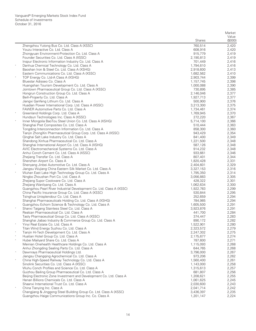|            |                                                                                                           |                        | Market         |
|------------|-----------------------------------------------------------------------------------------------------------|------------------------|----------------|
|            |                                                                                                           |                        | Value          |
|            |                                                                                                           | <b>Shares</b>          | (\$000)        |
|            | Zhengzhou Yutong Bus Co. Ltd. Class A (XSSC)                                                              | 760,514                | 2,420          |
|            | Youzu Interactive Co. Ltd. Class A                                                                        | 608,916                | 2,420          |
|            | Zhongyuan Environment-Protection Co. Ltd. Class A                                                         | 915,779                | 2,419          |
|            | Founder Securities Co. Ltd. Class A (XSSC)                                                                | 2,190,813              | 2,419          |
|            | Inspur Electronic Information Industry Co. Ltd. Class A                                                   | 701,449                | 2,416          |
|            | Danhua Chemical Technology Co. Ltd. Class A                                                               | 1,794,610              | 2,416          |
|            | Baoshan Iron & Steel Co. Ltd. Class A (XSHG)<br>Eastern Communications Co. Ltd. Class A (XSSC)            | 2,918,600<br>1,682,562 | 2,413<br>2,410 |
| $_{\rm *}$ | TOP Energy Co. Ltd-A Class A (XSHG)                                                                       | 2,903,744              | 2,399          |
|            | Bluestar Adisseo Co. Class A                                                                              | 1,157,745              | 2,398          |
|            | Huangshan Tourism Development Co. Ltd. Class A                                                            | 1,000,088              | 2,390          |
|            | Jointown Pharmaceutical Group Co. Ltd. Class A (XSSC)                                                     | 730,895                | 2,385          |
|            | Hongrun Construction Group Co. Ltd. Class A                                                               | 2,146,046              | 2,377          |
|            | Beih-Property Co. Ltd. Class A                                                                            | 1,927,713              | 2,377          |
|            | Jiangxi Ganfeng Lithium Co. Ltd. Class A                                                                  | 500,900                | 2,376          |
|            | Huadian Power International Corp. Ltd. Class A (XSSC)                                                     | 3,213,300              | 2,375          |
|            | FAWER Automotive Parts Co. Ltd. Class A                                                                   | 1,734,461              | 2,374          |
|            | Greenland Holdings Corp. Ltd. Class A                                                                     | 1,769,945              | 2,370          |
|            | Hundsun Technologies Inc. Class A (XSSC)                                                                  | 272,220                | 2,367          |
|            | Inner Mongolia BaoTou Steel Union Co. Ltd. Class A (XSHG)                                                 | 5,714,100              | 2,366          |
|            | Shanghai Pret Composites Co. Ltd. Class A                                                                 | 510,444                | 2,363          |
|            | Tongding Interconnection Information Co. Ltd. Class A                                                     | 858,300                | 2,360          |
|            | Tianjin ZhongXin Pharmaceutical Group Corp. Ltd. Class A (XSSC)                                           | 943,429                | 2,354          |
|            | Qinghai Salt Lake Industry Co. Ltd. Class A                                                               | 841,400                | 2,349          |
|            | Shandong Xinhua Pharmaceutical Co. Ltd. Class A                                                           | 1,221,500              | 2,348          |
|            | Shanghai International Airport Co. Ltd. Class A (XSHG)                                                    | 587,126                | 2,348          |
|            | AVIC Electromechanical Systems Co. Ltd. Class A                                                           | 914,232                | 2,348          |
|            | Anhui Conch Cement Co. Ltd. Class A (XSSC)                                                                | 933,661                | 2,346          |
|            | Zhejiang Transfar Co. Ltd. Class A                                                                        | 807,401                | 2,344          |
| $\ast$     | Shenzhen Airport Co. Class A                                                                              | 1,820,428              | 2,331          |
|            | Shenyang Jinbei Automotive Co. Ltd. Class A<br>Jiangsu Wujiang China Eastern Silk Market Co. Ltd. Class A | 2,404,601<br>3,327,153 | 2,329<br>2,316 |
| $_{\rm *}$ | Wuhan East Lake High Technology Group Co. Ltd. Class A                                                    | 1,795,350              | 2,314          |
|            | Ningbo Zhoushan Port Co. Ltd. Class A                                                                     | 3,056,883              | 2,305          |
|            | Zhejiang Supor Cookware Co. Ltd. Class A                                                                  | 428,322                | 2,301          |
|            | Zhejiang Wanliyang Co. Ltd. Class A                                                                       | 1,062,634              | 2,300          |
|            | Guangzhou Pearl River Industrial Development Co. Ltd. Class A (XSSC)                                      | 1,922,783              | 2,299          |
|            | China Pacific Insurance Group Co. Ltd. Class A (XSSC)                                                     | 530,844                | 2,295          |
|            | Tsinghua Unisplendour Co. Ltd. Class A                                                                    | 252,659                | 2,294          |
|            | Shanghai Pharmaceuticals Holding Co. Ltd. Class A (XSHG)                                                  | 784,985                | 2,294          |
|            | Guangzhou Echom Science & Technology Co. Ltd. Class A                                                     | 1,605,500              | 2,291          |
|            | Shanxi Taigang Stainless Steel Co. Ltd. Class A                                                           | 3,923,876              | 2,291          |
|            | Realcan Pharmaceutical Co. Ltd. Class A                                                                   | 441,700                | 2,284          |
|            | Tasly Pharmaceutical Group Co. Ltd. Class A (XSSC)                                                        | 374,447                | 2,283          |
|            | Shanghai Jiabao Industry & Commerce Group Co. Ltd. Class A                                                | 890,172                | 2,282          |
|            | Yinyi Real Estate Co. Ltd. Class A                                                                        | 1,522,901              | 2,280          |
| $\ast$     | Titan Wind Energy Suzhou Co. Ltd. Class A                                                                 | 2,323,572              | 2,279          |
|            | Tianjin Hi-Tech Development Co. Ltd. Class A                                                              | 2,247,302              | 2,275          |
| $_{\rm *}$ | Huatian Hotel Group Co. Ltd. Class A                                                                      | 2,175,677              | 2,274          |
|            | Hubei Mailyard Share Co. Ltd. Class A<br>Meinian Onehealth Healthcare Holdings Co. Ltd. Class A           | 787,600<br>1,115,093   | 2,271<br>2,268 |
|            | Anhui Zhongding Sealing Parts Co. Ltd. Class A                                                            | 644,765                | 2,268          |
| $\wedge$   | Dawnrays Pharmaceutical Holdings Ltd.                                                                     | 3,796,000              | 2,267          |
|            | Jiangsu Changqing Agrochemical Co. Ltd. Class A                                                           | 973,206                | 2,262          |
| $\ast$     | China High-Speed Railway Technology Co. Ltd. Class A                                                      | 1,560,400              | 2,261          |
|            | Sinolink Securities Co. Ltd. Class A (XSSC)                                                               | 1,143,000              | 2,258          |
|            | Wuhu Conch Profiles and Science Co. Ltd. Class A                                                          | 1,315,613              | 2,257          |
|            | Guizhou Bailing Group Pharmaceutical Co. Ltd. Class A                                                     | 681,807                | 2,256          |
|            | Beijing Electronic Zone Investment and Development Co. Ltd. Class A                                       | 1,208,621              | 2,255          |
|            | Henan Billions Chemicals Co. Ltd. Class A                                                                 | 1,061,625              | 2,245          |
|            | Shaanxi International Trust Co. Ltd. Class A                                                              | 2,030,600              | 2,243          |
| $\ast$     | China Tianying Inc. Class A                                                                               | 2,041,714              | 2,242          |
|            | Changjiang & Jinggong Steel Building Group Co. Ltd. Class A (XSSC)                                        | 3,436,397              | 2,235          |
|            | Guangzhou Haige Communications Group Inc. Co. Class A                                                     | 1,201,147              | 2,224          |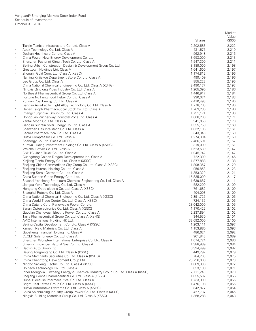|                  |                                                                                                |                        | Market           |
|------------------|------------------------------------------------------------------------------------------------|------------------------|------------------|
|                  |                                                                                                | <b>Shares</b>          | Value<br>(\$000) |
|                  | Tianjin Tianbao Infrastructure Co. Ltd. Class A                                                | 2,202,583              | 2,222            |
| $\ast$           | Apex Technology Co. Ltd. Class A                                                               | 431,575                | 2,219            |
| $\ast$           | Dezhan Healthcare Co. Ltd. Class A                                                             | 962,948                | 2,216            |
| $\wedge$         | China Power New Energy Development Co. Ltd.                                                    | 3,653,000              | 2,213            |
|                  | Shenzhen Fastprint Circuit Tech Co. Ltd. Class A                                               | 1,947,300              | 2,211            |
| $\sqrt{2}$       | Beijing Urban Construction Design & Development Group Co. Ltd.                                 | 3,189,000              | 2,198            |
| $\ast$<br>$\ast$ | Greattown Holdings Ltd. Class A                                                                | 1,641,600              | 2,197<br>2,196   |
|                  | Zhongjin Gold Corp. Ltd. Class A (XSSC)<br>Nanjing Xinjiekou Department Store Co. Ltd. Class A | 1,174,812<br>499,409   | 2,196            |
|                  | Leo Group Co. Ltd. Class A                                                                     | 855,223                | 2,195            |
|                  | China National Chemical Engineering Co. Ltd. Class A (XSHG)                                    | 2,490,177              | 2,193            |
|                  | Ningxia Qinglong Pipes Industry Co. Ltd. Class A                                               | 1,265,090              | 2,186            |
|                  | Northeast Pharmaceutical Group Co. Ltd. Class A                                                | 1,446,917              | 2,184            |
|                  | Fortune Ng Fung Food Hebei Co. Ltd. Class A                                                    | 930,674                | 2,183            |
| $\ast$           | Yunnan Coal Energy Co. Ltd. Class A                                                            | 2,410,493              | 2,180            |
| $\ast$           | Jiangsu Asia-Pacific Light Alloy Technology Co. Ltd. Class A                                   | 1,778,766              | 2,180            |
|                  | Henan Taloph Pharmaceutical Stock Co. Ltd. Class A                                             | 1,763,230              | 2,180<br>2,180   |
| $\ast$           | Changchunjingkai Group Co. Ltd. Class A<br>Dongquan Winnerway Industrial Zone Ltd. Class A     | 1,751,171<br>1,608,200 | 2,171            |
|                  | Yantai Moon Co. Ltd. Class A                                                                   | 941,056                | 2,170            |
|                  | Jiangsu Sunrain Solar Energy Co. Ltd. Class A                                                  | 1,355,759              | 2,169            |
|                  | Shenzhen Das Intellitech Co. Ltd. Class A                                                      | 1,832,196              | 2,161            |
|                  | Cachet Pharmaceutical Co. Ltd. Class A                                                         | 343,843                | 2,160            |
|                  | Huayi Compressor Co. Ltd. Class A                                                              | 1,274,304              | 2,160            |
|                  | Shenergy Co. Ltd. Class A (XSSC)                                                               | 2,486,691              | 2,157            |
|                  | Kunwu Jiuding Investment Holdings Co. Ltd. Class A (XSHG)                                      | 319,099                | 2,151            |
|                  | Weichai Power Co. Ltd. Class A                                                                 | 1,523,539              | 2,147            |
|                  | CNHTC Jinan Truck Co. Ltd. Class A<br>Guangdong Golden Dragon Development Inc. Class A         | 1,045,742<br>722,300   | 2,147<br>2,146   |
|                  | Xinjiang Tianfu Energy Co. Ltd. Class A (XSSC)                                                 | 1,877,888              | 2,138            |
|                  | Zhejiang China Commodities City Group Co. Ltd. Class A (XSSC)                                  | 1,898,367              | 2,129            |
|                  | Zhejiang Huamei Holding Co. Ltd. Class A                                                       | 956,853                | 2,123            |
|                  | Zhejiang Semir Garment Co. Ltd. Class A                                                        | 1,353,320              | 2,121            |
| $\wedge$         | China Suntien Green Energy Corp. Ltd.                                                          | 15,835,000             | 2,117            |
|                  | Shaanxi Yanchang Petroleum Chemical Engineering Co. Ltd. Class A                               | 1,639,667              | 2,111            |
|                  | Jiangsu Yoke Technology Co. Ltd. Class A                                                       | 582,200                | 2,109            |
| $\ast$           | Hengtong Optic-electric Co. Ltd. Class A (XSSC)<br>Shanghai Potevio Co. Ltd. Class A           | 761,682<br>404,003     | 2,109<br>2,109   |
|                  | China National Chemical Engineering Co. Ltd. Class A (XSSC)                                    | 2,391,725              | 2,106            |
|                  | China World Trade Center Co. Ltd. Class A (XSSC)                                               | 724,135                | 2,106            |
|                  | China Datang Corp. Renewable Power Co. Ltd.                                                    | 23,042,000             | 2,105            |
|                  | Sanan Optoelectronics Co. Ltd. Class A (XSSC)                                                  | 1,170,422              | 2,102            |
|                  | Guodian Changyuan Electric Power Co. Ltd. Class A                                              | 2,237,894              | 2,102            |
|                  | Tasly Pharmaceutical Group Co. Ltd. Class A (XSHG)                                             | 344,530                | 2,101            |
|                  | AVIC International Holding HK Ltd.                                                             | 32,692,000             | 2,100            |
|                  | Beijing Capital Development Co. Ltd. Class A (XSSC)<br>Kangxin New Materials Co. Ltd. Class A  | 1,203,111<br>1,153,880 | 2,097            |
| $\ast$           | Guosheng Financial Holding Inc. Class A                                                        | 486,624                | 2,093<br>2,092   |
| $\ast$           | CECEP Solar Energy Co. Ltd. Class A                                                            | 961,843                | 2,089            |
|                  | Shenzhen Wongtee International Enterprise Co. Ltd. Class A                                     | 1,074,724              | 2,086            |
|                  | Shaan Xi Provincial Natural Gas Co. Ltd. Class A                                               | 1,388,989              | 2,084            |
| $^*,\wedge$      | Baoxin Auto Group Ltd.                                                                         | 6,394,499              | 2,082            |
|                  | Beijing Tongrentang Co. Ltd. Class A (XSSC)                                                    | 449,297                | 2,079            |
|                  | China Merchants Securities Co. Ltd. Class A (XSHG)                                             | 784,200                | 2,075            |
| $^*,\wedge$      | China Chengtong Development Group Ltd.                                                         | 23.756.000             | 2,073            |
|                  | Ningbo Sanxing Electric Co. Ltd. Class A (XSSC)<br>Holitech Technology Co. Ltd. Class A        | 1,089,936<br>853,198   | 2,072<br>2,071   |
|                  | Inner Mongolia Junzheng Energy & Chemical Industry Group Co. Ltd. Class A (XSSC)               | 2,711,240              | 2,070            |
|                  | Zhejiang Conba Pharmaceutical Co. Ltd. Class A (XSSC)                                          | 1,855,532              | 2,066            |
|                  | Hubei Biocause Pharmaceutical Co. Ltd. Class A                                                 | 1,733,900              | 2,056            |
|                  | Bright Real Estate Group Co. Ltd. Class A (XSSC)                                               | 1,476,198              | 2,056            |
|                  | Huayu Automotive Systems Co. Ltd. Class A (XSHG)                                               | 842,877                | 2,054            |
|                  | China Shipbuilding Industry Group Power Co. Ltd. Class A (XSSC)                                | 427,737                | 2,045            |
|                  | Ningxia Building Materials Group Co. Ltd. Class A (XSSC)                                       | 1,368,288              | 2,043            |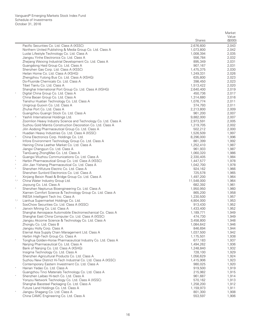|                     |                                                                                     |                      | Market         |
|---------------------|-------------------------------------------------------------------------------------|----------------------|----------------|
|                     |                                                                                     |                      | Value          |
|                     |                                                                                     | <b>Shares</b>        | (\$000)        |
|                     | Pacific Securities Co. Ltd. Class A (XSSC)                                          | 2,676,600            | 2,043          |
|                     | Northern United Publishing & Media Group Co. Ltd. Class A                           | 1,073,800            | 2,042          |
|                     | Luolai Lifestyle Technology Co. Ltd. Class A                                        | 1,008,394            | 2,035          |
|                     | Jiangsu Yinhe Electronics Co. Ltd. Class A                                          | 556,784              | 2,032          |
|                     | Zhejiang Weixing Industrial Development Co. Ltd. Class A                            | 895,349              | 2,031          |
|                     | Guangdong Haid Group Co. Ltd. Class A                                               | 907,167              | 2,031          |
|                     | Shenzhen Gas Corp. Ltd. Class A (XSSC)                                              | 1,475,375            | 2,030          |
|                     | Heilan Home Co. Ltd. Class A (XSHG)                                                 | 1,249,331            | 2,026          |
|                     | Zhengzhou Yutong Bus Co. Ltd. Class A (XSHG)                                        | 635,800              | 2,023          |
|                     | Do-Fluoride Chemicals Co. Ltd. Class A                                              | 398,450              | 2,023          |
|                     | Tibet Tianlu Co. Ltd. Class A                                                       | 1,513,422            | 2,020          |
|                     | Shanghai International Port Group Co. Ltd. Class A (XSHG)                           | 2,640,400            | 2,019          |
|                     | Digital China Group Co. Ltd. Class A                                                | 450,736              | 2,017          |
|                     | China Baoan Group Co. Ltd. Class A                                                  | 1,314,680            | 2,016          |
|                     | Tianshui Huatian Technology Co. Ltd. Class A                                        | 1,076,774            | 2,011          |
|                     | Unigroup Guoxin Co. Ltd. Class A<br>Zhuhai Port Co. Ltd. Class A                    | 374,793              | 2,011<br>2,009 |
|                     | Guangzhou Guangri Stock Co. Ltd. Class A                                            | 2,213,800<br>961,200 | 2,007          |
| $\wedge$            | Yashili International Holdings Ltd.                                                 | 9,882,000            | 2,007          |
|                     | Zoomlion Heavy Industry Science and Technology Co. Ltd. Class A                     | 2,973,591            | 2,005          |
|                     | Suzhou Gold Mantis Construction Decoration Co. Ltd. Class A                         | 1,219,705            | 2,002          |
|                     | Jilin Aodong Pharmaceutical Group Co. Ltd. Class A                                  | 502,212              | 2,000          |
|                     | Huadian Heavy Industries Co. Ltd. Class A (XSSC)                                    | 1,526,509            | 1,997          |
| $\wedge$            | China Electronics Corp. Holdings Co. Ltd.                                           | 8,296,000            | 1,996          |
|                     | Infore Environment Technology Group Co. Ltd. Class A                                | 861,399              | 1,992          |
|                     | Haining China Leather Market Co. Ltd. Class A                                       | 1,252,410            | 1,987          |
|                     | Jiangxi Changyun Co. Ltd. Class A                                                   | 961,933              | 1,987          |
|                     | TianGuang ZhongMao Co. Ltd. Class A                                                 | 1,060,320            | 1,986          |
|                     | Guangxi Wuzhou Communications Co. Ltd. Class A                                      | 2,330,405            | 1,984          |
|                     | Harbin Pharmaceutical Group Co. Ltd. Class A (XSSC)                                 | 1,447,577            | 1,978          |
| $\ast$              | Jilin Jian Yisheng Pharmaceutical Co. Ltd. Class A                                  | 1,042,700            | 1,978          |
|                     | Shenzhen Hifuture Electric Co. Ltd. Class A                                         | 924,162              | 1,966          |
|                     | Shenzhen Sunlord Electronics Co. Ltd. Class A                                       | 725,578              | 1,965          |
|                     | Xinjiang Beixin Road & Bridge Group Co. Ltd. Class A                                | 1,497,200            | 1,964          |
| $\,{}^\star,\wedge$ | China Water Industry Group Ltd.                                                     | 11,548,000           | 1,964          |
|                     | Joyoung Co. Ltd. Class A                                                            | 682,392              | 1,961          |
| $\ast$              | Shenzhen Neptunus Bioengineering Co. Ltd. Class A                                   | 1,950,950            | 1,960          |
|                     | Xiamen Comfort Science & Technology Group Co. Ltd. Class A                          | 865,200              | 1,958          |
|                     | INESA Intelligent Tech Inc. Class A                                                 | 1,230,500            | 1,957          |
| $^*,\wedge$         | Lianhua Supermarket Holdings Co. Ltd.<br>SooChow Securities Co. Ltd. Class A (XSSC) | 4,804,000            | 1,953          |
| $\ast$              | Jianxin Mining Co. Ltd. Class A                                                     | 913,430<br>1,433,400 | 1,952<br>1,952 |
|                     | Shanghai Aerospace Automobile Electromechanical Co. Class A                         | 1,189,771            | 1,949          |
|                     | Shanghai East China Computer Co. Ltd. Class A (XSSC)                                | 474,730              | 1,949          |
|                     | Jiangsu Akcome Science & Technology Co. Ltd. Class A                                | 3,458,800            | 1,948          |
|                     | Zhonglu Co. Ltd. Class B                                                            | 1,084,642            | 1,946          |
|                     | Jiangsu Holly Corp. Class A                                                         | 846,694              | 1,944          |
|                     | Eternal Asia Supply Chain Management Ltd. Class A                                   | 1,037,500            | 1,942          |
|                     | Harbin High-Tech Group Co. Class A                                                  | 1,175,501            | 1,938          |
| $_{\rm *}$          | Tonghua Golden-Horse Pharmaceutical Industry Co. Ltd. Class A                       | 677,183              | 1,937          |
|                     | Nanjing Pharmaceutical Co. Ltd. Class A                                             | 1,494,262            | 1,936          |
|                     | Bank of Nanjing Co. Ltd. Class A (XSHG)                                             | 1,248,840            | 1,932          |
|                     | Insigma Technology Co. Ltd. Class A                                                 | 728,100              | 1,929          |
|                     | Shenzhen Agricultural Products Co. Ltd. Class A                                     | 1,056,629            | 1,924          |
|                     | Suzhou New District Hi-Tech Industrial Co. Ltd. Class A (XSSC)                      | 1,415,906            | 1,923          |
|                     | Contemporary Eastern Investment Co. Ltd. Class A                                    | 980,025              | 1,920          |
| $\ast$              | Hainan Yedao Co. Ltd. Class A                                                       | 919,500              | 1,919          |
|                     | Guangzhou Tinci Materials Technology Co. Ltd. Class A                               | 215,982              | 1,915          |
|                     | Shenzhen Laibao Hi-tech Co. Ltd. Class A                                            | 961,687              | 1,914          |
|                     | Yonyou Network Technology Co. Ltd. Class A (XSSC)                                   | 570,162              | 1,913          |
|                     | Shanghai Baosteel Packaging Co. Ltd. Class A                                        | 1,258,200            | 1,912          |
|                     | Future Land Holdings Co. Ltd. Class A                                               | 1,159,973            | 1,911          |
|                     | Jiangsu Shagang Co. Ltd. Class A                                                    | 801,300              | 1,908          |
|                     | China CAMC Engineering Co. Ltd. Class A                                             | 553,597              | 1,906          |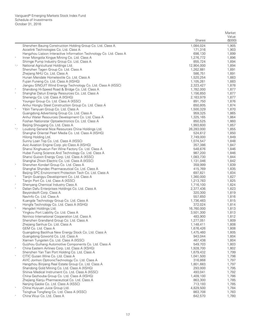|             |                                                                                                        |                        | Market         |
|-------------|--------------------------------------------------------------------------------------------------------|------------------------|----------------|
|             |                                                                                                        |                        | Value          |
|             |                                                                                                        | <b>Shares</b>          | (\$000)        |
|             | Shenzhen Bauing Construction Holding Group Co. Ltd. Class A<br>Accelink Technologies Co. Ltd. Class A  | 1,084,024<br>171,316   | 1,905<br>1,903 |
|             | Hangzhou Liaison Interactive Information Technology Co. Ltd. Class A                                   | 698,130                | 1,899          |
| $\ast$      | Inner Mongolia Xingye Mining Co. Ltd. Class A                                                          | 1,276,772              | 1,896          |
|             | Shimge Pump Industry Group Co. Ltd. Class A                                                            | 855,724                | 1,894          |
| $^*,\wedge$ | National Agricultural Holdings Ltd.                                                                    | 12,904,000             | 1,894          |
|             | Shenzhen Tagen Group Co. Ltd. Class A                                                                  | 1,262,881              | 1,891          |
|             | Zhejiang NHU Co. Ltd. Class A                                                                          | 586,751                | 1,891          |
|             | Hunan Mendale Hometextile Co. Ltd. Class A<br>Fujian Funeng Co. Ltd. Class A (XSHG)                    | 1,520,254<br>1,105,261 | 1,883<br>1,883 |
|             | Jiangsu SINOJIT Wind Energy Technology Co. Ltd. Class A (XSSC)                                         | 2,323,427              | 1,878          |
|             | Shandong Hi-Speed Road & Bridge Co. Ltd. Class A                                                       | 1,782,000              | 1,877          |
|             | Shanghai Datun Energy Resources Co. Ltd. Class A                                                       | 1,156,850              | 1,877          |
|             | Shenergy Co. Ltd. Class A (XSHG)                                                                       | 2,163,979              | 1,877          |
|             | Youngor Group Co. Ltd. Class A (XSSC)                                                                  | 891,750                | 1,876          |
|             | Anhui Honglu Steel Construction Group Co. Ltd. Class A                                                 | 650,805                | 1,874          |
| $\ast$      | Yibin Tianyuan Group Co. Ltd. Class A                                                                  | 1,500,329              | 1,870          |
|             | Guangdong Advertising Group Co. Ltd. Class A<br>Anhui Water Resources Development Co. Ltd. Class A     | 959,325<br>1,325,165   | 1,865<br>1,864 |
|             | Foshan Nationstar Optoelectronics Co. Ltd. Class A                                                     | 850,525                | 1,860          |
|             | Beijing Shougang Co. Ltd. Class A                                                                      | 1,993,600              | 1,857          |
| $^*,\wedge$ | Loudong General Nice Resources China Holdings Ltd.                                                     | 26,283,000             | 1,855          |
|             | Shanghai Oriental Pearl Media Co. Ltd. Class A (XSHG)                                                  | 524,612                | 1,850          |
|             | Hilong Holding Ltd.                                                                                    | 7,749,000              | 1,849          |
|             | Sunny Loan Top Co. Ltd. Class A (XSSC)                                                                 | 1,074,547              | 1,848          |
|             | Avic Aviation Engine Corp. plc Class A (XSHG)                                                          | 357,386                | 1,847          |
|             | Shanxi Xinghuacun Fen Wine Factory Co. Ltd. Class A                                                    | 548,676                | 1,846          |
|             | Hubei Fuxing Science And Technology Co. Ltd. Class A<br>Shanxi Guoxin Energy Corp. Ltd. Class A (XSSC) | 987,200<br>1,083,730   | 1,846<br>1,844 |
|             | Shanghai Zhixin Electric Co. Ltd. Class A (XSSC)                                                       | 1,131,046              | 1,842          |
|             | Shenzhen Kondarl Group Co. Ltd. Class A                                                                | 359,999                | 1,839          |
|             | Shanghai Shyndec Pharmaceutical Co. Ltd. Class A                                                       | 415,769                | 1,835          |
|             | Beijing SPC Environment Protection Tech Co. Ltd. Class A                                               | 697,821                | 1,834          |
| $\ast$      | Tianjin Guangyu Development Co. Ltd. Class A                                                           | 1,360,000              | 1,827          |
|             | Tianjin Port Co. Ltd. Class A (XSSC)                                                                   | 1,213,783              | 1,825          |
|             | Shenyang Chemical Industry Class A                                                                     | 1,716,100              | 1,824          |
| $\ast$      | Dalian Dafu Enterprises Holdings Co. Ltd. Class A                                                      | 2,377,436              | 1,823          |
|             | Beyondsoft Corp. Class A<br>NavInfo Co. Ltd. Class A                                                   | 320,300<br>557,650     | 1,819<br>1,816 |
|             | Kuangda Technology Group Co. Ltd. Class A                                                              | 1,736,483              | 1,815          |
|             | Hongfa Technology Co. Ltd. Class A (XSHG)                                                              | 372,024                | 1,814          |
|             | Hengdeli Holdings Ltd.                                                                                 | 16,760,000             | 1,813          |
|             | Yingkou Port Liability Co. Ltd. Class A                                                                | 3,501,300              | 1,813          |
|             | Norinco International Cooperation Ltd. Class A                                                         | 483,900                | 1,812          |
|             | Shenzhen Grandland Group Co. Ltd. Class A                                                              | 1,277,051              | 1,809          |
|             | Zhejiang Sanhua Co. Ltd. Class A                                                                       | 1,148,411              | 1,808          |
|             | GEM Co. Ltd. Class A<br>Guangdong Baolihua New Energy Stock Co. Ltd. Class A                           | 1,676,426<br>1,475,460 | 1,808<br>1,805 |
|             | Guangdong Goworld Co. Ltd. Class A                                                                     | 943,044                | 1,804          |
|             | Xiamen Tungsten Co. Ltd. Class A (XSSC)                                                                | 467,438                | 1,804          |
|             | Guizhou Guihang Automotive Components Co. Ltd. Class A                                                 | 549,703                | 1,803          |
| $\ast$      | China Eastern Airlines Corp. Ltd. Class A (XSHG)                                                       | 1,928,700              | 1,802          |
|             | Shenzhen Yan Tian Port Holding Co. Ltd. Class A                                                        | 1,679,432              | 1,799          |
| $\ast$      | CITIC Guoan Wine Co. Ltd. Class A                                                                      | 1,041,500              | 1,798          |
|             | AVIC Jonhon OptronicTechnology Co. Ltd. Class A                                                        | 316,868                | 1,797          |
|             | Hangzhou Binjiang Real Estate Group Co. Ltd. Class A                                                   | 1,801,683              | 1,797          |
|             | Shandong Gold Mining Co. Ltd. Class A (XSHG)<br>Shinva Medical Instrument Co. Ltd. Class A (XSSC)      | 293,000<br>493,041     | 1,795<br>1,792 |
|             | China Gezhouba Group Co. Ltd. Class A (XSHG)                                                           | 1,409,100              | 1,786          |
|             | Zhejiang Xianju Pharmaceutical Co. Ltd. Class A                                                        | 863,300                | 1,785          |
|             | Nanjing Gaoke Co. Ltd. Class A (XSSC)                                                                  | 713,193                | 1,785          |
|             | China Huiyuan Juice Group Ltd.                                                                         | 4,829,500              | 1,784          |
|             | Tsinghua Tongfang Co. Ltd. Class A (XSSC)                                                              | 863,708                | 1,783          |
|             | China Wuyi Co. Ltd. Class A                                                                            | 642,570                | 1,780          |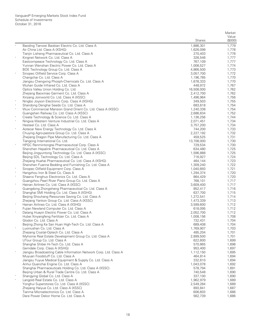|        |                                                                                                     |                        | Market         |
|--------|-----------------------------------------------------------------------------------------------------|------------------------|----------------|
|        |                                                                                                     |                        | Value          |
|        |                                                                                                     | <b>Shares</b>          | (\$000)        |
|        | Baoding Tianwei Baobian Electric Co. Ltd. Class A<br>Air China Ltd. Class A (XSHG)                  | 1,886,301<br>1,626,099 | 1,779<br>1,778 |
|        | Tianjin Lisheng Pharmaceutical Co. Ltd. Class A                                                     | 270,403                | 1,778          |
|        | Kingnet Network Co. Ltd. Class A                                                                    | 326,546                | 1,777          |
|        | Eastcompeace Technology Co. Ltd. Class A                                                            | 767,109                | 1,777          |
|        | Yunnan Wenshan Electric Power Co. Ltd. Class A                                                      | 1,008,527              | 1,774          |
|        | BOE Technology Group Co. Ltd. Class A                                                               | 4,866,500              | 1,773          |
|        | Sinopec Oilfield Service Corp. Class A                                                              | 3,057,700              | 1,772          |
|        | Changchai Co. Ltd. Class A                                                                          | 1,196,785              | 1,770          |
|        | Jiangsu Chengxing Phosph-Chemicals Co. Ltd. Class A                                                 | 1,678,333              | 1,770          |
|        | Wuhan Guide Infrared Co. Ltd. Class A<br>Optics Valley Union Holding Co. Ltd.                       | 448,972<br>16,508,000  | 1,767<br>1,762 |
|        | Zhejiang Baoxiniao Garment Co. Ltd. Class A                                                         | 2,412,700              | 1,762          |
|        | Xinjiang Joinworld Co. Ltd. Class A (XSSC)                                                          | 1,496,964              | 1,756          |
|        | Ningbo Joyson Electronic Corp. Class A (XSHG)                                                       | 349,503                | 1,755          |
|        | Shandong Denghai Seeds Co. Ltd. Class A                                                             | 683,618                | 1,754          |
|        | Wuxi Commercial Mansion Grand Orient Co. Ltd. Class A (XSSC)                                        | 1,240,338              | 1,754          |
|        | Guangshen Railway Co. Ltd. Class A (XSSC)                                                           | 2,686,634              | 1,752          |
| $\ast$ | Create Technology & Science Co. Ltd. Class A                                                        | 1,136,256              | 1,744          |
|        | Ningxia Western Venture Industrial Co. Ltd. Class A                                                 | 2,071,451              | 1,734          |
|        | Hesteel Co. Ltd. Class A                                                                            | 3,757,200              | 1,734          |
|        | Aotecar New Energy Technology Co. Ltd. Class A<br>Chuying Agro-pastora Group Co. Ltd. Class A       | 744,200<br>2,227,192   | 1,733<br>1,732 |
|        | Zhejiang Dragon Pipe Manufacturing Co. Ltd. Class A                                                 | 459,525                | 1,731          |
|        | Tiangong International Co. Ltd.                                                                     | 13,708,000             | 1,730          |
| $\ast$ | HPGC Renmintongtai Pharmaceutical Corp. Class A                                                     | 729,534                | 1,730          |
|        | Shenzhen Hepalink Pharmaceutical Co. Ltd. Class A                                                   | 634,480                | 1,725          |
|        | Beijing Jingyuntong Technology Co. Ltd. Class A (XSSC)                                              | 1,596,888              | 1,725          |
|        | Beijing SDL Technology Co. Ltd. Class A                                                             | 716,927                | 1,724          |
|        | Zhejiang Huahai Pharmaceutical Co. Ltd. Class A (XSHG)                                              | 464,144                | 1,723          |
|        | Shenzhen Fuanna Bedding and Furnishing Co. Ltd. Class A                                             | 1,309,240              | 1,722          |
|        | Sinopec Oilfield Equipment Corp. Class A                                                            | 1,040,893              | 1,721          |
|        | Hangzhou Iron & Steel Co. Class A<br>Shaanxi Fenghuo Electronics Co. Ltd. Class A                   | 1,294,374<br>864,429   | 1,720<br>1,720 |
|        | Guangzhou Pearl River Piano Group Co. Ltd. Class A                                                  | 768,101                | 1,717          |
|        | Hainan Airlines Co. Ltd. Class A (XSSC)                                                             | 3,609,400              | 1,717          |
|        | Guangdong Zhongsheng Pharmaceutical Co. Ltd. Class A                                                | 852,417                | 1,716          |
| $\ast$ | Shanghai SMI Holding Co. Ltd. Class A (XSHG)                                                        | 637,700                | 1,715          |
|        | Beijing Shouhang Resources Saving Co. Ltd. Class A                                                  | 1,272,541              | 1,714          |
|        | Zhejiang Yankon Group Co. Ltd. Class A (XSSC)                                                       | 1,473,339              | 1,713          |
|        | Hainan Airlines Co. Ltd. Class A (XSHG)                                                             | 3,599,600              | 1,712          |
|        | Fujian Newland Computer Co. Ltd. Class A                                                            | 618,095                | 1,712          |
|        | Datang Huayin Electric Power Co. Ltd. Class A                                                       | 2,052,700<br>1,008,156 | 1,712<br>1,708 |
|        | Hubei Xinyangfeng Fertilizer Co. Ltd. Class A<br>Glodon Co. Ltd. Class A                            | 732,431                | 1,704          |
|        | Beijing Zhong Ke San Huan High-Tech Co. Ltd. Class A                                                | 689,408                | 1,704          |
|        | Luoniushan Co. Ltd. Class A                                                                         | 1,769,907              | 1,703          |
|        | Zhejiang Crystal-Optech Co. Ltd. Class A                                                            | 485,204                | 1,701          |
|        | Myhome Real Estate Development Group Co. Ltd. Class A                                               | 2,899,500              | 1,701          |
|        | UTour Group Co. Ltd. Class A                                                                        | 622,600                | 1,699          |
|        | Shanghai Shibei Hi-Tech Co. Ltd. Class A                                                            | 570,865                | 1,698          |
|        | Gemdale Corp. Class A (XSHG)                                                                        | 953,400                | 1,697          |
|        | Jiangsu Broadcasting Cable Information Network Corp. Ltd. Class A                                   | 1,112,150              | 1,695          |
|        | Muyuan Foodstuff Co. Ltd. Class A                                                                   | 464,814<br>332,610     | 1,694<br>1,694 |
|        | Jiangsu Yuyue Medical Equipment & Supply Co. Ltd. Class A<br>Anhui Quanchai Engine Co. Ltd. Class A | 1,043,078              | 1,692          |
|        | Shanghai Pharmaceuticals Holding Co. Ltd. Class A (XSSC)                                            | 578,794                | 1,691          |
|        | Beijing Urban & Rural Trade Centre Co. Ltd. Class A                                                 | 740,548                | 1,690          |
|        | Shangying Global Co. Ltd. Class A                                                                   | 337,100                | 1,690          |
|        | Langold Real Estate Co. Ltd. Class A                                                                | 1,962,979              | 1,689          |
|        | Yonghui Superstores Co. Ltd. Class A (XSSC)                                                         | 2,549,284              | 1,689          |
|        | Zhejiang Haiyue Co. Ltd. Class A (XSSC)                                                             | 893,841                | 1,687          |
|        | Tianma Microelectronics Co. Ltd. Class A                                                            | 606,603                | 1,686          |
|        | Dare Power Dekor Home Co. Ltd. Class A                                                              | 562,739                | 1,686          |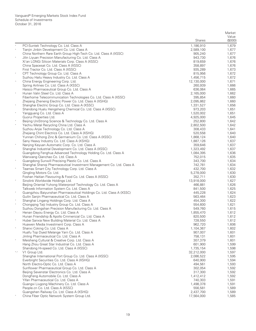|          |                                                                                                               |                        | Market<br>Value<br>(\$000) |
|----------|---------------------------------------------------------------------------------------------------------------|------------------------|----------------------------|
|          |                                                                                                               | <b>Shares</b>          |                            |
| $\ast$   | PCI-Suntek Technology Co. Ltd. Class A<br>Tianjin Jinbin Development Co. Ltd. Class A                         | 1,186,910<br>2,589,100 | 1,679<br>1,677             |
|          | China Northern Rare Earth Group High-Tech Co. Ltd. Class A (XSSC)                                             | 905,240                | 1,677                      |
| $\ast$   | Jilin Liyuan Precision Manufacturing Co. Ltd. Class A                                                         | 943,730                | 1,676                      |
|          | Xi'an LONGi Silicon Materials Corp. Class A (XSSC)                                                            | 819,659                | 1,676                      |
|          | China Spacesat Co. Ltd. Class A (XSSC)                                                                        | 358,897                | 1,676                      |
|          | First Tractor Co. Ltd. Class A (XSSC)                                                                         | 935,289                | 1,673                      |
| $\ast$   | CPT Technology Group Co. Ltd. Class A                                                                         | 815,956                | 1,672                      |
|          | Suzhou Hailu Heavy Industry Co. Ltd. Class A                                                                  | 1,456,715              | 1,672                      |
| $\wedge$ | China Energy Engineering Corp. Ltd.                                                                           | 12,130,000             | 1,671                      |
|          | Spring Airlines Co. Ltd. Class A (XSSC)                                                                       | 260,939                | 1,666                      |
|          | Haisco Pharmaceutical Group Co. Ltd. Class A                                                                  | 636,064                | 1,665                      |
| $\ast$   | Hunan Valin Steel Co. Ltd. Class A                                                                            | 2,165,000              | 1,662                      |
|          | Fiberhome Telecommunication Technologies Co. Ltd. Class A (XSSC)                                              | 395,854                | 1,660                      |
| $\ast$   | Zhejiang Zheneng Electric Power Co. Ltd. Class A (XSHG)                                                       | 2,095,862              | 1,660                      |
|          | Shanghai Electric Group Co. Ltd. Class A (XSSC)                                                               | 1,331,527              | 1,656                      |
|          | Shandong Hualu Hengsheng Chemical Co. Ltd. Class A (XSSC)<br>Yangguang Co. Ltd. Class A                       | 973,203<br>1,520,002   | 1,651<br>1,651             |
|          | Guorui Properties Ltd.                                                                                        | 4,925,000              | 1,645                      |
|          | Beijing UniStrong Science & Technology Co. Ltd. Class A                                                       | 252,800                | 1,642                      |
| $\ast$   | Yechiu Metal Recycling China Ltd. Class A                                                                     | 2,802,500              | 1,642                      |
|          | Suzhou Anjie Technology Co. Ltd. Class A                                                                      | 308,433                | 1,641                      |
|          | Zhejiang Chint Electrics Co. Ltd. Class A (XSHG)                                                              | 520,558                | 1,640                      |
|          | Yunnan Chihong Zinc & Germanium Co. Ltd. Class A (XSSC)                                                       | 1,868,124              | 1,640                      |
|          | Sany Heavy Industry Co. Ltd. Class A (XSHG)                                                                   | 1,887,126              | 1,637                      |
| $\ast$   | Nanjing Keyuan Automatic Corp. Co. Ltd. Class A                                                               | 359,646                | 1,637                      |
|          | Shanghai Industrial Development Co. Ltd. Class A (XSSC)                                                       | 1,323,492              | 1,637                      |
|          | Guangdong Fenghua Advanced Technology Holding Co. Ltd. Class A                                                | 1,084,395              | 1,636                      |
|          | Wanxiang Qianchao Co. Ltd. Class A                                                                            | 752,015                | 1,635                      |
|          | Guangdong Sunwill Precising Plastic Co. Ltd. Class A                                                          | 343,700                | 1,634                      |
|          | Shanghai Shenqi Pharmaceutical Investment Management Co. Ltd. Class A                                         | 742,781                | 1,634                      |
| $\ast$   | Teamax Smart City Technology Corp. Ltd. Class A                                                               | 432,700                | 1,632                      |
|          | Qingling Motors Co. Ltd.                                                                                      | 5,278,000              | 1,630                      |
| $\ast$   | Foshan Haitian Flavouring & Food Co. Ltd. Class A (XSSC)                                                      | 352,711                | 1,630                      |
|          | Sinolink Worldwide Holdings Ltd.                                                                              | 13,918,000             | 1,627                      |
|          | Beijing Oriental Yuhong Waterproof Technology Co. Ltd. Class A<br>Talkweb Information System Co. Ltd. Class A | 466,881<br>841,500     | 1,626<br>1,625             |
| $\ast$   | Guangzhou Baiyunshan Pharmaceutical Holdings Co. Ltd. Class A (XSSC)                                          | 445,228                | 1,624                      |
|          | Guilin Sanjin Pharmaceutical Co. Ltd. Class A                                                                 | 563,464                | 1,623                      |
|          | Shanghai Lingang Holdings Corp. Ltd. Class A                                                                  | 454,300                | 1,622                      |
| $\ast$   | Chongqing Taiji Industry Group Co. Ltd. Class A                                                               | 554,600                | 1,621                      |
|          | Suzhou Dongshan Precision Manufacturing Co. Ltd. Class A                                                      | 549,760                | 1,615                      |
|          | Henan Dayou Energy Co. Ltd. Class A                                                                           | 1,855,470              | 1,612                      |
|          | Hunan Friendship & Apollo Cmmericial Co. Ltd. Class A                                                         | 820,500                | 1,612                      |
|          | Hubei Sanxia New Building Material Co. Ltd. Class A                                                           | 728,550                | 1,612                      |
|          | Huawen Media Investment Corp. Class A                                                                         | 962,720                | 1,606                      |
| $\star$  | Shanxi Coking Co. Ltd. Class A                                                                                | 1,104,367              | 1,602                      |
|          | Huafu Top Dyed Melange Yarn Co. Ltd. Class A                                                                  | 907,007                | 1,601                      |
|          | Jinling Pharmaceutical Co. Ltd. Class A                                                                       | 758,131                | 1,601                      |
| $\ast$   | Meisheng Cultural & Creative Corp. Ltd. Class A                                                               | 307,379                | 1,601                      |
|          | Hang Zhou Great Star Industrial Co. Ltd. Class A                                                              | 601,900                | 1,599                      |
|          | Shandong Hi-speed Co. Ltd. Class A (XSSC)                                                                     | 1,735,154              | 1,598                      |
| *,^      | V1 Group Ltd.                                                                                                 | 32,212,000             | 1,597                      |
|          | Shanghai International Port Group Co. Ltd. Class A (XSSC)<br>Everbright Securities Co. Ltd. Class A (XSHG)    | 2,086,522<br>640,900   | 1,595<br>1,594             |
|          | North Electro-Optic Co. Ltd. Class A                                                                          | 494,561                | 1,593                      |
|          | Sunflower Pharmaceutical Group Co. Ltd. Class A                                                               | 302,054                | 1,592                      |
|          | Beijing Sevenstar Electronics Co. Ltd. Class A                                                                | 317,300                | 1,592                      |
|          | DongFeng Automobile Co. Ltd. Class A                                                                          | 1,412,412              | 1,592                      |
|          | Yifan Pharmaceutical Co. Ltd. Class A                                                                         | 740,303                | 1,591                      |
|          | Guangxi Liugong Machinery Co. Ltd. Class A                                                                    | 1,498,378              | 1,591                      |
|          | People.cn Co. Ltd. Class A (XSSC)                                                                             | 556,581                | 1,589                      |
|          | Guangshen Railway Co. Ltd. Class A (XSHG)                                                                     | 2,437,700              | 1,589                      |
|          | China Fiber Optic Network System Group Ltd.                                                                   | 17,564,000             | 1,585                      |
|          |                                                                                                               |                        |                            |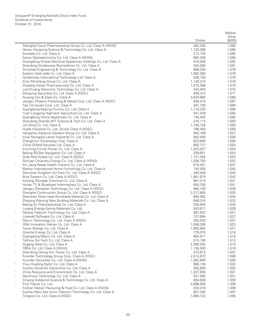|          |                                                                               |                      | Market         |
|----------|-------------------------------------------------------------------------------|----------------------|----------------|
|          |                                                                               |                      | Value          |
|          |                                                                               | <b>Shares</b>        | (\$000)        |
|          | Shanghai Fosun Pharmaceutical Group Co. Ltd. Class A (XSHG)                   | 452,300              | 1,585          |
|          | Henan Hengxing Science & Technology Co. Ltd. Class A                          | 1,720,395            | 1,585          |
|          | Sinodata Co. Ltd. Class A                                                     | 212,735              | 1,585          |
|          | Sanan Optoelectronics Co. Ltd. Class A (XSHG)                                 | 882,400              | 1,584          |
|          | Guangdong Xinbao Electrical Appliances Holdings Co. Ltd. Class A              | 619,009              | 1,582          |
|          | Shandong Sinobioway Biomedicine Co. Ltd. Class A                              | 424,560              | 1,581          |
|          | Sinosteel Engineering & Technology Co. Ltd. Class A                           | 668,330              | 1,579          |
|          | Eastern Gold Jade Co. Ltd. Class A                                            | 1,062,360            | 1,579          |
|          | Goldenmax International Technology Ltd. Class A                               | 538,100              | 1,579          |
| $\ast$   | Xi'an Minsheng Group Co. Ltd. Class A                                         | 1,140,210            | 1,578          |
|          | Zhejiang Hisoar Pharmaceutical Co. Ltd. Class A                               | 1,073,398            | 1,575          |
|          | LianChuang Electronic Technology Co. Ltd. Class A                             | 442,403              | 1,575          |
|          | Dongxing Securities Co. Ltd. Class A (XSSC)                                   | 459,313              | 1,571          |
|          | Anyang Iron & Steel Inc. Class A                                              | 3,620,980            | 1,568          |
|          | Jiangsu Phoenix Publishing & Media Corp. Ltd. Class A (XSSC)                  | 949,415              | 1,567          |
|          | Taiji Computer Corp. Ltd. Class A                                             | 281,700              | 1,566          |
| $\ast$   | Guangdong Kaiping Chunhui Co. Ltd. Class A                                    | 1,116,230            | 1,566          |
|          | Yuan Longping High-tech Agriculture Co. Ltd. Class A                          | 547,439              | 1,565          |
|          | Guangdong Homa Appliances Co. Ltd. Class A                                    | 140,452              | 1,564          |
|          | Shandong Shanda WIT Science & Tech Co. Ltd. Class A                           | 210,115              | 1,563          |
|          | Juli Sling Co. Ltd. Class A                                                   | 1,748,726            | 1,560          |
|          | Huafa Industrial Co. Ltd. Zhuhai Class A (XSSC)                               | 798,459              | 1,558          |
|          | Hangzhou Advance Gearbox Group Co. Ltd. Class A                               | 942,109              | 1,557          |
|          | Inner Mongolia Lantai Industrial Co. Ltd. Class A                             | 802,400              | 1,556          |
|          | Changchun Sinoenergy Corp. Class A                                            | 823,800              | 1,556          |
|          | China Oilfield Services Ltd. Class A<br>Kunming Yunnei Power Co. Ltd. Class A | 862,777              | 1,554          |
|          | Beijing BDStar Navigation Co. Ltd. Class A                                    | 1,323,027            | 1,554          |
|          | Gree Real Estate Co. Ltd. Class A (XSSC)                                      | 339,651<br>1,721,028 | 1,553<br>1,552 |
|          | Sichuan Chuantou Energy Co. Ltd. Class A (XSHG)                               | 1,208,700            | 1,552          |
|          | Xin Jiang Ready Health Industry Co. Ltd. Class A                              | 816,421              | 1,547          |
|          | Markor International Home Furnishings Co. Ltd. Class A                        | 745,928              | 1,544          |
|          | Shenzhen Kingdom Sci-Tech Co. Ltd. Class A (XSSC)                             | 340,049              | 1,543          |
|          | Bros Eastern Co. Ltd. Class A (XSSC)                                          | 1,661,679            | 1,542          |
|          | Xinjiang Zhongtai Chemical Co. Ltd. Class A                                   | 961,315              | 1,541          |
|          | Hunan TV & Broadcast Intermediary Co. Ltd. Class A                            | 650,700              | 1,541          |
|          | Jiangsu Zhongtian Technology Co. Ltd. Class A (XSSC)                          | 965,100              | 1,538          |
|          | Shanghai Construction Group Co. Ltd. Class A (XSSC)                           | 2,317,800            | 1,535          |
|          | Shenzhen Woer Heat-Shrinkable Material Co. Ltd. Class A                       | 695,362              | 1,534          |
|          | Zhejiang Weixing New Building Materials Co. Ltd. Class A                      | 646,316              | 1,532          |
|          | Beijing SL Pharmaceutical Co. Ltd. Class A                                    | 345,900              | 1,529          |
|          | Luyang Energy-Saving Materials Co. Ltd.                                       | 543,817              | 1,528          |
|          | Datang Telecom Technology Co. Ltd. Class A                                    | 561,507              | 1,527          |
|          | Linewell Software Co. Ltd. Class A                                            | 137,694              | 1,527          |
|          | Glarun Technology Co. Ltd. Class A (XSSC)                                     | 302,032              | 1,527          |
| $\ast$   | HNA Innovation Hainan Co. Ltd. Class A                                        | 1,456,300            | 1,523          |
|          | Tecon Biology Co. Ltd. Class A                                                | 1,063,904            | 1,521          |
|          | Oriental Energy Co. Ltd. Class A                                              | 779,070              | 1,518          |
| $\star$  | Guangdong Macro Co. Ltd. Class A                                              | 864,971              | 1,516          |
|          | Tellhow Sci-Tech Co. Ltd. Class A                                             | 515,100              | 1,512          |
| $\ast$   | Angang Steel Co. Ltd. Class A                                                 | 2,266,055            | 1,510          |
|          | TBEA Co. Ltd. Class A (XSHG)                                                  | 1,155,500            | 1,510          |
| $\ast$   | Shandong Qixing Iron Tower Co. Ltd. Class A                                   | 373,812              | 1,507          |
|          | Founder Technology Group Corp. Class A (XSSC)                                 | 2,014,872            | 1,506          |
|          | Founder Securities Co. Ltd. Class A (XSHG)                                    | 1,362,890            | 1,505          |
| $\ast$   | Yiwu Huading Nylon Co. Ltd. Class A                                           | 990,139              | 1,502          |
|          | Suzhou Good-Ark Electronics Co. Ltd. Class A                                  | 925,800              | 1,502          |
| $\ast$   | China Resource and Environment Co. Ltd. Class A                               | 1,207,900            | 1,501          |
| $\ast$   | Genimous Technology Co. Ltd. Class A                                          | 531,565              | 1,501          |
|          | Xinjiang Goldwind Science & Technology Co. Ltd. Class A                       | 654,509              | 1,500          |
| $\wedge$ | First Tractor Co. Ltd.                                                        | 2,686,000            | 1,499          |
|          | Foshan Haitian Flavouring & Food Co. Ltd. Class A (XSHG)                      | 324,216              | 1,498          |
|          | Suzhou New Sea Union Telecom Technology Co. Ltd. Class A                      | 607,200              | 1,497          |
|          | Tongwei Co. Ltd. Class A (XSSC)                                               | 1,668,122            | 1,495          |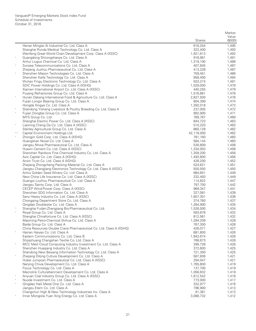|         |                                                                                                              |                      | Market           |
|---------|--------------------------------------------------------------------------------------------------------------|----------------------|------------------|
|         |                                                                                                              | <b>Shares</b>        | Value<br>(\$000) |
|         | Henan Mingtai Al Industrial Co. Ltd. Class A                                                                 | 616,254              | 1,495            |
|         | Shanghai Runda Medical Technology Co. Ltd. Class A                                                           | 322,400              | 1,493            |
|         | Wenfeng Great World Chain Development Corp. Class A (XSSC)                                                   | 1,921,613            | 1,492            |
|         | Guangdong Shirongzhaoye Co. Ltd. Class A                                                                     | 916,961              | 1,491            |
|         | Anhui Liuguo Chemical Co. Ltd. Class A<br>Sunsea Telecommunications Co. Ltd. Class A                         | 1,319,100<br>407,845 | 1,488<br>1,487   |
|         | Zhejiang Jiuzhou Pharmaceutical Co. Ltd. Class A                                                             | 413,228              | 1,487            |
| $\ast$  | Shenzhen Mason Technologies Co. Ltd. Class A                                                                 | 759,451              | 1,486            |
|         | Shenzhen Kaifa Technology Co. Ltd. Class A                                                                   | 958,400              | 1,484            |
|         | Wuhan Fingu Electronic Technology Co. Ltd. Class A                                                           | 553,215              | 1,481            |
|         | SDIC Power Holdings Co. Ltd. Class A (XSHG)                                                                  | 1,529,000            | 1,479            |
|         | Xiamen International Airport Co. Ltd. Class A (XSSC)                                                         | 440,255              | 1,479            |
| $\ast$  | Puyang Refractories Group Co. Ltd. Class A                                                                   | 1,516,881            | 1,476            |
|         | Hunan Dakang International Food & Agriculture Co. Ltd. Class A                                               | 2,827,500            | 1,476            |
|         | Fujian Longxi Bearing Group Co. Ltd. Class A<br>Hongda Xingye Co. Ltd. Class A                               | 804,399<br>1,392,018 | 1,474<br>1,473   |
| $\ast$  | Shandong Yisheng Livestock & Poultry Breeding Co. Ltd. Class A                                               | 237,005              | 1,472            |
|         | Fujian Dongbai Group Co. Ltd. Class A                                                                        | 992,900              | 1,471            |
|         | MYS Group Co. Ltd.                                                                                           | 789,767              | 1,469            |
|         | Shanghai Electric Power Co. Ltd. Class A (XSSC)                                                              | 844,723              | 1,463            |
| $\ast$  | Liaoning Cheng Da Co. Ltd. Class A (XSSC)                                                                    | 510,220              | 1,463            |
|         | Stanley Agricultural Group Co. Ltd. Class A                                                                  | 860,128              | 1,462            |
| *,^     | Capital Environment Holdings Ltd.                                                                            | 42,118,000           | 1,462            |
|         | Zhongjin Gold Corp. Ltd. Class A (XSHG)                                                                      | 781,160              | 1,460            |
|         | Huangshan Novel Co. Ltd. Class A<br>Jiangsu Nhwa Pharmaceutical Co. Ltd. Class A                             | 584,144<br>530,809   | 1,460<br>1,458   |
|         | Huaxin Cement Co. Ltd. Class A (XSSC)                                                                        | 1,334,003            | 1,458            |
|         | Shenzhen Rainbow Fine Chemical Industry Co. Ltd. Class A                                                     | 1,309,200            | 1,458            |
|         | Avic Capital Co. Ltd. Class A (XSHG)                                                                         | 1,493,800            | 1,456            |
|         | Anxin Trust Co. Ltd. Class A (XSHG)                                                                          | 428,200              | 1,452            |
|         | Zhejiang Zhongcheng Packing Material Co. Ltd. Class A                                                        | 524,621              | 1,451            |
|         | Jiangsu Changjiang Electronics Technology Co. Ltd. Class A (XSSC)                                            | 500,550              | 1,450            |
|         | Anhui Golden Seed Winery Co. Ltd. Class A                                                                    | 984,601              | 1,449            |
|         | New China Life Insurance Co. Ltd. Class A (XSSC)                                                             | 232,493              | 1,449            |
|         | Guangxi Liuzhou Pharmaceutical Co. Ltd. Class A<br>Jiangsu Sainty Corp. Ltd. Class A                         | 114,822<br>797,700   | 1,447<br>1,442   |
|         | CECEP Wind-Power Corp. Class A (XSSC)                                                                        | 969,347              | 1,441            |
|         | Shenzhen SDG Information Co. Ltd. Class A                                                                    | 327,081              | 1,439            |
|         | Sany Heavy Industry Co. Ltd. Class A (XSSC)                                                                  | 1,657,301            | 1,438            |
|         | Chongqing Department Store Co. Ltd. Class A                                                                  | 374,760              | 1,437            |
|         | Qingdao Doublestar Co. Ltd. Class A                                                                          | 1,264,900            | 1,435            |
| $\land$ | Shanghai Fudan-Zhangjiang Bio-Pharmaceutical Co. Ltd.                                                        | 1,526,000            | 1,434            |
| $\ast$  | Royal Group Co. Ltd. Class A                                                                                 | 593,878              | 1,432            |
|         | Shanghai Chinafortune Co. Ltd. Class A (XSSC)<br>Maoming Petro-Chemical Shihua Co. Ltd. Class A              | 812,561<br>1,284,209 | 1,432<br>1,428   |
|         | Baida Group Co. Ltd. Class A                                                                                 | 767,300              | 1,428            |
|         | China Resources Double Crane Pharmaceutical Co. Ltd. Class A (XSHG)                                          | 426,071              | 1,427            |
| $\ast$  | Hainan Haiyao Co. Ltd. Class A                                                                               | 681,800              | 1,426            |
|         | Eastern Communications Co. Ltd. Class B                                                                      | 1,942,674            | 1,426            |
|         | Shijiazhuang Changshan Textile Co. Ltd. Class A                                                              | 768,673              | 1,426            |
| $\ast$  | MCC Meili Cloud Computing Industry Investment Co. Ltd. Class A                                               | 399,728              | 1,426            |
|         | Shenzhen Huagiang Industry Co. Ltd. Class A                                                                  | 372,600              | 1,425            |
|         | Shandong New Beiyang Information Technology Co. Ltd. Class A                                                 | 721,300              | 1,425            |
|         | Zhejiang Dilong Culture Development Co. Ltd. Class A<br>Hubei Jumpcan Pharmaceutical Co. Ltd. Class A (XSSC) | 587,836<br>294,047   | 1,421<br>1,421   |
|         | Nanjing Chixia Development Co. Ltd. Class A                                                                  | 1,765,800            | 1,419            |
|         | Focus Technology Co. Ltd. Class A                                                                            | 137,700              | 1,419            |
|         | Macrolink Culturaltainment Development Co. Ltd. Class A                                                      | 1,056,632            | 1,419            |
|         | Anyuan Coal Industry Group Co. Ltd. Class A (XSSC)                                                           | 1,812,542            | 1,418            |
|         | Nuode Investment Co. Ltd. Class A                                                                            | 773,000              | 1,417            |
| $\ast$  | Qingdao Haili Metal One Co. Ltd. Class A                                                                     | 332,977              | 1,416            |
|         | Jiangsu Etern Co. Ltd. Class A                                                                               | 796,900              | 1,413            |
|         | Changchun High & New Technology Industries Inc. Class A                                                      | 81,381               | 1,413            |
|         | Inner Mongolia Yuan Xing Energy Co. Ltd. Class A                                                             | 3,088,732            | 1,412            |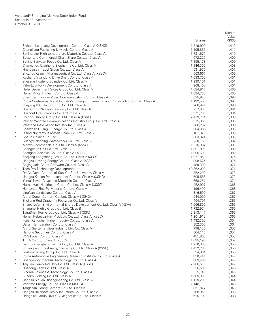|        |                                                                                                                                        |                        | Market         |
|--------|----------------------------------------------------------------------------------------------------------------------------------------|------------------------|----------------|
|        |                                                                                                                                        |                        | Value          |
|        |                                                                                                                                        | <b>Shares</b>          | (\$000)        |
|        | Sichuan Languang Development Co. Ltd. Class A (XSHG)<br>Changjiang Publishing & Media Co. Ltd. Class A                                 | 1,219,900<br>1,105,865 | 1,412<br>1,411 |
| $\ast$ | Beijing Lier High-temperature Materials Co. Ltd. Class A                                                                               | 1,731,571              | 1,410          |
|        | Better Life Commercial Chain Share Co. Ltd. Class A                                                                                    | 672,220                | 1,409          |
|        | Beijing Sanyuan Foods Co. Ltd. Class A                                                                                                 | 1,155,178              | 1,409          |
|        | Changzhou Qianhong Biopharma Co. Ltd. Class A                                                                                          | 1,146,300              | 1,408          |
|        | Hna-Caissa Travel Group Co. Ltd. Class A                                                                                               | 531,976                | 1,407          |
|        | Zhuzhou Qianjin Pharmaceutical Co. Ltd. Class A (XSSC)<br>Xuchang Yuandong Drive Shaft Co. Ltd. Class A                                | 563,667<br>1,033,700   | 1,405<br>1,401 |
|        | Zhejiang Huafeng Spandex Co. Ltd. Class A                                                                                              | 1,999,101              | 1,401          |
|        | Palm Eco-Town Development Co. Ltd. Class A                                                                                             | 908,403                | 1,401          |
|        | Hefei Department Store Group Co. Ltd. Class A                                                                                          | 1,084,817              | 1,400          |
| $\ast$ | Henan Ancai Hi-Tech Co. Ltd. Class A                                                                                                   | 1,024,750              | 1,400          |
|        | Shenzhen Topway Video Communication Co. Ltd. Class A                                                                                   | 625,920                | 1,398          |
|        | China Nonferrous Metal Industry's Foreign Engineering and Construction Co. Ltd. Class A<br>Zhejiang IDC Fluid Control Co. Ltd. Class A | 1,132,500              | 1,397          |
|        | Guangzhou Zhujiang Brewery Co. Ltd. Class A                                                                                            | 266,921<br>717,800     | 1,396<br>1,394 |
|        | Huapont Life Sciences Co. Ltd. Class A                                                                                                 | 971,200                | 1,394          |
|        | Zhuzhou Kibing Group Co. Ltd. Class A (XSSC)                                                                                           | 2,479,714              | 1,393          |
|        | Wuhan Yangtze Communications Industry Group Co. Ltd. Class A                                                                           | 375,860                | 1,393          |
|        | Westone Information Industry Inc. Class A                                                                                              | 268,237                | 1,388          |
|        | Shenzhen Guangju Energy Co. Ltd. Class A                                                                                               | 684,388                | 1,386          |
|        | Rising Nonferrous Metals Share Co. Ltd. Class A<br>Gosun Holding Co. Ltd.                                                              | 181,820<br>363,924     | 1,385<br>1,383 |
|        | Guangxi Nanning Waterworks Co. Ltd. Class A                                                                                            | 730,159                | 1,382          |
|        | Maoye Commericial Co. Ltd. Class A (XSSC)                                                                                              | 1,210,937              | 1,381          |
|        | Changchun Gas Co. Ltd. Class A                                                                                                         | 1,091,800              | 1,380          |
|        | Shanghai Jiao Yun Co. Ltd. Class A (XSSC)                                                                                              | 1,006,690              | 1,380          |
|        | Zhejiang Longsheng Group Co. Ltd. Class A (XSSC)                                                                                       | 1,021,850              | 1,375<br>1,375 |
|        | Jiangsu Linyang Energy Co. Ltd. Class A (XSSC)<br>Beijing Join-Cheer Software Co. Ltd. Class A                                         | 998,525<br>489,300     | 1,374          |
|        | Tech Pro Technology Development Ltd.                                                                                                   | 49,862,000             | 1,374          |
|        | Da An Gene Co. Ltd. of Sun Yat-Sen University Class A                                                                                  | 352,200                | 1,373          |
|        | Jiangsu Kanion Pharmaceutical Co. Ltd. Class A (XSHG)                                                                                  | 505,566                | 1,372          |
|        | Yantai Tayho Advanced Materials Co. Ltd. Class A                                                                                       | 668,261                | 1,371          |
|        | Humanwell Healthcare Group Co. Ltd. Class A (XSSC)                                                                                     | 452,907                | 1,368          |
|        | Hangzhou First Pv Material Co. Ltd. Class A<br>LingNan Landscape Co. Ltd. Class A                                                      | 196,490<br>316,500     | 1,368<br>1,367 |
|        | Anhui Conch Cement Co. Ltd. Class A (XSHG)                                                                                             | 544,000                | 1,367          |
|        | Zhejiang Red Dragonfly Footwear Co. Ltd. Class A                                                                                       | 404,701                | 1,366          |
|        | Shanxi Lu'an Environmental Energy Development Co. Ltd. Class A (XSHG)                                                                  | 1,066,800              | 1,366          |
|        | Shanghai Highly Group Co. Ltd. Class B                                                                                                 | 1,732,974              | 1,366          |
|        | TangShan Port Group Co. Ltd. Class A (XSSC)                                                                                            | 2,313,147              | 1,365          |
|        | Henan Rebecca Hair Products Co. Ltd. Class A (XSSC)<br>Fujian Qingshan Paper Industry Co. Ltd. Class A                                 | 1,201,912<br>1,432,300 | 1,365<br>1,364 |
|        | Dalian Refrigeration Co. Ltd. Class A                                                                                                  | 852,300                | 1,364          |
|        | Anhui Sierte Fertilizer Industry Ltd. Co. Class A                                                                                      | 798,125                | 1,358          |
|        | Haitong Securities Co. Ltd. Class A                                                                                                    | 564,115                | 1,354          |
|        | C&S Paper Co. Ltd. Class A                                                                                                             | 451,800                | 1,353          |
|        | TBEA Co. Ltd. Class A (XSSC)                                                                                                           | 1,035,190              | 1,352          |
|        | Jiangxi Zhengbang Technology Co. Ltd. Class A<br>Shuangliang Eco-Energy Systems Co. Ltd. Class A (XSSC)                                | 1,210,308<br>1,412,260 | 1,350<br>1,350 |
| $\ast$ | Jinzhou Cihang Group Co. Ltd. Class A                                                                                                  | 594,864                | 1,350          |
|        | China Automotive Engineering Research Institute Co. Ltd. Class A                                                                       | 850,441                | 1,347          |
|        | Guangdong Chaohua Technology Co. Ltd. Class A                                                                                          | 809,488                | 1,347          |
| $\ast$ | Taiyuan Heavy Industry Co. Ltd. Class A (XSSC)                                                                                         | 2,206,513              | 1,347          |
|        | Huagong Tech Co. Ltd. Class A                                                                                                          | 536,500                | 1,346          |
|        | Sinoma Science & Technology Co. Ltd. Class A<br>Sundiro Holding Co. Ltd. Class A                                                       | 515,740<br>1,009,900   | 1,345<br>1,344 |
|        | Jiangsu Sihuan Bioengineering Co. Ltd. Class A                                                                                         | 1,119,200              | 1,344          |
|        | Wintime Energy Co. Ltd. Class A (XSHG)                                                                                                 | 2,148,110              | 1,343          |
|        | Tangshan Jidong Cement Co. Ltd. Class A                                                                                                | 851,877                | 1,343          |
| $\ast$ | Jiangsu Rainbow Heavy Industries Co. Ltd. Class A                                                                                      | 708,960                | 1,338          |
|        | Hengdian Group DMEGC Magnetics Co. Ltd. Class A                                                                                        | 620,700                | 1,338          |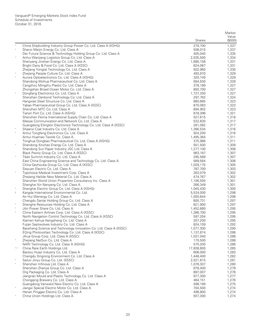|            |                                                                                                                             |                        | Market         |
|------------|-----------------------------------------------------------------------------------------------------------------------------|------------------------|----------------|
|            |                                                                                                                             |                        | Value          |
|            |                                                                                                                             | <b>Shares</b>          | (\$000)        |
|            | China Shipbuilding Industry Group Power Co. Ltd. Class A (XSHG)                                                             | 279,700                | 1,337          |
|            | Shanxi Meijin Energy Co. Ltd. Class A                                                                                       | 508,015                | 1,337          |
| $\ast$     | Der Future Science & Technology Holding Group Co. Ltd. Class A<br>Anhui Wanjiang Logistics Group Co. Ltd. Class A           | 405,040<br>2,035,500   | 1,335<br>1,334 |
|            | Shenyang Jinshan Energy Co. Ltd. Class A                                                                                    | 1,680,158              | 1,331          |
|            | Bright Dairy & Food Co. Ltd. Class A (XSSC)                                                                                 | 624,067                | 1,331          |
|            | Zhejiang Yongtai Technology Co. Ltd. Class A                                                                                | 502,960                | 1,330          |
|            | Zhejiang People Culture Co. Ltd. Class A                                                                                    | 493,970                | 1,329          |
|            | Aurora Optoelectronics Co. Ltd. Class A (XSHG)                                                                              | 320,749                | 1,329          |
|            | Shandong Wohua Pharmaceutical Co. Ltd. Class A                                                                              | 584,500                | 1,328          |
|            | Cangzhou Mingzhu Plastic Co. Ltd. Class A                                                                                   | 378,189                | 1,327          |
|            | Zhongshan Broad Ocean Motor Co. Ltd. Class A                                                                                | 893,700                | 1,327          |
|            | Dongfang Electronics Co. Ltd. Class A                                                                                       | 1,727,250              | 1,327          |
|            | Shenzhen Danbond Technology Co. Ltd. Class A<br>Hangxiao Steel Structure Co. Ltd. Class A                                   | 297,762<br>880,885     | 1,324<br>1,323 |
|            | Yabao Pharmaceutical Group Co. Ltd. Class A (XSSC)                                                                          | 870,083                | 1,323          |
|            | Shenzhen MTC Co. Ltd. Class A                                                                                               | 894,902                | 1,323          |
|            | Tianjin Port Co. Ltd. Class A (XSHG)                                                                                        | 878,396                | 1,321          |
|            | Shenzhen Feima International Supply Chain Co. Ltd. Class A                                                                  | 527,615                | 1,318          |
|            | Maoye Communication and Network Co. Ltd. Class A                                                                            | 532,830                | 1,317          |
|            | Guangdong Ellington Electronics Technology Co. Ltd. Class A (XSSC)                                                          | 281,082                | 1,317          |
| $\ast$     | Shaanxi Coal Industry Co. Ltd. Class A                                                                                      | 1,366,534              | 1,316          |
| $\ast$     | Anhui Tongfeng Electronics Co. Ltd. Class A                                                                                 | 924,200                | 1,316          |
|            | Anhui Huamao Textile Co. Class A                                                                                            | 1,495,364              | 1,311          |
|            | Tonghua Dongbao Pharmaceutical Co. Ltd. Class A (XSHG)                                                                      | 375,986<br>551,500     | 1,311          |
|            | Shandong Xinchao Energy Co. Ltd. Class A<br>Shandong Sun Paper Industry JSC Ltd. Class A                                    | 1,277,100              | 1,309<br>1,308 |
|            | Black Peony Group Co. Ltd. Class A (XSSC)                                                                                   | 983,187                | 1,307          |
| $\ast$     | Tibet Summit Industry Co. Ltd. Class A                                                                                      | 285,589                | 1,307          |
|            | East China Engineering Science and Technology Co. Ltd. Class A                                                              | 589,564                | 1,306          |
|            | China Gezhouba Group Co. Ltd. Class A (XSSC)                                                                                | 1,029,175              | 1,305          |
|            | Sieyuan Electric Co. Ltd. Class A                                                                                           | 787,700                | 1,303          |
|            | Topchoice Medical Investment Corp. Class A                                                                                  | 263,079                | 1,302          |
|            | Zhejiang Hailide New Material Co. Ltd. Class A                                                                              | 474,767                | 1,302          |
|            | Shenzhen World Union Properties Consultancy Inc. Class A                                                                    | 1,106,550              | 1,301          |
|            | Shanghai Xin Nanyang Co. Ltd. Class A                                                                                       | 266,349                | 1,301          |
| $\sqrt{2}$ | Shanghai Electric Group Co. Ltd. Class A (XSHG)<br>Kangda International Environmental Co. Ltd.                              | 1,045,430<br>5,524,000 | 1,300<br>1,298 |
|            | An Hui Wenergy Co. Ltd. Class A                                                                                             | 1,093,644              | 1,298          |
|            | Chengdu Santai Holding Group Co. Ltd. Class A                                                                               | 800,731                | 1,297          |
| $\ast$     | Shenghe Resources Holding Co. Ltd. Class A                                                                                  | 621,900                | 1,297          |
|            | Jilin Power Share Co. Ltd. Class A                                                                                          | 1,452,680              | 1,295          |
|            | China Eastern Airlines Corp. Ltd. Class A (XSSC)                                                                            | 1,386,700              | 1,295          |
|            | North Navigation Control Technology Co. Ltd. Class A (XSSC)                                                                 | 597,204                | 1,295          |
|            | Xiamen Kehua Hengsheng Co. Ltd. Class A                                                                                     | 207,200                | 1,295          |
|            | Fujian Septwolves Industry Co. Ltd. Class A                                                                                 | 824,109                | 1,292          |
|            | Baosheng Science and Technology Innovation Co. Ltd. Class A (XSSC)<br>EGing Photovoltaic Technology Co. Ltd. Class A (XSSC) | 1,077,300<br>1,137,674 | 1,290<br>1,288 |
|            | Jihua Group Corp. Ltd. Class A (XSSC)                                                                                       | 1,027,040              | 1,288          |
|            | Zhejiang NetSun Co. Ltd. Class A                                                                                            | 170,500                | 1,288          |
|            | NARI Technology Co. Ltd. Class A (XSHG)                                                                                     | 570,200                | 1,286          |
| *,^        | China Rare Earth Holdings Ltd.                                                                                              | 17,838,800             | 1,285          |
|            | Baotou Huazi Industry Co. Ltd. Class A                                                                                      | 606,000                | 1,283          |
|            | Chengdu Xingrong Environment Co. Ltd. Class A                                                                               | 1,448,400              | 1,282          |
|            | Sailun Jinyu Group Co. Ltd. (XSSC)                                                                                          | 2,021,815              | 1,281          |
|            | Shenzhen Infinova Ltd. Class A                                                                                              | 1,076,307              | 1,280          |
|            | Shenzhen Zhenye Group Co. Ltd. Class A                                                                                      | 878,400                | 1,279          |
|            | Org Packaging Co. Ltd. Class A                                                                                              | 897,007                | 1,278          |
|            | Jiangnan Mould and Plastic Technology Co. Ltd. Class A<br>Chongqing Brewery Co. Ltd. Class A                                | 977,300<br>464,151     | 1,277<br>1,276 |
|            | Guangdong Vanward New Electric Co. Ltd. Class A                                                                             | 498,189                | 1,275          |
|            | Jiangxi Special Electric Motor Co. Ltd. Class A                                                                             | 704,500                | 1,274          |
|            | Henan Pinggao Electric Co. Ltd. Class A                                                                                     | 498,800                | 1,274          |
|            | China Union Holdings Ltd. Class A                                                                                           | 937,300                | 1,274          |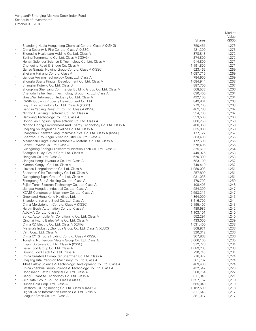|             |                                                                                           |                      | Market         |
|-------------|-------------------------------------------------------------------------------------------|----------------------|----------------|
|             |                                                                                           |                      | Value          |
|             |                                                                                           | <b>Shares</b>        | (\$000)        |
|             | Shandong Hualu Hengsheng Chemical Co. Ltd. Class A (XSHG)                                 | 750,451              | 1,273          |
|             | China Security & Fire Co. Ltd. Class A (XSSC)                                             | 421,300              | 1,273          |
|             | Zhongzhu Healthcare Holding Co. Ltd. Class A                                              | 378,843              | 1,272          |
|             | Beijing Tongrentang Co. Ltd. Class A (XSHG)                                               | 274,800              | 1,272          |
|             | Henan Splendor Science & Technology Co. Ltd. Class A                                      | 514,800              | 1,271          |
|             | Chongqing Road & Bridge Co. Class A                                                       | 1,191,800            | 1,271          |
|             | Gansu Gangtai Holding Group Co. Ltd. Class A (XSSC)<br>Zhejiang Hailiang Co. Ltd. Class A | 523,462<br>1,087,716 | 1,269          |
|             | Jiangsu Aoyang Technology Corp. Ltd. Class A                                              | 784,900              | 1,269<br>1,269 |
|             | Zhongfu Straits Pingtan Development Co. Ltd. Class A                                      | 1,084,944            | 1,268          |
|             | Shanghai Potevio Co. Ltd. Class B                                                         | 887,700              | 1,267          |
|             | Zhongxing Shenyang Commercial Building Group Co. Ltd. Class A                             | 568,538              | 1,266          |
| $\ast$      | Chengdu Taihe Health Technology Group Inc. Ltd. Class A                                   | 630,400              | 1,264          |
|             | GreatWall Information Industry Co. Ltd. Class A                                           | 422,100              | 1,264          |
|             | CASIN Guoxing Property Development Co. Ltd.                                               | 849,801              | 1,263          |
|             | Jinyu Bio-Technology Co. Ltd. Class A (XSSC)                                              | 279,700              | 1,263          |
|             | Jiangsu Yabang Dyestuff Co. Ltd. Class A (XSSC)                                           | 469,788              | 1,262          |
|             | Ningbo Huaxiang Electronic Co. Ltd. Class A                                               | 354,700              | 1,262          |
| $\ast$      | Hanwang Technology Co. Ltd. Class A                                                       | 333,500              | 1,260          |
|             | Dongquan Kingsun Optoelectronic Co. Ltd. Class A                                          | 806,250              | 1,259          |
|             | Ningbo Ligong Environment And Energy Technology Co. Ltd. Class A                          | 408,869              | 1,258          |
|             | Zhejiang Shuanghuan Driveline Co. Ltd. Class A                                            | 635,080              | 1,258          |
|             | Zhangzhou Pientzehuang Pharmaceutical Co. Ltd. Class A (XSSC)                             | 177,127              | 1,257          |
|             | Chenzhou City Jingui Silver Industry Co. Ltd. Class A                                     | 363,400              | 1,255          |
|             | Maanshan Dingtai Rare Earth&New Material Co. Ltd. Class A                                 | 172,600              | 1,255          |
|             | Canny Elevator Co. Ltd. Class A                                                           | 578,496              | 1,255          |
|             | Guangdong Shenglu Telecommunication Tech Co. Ltd. Class A                                 | 325,610<br>449,976   | 1,254<br>1,253 |
|             | Shanghai Huayi Group Corp. Ltd. Class A<br>Hengbao Co. Ltd. Class A                       | 620,300              | 1,253          |
|             | Jiangsu Hengli Hydraulic Co. Ltd. Class A                                                 | 583,100              | 1,252          |
| $\ast$      | Xiamen Xiangyu Co. Ltd. Class A                                                           | 749,419              | 1,252          |
|             | Liuzhou Liangmianzhen Co. Ltd. Class A                                                    | 1,080,093            | 1,251          |
|             | Shenzhen Click Technology Co. Ltd. Class A                                                | 257,800              | 1,251          |
|             | Guangdong Tapai Group Co. Ltd. Class A                                                    | 931,036              | 1,251          |
| $\ast$      | Zhongtong Bus & Holding Co. Ltd. Class A                                                  | 470,700              | 1,250          |
|             | Fujian Torch Electron Technology Co. Ltd. Class A                                         | 108,405              | 1,248          |
|             | Jiangsu Hongdou Industrial Co. Ltd. Class A                                               | 984,300              | 1,247          |
|             | XCMG Construction Machinery Co. Ltd. Class A                                              | 2,593,215            | 1,247          |
| $^*,\wedge$ | Greenland Hong Kong Holdings Ltd.                                                         | 4,864,000            | 1,245          |
|             | Shandong Iron and Steel Co. Ltd. Class A                                                  | 3,416,700            | 1,244          |
|             | China Molybdenum Co. Ltd. Class A (XSSC)                                                  | 2,195,400            | 1,243          |
|             | Harbin Boshi Automation Co. Ltd. Class A                                                  | 489,986              | 1,242          |
| $\ast$      | AUCMA Co. Ltd. Class A                                                                    | 1,103,101            | 1,240          |
|             | Songz Automobile Air Conditioning Co. Ltd. Class A                                        | 552,297              | 1,240          |
|             | Qinghai Huzhu Barley Wine Co. Ltd. Class A<br>China XD Electric Co. Ltd. Class A (XSHG)   | 433,000              | 1,239          |
|             |                                                                                           | 1,531,400<br>808,971 | 1,238          |
| $\ast$      | Materials Industry Zhongda Group Co. Ltd. Class A (XSSC)<br>Vatti Corp. Ltd. Class A      | 320,312              | 1,238<br>1,236 |
|             | China CYTS Tours Holding Co. Ltd. Class A (XSSC)                                          | 367,868              | 1,236          |
| $\ast$      | Tongling Nonferrous Metals Group Co. Ltd. Class A                                         | 3,066,100            | 1,235          |
|             | Inspur Software Co. Ltd. Class A (XSSC)                                                   | 312,726              | 1,234          |
|             | Jiajia Food Group Co. Ltd. Class A                                                        | 1,089,263            | 1,233          |
| $\ast$      | Ground Food Tech Co. Ltd. Class A                                                         | 730,743              | 1,231          |
|             | China Greatwall Computer Shenzhen Co. Ltd. Class A                                        | 716,877              | 1,224          |
| $\ast$      | Zhejiang Rifa Precision Machinery Co. Ltd. Class A                                        | 561,702              | 1,224          |
|             | Tibet Galaxy Science & Technology Development Co. Ltd. Class A                            | 469,400              | 1,224          |
|             | China Zhenhua Group Science & Technology Co. Ltd. Class A                                 | 432,542              | 1,223          |
|             | Rongsheng Petro Chemical Co. Ltd. Class A                                                 | 560,754              | 1,222          |
|             | JiangSu Yabaite Technology Co. Ltd. Class A                                               | 611,343              | 1,221          |
|             | Jilin Yatai Group Co. Ltd. Class A (XSSC)                                                 | 1,597,167            | 1,219          |
|             | Hunan Gold Corp. Ltd. Class A                                                             | 665,040              | 1,219          |
|             | Offshore Oil Engineering Co. Ltd. Class A (XSHG)                                          | 1,162,500            | 1,218          |
|             | Digital China Information Service Co. Ltd. Class A                                        | 311,643              | 1,217          |
|             | Leaguer Stock Co. Ltd. Class A                                                            | 381,017              | 1,217          |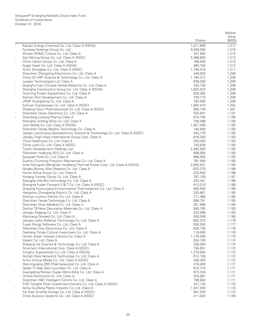|        |                                                                                                        | <b>Shares</b>        | Market<br>Value<br>(\$000) |
|--------|--------------------------------------------------------------------------------------------------------|----------------------|----------------------------|
|        | Kailuan Energy Chemical Co. Ltd. Class A (XSHG)                                                        | 1,071,969            | 1,217                      |
|        | Fantasia Holdings Group Co. Ltd.                                                                       | 9,369,000            | 1,216                      |
|        | Wuhan DDMC Culture Co. Ltd. Class A                                                                    | 437,950              | 1,215                      |
|        | Zijin Mining Group Co. Ltd. Class A (XSSC)                                                             | 2,486,600            | 1,213                      |
| $\ast$ | China Calxon Group Co. Ltd. Class A                                                                    | 788,400              | 1,212                      |
|        | Angel Yeast Co. Ltd. Class A (XSHG)                                                                    | 484,792              | 1,212                      |
|        | Xinhu Zhongbao Co. Ltd. Class A (XSSC)                                                                 | 1,746,518            | 1,211                      |
|        | Shenzhen Zhengtong Electronics Co. Ltd. Class A<br>China Oil HBP Science & Technology Co. Ltd. Class A | 449,500<br>1,184,212 | 1,209<br>1,209             |
|        | Lanpec Technologies Ltd. Class A                                                                       | 638,300              | 1,209                      |
|        | GuangYuYuan Chinese Herbal Medicine Co. Ltd. Class A                                                   | 242,100              | 1,208                      |
|        | Shanghai Construction Group Co. Ltd. Class A (XSHG)                                                    | 1,823,522            | 1,208                      |
|        | Huaming Power Equipement Co. Ltd. Class A                                                              | 505,362              | 1,208                      |
|        | Xiamen Port Development Co. Ltd. Class A                                                               | 739,716              | 1,206                      |
|        | JPMF Guangdong Co. Ltd. Class A                                                                        | 794,500              | 1,206                      |
|        | Sichuan Expressway Co. Ltd. Class A (XSSC)                                                             | 1,682,510            | 1,202                      |
|        | Zhejiang Hisun Pharmaceutical Co. Ltd. Class A (XSSC)                                                  | 568,100              | 1,201                      |
|        | Shenzhen Deren Electronic Co. Ltd. Class A                                                             | 253,591              | 1,197                      |
|        | Shandong Lukang Pharma Class A                                                                         | 816,700              | 1,196                      |
|        | Shanghai Jinfeng Wine Co. Ltd. Class A                                                                 | 758,496              | 1,195                      |
|        | Jishi Media Co. Ltd. Class A (XSHG)<br>Shenzhen Desay Battery Technology Co. Class A                   | 1,827,200<br>184,400 | 1,193<br>1,193             |
|        | Jiangxi Lianchuang Optoelectronic Science & Technology Co. Ltd. Class A (XSSC)                         | 443,776              | 1,193                      |
|        | Jiangsu High Hope International Group Corp. Class A                                                    | 916,300              | 1,193                      |
| $\ast$ | Yihua Healthcare Co. Ltd. Class A                                                                      | 253,040              | 1,193                      |
|        | China Jushi Co. Ltd. Class A (XSSC)                                                                    | 742,638              | 1,193                      |
|        | Tianjin Development Holdings Ltd.                                                                      | 2,492,000            | 1,192                      |
| $\ast$ | Shenzhen Huakong SEG Co. Ltd. Class A                                                                  | 858,900              | 1,192                      |
|        | Sanguan Food Co. Ltd. Class A                                                                          | 896,000              | 1,192                      |
|        | Suzhou Chunxing Precision Mechanical Co. Ltd. Class A                                                  | 781,900              | 1,190                      |
|        | Inner Mongolia MengDian HuaNeng Thermal Power Corp. Ltd. Class A (XSHG)                                | 2,555,201            | 1,190                      |
|        | Ningbo Boway Alloy Material Co. Ltd. Class A                                                           | 623,270              | 1,188                      |
| $\ast$ | Hunan Aihua Group Co. Ltd. Class A<br>Xinjiang Youhao Group Co. Ltd. Class A                           | 225,620<br>767,100   | 1,188<br>1,187             |
|        | Shanghai Hile Bio-Technology Co. Ltd. Class A                                                          | 433,341              | 1,186                      |
|        | Shanghai Fudan Forward S & T Co. Ltd. Class A (XSSC)                                                   | 912,010              | 1,186                      |
|        | Zhejiang Fuchunjiang Environmental Thermoelectric Co. Ltd. Class A                                     | 585,500              | 1,186                      |
|        | Hangzhou Zhongheng Electric Co. Ltd. Class A                                                           | 325,667              | 1,185                      |
|        | Sichuan Jiuzhou Electric Co. Ltd. Class A                                                              | 711,368              | 1,185                      |
|        | Shenzhen Fenda Technology Co. Ltd. Class A                                                             | 568,791              | 1,185                      |
| $\ast$ | Shenzhen Glory Medical Co. Ltd. Class A                                                                | 351,886              | 1,184                      |
|        | DeHua TB New Decoration Materials Co. Ltd. Class A                                                     | 595,750              | 1,183                      |
|        | Jiangsu Dagang Co. Ltd. Class A                                                                        | 423,089              | 1,182                      |
|        | Wanxiang Doneed Co. Ltd. Class A<br>Jiangsu Leike Defense Technology Co. Ltd. Class A                  | 459,048<br>602,323   | 1,180<br>1,178             |
|        | Fujian Rongji Software Co. Ltd. Class A                                                                | 500,500              | 1,177                      |
|        | Shenzhen Clou Electronics Co. Ltd. Class A                                                             | 826,100              | 1,176                      |
|        | Dasheng Times Cultural Investment Co. Ltd. Class A                                                     | 116,000              | 1,176                      |
| $\ast$ | Hunan Jinjian Cereals Industry Co. Class A                                                             | 1,176,000            | 1,175                      |
|        | Valiant Co. Ltd. Class A                                                                               | 204,100              | 1,174                      |
|        | Zhejiang Vie Science & Technology Co. Ltd. Class A                                                     | 336,000              | 1,174                      |
|        | Sinochem International Corp. Class A (XSSC)                                                            | 794,851              | 1,173                      |
|        | Yonghui Superstores Co. Ltd. Class A (XSHG)                                                            | 1,770,600            | 1,173                      |
|        | Gohigh Data Networks Technology Co. Ltd. Class A                                                       | 612,100              | 1,172                      |
|        | Anhui Xinhua Media Co. Ltd. Class A (XSSC)                                                             | 490,455              | 1,172                      |
|        | HeiLongJiang ZBD Pharmaceutical Co. Ltd. Class A<br>Dalian Yi Qiao Sea Cucumber Co. Ltd. Class A       | 370,400<br>815,775   | 1,171<br>1,171             |
| $\ast$ | Guangdong Ronsen Super Micro-Wire Co. Ltd. Class A                                                     | 873,334              | 1,171                      |
|        | United Electronics Co. Ltd. Class A                                                                    | 324,587              | 1,171                      |
|        | Shenzhen H&T Intelligent Control Co. Ltd. Class A                                                      | 708,842              | 1,171                      |
|        | YUD Yangtze River Investment Industry Co. Ltd. Class A (XSSC)                                          | 347,125              | 1,170                      |
|        | Anhui Guofeng Plastic Industry Co. Ltd. Class A                                                        | 1,347,300            | 1,170                      |
| $\ast$ | Far East Smarter Energy Co. Ltd. Class A (XSSC)                                                        | 901,200              | 1,170                      |
|        | China Avionics Systems Co. Ltd. Class A (XSSC)                                                         | 411,820              | 1,169                      |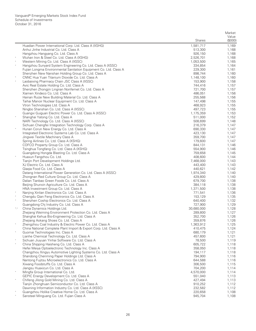|                   |                                                                                                     |                      | Market         |
|-------------------|-----------------------------------------------------------------------------------------------------|----------------------|----------------|
|                   |                                                                                                     |                      | Value          |
|                   |                                                                                                     | <b>Shares</b>        | (\$000)        |
|                   | Huadian Power International Corp. Ltd. Class A (XSHG)                                               | 1,581,717            | 1,169          |
|                   | Anhui Jinhe Industrial Co. Ltd. Class A                                                             | 513,300<br>926,150   | 1,168<br>1,168 |
|                   | Hangzhou Hangyang Co. Ltd. Class A<br>Wuhan Iron & Steel Co. Ltd. Class A (XSHG)                    | 2,526,701            | 1,168          |
|                   | Western Mining Co. Ltd. Class A (XSSC)                                                              | 1,053,500            | 1,165          |
|                   | Hangzhou Sunyard System Engineering Co. Ltd. Class A (XSSC)                                         | 334,854              | 1,164          |
|                   | Fujian Longma Environmental Sanitation Equipment Co. Ltd. Class A                                   | 229,300              | 1,161          |
|                   | Shenzhen New Nanshan Holding Group Co. Ltd. Class A                                                 | 898,744              | 1,160          |
|                   | CNNC Hua Yuan Titanium Dioxide Co. Ltd. Class A                                                     | 1,148,100            | 1,160          |
| $\ast$            | Laobaixing Pharmacy Chain JSC Class A (XSSC)                                                        | 153,900              | 1,158          |
|                   | Avic Real Estate Holding Co. Ltd. Class A                                                           | 744,416              | 1,157          |
|                   | Shenzhen Zhongjin Lingnan Nonfemet Co. Ltd. Class A                                                 | 721,700              | 1,157          |
|                   | Xiamen Xindeco Co. Ltd. Class A                                                                     | 486,051              | 1,156          |
|                   | Hainan Ruize New Building Material Co. Ltd. Class A                                                 | 255,568              | 1,156          |
|                   | Taihai Manoir Nuclear Equipment Co. Ltd. Class A                                                    | 147,498              | 1,155          |
|                   | Vtron Technologies Ltd. Class A                                                                     | 468,923              | 1,155          |
|                   | Ningbo Shanshan Co. Ltd. Class A (XSSC)                                                             | 497,723              | 1,155          |
|                   | Guangxi Guiguan Electric Power Co. Ltd. Class A (XSSC)                                              | 1,175,359            | 1,153          |
| $\ast$            | Shanghai Yatong Co. Ltd. Class A                                                                    | 511,000              | 1,152          |
|                   | NARI Technology Co. Ltd. Class A (XSSC)                                                             | 508,699              | 1,148          |
|                   | Sichuan Chengfei Integration Technology Corp. Class A                                               | 216,379              | 1,147          |
| $\ast$            | Hunan Corun New Energy Co. Ltd. Class A                                                             | 690,330              | 1,147          |
|                   | Integrated Electronic Systems Lab Co. Ltd. Class A                                                  | 423,130              | 1,147          |
|                   | Jingwei Textile Machinery Class A<br>Spring Airlines Co. Ltd. Class A (XSHG)                        | 359,700<br>179,600   | 1,147          |
|                   | COFCO Property Group Co. Ltd. Class A                                                               | 844,131              | 1,147<br>1,146 |
|                   | Tsinghua Tongfang Co. Ltd. Class A (XSHG)                                                           | 554,900              | 1,146          |
|                   | Guangdong Hongda Blasting Co. Ltd. Class A                                                          | 759,658              | 1,145          |
| $\ast$            | Huaxun Fangzhou Co. Ltd.                                                                            | 408,600              | 1,144          |
|                   | Tianjin Port Development Holdings Ltd.                                                              | 7,468,000            | 1,143          |
|                   | XJ Electric Co. Ltd. Class A                                                                        | 443,400              | 1,143          |
|                   | Qiaqia Food Co. Ltd. Class A                                                                        | 440,621              | 1,142          |
|                   | Datang International Power Generation Co. Ltd. Class A (XSSC)                                       | 1,974,340            | 1,140          |
|                   | Zhongnan Red Culture Group Co. Ltd. Class A                                                         | 429,800              | 1,140          |
|                   | Dalian Tianbao Green Foods Co. Ltd. Class A                                                         | 679,700              | 1,138          |
|                   | Beijing Shunxin Agriculture Co. Ltd. Class A                                                        | 384,118              | 1,138          |
|                   | HNA Investment Group Co. Ltd. Class A                                                               | 1,371,500            | 1,138          |
|                   | Nanjing Xinlian Electronics Co. Ltd. Class A                                                        | 771,541              | 1,136          |
|                   | Chengdu Qian Feng Electronics Co. Ltd. Class A                                                      | 153,129              | 1,135          |
|                   | Shenzhen Coship Electronics Co. Ltd. Class A                                                        | 640,400              | 1,132          |
|                   | Guangdong Chi Industry Co. Ltd. Class A                                                             | 727,900              | 1,129          |
| ${}^\star,\wedge$ | China Dynamics Holdings Ltd.                                                                        | 30,680,000           | 1,128          |
|                   | Zhejiang Weiming Environment Protection Co. Ltd. Class A                                            | 289,800              | 1,127          |
|                   | Shanghai Kehua Bio-Engineering Co. Ltd. Class A                                                     | 352,700              | 1,126          |
|                   | Zhejiang Aokang Shoes Co. Ltd. Class A<br>Zhengzhou Coal Industry & Electric Power Co. Ltd. Class A | 359,876<br>1,363,912 | 1,126          |
|                   | China National Complete Plant Import & Export Corp. Ltd. Class A                                    | 410,475              | 1,125<br>1,124 |
| $\ast$            | Guomai Technologies Inc. Class A                                                                    | 680,179              | 1,121          |
|                   | Lianhe Chemical Technology Co. Ltd. Class A                                                         | 457,600              | 1,121          |
|                   | Sichuan Jiuyuan Yinhai Software Co. Ltd. Class A                                                    | 78,500               | 1,119          |
| $\ast$            | China Shipping Haisheng Co. Ltd. Class A                                                            | 605,722              | 1,118          |
|                   | Hefei Meiya Optoelectronic Technology Inc. Class A                                                  | 358,050              | 1,118          |
|                   | Changzhou Xingyu Automotive Lighting Systems Co. Ltd. Class A                                       | 194,117              | 1,118          |
|                   | Shandong Chenming Paper Holdings Ltd. Class A                                                       | 794,900              | 1,116          |
|                   | Nantong Fujitsu Microelectronics Co. Ltd. Class A                                                   | 644,588              | 1,116          |
|                   | Xiwang Foodstuffs Co. Ltd. Class A                                                                  | 306,500              | 1,115          |
|                   | Jiangsu Huaxicun Co. Ltd. Class A                                                                   | 704,200              | 1,114          |
|                   | Mingfa Group International Co. Ltd.                                                                 | 4,570,000            | 1,114          |
|                   | GEPIC Energy Development Co. Ltd. Class A                                                           | 551,040              | 1,113          |
| $\ast$            | Chifeng Jilong Gold Mining Co. Ltd. Class A                                                         | 427,494              | 1,113          |
|                   | Tianjin Zhonghuan Semiconductor Co. Ltd. Class A                                                    | 910,252              | 1,112          |
|                   | Dawning Information Industry Co. Ltd. Class A (XSSC)                                                | 232,582              | 1,112          |
|                   | Guangzhou Holike Creative Home Co. Ltd. Class A                                                     | 220,658              | 1,108          |
|                   | Sansteel Minguang Co. Ltd. Fujian Class A                                                           | 945,704              | 1,108          |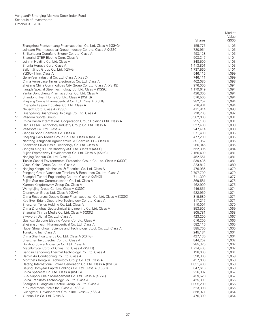|        |                                                                                                                     |                      | Market           |
|--------|---------------------------------------------------------------------------------------------------------------------|----------------------|------------------|
|        |                                                                                                                     | <b>Shares</b>        | Value<br>(\$000) |
|        | Zhangzhou Pientzehuang Pharmaceutical Co. Ltd. Class A (XSHG)                                                       | 155,775              | 1,105            |
|        | Joincare Pharmaceutical Group Industry Co. Ltd. Class A (XSSC)                                                      | 720,954              | 1,105            |
| $\ast$ | Shijiazhuang Dongfang Energy Co. Ltd. Class A                                                                       | 493,128              | 1,105            |
|        | Shanghai STEP Electric Corp. Class A                                                                                | 503,347              | 1,104            |
| $\ast$ | Join. in Holding Co. Ltd. Class A                                                                                   | 348,500              | 1,103            |
|        | Shunfa Hengye Corp. Class A                                                                                         | 1,413,801            | 1,103            |
|        | Sailun Jinyu Group Co. Ltd. (XSHG)<br>YGSOFT Inc. Class A                                                           | 1,737,560            | 1,101            |
| $\ast$ | Gem-Year Industrial Co. Ltd. Class A (XSSC)                                                                         | 546,115<br>746,111   | 1,099<br>1,099   |
|        | China Aerospace Times Electronics Co. Ltd. Class A                                                                  | 462,080              | 1,098            |
|        | Zhejiang China Commodities City Group Co. Ltd. Class A (XSHG)                                                       | 976,000              | 1,094            |
|        | Fangda Special Steel Technology Co. Ltd. Class A (XSSC)                                                             | 1,179,649            | 1,094            |
|        | Yantai Dongcheng Pharmaceutical Co. Ltd. Class A                                                                    | 426,300              | 1,094            |
| $\ast$ | Shandong Tyan Home Co. Ltd. Class A (XSHG)                                                                          | 576,500              | 1,094            |
|        | Zhejiang Conba Pharmaceutical Co. Ltd. Class A (XSHG)                                                               | 982,257              | 1,094            |
|        | Chengdu Leejun Industrial Co. Ltd. Class A                                                                          | 718,961              | 1,094            |
|        | Neusoft Corp. Class A (XSSC)<br>Guangdong Guanghong Holdings Co. Ltd. Class A                                       | 411,814<br>720,203   | 1,093<br>1,092   |
| *,^    | Wisdom Sports Group                                                                                                 | 3,382,000            | 1,091            |
|        | China Dalian International Cooperation Group Holdings Ltd. Class A                                                  | 295,100              | 1,091            |
|        | Han's Laser Technology Industry Group Co. Ltd. Class A                                                              | 327,400              | 1,089            |
| $\ast$ | Wisesoft Co. Ltd. Class A                                                                                           | 247,414              | 1,088            |
|        | Jiangsu Sopo Chemical Co. Class A                                                                                   | 571,400              | 1,086            |
|        | Zhejiang Daily Media Group Co. Ltd. Class A (XSHG)                                                                  | 477,200              | 1,086            |
|        | Nantong Jiangshan Agrochemical & Chemical LLC Class A                                                               | 391,062              | 1,086            |
| $\ast$ | Shenzhen Silver Basis Technology Co. Ltd. Class A                                                                   | 266,346              | 1,085            |
|        | Jiangsu King's Luck Brewery JSC Ltd. Class A (XSSC)                                                                 | 552,395<br>2,156,400 | 1,084<br>1,081   |
|        | Fujian Expressway Development Co. Ltd. Class A (XSHG)<br>Nanjing Redsun Co. Ltd. Class A                            | 462,551              | 1,081            |
|        | Tianjin Capital Environmental Protection Group Co. Ltd. Class A (XSSC)                                              | 839,436              | 1,081            |
| $\ast$ | Visual China Group Co. Ltd. Class A                                                                                 | 323,812              | 1,080            |
|        | Nanjing Kangni Mechanical & Electrical Co. Ltd. Class A                                                             | 476,985              | 1,079            |
|        | Pangang Group Vanadium Titanium & Resources Co. Ltd. Class A                                                        | 2,797,700            | 1,079            |
|        | Shanghai Tunnel Engineering Co. Ltd. Class A (XSHG)                                                                 | 711,300              | 1,077            |
|        | Fujian Star-net Communication Co. Ltd. Class A                                                                      | 369,581              | 1,075            |
|        | Xiamen Kingdomway Group Co. Class A                                                                                 | 462,900              | 1,075            |
|        | Wangfujing Group Co. Ltd. Class A (XSSC)<br>Changyuan Group Ltd. Class A (XSHG)                                     | 446,851<br>522,960   | 1,074<br>1.074   |
|        | China Resources Double Crane Pharmaceutical Co. Ltd. Class A (XSSC)                                                 | 319,689              | 1,071            |
|        | Kee Ever Bright Decorative Technology Co. Ltd. Class A                                                              | 117,217              | 1,071            |
| $\ast$ | Shenzhen Tellus Holding Co. Ltd. Class A                                                                            | 110,007              | 1,070            |
|        | China Zhonghua Geotechnical Engineering Co. Ltd. Class A                                                            | 853,506              | 1,069            |
|        | Shanghai Xinhua Media Co. Ltd. Class A (XSSC)                                                                       | 805,781              | 1,068            |
|        | Skyworth Digital Co. Ltd. Class A                                                                                   | 423,200              | 1,067            |
|        | Guangxi Guidong Electric Power Co. Ltd. Class A                                                                     | 616,200              | 1,066            |
|        | Zhejiang Jingxin Pharmaceutical Co. Ltd. Class A<br>Hubei Shuanghuan Science and Technology Stock Co. Ltd. Class A  | 582,116<br>885,700   | 1,065<br>1,065   |
|        | Tungkong Inc. Class A                                                                                               | 245,184              | 1,064            |
|        | China Shenhua Energy Co. Ltd. Class A (XSHG)                                                                        | 427,130              | 1,064            |
|        | Shenzhen Invt Electric Co. Ltd. Class A                                                                             | 844,252              | 1,062            |
|        | Guizhou Space Appliance Co. Ltd. Class A                                                                            | 285,320              | 1,062            |
|        | Metallurgical Corp. of China Ltd. Class A (XSHG)                                                                    | 1,714,400            | 1,062            |
|        | Jiangsu Fengdong Thermal Technology Co. Ltd. Class A                                                                | 198,000              | 1,061            |
| $\ast$ | Harbin Air Conditioning Co. Ltd. Class A                                                                            | 590,300              | 1,059            |
|        | Montnets Rongxin Technology Group Co. Ltd. Class A<br>Datang International Power Generation Co. Ltd. Class A (XSHG) | 437,000<br>1,831,400 | 1,058<br>1,058   |
|        | Beijing Homyear Capital Holdings Co. Ltd. Class A (XSSC)                                                            | 647,616              | 1,058            |
|        | China Spacesat Co. Ltd. Class A (XSHG)                                                                              | 226,387              | 1,057            |
|        | CCS Supply Chain Management Co. Ltd. Class A (XSSC)                                                                 | 459,628              | 1,057            |
|        | China TransInfo Technology Co. Ltd. Class A                                                                         | 425,300              | 1,056            |
|        | Shanghai Guangdian Electric Group Co. Ltd. Class A                                                                  | 1,095,200            | 1,056            |
|        | KPC Pharmaceuticals Inc. Class A (XSSC)                                                                             | 523,308              | 1,055            |
|        | Guangzhou Development Group Inc. Class A (XSSC)                                                                     | 858,971              | 1,054            |
|        | Yunnan Tin Co. Ltd. Class A                                                                                         | 476,300              | 1,054            |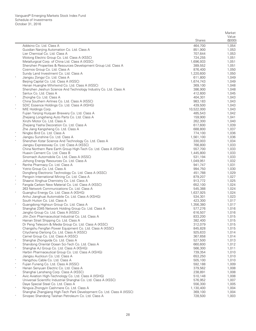|        |                                                                                                                      |                      | Market         |
|--------|----------------------------------------------------------------------------------------------------------------------|----------------------|----------------|
|        |                                                                                                                      |                      | Value          |
|        |                                                                                                                      | <b>Shares</b>        | (\$000)        |
|        | Addsino Co. Ltd. Class A                                                                                             | 464,700              | 1,054          |
|        | Guodian Nanjing Automation Co. Ltd. Class A<br>Lier Chemical Co. Ltd. Class A                                        | 851,900<br>707,644   | 1,053          |
|        | Wolong Electric Group Co. Ltd. Class A (XSSC)                                                                        | 724,255              | 1,053<br>1,051 |
|        | Metallurgical Corp. of China Ltd. Class A (XSSC)                                                                     | 1,696,933            | 1,051          |
|        | Shenzhen Properties & Resources Development Group Ltd. Class A                                                       | 389,552              | 1,051          |
|        | Cosmos Group Co. Ltd. Class A                                                                                        | 876,400              | 1,050          |
|        | Sundy Land Investment Co. Ltd. Class A                                                                               | 1,220,600            | 1,050          |
| $\ast$ | Jiangsu Zongyi Co. Ltd. Class A                                                                                      | 611,800              | 1,049          |
|        | Beijing Capital Co. Ltd. Class A (XSSC)                                                                              | 1,674,743            | 1,049          |
|        | Henan Huanghe Whirlwind Co. Ltd. Class A (XSSC)                                                                      | 369,100              | 1,048          |
|        | Shenzhen Jieshun Science And Technology Industry Co. Ltd. Class A                                                    | 386,900              | 1,048          |
|        | Sanlux Co. Ltd. Class A                                                                                              | 412,600              | 1,045          |
| $\ast$ | Zhonghe Co. Ltd. Class A                                                                                             | 404,301              | 1,043          |
|        | China Southern Airlines Co. Ltd. Class A (XSSC)                                                                      | 983,183              | 1,043          |
|        | SDIC Essence Holdings Co. Ltd. Class A (XSHG)                                                                        | 439,500              | 1,043          |
| $\ast$ | MIE Holdings Corp.                                                                                                   | 10,522,000           | 1,043          |
|        | Fujian Yanjing Huiquan Brewery Co. Ltd. Class A                                                                      | 485,543              | 1,042          |
|        | Zhejiang Longsheng Auto Parts Co. Ltd. Class A                                                                       | 159,900              | 1,041          |
|        | Xinzhi Motor Co. Ltd. Class A                                                                                        | 262,300              | 1,040          |
|        | Zhejiang Yasha Decoration Co. Ltd. Class A                                                                           | 617,600              | 1,039          |
|        | Zhe Jiang Kangsheng Co. Ltd. Class A                                                                                 | 688,800              | 1,037          |
|        | Ningbo Bird Co. Ltd. Class A                                                                                         | 774,100<br>1,561,100 | 1,036<br>1,036 |
|        | Jiangsu Sunshine Co. Ltd. Class A<br>Shenzhen Kstar Science And Technology Co. Ltd. Class A                          |                      | 1,034          |
|        | Jiangsu Expressway Co. Ltd. Class A (XSSC)                                                                           | 330,003<br>766,800   | 1,033          |
|        | China Northern Rare Earth Group High-Tech Co. Ltd. Class A (XSHG)                                                    | 557,700              | 1,033          |
|        | Huaxin Cement Co. Ltd. Class B                                                                                       | 1,445,800            | 1,033          |
|        | Sinomach Automobile Co. Ltd. Class A (XSSC)                                                                          | 531,194              | 1,033          |
|        | Jizhong Energy Resources Co. Ltd. Class A                                                                            | 1,049,951            | 1,032          |
| $\ast$ | Renhe Pharmacy Co. Ltd. Class A                                                                                      | 941,747              | 1,031          |
|        | Yotrio Group Co. Ltd. Class A                                                                                        | 994,750              | 1,030          |
|        | Dongfeng Electronic Technology Co. Ltd. Class A (XSSC)                                                               | 451,788              | 1,029          |
|        | Pengxin International Mining Co. Ltd. Class A                                                                        | 879,207              | 1,027          |
|        | Shaanxi Xinghua Chemistry Co. Ltd. Class A                                                                           | 913,772              | 1,025          |
| $\ast$ | Fangda Carbon New Material Co. Ltd. Class A (XSSC)                                                                   | 652,100              | 1,024          |
|        | 263 Network Communications Co. Ltd. Class A                                                                          | 545,388              | 1,024          |
| $\ast$ | Guanghui Energy Co. Ltd. Class A (XSHG)                                                                              | 1,637,925            | 1,024          |
|        | Anhui Jianghuai Automobile Co. Ltd. Class A (XSHG)                                                                   | 534,301              | 1,023          |
| $\ast$ | South Huiton Co. Ltd. Class A                                                                                        | 423,300              | 1,017          |
|        | Guangdong Highsun Group Co. Ltd. Class A                                                                             | 1,356,380            | 1,017          |
|        | Shanghai 2345 Network Holding Group Co. Ltd. Class A                                                                 | 577,276              | 1,016          |
|        | Jangho Group Co. Ltd. Class A (XSSC)<br>Jilin Zixin Pharmaceutical Industrial Co. Ltd. Class A                       | 616,507<br>833,200   | 1,016<br>1,015 |
|        | Hainan Strait Shipping Co. Ltd. Class A                                                                              | 382,400              | 1,015          |
|        | Dr Peng Telecom & Media Group Co. Ltd. Class A (XSSC)                                                                | 312,079              | 1,015          |
|        | Changshu Fengfan Power Equipment Co. Ltd. Class A (XSSC)                                                             | 845,828              | 1,015          |
|        | Citychamp Dartong Co. Ltd. Class A (XSSC)                                                                            | 925,633              | 1,014          |
|        | Camel Group Co. Ltd. Class A (XSSC)                                                                                  | 367,658              | 1,014          |
|        | Shanghai Zhongyida Co. Ltd. Class A                                                                                  | 527,500              | 1,013          |
|        | Shandong Oriental Ocean Sci-Tech Co. Ltd. Class A                                                                    | 660,600              | 1,012          |
|        | Shanghai AJ Group Co. Ltd. Class A (XSHG)                                                                            | 566,300              | 1,011          |
|        | Harbin Pharmaceutical Group Co. Ltd. Class A (XSHG)                                                                  | 739,354              | 1,010          |
|        | Jiangsu Aucksun Co. Ltd. Class A                                                                                     | 653,250              | 1,010          |
| $\ast$ | Hangzhou Cable Co. Ltd. Class A                                                                                      | 505,100              | 1,010          |
|        | Fujian Funeng Co. Ltd. Class A (XSSC)                                                                                | 592,188              | 1,009          |
| $\ast$ | Henan Senyuan Electric Co. Ltd. Class A                                                                              | 379,562              | 1,008          |
|        | Shanghai Lansheng Corp. Class A (XSSC)                                                                               | 238,891              | 1,008          |
|        | Avic Aviation High-Technology Co. Ltd. Class A (XSHG)                                                                | 510,148              | 1,008          |
|        | Universal Scientific Industrial Shanghai Co. Ltd. Class A (XSSC)                                                     | 576,952              | 1,007          |
| $\ast$ | Daye Special Steel Co. Ltd. Class A                                                                                  | 556,300              | 1,005          |
|        | Ningxia Zhongyin Cashmere Co. Ltd. Class A<br>Shanghai Zhangjiang High-Tech Park Development Co. Ltd. Class A (XSSC) | 1,130,400<br>369,100 | 1,004<br>1,004 |
|        | Sinopec Shandong Taishan Petroleum Co. Ltd. Class A                                                                  | 728,500              | 1,003          |
|        |                                                                                                                      |                      |                |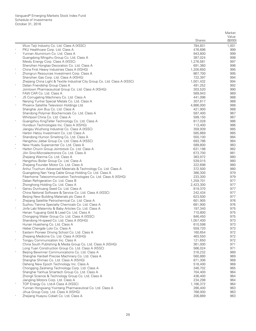|          |                                                                                                 | <b>Shares</b>      | Market<br>Value<br>(\$000) |
|----------|-------------------------------------------------------------------------------------------------|--------------------|----------------------------|
|          | Wuxi Taiji Industry Co. Ltd. Class A (XSSC)                                                     | 784,831            | 1,001                      |
|          | PKU Healthcare Corp. Ltd. Class A                                                               | 476,696            | 999                        |
|          | Yunnan Aluminium Co. Ltd. Class A                                                               | 943,800            | 999                        |
|          | Guangdong Mingzhu Group Co. Ltd. Class A                                                        | 387,024            | 998                        |
|          | Meidu Energy Corp. Class A (XSSC)                                                               | 1,276,581          | 997                        |
|          | Shenzhen Hongtao Decoration Co. Ltd. Class A                                                    | 691,360            | 996                        |
|          | China First Heavy Industries Class A (XSHG)                                                     | 1,200,650          | 995                        |
|          | Zhongrun Resources Investment Corp. Class A                                                     | 867,700            | 995                        |
|          | Shenzhen Gas Corp. Ltd. Class A (XSHG)                                                          | 722,397            | 994                        |
|          | Zhejiang China Light & Textile Industrial City Group Co. Ltd. Class A (XSSC)                    | 1,001,432          | 994                        |
|          | Dalian Friendship Group Class A<br>Jointown Pharmaceutical Group Co. Ltd. Class A (XSHG)        | 491,252<br>303,520 | 992<br>990                 |
|          | FAW CAR Co. Ltd. Class A                                                                        | 589,943            | 989                        |
|          | JS Corrugating Machinery Co. Ltd. Class A                                                       | 441,096            | 988                        |
|          | Nanjing Yunhai Special Metals Co. Ltd. Class A                                                  | 307,617            | 988                        |
| $\wedge$ | Phoenix Satellite Television Holdings Ltd.                                                      | 4,886,000          | 988                        |
|          | Shanghai Join Buy Co. Ltd. Class A                                                              | 421,900            | 988                        |
|          | Shandong Polymer Biochemicals Co. Ltd. Class A                                                  | 587,400            | 987                        |
|          | Whirlpool China Co. Ltd. Class A                                                                | 599,150            | 987                        |
|          | Guangzhou KingTeller Technology Co. Ltd. Class A                                                | 817,028            | 986                        |
|          | Hundsun Technologies Inc. Class A (XSHG)                                                        | 113,400            | 986                        |
|          | Jiangsu Wuzhong Industrial Co. Class A (XSSC)                                                   | 359,939            | 985                        |
| $\ast$   | Harbin Hatou Investment Co. Ltd. Class A                                                        | 585,669            | 985                        |
|          | Shandong Humon Smelting Co. Ltd. Class A                                                        | 550,100            | 984                        |
|          | Hangzhou Jiebai Group Co. Ltd. Class A (XSSC)<br>New Huadu Supercenter Co. Ltd. Class A         | 693,786<br>589,800 | 984<br>983                 |
|          | Harbin Churin Group Jointstock Co. Ltd. Class A                                                 | 631,198            | 982                        |
|          | Jilin Sino-Microelectronics Co. Ltd. Class A                                                    | 673,700            | 981                        |
|          | Zhejiang Wanma Co. Ltd. Class A                                                                 | 383,972            | 980                        |
|          | Hangzhou Boiler Group Co. Ltd. Class A                                                          | 539,015            | 980                        |
|          | Zhejiang Founder Motor Co. Ltd. Class A                                                         | 222,698            | 980                        |
|          | Anhui Truchum Advanced Materials & Technology Co. Ltd. Class A                                  | 372,500            | 980                        |
|          | Guangdong Nan Yang Cable Group Holding Co. Ltd. Class A                                         | 386,300            | 979                        |
|          | Fiberhome Telecommunication Technologies Co. Ltd. Class A (XSHG)                                | 233,300            | 979                        |
|          | Dalian Refrigeration Co. Ltd. Class B                                                           | 1,259,701          | 977                        |
|          | Zhonghong Holding Co. Ltd. Class A                                                              | 2,423,300          | 977                        |
|          | Gansu Dunhuang Seed Co. Ltd. Class A                                                            | 819,370            | 977                        |
|          | China National Software & Service Co. Ltd. Class A (XSSC)                                       | 242,434            | 977                        |
|          | Beijing New Building Materials plc Class A<br>Zhejiang Satellite Petrochemical Co. Ltd. Class A | 623,500            | 977<br>976                 |
|          | Suzhou Tianma Specialty Chemicals Co. Ltd. Class A                                              | 601,905<br>681,900 | 976                        |
|          | Jinfa Labi Maternity & Baby Articles Co. Ltd. Class A                                           | 197,340            | 975                        |
|          | Henan Yuguang Gold & Lead Co. Ltd. Class A                                                      | 710,800            | 975                        |
|          | Chongqing Water Group Co. Ltd. Class A (XSSC)                                                   | 846,450            | 975                        |
|          | Shandong Hi-speed Co. Ltd. Class A (XSHG)                                                       | 1,057,400          | 973                        |
|          | Hunan Huasheng Co. Ltd. Class A                                                                 | 610,598            | 973                        |
|          | Hebei Chengde Lolo Co. Class A                                                                  | 559,720            | 973                        |
| $\ast$   | Eastern Pioneer Driving School Co. Ltd. Class A                                                 | 160,654            | 972                        |
|          | Zhejiang Medicine Co. Ltd. Class A (XSHG)                                                       | 463,550            | 972                        |
|          | Tongyu Communication Inc. Class A                                                               | 121,650            | 972                        |
|          | China South Publishing & Media Group Co. Ltd. Class A (XSHG)                                    | 361,000            | 971                        |
| $\ast$   | Long Yuan Construction Group Co. Ltd. Class A (XSSC)                                            | 566,024            | 971                        |
|          | Beijing Bewinner Communications Co. Ltd. Class A                                                | 316,232            | 969<br>969                 |
|          | Shanghai Hanbell Precise Machinery Co. Ltd. Class A<br>Shanghai Shimao Co. Ltd. Class A (XSHG)  | 560,880<br>871,306 | 968                        |
|          | Daheng New Epoch Technology Inc. Class A                                                        | 518,400            | 968                        |
|          | Chongqing Zaisheng Technology Corp. Ltd. Class A                                                | 346,702            | 965                        |
|          | Shanghai Yanhua Smartech Group Co. Ltd. Class A                                                 | 704,400            | 964                        |
|          | Zhongli Science & Technology Group Co. Ltd. Class A                                             | 436,400            | 964                        |
|          | Jiangling Motors Corp. Ltd. Class A                                                             | 234,298            | 964                        |
|          | TOP Energy Co. Ltd-A Class A (XSSC)                                                             | 1,166,372          | 964                        |
|          | Yunnan Hongxiang Yixintang Pharmaceutical Co. Ltd. Class A                                      | 286,400            | 963                        |
|          | Jihua Group Corp. Ltd. Class A (XSHG)                                                           | 768,000            | 963                        |
|          | Zhejiang Huayou Cobalt Co. Ltd. Class A                                                         | 206,889            | 963                        |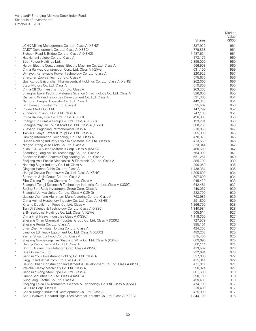|            |                                                                                                              | <b>Shares</b>      | Market<br>Value<br>(\$000) |
|------------|--------------------------------------------------------------------------------------------------------------|--------------------|----------------------------|
|            | JCHX Mining Management Co. Ltd. Class A (XSHG)                                                               | 337,920            | 961                        |
|            | CMST Development Co. Ltd. Class A (XSSC)                                                                     | 779,838            | 961                        |
|            | Sichuan Road & Bridge Co. Ltd. Class A (XSHG)                                                                | 1,487,624          | 961                        |
|            | Haoxiangni Jujube Co. Ltd. Class A                                                                           | 173,175            | 960                        |
| $\wedge$   | Boer Power Holdings Ltd.                                                                                     | 2,395,000          | 960                        |
|            | Harbin Electric Corp. Jiamusi Electric Machine Co. Ltd. Class A                                              | 566,508            | 960                        |
|            | China Railway Construction Corp. Ltd. Class A (XSHG)<br>Dynavolt Renewable Power Technology Co. Ltd. Class A | 631,100<br>220,922 | 959<br>957                 |
|            | Shenzhen Zowee Tech Co. Ltd. Class A                                                                         | 575,635            | 956                        |
|            | Guangzhou Baiyunshan Pharmaceutical Holdings Co. Ltd. Class A (XSHG)                                         | 262,000            | 956                        |
|            | Steyr Motors Co. Ltd. Class A                                                                                | 519,800            | 955                        |
| $\ast$     | China CIFCO Investment Co. Ltd. Class A                                                                      | 263,200            | 955                        |
|            | Shanghai Luxin Packing Materials Science & Technology Co. Ltd. Class A                                       | 826,600            | 955                        |
|            | Qianjiang Water Resources Development Co. Ltd. Class A                                                       | 521,300            | 954                        |
|            | Nantong Jianghai Capacitor Co. Ltd. Class A                                                                  | 449,345            | 954                        |
| $\ast$     | Jilin Forest Industry Co. Ltd. Class A                                                                       | 535,502            | 953                        |
| $\ast$     | Ciwen Media Co. Ltd.<br>Yunnan Yuntianhua Co. Ltd. Class A                                                   | 147,292<br>747,100 | 952<br>951                 |
|            | China Railway Erju Co. Ltd. Class A (XSHG)                                                                   | 498,900            | 950                        |
| $\ast$     | Changchun Eurasia Group Co. Ltd. Class A (XSSC)                                                              | 193,201            | 950                        |
|            | Shanghai Yuyuan Tourist Mart Co. Ltd. Class A (XSSC)                                                         | 580,256            | 949                        |
|            | Yueyang Xingchang Petrochemical Class A                                                                      | 218,050            | 947                        |
| $\ast$     | Tianjin Quanye Bazaar (Group) Co. Ltd. Class A                                                               | 505,939            | 946                        |
|            | Qiming Information Technology Co. Ltd. Class A                                                               | 478,073            | 946                        |
|            | Hunan Nanling Industry Explosive Material Co. Ltd. Class A                                                   | 413,559            | 945                        |
| $_{\rm *}$ | Ningbo Jifeng Auto Parts Co. Ltd. Class A                                                                    | 323,344            | 942                        |
|            | Xi'an LONGi Silicon Materials Corp. Class A (XSHG)                                                           | 460,600            | 942                        |
|            | Shandong Longlive Bio-Technology Co. Ltd. Class A<br>Shenzhen Batian Ecotypic Engineering Co. Ltd. Class A   | 564,000<br>651,251 | 941<br>940                 |
|            | Zhejiang Asia-Pacific Mechanical & Electronic Co. Ltd. Class A                                               | 385,700            | 939                        |
| $_{\rm *}$ | Nanning Sugar Industry Co. Ltd. Class A                                                                      | 296,059            | 936                        |
|            | Qingdao Hanhe Cable Co. Ltd. Class A                                                                         | 1,438,384          | 935                        |
|            | Jiangxi Ganyue Expressway Co. Ltd. Class A (XSHG)                                                            | 1,305,500          | 934                        |
|            | Shenzhen Jinjia Group Co. Ltd. Class A                                                                       | 597,600            | 934                        |
|            | Zibo Qixiang Tengda Chemical Co. Ltd. Class A                                                                | 945,420            | 933                        |
|            | Shanghai Tongji Science & Technology Industrial Co. Ltd. Class A (XSSC)                                      | 642,481            | 932                        |
|            | Beijing Soft Rock Investment Group Corp. Class A                                                             | 440,067            | 930                        |
|            | Shanghai Jahwa United Co. Ltd. Class A (XSHG)<br>Jiaozuo Wanfang Aluminum Manufacturing Co. Ltd. Class A     | 232,700<br>763,986 | 930<br>930                 |
|            | China Animal Husbandry Industry Co. Ltd. Class A (XSHG)                                                      | 291,800            | 929                        |
|            | Xinxing Ductile Iron Pipes Co. Ltd. Class A                                                                  | 1,266,700          | 928                        |
|            | Tian Di Science & Technology Co. Ltd. Class A (XSSC)                                                         | 1,340,984          | 928                        |
|            | ENN Ecological Holdings Co. Ltd. Class A (XSHG)                                                              | 505,614            | 927                        |
|            | China First Heavy Industries Class A (XSSC)                                                                  | 1,118,300          | 927                        |
|            | Zhejiang Xinan Chemical Industrial Group Co. Ltd. Class A (XSSC)                                             | 727,579            | 927                        |
|            | Zhejiang Runtu Co. Ltd. Class A                                                                              | 385,101            | 926                        |
|            | Shen Zhen Mindata Holding Co. Ltd. Class A                                                                   | 424,200            | 926                        |
|            | Lanzhou LS Heavy Equipment Co. Ltd. Class A (XSSC)<br>YanTai Shuangta Food Co. Ltd. Class A                  | 489,203<br>815,400 | 925<br>925                 |
| $\ast$     | Zhejiang Guyuelongshan Shaoxing Wine Co. Ltd. Class A (XSHG)                                                 | 609,690            | 925                        |
| $\ast$     | Hengyi Petrochemical Co. Ltd. Class A                                                                        | 500,114            | 924                        |
|            | Bright Oceans Inter-Telecom Corp. Class A (XSSC)                                                             | 413,502            | 923                        |
| $\ast$     | Bus Online Co. Ltd.                                                                                          | 222,694            | 923                        |
| $\ast$     | Jiangsu Youli Investment Holding Co. Ltd. Class A                                                            | 527,000            | 922                        |
|            | Lingyun Industrial Corp. Ltd. Class A (XSSC)                                                                 | 415,941            | 922                        |
|            | Beijing Urban Construction Investment & Development Co. Ltd. Class A (XSSC)                                  | 471,011            | 921                        |
| $\ast$     | Weichai Heavy Machinery Co. Ltd. Class A                                                                     | 398,324            | 921                        |
|            | Jiangsu Yulong Steel Pipe Co. Ltd. Class A                                                                   | 601,600            | 919<br>918                 |
|            | Orient Securities Co. Ltd. Class A (XSHG)<br>Guoguang Electric Co. Ltd. Class A                              | 390,100<br>459,400 | 918                        |
|            | Zhejiang Feida Environmental Science & Technology Co. Ltd. Class A (XSSC)                                    | 474,799            | 917                        |
|            | GITI Tire Corp. Class A                                                                                      | 219,400            | 917                        |
|            | Gansu Mogao Industrial Development Co. Ltd. Class A                                                          | 425,300            | 917                        |
|            | Anhui Wanwei Updated High-Tech Material Industry Co. Ltd. Class A (XSSC)                                     | 1,344,100          | 916                        |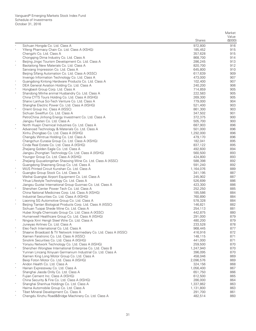|         |                                                                                                        | <b>Shares</b>          | Market<br>Value<br>(\$000) |
|---------|--------------------------------------------------------------------------------------------------------|------------------------|----------------------------|
|         | Sichuan Hongda Co. Ltd. Class A                                                                        | 972,800                | 916                        |
| $\star$ | Yifeng Pharmacy Chain Co. Ltd. Class A (XSHG)                                                          | 185,452                | 915                        |
|         | Chengzhi Co. Ltd. Class A                                                                              | 357,628                | 915                        |
|         | Chongqing Dima Industry Co. Ltd. Class A                                                               | 868,700                | 914                        |
|         | Beijing Jingxi Tourism Development Co. Ltd. Class A                                                    | 286,245                | 913                        |
|         | Baotailong New Materials Co. Ltd. Class A                                                              | 820,700                | 912                        |
|         | Sanxiang Impression Co. Ltd. Class A                                                                   | 645,800                | 910                        |
|         | Beijing Sifang Automation Co. Ltd. Class A (XSSC)                                                      | 617,639                | 909                        |
|         | Invengo Information Technology Co. Ltd. Class A                                                        | 473,000                | 907                        |
|         | Guangdong Kinlong Hardware Products Co. Ltd. Class A                                                   | 102,400                | 907                        |
|         | DEA General Aviation Holding Co. Ltd. Class A                                                          | 240,200<br>714,859     | 906<br>905                 |
|         | Hongbaoli Group Corp. Ltd. Class A<br>Shandong Minhe animal Husbandry Co. Ltd. Class A                 | 222,583                | 905                        |
|         | China CYTS Tours Holding Co. Ltd. Class A (XSHG)                                                       | 269,300                | 905                        |
|         | Shanxi Lanhua Sci-Tech Venture Co. Ltd. Class A                                                        | 779,000                | 904                        |
|         | Shanghai Electric Power Co. Ltd. Class A (XSHG)                                                        | 521,400                | 903                        |
|         | Orient Group Inc. Class A (XSSC)                                                                       | 861,300                | 903                        |
|         | Sichuan Swellfun Co. Ltd. Class A                                                                      | 347,502                | 901                        |
|         | PetroChina Jinhong Energy Investment Co. Ltd. Class A                                                  | 372,375                | 900                        |
|         | Jiangsu Fasten Co. Ltd. Class A                                                                        | 505,700                | 900                        |
|         | North Huajin Chemical Industries Co. Ltd. Class A                                                      | 687,903                | 896                        |
|         | Advanced Technology & Materials Co. Ltd. Class A                                                       | 501,000                | 896                        |
|         | Xinhu Zhongbao Co. Ltd. Class A (XSHG)                                                                 | 1,292,000              | 896                        |
|         | Chengdu Wintrue Holding Co. Ltd. Class A                                                               | 479,170                | 896                        |
|         | Changchun Eurasia Group Co. Ltd. Class A (XSHG)                                                        | 182,041                | 895                        |
|         | Cinda Real Estate Co. Ltd. Class A (XSHG)                                                              | 837,122                | 895                        |
|         | Zhejiang Golden Eagle Co. Ltd. Class A                                                                 | 492,600                | 894                        |
|         | Jiangsu Zhongtian Technology Co. Ltd. Class A (XSHG)                                                   | 560,500                | 893<br>893                 |
|         | Youngor Group Co. Ltd. Class A (XSHG)<br>Zhejiang Guyuelongshan Shaoxing Wine Co. Ltd. Class A (XSSC)  | 424,800<br>588,398     | 892                        |
|         | Guangdong Shaoneng Group Co. Ltd. Class A                                                              | 591,240                | 892                        |
|         | WUS Printed Circuit Kunshan Co. Ltd. Class A                                                           | 1,164,076              | 889                        |
|         | Guangbo Group Stock Co. Ltd. Class A                                                                   | 341,195                | 887                        |
|         | Weihai Guangtai Airport Equipment Co. Ltd. Class A                                                     | 245,902                | 887                        |
|         | Yihua Lifestyle Technology Co. Ltd. Class A                                                            | 526,699                | 886                        |
|         | Jiangsu Guotai International Group Guomao Co. Ltd. Class A                                             | 423,300                | 886                        |
|         | Shenzhen Center Power Tech Co. Ltd. Class A                                                            | 252,250                | 885                        |
|         | China National Medicines Corp. Ltd. Class A (XSHG)                                                     | 185,586                | 884                        |
|         | Industrial Securities Co. Ltd. Class A (XSHG)                                                          | 760,890                | 884                        |
|         | Liaoning SG Automotive Group Co. Ltd. Class A                                                          | 578,328                | 884                        |
|         | Beijing Tiantan Biological Products Corp. Ltd. Class A (XSSC)                                          | 146,821                | 882                        |
|         | Sichuan Tuopai Shede Wine Co. Ltd. Class A                                                             | 254,113                | 881                        |
|         | Hubei Xingfa Chemicals Group Co. Ltd. Class A (XSSC)                                                   | 442,875                | 880                        |
|         | Humanwell Healthcare Group Co. Ltd. Class A (XSHG)<br>Ningxia Xinri Hengli Steel Wire Co. Ltd. Class A | 291,000<br>480,200     | 879<br>879                 |
|         | Juneyao Airlines Co. Ltd. Class A                                                                      | 233,528                | 878                        |
|         | Elec-Tech International Co. Ltd. Class A                                                               | 968,445                | 877                        |
|         | Shaanxi Broadcast & TV Network Intermediary Co. Ltd. Class A (XSSC)                                    | 416,916                | 872                        |
|         | Xiamen Faratronic Co. Ltd. Class A (XSSC)                                                              | 148,115                | 871                        |
|         | Sinolink Securities Co. Ltd. Class A (XSHG)                                                            | 441,000                | 871                        |
|         | Yonyou Network Technology Co. Ltd. Class A (XSHG)                                                      | 259,500                | 870                        |
|         | Shenzhen Wongtee International Enterprise Co. Ltd. Class B                                             | 1,247,940              | 870                        |
|         | Yunnan Lincang Xinyuan Germanium Industrial Co. Ltd. Class A                                           | 396,095                | 870                        |
|         | Xiamen King Long Motor Group Co. Ltd. Class A                                                          | 458,046                | 869                        |
|         | Beigi Foton Motor Co. Ltd. Class A (XSHG)                                                              | 2,096,576              | 869                        |
|         | Andon Health Co. Ltd. Class A                                                                          | 324,156                | 868                        |
|         | Hainan Expressway Co. Ltd. Class A                                                                     | 1,056,400              | 867                        |
|         | Shanghai Jiaoda Onlly Co. Ltd. Class A                                                                 | 651,750                | 866                        |
|         | Fujian Cement Inc. Class A (XSHG)                                                                      | 612,500                | 865                        |
|         | China Security & Fire Co. Ltd. Class A (XSHG)                                                          | 286,000                | 864                        |
|         | Shanghai Shenhua Holdings Co. Ltd. Class A<br>Haima Automobile Group Co. Ltd. Class A                  | 1,337,862<br>1,131,800 | 863<br>863                 |
|         | Tibet Mineral Development Co. Class A                                                                  | 291,700                | 861                        |
|         | Chengdu Xinzhu Road&Bridge Machinery Co. Ltd. Class A                                                  | 482,514                | 860                        |
|         |                                                                                                        |                        |                            |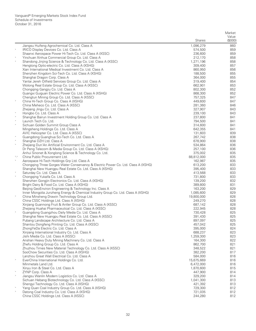|        |                                                                                                            |                    | Market           |
|--------|------------------------------------------------------------------------------------------------------------|--------------------|------------------|
|        |                                                                                                            | <b>Shares</b>      | Value<br>(\$000) |
|        | Jiangsu Huifeng Agrochemical Co. Ltd. Class A                                                              | 1,096,279          | 860              |
|        | IRICO Display Devices Co. Ltd. Class A                                                                     | 574,500            | 859              |
|        | Shaanxi Aerospace Power Hi-Tech Co. Ltd. Class A (XSSC)                                                    | 236,600            | 859              |
|        | Yinchuan Xinhua Commercial Group Co. Ltd. Class A                                                          | 212,170            | 858              |
|        | Shandong Jinjing Science & Technology Co. Ltd. Class A (XSSC)                                              | 1,271,196          | 858              |
|        | Hengtong Optic-electric Co. Ltd. Class A (XSHG)<br>Xian International Medical Investment Co. Ltd. Class A  | 309,400<br>860,950 | 857<br>856       |
|        | Shenzhen Kingdom Sci-Tech Co. Ltd. Class A (XSHG)                                                          | 188,500            | 855              |
|        | Shanghai Dragon Corp. Class A                                                                              | 364,000            | 855              |
|        | Yantai Jereh Oilfield Services Group Co. Ltd. Class A                                                      | 319,400            | 854              |
|        | Wolong Real Estate Group Co. Ltd. Class A (XSSC)                                                           | 662,901            | 853              |
|        | Chongqing Gangjiu Co. Ltd. Class A                                                                         | 802,300            | 852              |
|        | Guangxi Guiguan Electric Power Co. Ltd. Class A (XSHG)                                                     | 868,300            | 852              |
| $\ast$ | Chengtun Mining Group Co. Ltd. Class A (XSSC)                                                              | 757,325            | 847              |
|        | China Hi-Tech Group Co. Class A (XSHG)                                                                     | 449,600            | 847              |
|        | China Meheco Co. Ltd. Class A (XSSC)<br>Zhejiang Jingu Co. Ltd. Class A                                    | 281,360<br>327,907 | 846<br>843       |
|        | Hongbo Co. Ltd. Class A                                                                                    | 239,100            | 843              |
|        | Shanghai Bairun Investment Holding Group Co. Ltd. Class A                                                  | 237,800            | 841              |
|        | Launch Tech Co. Ltd.                                                                                       | 794,500            | 841              |
|        | Sichuan Golden Summit Group Class A                                                                        | 314,600            | 841              |
|        | Mingsheng Holdings Co. Ltd. Class A                                                                        | 642,355            | 841              |
|        | AVIC Helicopter Co. Ltd. Class A (XSSC)                                                                    | 131,603            | 839              |
| $\ast$ | Guangdong Guanghua Sci-Tech Co. Ltd. Class A                                                               | 267,742            | 838              |
|        | Shanghai DZH Ltd. Class A<br>Zhejiang Dun'An Artificial Environment Co. Ltd. Class A                       | 678,900<br>534,864 | 838<br>836       |
|        | Dr Peng Telecom & Media Group Co. Ltd. Class A (XSHG)                                                      | 257,100            | 836              |
|        | Anhui Sinonet & Xonglong Science & Technology Co. Ltd.                                                     | 375,002            | 835              |
| *,^    | China Public Procurement Ltd.                                                                              | 88,812,000         | 835              |
|        | Aerospace Hi-Tech Holdings Grp Ltd. Class A                                                                | 162,987            | 835              |
|        | Chongqing Three Gorges Water Conservancy & Electric Power Co. Ltd. Class A (XSHG)                          | 613,200            | 833              |
|        | Shanghai New Huangpu Real Estate Co. Ltd. Class A (XSHG)                                                   | 395,400            | 833              |
|        | Saturday Co. Ltd. Class A                                                                                  | 413,568            | 833              |
| $\ast$ | Chongqing Yukaifa Co. Ltd. Class A                                                                         | 731,800            | 833              |
|        | Shenzhen Gongjin Electronics Co. Ltd. Class A (XSHG)<br>Bright Dairy & Food Co. Ltd. Class A (XSHG)        | 139,200<br>389,800 | 832<br>831       |
|        | Beijing GeoEnviron Engineering & Technology Inc. Class A                                                   | 163,200            | 829              |
|        | Inner Mongolia Junzheng Energy & Chemical Industry Group Co. Ltd. Class A (XSHG)                           | 1,085,600          | 829              |
| $\ast$ | China Minsheng Drawin Technology Group Ltd.                                                                | 19,800,000         | 828              |
|        | China CSSC Holdings Ltd. Class A (XSHG)                                                                    | 249,270            | 828              |
|        | Xinjiang Guannong Fruit & Antler Group Co. Ltd. Class A (XSSC)                                             | 687,142            | 828              |
|        | Zhejiang Huahai Pharmaceutical Co. Ltd. Class A (XSSC)                                                     | 222,945            | 828              |
|        | Guangdong Guangzhou Daily Media Co. Ltd. Class A                                                           | 730,428            | 825              |
|        | Shanghai New Huangpu Real Estate Co. Ltd. Class A (XSSC)<br>Pubang Landscape Architecture Co. Ltd. Class A | 391,430<br>897,097 | 825<br>825       |
|        | Shantou Dongfeng Printing Co. Ltd. Class A (XSSC)                                                          | 457,042            | 825              |
|        | ZhongYeDa Electric Co. Ltd. Class A                                                                        | 395,000            | 824              |
|        | Xinjiang International Industry Co. Ltd. Class A                                                           | 688,237            | 823              |
|        | Jishi Media Co. Ltd. Class A (XSSC)                                                                        | 1,259,300          | 823              |
|        | Anshan Heavy Duty Mining Machinery Co. Ltd. Class A                                                        | 164,300            | 822              |
|        | Zhefu Holding Group Co. Ltd. Class A                                                                       | 862,700            | 821              |
|        | Zhuzhou Times New Material Technology Co. Ltd. Class A (XSSC)                                              | 348,522            | 821              |
|        | SooChow Securities Co. Ltd. Class A (XSHG)<br>Lanzhou Great Wall Electrical Co. Ltd. Class A               | 382,200<br>584,000 | 817<br>816       |
|        | EverChina International Holdings Co. Ltd.                                                                  | 15,675,669         | 816              |
|        | Minmetals Land Ltd.                                                                                        | 6,472,000          | 816              |
|        | Xinyu Iron & Steel Co. Ltd. Class A                                                                        | 1,870,600          | 815              |
| $\ast$ | ZYNP Corp. Class A                                                                                         | 447,900            | 814              |
|        | Jiangsu Wanlin Modern Logistics Co. Ltd. Class A                                                           | 329,200            | 814              |
|        | Sichuan Hebang Biotechnology Co. Ltd. Class A (XSSC)                                                       | 1,041,300          | 813              |
|        | Shengyi Technology Co. Ltd. Class A (XSHG)                                                                 | 421,392            | 813              |
| $\ast$ | Yang Quan Coal Industry Group Co. Ltd. Class A (XSHG)                                                      | 729,300            | 812              |
|        | Datong Coal Industry Co. Ltd. Class A (XSHG)<br>China CSSC Holdings Ltd. Class A (XSSC)                    | 721,035<br>244,280 | 812<br>812       |
|        |                                                                                                            |                    |                  |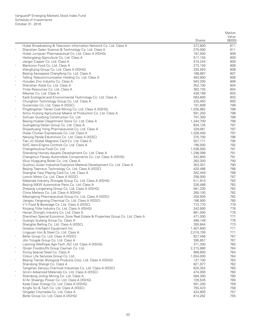|        |                                                                                                                      | <b>Shares</b>        | Market<br>Value<br>(0,00) |
|--------|----------------------------------------------------------------------------------------------------------------------|----------------------|---------------------------|
|        | Hubei Broadcasting & Television Information Network Co. Ltd. Class A                                                 | 372,800              | 811                       |
| $\ast$ | Shenzhen Selen Science & Technology Co. Ltd. Class A                                                                 | 275,000              | 811                       |
|        | Hubei Jumpcan Pharmaceutical Co. Ltd. Class A (XSHG)                                                                 | 167,500              | 809                       |
|        | Heilongjiang Agriculture Co. Ltd. Class A                                                                            | 517,150              | 809                       |
|        | Jiangxi Copper Co. Ltd. Class A                                                                                      | 374,244              | 809                       |
| $\ast$ | Blackcow Food Co. Ltd. Class A                                                                                       | 273,150              | 808                       |
|        | Wangfujing Group Co. Ltd. Class A (XSHG)                                                                             | 335,920              | 808                       |
|        | Beijing Aerospace Changfeng Co. Ltd. Class A                                                                         | 188,987              | 807                       |
|        | Telling Telecommunication Holding Co. Ltd. Class A<br>Huludao Zinc Industry Co. Class A                              | 483,900<br>943.200   | 806<br>806                |
|        | Shenzhen Aisidi Co. Ltd. Class A                                                                                     | 352,100              | 804                       |
|        | Yintai Resources Co. Ltd. Class A                                                                                    | 362,735              | 804                       |
|        | Mesnac Co. Ltd. Class A                                                                                              | 438,189              | 803                       |
|        | Kaidi Ecological and Environmental Technology Co. Ltd. Class A                                                       | 583,600              | 803                       |
| $\ast$ | Chunghsin Technology Group Co. Ltd. Class A                                                                          | 225,463              | 800                       |
|        | Guirenniao Co. Ltd. Class A (XSSC)                                                                                   | 191,699              | 799                       |
| $\ast$ | Pingdingshan Tianan Coal Mining Co. Ltd. Class A (XSHG)                                                              | 1,035,882            | 798                       |
| $\ast$ | Anhui Huilong Agricultural Means of Production Co. Ltd. Class A                                                      | 591,250<br>757,300   | 798<br>798                |
|        | Sichuan Guodong Construction Co. Ltd.<br>Beijing Hualian Department Store Co. Ltd. Class A                           | 1,344,700            | 798                       |
|        | Guangdong Delian Group Co. Ltd. Class A                                                                              | 634,135              | 797                       |
|        | Shijiazhuang Yiling Pharmaceutical Co. Ltd. Class A                                                                  | 329,061              | 797                       |
|        | Hubei Chutian Expressway Co. Ltd. Class A                                                                            | 1,026,400            | 797                       |
|        | Nanjing Panda Electronics Co. Ltd. Class A (XSSC)                                                                    | 375,700              | 796                       |
| $\ast$ | Tian Jin Global Magnetic Card Co. Ltd. Class A                                                                       | 557,171              | 795                       |
|        | AVIC Aero-Engine Controls Co. Ltd. Class A                                                                           | 196,500              | 792                       |
|        | Changshouhua Food Co. Ltd.                                                                                           | 1,536,000            | 791                       |
|        | Shandong Homey Aquatic Development Co. Ltd. Class A<br>Changchun Faway Automobile Components Co. Ltd. Class A (XSHG) | 1,296,098<br>342,800 | 791<br>791                |
|        | Wuxi Huaguang Boiler Co. Ltd. Class A                                                                                | 283,300              | 790                       |
|        | Guizhou Jiulian Industrial Explosive Material Development Co. Ltd. Class A                                           | 303,301              | 790                       |
|        | Beijing Teamsun Technology Co. Ltd. Class A (XSSC)                                                                   | 420,486              | 788                       |
|        | Shanghai Yaoji Playing Card Co. Ltd. Class A                                                                         | 262,459              | 788                       |
|        | Loncin Motor Co. Ltd. Class A (XSSC)                                                                                 | 258,000              | 787                       |
|        | Materials Industry Zhongda Group Co. Ltd. Class A (XSHG)                                                             | 511,810              | 783                       |
|        | Beijing WKW Automotive Parts Co. Ltd. Class A                                                                        | 326,488              | 783                       |
|        | Zhejiang Longsheng Group Co. Ltd. Class A (XSHG)<br>China Meheco Co. Ltd. Class A (XSHG)                             | 581,200<br>260,100   | 782<br>782                |
|        | Mayinglong Pharmaceutical Group Co. Ltd. Class A (XSSC)                                                              | 259,926              | 782                       |
|        | Jiangsu Yangnong Chemical Co. Ltd. Class A (XSSC)                                                                    | 166,900              | 780                       |
|        | V V Food & Beverage Co. Ltd. Class A (XSSC)                                                                          | 772,770              | 779                       |
|        | Xinjiang Yilite Industry Co. Ltd. Class A (XSHG)                                                                     | 342,900              | 778                       |
|        | Henan Zhongfu Industry Co. Ltd. Class A                                                                              | 861,000              | 778                       |
|        | Shenzhen Special Economic Zone Real Estate & Properties Group Co. Ltd. Class A                                       | 471,000              | 777                       |
|        | Guangxi Guitang Group Co. Class A                                                                                    | 489,148              | 776                       |
|        | Shanghai Belling Co. Ltd. Class A (XSSC)<br>Greatoo Intelligent Equipment Inc.                                       | 350,844<br>1,407,600 | 773<br>771                |
|        | Lingyuan Iron & Steel Co. Ltd. Class A                                                                               | 2,019,700            | 771                       |
| $\ast$ | Befar Group Co. Ltd. Class A (XSSC)                                                                                  | 827,456              | 767                       |
|        | Jilin Yongda Group Co. Ltd. Class A                                                                                  | 395,857              | 767                       |
|        | Liaoning Wellhope Agri-Tech JSC Ltd. Class A (XSHG)                                                                  | 371,300              | 765                       |
|        | Qingin Foodstuffs Group Cayman Co. Ltd.                                                                              | 2,215,980            | 764                       |
| $\ast$ | Xining Special Steel Co. Class A                                                                                     | 906,600              | 764                       |
|        | Colour Life Services Group Co. Ltd.                                                                                  | 1,054,000            | 764                       |
| $\ast$ | Beijing Tiantan Biological Products Corp. Ltd. Class A (XSHG)                                                        | 127,100              | 763                       |
|        | Shandong Shengli Co. Class A                                                                                         | 821,977<br>620,352   | 762<br>760                |
| $\ast$ | Tangshan Sanyou Chemical Industries Co. Ltd. Class A (XSSC)<br>Grinm Advanced Materials Co. Ltd. Class A (XSSC)      | 474,000              | 760                       |
|        | Shandong Jinling Mining Co. Ltd. Class A                                                                             | 584,300              | 760                       |
|        | Xi'An Shaangu Power Co. Ltd. Class A (XSHG)                                                                          | 728,545              | 760                       |
|        | Keda Clean Energy Co. Ltd. Class A (XSHG)                                                                            | 591,200              | 759                       |
|        | Kingfa Sci & Tech Co. Ltd. Class A (XSSC)                                                                            | 755,423              | 758                       |
|        | Qingdao Citymedia Co. Ltd. Class A                                                                                   | 424,800              | 757                       |
|        | Befar Group Co. Ltd. Class A (XSHG)                                                                                  | 814,262              | 755                       |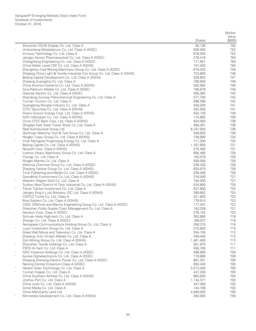|            |                                                                                                    | <b>Shares</b>        | Market<br>Value<br>(0,00) |
|------------|----------------------------------------------------------------------------------------------------|----------------------|---------------------------|
|            | Shenzhen ESUN Display Co. Ltd. Class A                                                             | 90,126               | 755                       |
| $_{\rm *}$ | Jinduicheng Molybdenum Co. Ltd. Class A (XSSC)                                                     | 636,492              | 752                       |
|            | Innuovo Technology Co. Ltd. Class A                                                                | 676,055              | 752                       |
|            | Jiangsu Kanion Pharmaceutical Co. Ltd. Class A (XSSC)                                              | 276,418              | 750                       |
|            | Changzheng Engineering Co. Ltd. Class A (XSSC)                                                     | 171,551              | 750                       |
|            | China Wafer Level CSP Co. Ltd. Class A (XSHG)                                                      | 157,400              | 750                       |
|            | Zhengzhou Coal Mining Machinery Group Co. Ltd. Class A (XSSC)                                      | 819,425              | 749                       |
|            | Zhejiang China Light & Textile Industrial City Group Co. Ltd. Class A (XSHG)                       | 753,800              | 748                       |
|            | Beijing Capital Development Co. Ltd. Class A (XSHG)                                                | 428,652              | 747                       |
| $\ast$     | Zhejiang Guangsha Co. Ltd. Class A                                                                 | 706,650              | 746                       |
|            | China Avionics Systems Co. Ltd. Class A (XSHG)                                                     | 262,584              | 746                       |
|            | Sino-Platinum Metals Co. Ltd. Class A (XSSC)                                                       | 190,878              | 745                       |
|            | Hisense Electric Co. Ltd. Class A (XSSC)                                                           | 295,362              | 743                       |
| $\ast$     | Shandong Sunway Petrochemical Engineering Co. Ltd. Class A<br>Yunnan Tourism Co. Ltd. Class A      | 577,700<br>586,599   | 743<br>742                |
|            |                                                                                                    | 540,200              | 741                       |
|            | Guangdong Rongtai Industry Co. Ltd. Class A<br>CITIC Securities Co. Ltd. Class A (XSHG)            | 302,500              | 741                       |
|            | Shanxi Guoxin Energy Corp. Ltd. Class A (XSHG)                                                     | 434,126              | 739                       |
|            | AVIC Helicopter Co. Ltd. Class A (XSHG)                                                            | 115,800              | 738                       |
|            | China CITIC Bank Corp. Ltd. Class A (XSHG)                                                         | 824,050              | 738                       |
|            | Qingdao East Steel Tower Stock Co. Ltd. Class A                                                    | 480,481              | 738                       |
|            | Real Nutriceutical Group Ltd.                                                                      | 8,797,000            | 736                       |
| $\ast$     | Qinchuan Machine Tool & Tool Group Co. Ltd. Class A                                                | 549,605              | 736                       |
|            | Ningbo Tuopu Group Co. Ltd. Class A (XSHG)                                                         | 159,900              | 734                       |
| $\ast$     | Inner Mongolia Pingzhuang Energy Co. Ltd. Class A                                                  | 711,300              | 733                       |
|            | Beijing Capital Co. Ltd. Class A (XSHG)                                                            | 1,167,800            | 731                       |
|            | Neusoft Corp. Class A (XSHG)                                                                       | 275,400              | 731                       |
| $\ast$     | Linzhou Heavy Machinery Group Co. Ltd. Class A                                                     | 695,460              | 730                       |
|            | Youngy Co. Ltd. Class A                                                                            | 183,076              | 729                       |
|            | Ningbo Marine Co. Ltd. Class A                                                                     | 938,000              | 728                       |
|            | Wanhua Chemical Group Co. Ltd. Class A (XSSC)                                                      | 236,439              | 728                       |
|            | Zhejiang Yankon Group Co. Ltd. Class A (XSHG)                                                      | 625,675              | 728                       |
|            | Time Publishing and Media Co. Ltd. Class A (XSSC)<br>Grandblue Environment Co. Ltd. Class A (XSHG) | 239,408<br>316,000   | 728<br>727                |
|            | Western Region Gold Co. Ltd. Class A                                                               | 194,400              | 727                       |
|            | Suzhou New District Hi-Tech Industrial Co. Ltd. Class A (XSHG)                                     | 534,800              | 726                       |
|            | Tianjin Tianhai Investment Co. Ltd. Class A                                                        | 527,800              | 724                       |
|            | Jiangsu King's Luck Brewery JSC Ltd. Class A (XSHG)                                                | 368,662              | 724                       |
|            | COFCO Tunhe Co. Ltd. Class A                                                                       | 421,800              | 723                       |
|            | Bros Eastern Co. Ltd. Class A (XSHG)                                                               | 778,810              | 723                       |
|            | CSSC Offshore and Marine Engineering Group Co. Ltd. Class A (XSSC)                                 | 177,401              | 722                       |
|            | Shenzhen Prolto Supply Chain Management Co. Ltd. Class A                                           | 193,328              | 721                       |
|            | Aerosun Corp. Class A (XSSC)                                                                       | 276,162              | 720                       |
|            | Sichuan Haite High-tech Co. Ltd. Class A                                                           | 302,880              | 718                       |
|            | Zhonglu Co. Ltd. Class A (XSSC)                                                                    | 189,037              | 716                       |
|            | Aerospace Communications Holding Group Co. Ltd. Class A                                            | 256,319              | 716                       |
| $\ast$     | Luyin Investment Group Co. Ltd. Class A                                                            | 515,800              | 715                       |
|            | Great Wall Movie and Television Co. Ltd. Class A                                                   | 354,700              | 715                       |
|            | Zhejiang JIULI Hi-tech Metals Co. Ltd. Class A<br>Zijin Mining Group Co. Ltd. Class A (XSHG)       | 449,450<br>1,461,400 | 713<br>713                |
| $\ast$     | Shenzhen Textile Holdings Co. Ltd. Class A                                                         | 361,875              | 711                       |
|            | FSPG Hi-Tech Co. Ltd. Class A                                                                      | 556,700              | 711                       |
| $\ast$     | SDIC Essence Holdings Co. Ltd. Class A (XSSC)                                                      | 298,900              | 709                       |
| $\ast$     | Aurora Optoelectronics Co. Ltd. Class A (XSSC)                                                     | 170,889              | 708                       |
|            | Zhejiang Zheneng Electric Power Co. Ltd. Class A (XSSC)                                            | 891,301              | 706                       |
|            | Nanjing Central Emporium Class A (XSSC)                                                            | 693,445              | 705                       |
|            | Hareon Solar Technology Co. Ltd. Class A                                                           | 2,013,300            | 705                       |
| $\ast$     | Yunnan Copper Co. Ltd. Class A                                                                     | 447,200              | 705                       |
|            | China Southern Airlines Co. Ltd. Class A (XSHG)                                                    | 663,500              | 704                       |
|            | Jinzhou Port Co. Ltd. Class A                                                                      | 1,144,371            | 703                       |
|            | China Jushi Co. Ltd. Class A (XSHG)                                                                | 437,360              | 702                       |
|            | Simei Media Co. Ltd. Class A                                                                       | 144,198              | 702                       |
|            | China Merchants Land Ltd.                                                                          | 4,948,000            | 700                       |
|            | Minmetals Development Co. Ltd. Class A (XSHG)                                                      | 283,000              | 700                       |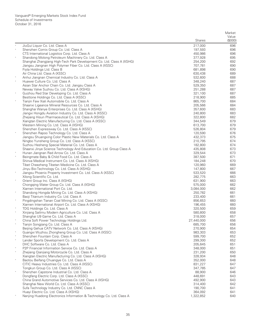|        |                                                                                                              | <b>Shares</b>      | Market<br>Value<br>(\$000) |
|--------|--------------------------------------------------------------------------------------------------------------|--------------------|----------------------------|
|        | JiuGui Liquor Co. Ltd. Class A                                                                               | 217,000            | 696                        |
| $\ast$ | Shenzhen Comix Group Co. Ltd. Class A                                                                        | 197,593            | 696                        |
|        | CTS International Logistics Corp. Ltd. Class A                                                               | 450,986            | 696                        |
|        | Shandong Molong Petroleum Machinery Co. Ltd. Class A                                                         | 377,928            | 695                        |
|        | Shanghai Zhangjiang High-Tech Park Development Co. Ltd. Class A (XSHG)                                       | 254,200            | 692                        |
|        | Jiangsu Jiangnan High Polymer Fiber Co. Ltd. Class A (XSSC)                                                  | 707,781            | 690                        |
|        | Fiyta Holdings Ltd. Class B                                                                                  | 681,898            | 690                        |
|        | Air China Ltd. Class A (XSSC)                                                                                | 630,438            | 689                        |
|        | Anhui Jiangnan Chemical Industry Co. Ltd. Class A                                                            | 532,600            | 688                        |
|        | Huawei Culture Co. Ltd. Class A                                                                              | 348,240            | 687                        |
|        | Asian Star Anchor Chain Co. Ltd. Jiangsu Class A                                                             | 529,350            | 687                        |
| $\ast$ | Neway Valve Suzhou Co. Ltd. Class A (XSHG)                                                                   | 251,288            | 687                        |
|        | Guizhou Red Star Developing Co. Ltd. Class A<br>Besttone Holdings Co. Ltd. Class A (XSSC)                    | 321,100<br>218,900 | 687<br>685                 |
|        | Tianjin Faw Xiali Automobile Co. Ltd. Class A                                                                | 865,700            | 684                        |
|        | Shaanxi Ligeance Mineral Resources Co. Ltd. Class A                                                          | 205,566            | 684                        |
|        | Shanghai Wanye Enterprises Co. Ltd. Class A (XSHG)                                                           | 357,600            | 683                        |
|        | Jiangxi Hongdu Aviation Industry Co. Ltd. Class A (XSSC)                                                     | 240,800            | 683                        |
|        | Zhejiang Hisun Pharmaceutical Co. Ltd. Class A (XSHG)                                                        | 322,800            | 682                        |
|        | Xiangtan Electric Manufacturing Co. Ltd. Class A (XSSC)                                                      | 344,549            | 679                        |
|        | Western Mining Co. Ltd. Class A (XSHG)                                                                       | 613,700            | 679                        |
|        | Shenzhen Expressway Co. Ltd. Class A (XSSC)                                                                  | 526,804            | 679                        |
|        | Shenzhen Rapoo Technology Co. Ltd. Class A                                                                   | 120,590            | 676                        |
|        | Jiangsu Shuangxing Color Plastic New Materials Co. Ltd. Class A                                              | 432,373            | 675                        |
|        | Ningbo Yunsheng Group Co. Ltd. Class A (XSSC)                                                                | 210,795            | 674                        |
|        | Suzhou Hesheng Special Material Co. Ltd. Class A                                                             | 182,800            | 674                        |
|        | Shaanxi Jinye Science Technology And Education Co. Ltd. Group Class A                                        | 435,808            | 673                        |
|        | Hunan Jiangnan Red Arrow Co. Ltd. Class A                                                                    | 329,544            | 673                        |
|        | Beingmate Baby & Child Food Co. Ltd. Class A                                                                 | 387,500            | 671                        |
|        | Shinva Medical Instrument Co. Ltd. Class A (XSHG)                                                            | 184,248            | 670                        |
|        | Tibet Cheezheng Tibetan Medicine Co. Ltd. Class A                                                            | 120,960<br>147,800 | 669<br>667                 |
| $\ast$ | Jinyu Bio-Technology Co. Ltd. Class A (XSHG)<br>Jiangsu Phoenix Property Investment Co. Ltd. Class A (XSSC)  | 533,520            | 666                        |
|        | Xilong Scientific Co. Ltd.                                                                                   | 282,775            | 663                        |
|        | Orient Group Inc. Class A (XSHG)                                                                             | 631,900            | 663                        |
|        | Chongqing Water Group Co. Ltd. Class A (XSHG)                                                                | 575,000            | 662                        |
|        | Xiamen International Port Co. Ltd.                                                                           | 3,084,000          | 662                        |
| $\ast$ | Shandong Hongda Mining Co. Ltd. Class A (XSHG)                                                               | 250,782            | 661                        |
|        | Baoji Titanium Industry Co. Ltd. Class A                                                                     | 233,400            | 661                        |
|        | Pingdingshan Tianan Coal Mining Co. Ltd. Class A (XSSC)                                                      | 856,653            | 660                        |
|        | Xiamen International Airport Co. Ltd. Class A (XSHG)                                                         | 196,455            | 660                        |
|        | TDG Holdings Co. Ltd. Class A                                                                                | 320,500            | 659                        |
| $\ast$ | Xinjiang Sailimu Modern Agriculture Co. Ltd. Class A                                                         | 580,800            | 658                        |
|        | Shanghai U9 Game Co. Ltd. Class A                                                                            | 318,000            | 657                        |
| $\ast$ | China Soft Power Technology Holdings Ltd.                                                                    | 27,440,000         | 656                        |
|        | Tianjin Songjiang Co. Ltd. Class A                                                                           | 685,700<br>270,900 | 656                        |
| $\ast$ | Beijing Gehua CATV Network Co. Ltd. Class A (XSHG)<br>Guangxi Wuzhou Zhongheng Group Co. Ltd. Class A (XSSC) | 983,303            | 654<br>653                 |
| $\ast$ | Shenzhen Fountain Corp. Class A                                                                              | 599,700            | 652                        |
| $\ast$ | Lander Sports Development Co. Ltd. Class A                                                                   | 299,300            | 652                        |
|        | DHC Software Co. Ltd. Class A                                                                                | 205,645            | 651                        |
|        | P2P Financial Information Service Co. Ltd. Class A                                                           | 348,000            | 651                        |
| $\ast$ | Zhejiang Qianjiang Motorcycle Co. Ltd. Class A                                                               | 231,200            | 650                        |
|        | Xiangtan Electric Manufacturing Co. Ltd. Class A (XSHG)                                                      | 328,934            | 648                        |
| $\ast$ | Baotou Beifang Chuangye Co. Ltd. Class A                                                                     | 352,000            | 648                        |
|        | CITIC Heavy Industries Co. Ltd. Class A (XSSC)                                                               | 831,227            | 647                        |
|        | Tongkun Group Co. Ltd. Class A (XSSC)                                                                        | 347,785            | 647                        |
| $\ast$ | Shenzhen Capstone Industrial Co. Ltd. Class A                                                                | 88,900             | 646                        |
|        | Dongfang Electric Corp. Ltd. Class A (XSSC)                                                                  | 448,691            | 643                        |
|        | China Grand Automotive Services Co. Ltd. Class A (XSHG)                                                      | 492,900            | 643                        |
|        | Shanghai New World Co. Ltd. Class A (XSSC)                                                                   | 314,400            | 642                        |
|        | Sufa Technology Industry Co. Ltd. CNNC Class A                                                               | 190,700            | 641                        |
|        | Huayi Electric Co. Ltd. Class A (XSHG)                                                                       | 364,092            | 641                        |
|        | Nanjing Huadong Electronics Information & Technology Co. Ltd. Class A                                        | 1,322,852          | 640                        |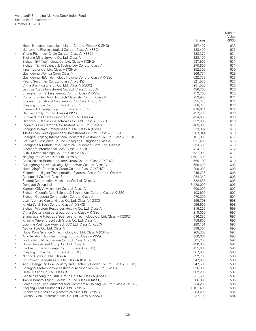|               |                                                                                                              |                    | Market     |
|---------------|--------------------------------------------------------------------------------------------------------------|--------------------|------------|
|               |                                                                                                              |                    | Value      |
|               |                                                                                                              | <b>Shares</b>      | (\$000)    |
|               | Hebei Hengshui Laobaigan Liquor Co. Ltd. Class A (XSHG)                                                      | 167,497            | 635        |
|               | Jiangzhong Pharmaceutical Co. Ltd. Class A (XSSC)                                                            | 128,400            | 635        |
|               | Yifeng Pharmacy Chain Co. Ltd. Class A (XSSC)                                                                | 128,377            | 634        |
|               | Zhejiang Ming Jewelry Co. Ltd. Class A                                                                       | 328,100            | 632        |
|               | Sichuan EM Technology Co. Ltd. Class A (XSHG)                                                                | 537,500            | 631        |
|               | Sichuan Tianyi Science & Technology Co. Ltd. Class A                                                         | 270,800            | 631        |
|               | First Tractor Co. Ltd. Class A (XSHG)                                                                        | 352,300            | 630        |
|               | Guangdong Weihua Corp. Class A                                                                               | 366.774            | 629        |
|               | Guangdong HEC Technology Holding Co. Ltd. Class A (XSSC)<br>Pacific Securities Co. Ltd. Class A (XSHG)       | 622,738<br>821,535 | 628<br>627 |
|               | China Shenhua Energy Co. Ltd. Class A (XSSC)                                                                 | 251,550            | 626        |
|               | Jiangsu Yueda Investment Co. Ltd. Class A (XSSC)                                                             | 486,700            | 626        |
|               | Shanghai Tunnel Engineering Co. Ltd. Class A (XSSC)                                                          | 412,700            | 625        |
|               | China Tungsten And Hightech Materials Co. Ltd. Class A                                                       | 259,900            | 624        |
|               | Sinoma International Engineering Co. Class A (XSSC)                                                          | 595,223            | 624        |
|               | Zhejiang Juhua Co. Ltd. Class A (XSSC)                                                                       | 388,725            | 623        |
|               | Xiamen ITG Group Corp. Ltd. Class A (XSSC)                                                                   | 478,674            | 622        |
|               | Deluxe Family Co. Ltd. Class A (XSSC)                                                                        | 437,436            | 620        |
|               | Sunward Intelligent Equipment Co. Ltd. Class A                                                               | 424,600            | 620        |
|               | Hangzhou Silan Microelectronics Co. Ltd. Class A (XSSC)                                                      | 632,600            | 619        |
|               | Ingenious Ene-Carbon New Materials Co. Ltd. Class A                                                          | 469,900            | 619        |
|               | Shanghai Wanye Enterprises Co. Ltd. Class A (XSSC)                                                           | 323,932            | 619        |
|               | Tibet Urban Development and Investment Co. Ltd. Class A (XSSC)                                               | 267,344            | 619        |
|               | Shanghai Jinjiang International Industrial Investment Co. Ltd. Class A (XSHG)                                | 161,800            | 617        |
|               | Star Lake Bioscience Co. Inc. Zhaoqing Guangdong Class A                                                     | 621,400            | 615        |
|               | Shanghai SK Petroleum & Chemical Equipment Corp. Ltd. Class A                                                | 253,600            | 613        |
|               | Sinochem International Corp. Class A (XSHG)                                                                  | 414,700            | 612        |
|               | SDIC Power Holdings Co. Ltd. Class A (XSSC)                                                                  | 631,993            | 611        |
|               | Nanjing Iron & Steel Co. Ltd. Class A                                                                        | 1,601,500          | 611        |
|               | China Hainan Rubber Industry Group Co. Ltd. Class A (XSHG)                                                   | 655,100            | 610        |
|               | Guangdong Meiyan Jixiang Hydropower Co. Ltd. Class A<br>Hubei Xingfa Chemicals Group Co. Ltd. Class A (XSHG) | 586,600            | 608        |
|               | Xingmin Intelligent Transportation Systems Group Co. Ltd. Class A                                            | 306,000<br>245,226 | 608<br>608 |
|               | Changchai Co. Ltd. Class B                                                                                   | 954,342            | 606        |
|               | Shantui Construction Machinery Co. Ltd. Class A                                                              | 722,635            | 606        |
|               | Dongyue Group Ltd.                                                                                           | 3,428,000          | 606        |
| $\ast$        | Xiamen XGMA Machinery Co. Ltd. Class A                                                                       | 600,000            | 602        |
|               | Sichuan Chengfa Aero-Science & Technology Co. Ltd. Class A (XSSC)                                            | 103,600            | 602        |
| $\ast$        | Sichuan Guodong Construction Co. Ltd. Class A                                                                | 570,200            | 601        |
|               | Luxin Venture Capital Group Co. Ltd. Class A (XSSC)                                                          | 165,708            | 598        |
|               | Kingfa Sci & Tech Co. Ltd. Class A (XSHG)                                                                    | 596,600            | 598        |
|               | Sichuan Western Resources Holding Co. Ltd. Class A                                                           | 315,200            | 598        |
|               | China Sports Industry Group Co. Ltd. Class A (XSSC)                                                          | 219,000            | 597        |
|               | Zhangjiagang Freetrade Science and Technology Co. Ltd. Class A (XSSC)                                        | 696,286            | 597        |
|               | Xinjiang Xuefeng Sci-Tech Group Co. Ltd. Class A                                                             | 458,800            | 596        |
|               | Liaoning Wellhope Agri-Tech JSC Ltd. Class A (XSSC)                                                          | 289,101            | 596        |
|               | Aeolus Tyre Co. Ltd. Class A                                                                                 | 398,304            | 595        |
|               | Hubei Kaile Science & Technology Co. Ltd. Class A (XSHG)                                                     | 265,300            | 594        |
|               | Avic Aviation High-Technology Co. Ltd. Class A (XSSC)                                                        | 300,067            | 593        |
|               | Jinduicheng Molybdenum Co. Ltd. Class A (XSHG)<br>Hunan Investment Group Co. Ltd. Class A                    | 501,200<br>490,600 | 592<br>591 |
| $\ast$        | Far East Smarter Energy Co. Ltd. Class A (XSHG)                                                              | 455,060            | 591        |
|               | Zhejiang Juhua Co. Ltd. Class A (XSHG)                                                                       | 367,800            | 590        |
| $\frac{1}{2}$ | Ningbo Fuda Co. Ltd. Class A                                                                                 | 692,700            | 589        |
|               | Southwest Securities Co. Ltd. Class A (XSHG)                                                                 | 547,606            | 589        |
|               | Anhui Hengyuan Coal Industry and Electricity Power Co. Ltd. Class A (XSHG)                                   | 547,500            | 588        |
|               | Shanghai Metersbonwe Fashion & Accessories Co. Ltd. Class A                                                  | 926,300            | 588        |
|               | Hefei Meiling Co. Ltd. Class B                                                                               | 962,200            | 587        |
|               | Gansu Yasheng Industrial Group Co. Ltd. Class A (XSSC)                                                       | 721,600            | 587        |
|               | Tianjin Benefo Tejing Electric Co. Ltd. Class A (XSSC)                                                       | 286,889            | 586        |
|               | Jonjee High-Tech Industrial And Commercial Holding Co. Ltd. Class A (XSHG)                                   | 234,200            | 586        |
| $\star$       | Zhejiang Great Southeast Co. Ltd. Class A                                                                    | 1,101,400          | 585        |
|               | Shenzhen Noposion Agrochemicals Co. Ltd. Class A                                                             | 383,200            | 585        |
|               | Guizhou Yibai Pharmaceutical Co. Ltd. Class A (XSSC)                                                         | 237,100            | 584        |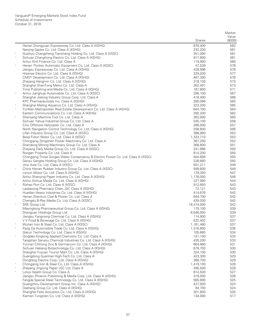|         |                                                                                                | <b>Shares</b>        | Market<br>Value<br>(0,00) |
|---------|------------------------------------------------------------------------------------------------|----------------------|---------------------------|
|         | Henan Zhongyuan Expressway Co. Ltd. Class A (XSHG)                                             | 876,400              | 582                       |
|         | Nanjing Gaoke Co. Ltd. Class A (XSHG)                                                          | 232,200              | 581                       |
| $\star$ | Guizhou Changzheng Tiancheng Holding Co. Ltd. Class A (XSSC)                                   | 351,094              | 581                       |
|         | Sichuan Changhong Electric Co. Ltd. Class A (XSHG)                                             | 917,600              | 581                       |
|         | Anhui Xinli Finance Co. Ltd. Class A                                                           | 119,900              | 580                       |
|         | Henan Thinker Automatic Equipment Co. Ltd. Class A (XSSC)                                      | 47,539               | 578                       |
|         | Jiangsu Expressway Co. Ltd. Class A (XSHG)                                                     | 428,998              | 578                       |
|         | Hisense Electric Co. Ltd. Class A (XSHG)                                                       | 229,200              | 577                       |
|         | CMST Development Co. Ltd. Class A (XSHG)                                                       | 467,300              | 576                       |
|         | Zhejiang Hangmin Co. Ltd. Class A (XSHG)                                                       | 318,100<br>262,401   | 573<br>573                |
|         | Shanghai ShenTong Metro Co. Ltd. Class A<br>Time Publishing and Media Co. Ltd. Class A (XSHG)  | 187,800              | 571                       |
| $\ast$  | Anhui Jianghuai Automobile Co. Ltd. Class A (XSSC)                                             | 296,100              | 567                       |
|         | Shanghai Jielong Industry Group Corp. Ltd. Class A                                             | 418,400              | 566                       |
|         | KPC Pharmaceuticals Inc. Class A (XSHG)                                                        | 280,088              | 565                       |
|         | Shanghai Maling Aquarius Co. Ltd. Class A (XSHG)                                               | 323,200              | 565                       |
| $\ast$  | YunNan Metropolitan Real Estate Development Co. Ltd. Class A (XSHG)                            | 644,700              | 564                       |
|         | Eastern Communications Co. Ltd. Class A (XSHG)                                                 | 392,200              | 562                       |
| $\ast$  | Shenyang Machine Tool Co. Ltd. Class A                                                         | 262,000              | 560                       |
|         | Sichuan Yahua Industrial Group Co. Ltd. Class A                                                | 545,100              | 558                       |
|         | Citic Offshore Helicopter Co. Ltd. Class A                                                     | 296,000              | 557                       |
|         | North Navigation Control Technology Co. Ltd. Class A (XSHG)                                    | 256,600              | 556                       |
|         | Lifan Industry Group Co. Ltd. Class A (XSSC)                                                   | 388,900              | 553                       |
|         | Beiqi Foton Motor Co. Ltd. Class A (XSSC)                                                      | 1,333,710            | 553                       |
|         | Chongqing Zongshen Power Machinery Co. Ltd. Class A                                            | 367,200              | 553                       |
|         | Shandong Mining Machinery Group Co. Ltd. Class A                                               | 368,800              | 551                       |
|         | Zhejiang Daily Media Group Co. Ltd. Class A (XSSC)                                             | 241,888              | 550                       |
|         | Rongan Property Co. Ltd. Class A                                                               | 814,200              | 550                       |
|         | Chongqing Three Gorges Water Conservancy & Electric Power Co. Ltd. Class A (XSSC)              | 404,858              | 550<br>550                |
|         | Gansu Gangtai Holding Group Co. Ltd. Class A (XSHG)<br>Jinxi Axle Co. Ltd. Class A (XSSC)      | 226,680<br>501,211   | 549                       |
|         | China Hainan Rubber Industry Group Co. Ltd. Class A (XSSC)                                     | 589,600              | 549                       |
|         | Loncin Motor Co. Ltd. Class A (XSHG)                                                           | 179,300              | 547                       |
|         | Anhui Shanying Paper Industry Co. Ltd. Class A (XSHG)                                          | 1,176,000            | 546                       |
|         | Anhui Xinhua Media Co. Ltd. Class A (XSHG)                                                     | 227,560              | 544                       |
| $\ast$  | Rizhao Port Co. Ltd. Class A (XSSC)                                                            | 912,650              | 543                       |
|         | Laobaixing Pharmacy Chain JSC Class A (XSHG)                                                   | 72,121               | 543                       |
|         | Huadian Heavy Industries Co. Ltd. Class A (XSHG)                                               | 414,676              | 543                       |
| $\ast$  | Henan Shenhuo Coal & Power Co. Ltd. Class A                                                    | 644,700              | 542                       |
|         | Chengdu B-Ray Media Co. Ltd. Class A (XSSC)                                                    | 439,200              | 542                       |
| $\ast$  | SRE Group Ltd.                                                                                 | 18,474,000           | 542                       |
|         | Mayinglong Pharmaceutical Group Co. Ltd. Class A (XSHG)                                        | 179,100              | 539                       |
|         | Shenguan Holdings Group Ltd.                                                                   | 6,646,000            | 539                       |
|         | Jiangsu Yangnong Chemical Co. Ltd. Class A (XSHG)                                              | 114,900              | 537                       |
|         | V V Food & Beverage Co. Ltd. Class A (XSHG)                                                    | 532,402              | 537                       |
|         | Wuhan Iron & Steel Co. Ltd. Class A (XSSC)<br>Pang Da Automobile Trade Co. Ltd. Class A (XSHG) | 1,161,460            | 537<br>536                |
|         | Glarun Technology Co. Ltd. Class A (XSHG)                                                      | 1,316,800<br>105,660 | 534                       |
|         | Qingdao Kingking Applied Chemistry Co. Ltd. Class A                                            | 141,100              | 534                       |
|         | Tangshan Sanyou Chemical Industries Co. Ltd. Class A (XSHG)                                    | 435,200              | 533                       |
|         | Yunnan Chihong Zinc & Germanium Co. Ltd. Class A (XSHG)                                        | 604,980              | 531                       |
|         | Sichuan Hebang Biotechnology Co. Ltd. Class A (XSHG)                                           | 679,700              | 530                       |
|         | Shanghai Yuyuan Tourist Mart Co. Ltd. Class A (XSHG)                                           | 324,100              | 530                       |
|         | Guangdong Guanhao High-Tech Co. Ltd. Class A                                                   | 423,300              | 529                       |
|         | Dongfang Electric Corp. Ltd. Class A (XSHG)                                                    | 368,700              | 529                       |
|         | Chongqing Iron & Steel Co. Ltd. Class A (XSHG)                                                 | 1,419,100            | 528                       |
|         | Zhejiang Jingxing Paper JSC Ltd. Class A                                                       | 490,500              | 528                       |
| $\ast$  | Lotus Health Group Co. Class A                                                                 | 614,500              | 527                       |
|         | Jiangsu Phoenix Publishing & Media Corp. Ltd. Class A (XSHG)                                   | 319,000              | 526                       |
|         | Fangda Special Steel Technology Co. Ltd. Class A (XSHG)                                        | 565,690              | 525                       |
|         | Guangzhou Development Group Inc. Class A (XSHG)                                                | 427,000              | 524                       |
|         | Dashang Group Co. Ltd. Class A (XSHG)                                                          | 84,700               | 524                       |
|         | Shanghai Feilo Acoustics Co. Ltd. Class A (XSHG)                                               | 301,800              | 520                       |
|         | Xiamen Tungsten Co. Ltd. Class A (XSHG)                                                        | 134,000              | 517                       |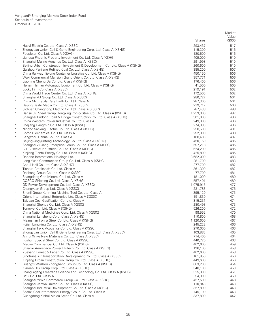|        |                                                                                 | <b>Shares</b>     | Market<br>Value<br>(0,00) |
|--------|---------------------------------------------------------------------------------|-------------------|---------------------------|
|        | Huayi Electric Co. Ltd. Class A (XSSC)                                          | 293,437           | 517                       |
| $\ast$ | Zhongyuan Union Cell & Gene Engineering Corp. Ltd. Class A (XSHG)               | 115,300           | 516                       |
|        | People.cn Co. Ltd. Class A (XSHG)                                               | 180,600           | 516                       |
|        | Jiangsu Phoenix Property Investment Co. Ltd. Class A (XSHG)                     | 409,000           | 510                       |
| $\ast$ | Shanghai Maling Aquarius Co. Ltd. Class A (XSSC)                                | 291,998           | 510                       |
|        | Beijing Urban Construction Investment & Development Co. Ltd. Class A (XSHG)     | 260,600           | 510                       |
|        | Guizhou Panjiang Refined Coal Co. Ltd. Class A (XSHG)                           | 385,200           | 507                       |
|        | China Railway Tielong Container Logistics Co. Ltd. Class A (XSHG)               | 450,150           | 506                       |
|        | Wuxi Commercial Mansion Grand Orient Co. Ltd. Class A (XSHG)                    | 357,771           | 506                       |
|        | Liaoning Cheng Da Co. Ltd. Class A (XSHG)                                       | 176,400           | 506                       |
|        | Henan Thinker Automatic Equipment Co. Ltd. Class A (XSHG)                       | 41,500            | 505                       |
|        | Lucky Film Co. Class A (XSSC)                                                   | 219,191           | 502                       |
|        | China World Trade Center Co. Ltd. Class A (XSHG)                                | 172,500           | 502                       |
|        | Shanghai AJ Group Co. Ltd. Class A (XSSC)                                       | 280,727           | 501                       |
| $\ast$ | China Minmetals Rare Earth Co. Ltd. Class A                                     | 287,300           | 501                       |
|        | Beijing Bashi Media Co. Ltd. Class A (XSSC)                                     | 219,717           | 500                       |
| $\ast$ | Sichuan Changhong Electric Co. Ltd. Class A (XSSC)                              | 787,438           | 498                       |
| $\ast$ | Gansu Jiu Steel Group Hongxing Iron & Steel Co. Ltd. Class A (XSHG)             | 1,253,300         | 497                       |
|        | Shanghai Pudong Road & Bridge Construction Co. Ltd. Class A (XSHG)              | 301,900           | 496                       |
|        | China Western Power Industrial Co. Ltd. Class A                                 | 249,800           | 496                       |
|        | Zhejiang Hangmin Co. Ltd. Class A (XSSC)                                        | 274,993           | 496                       |
| $\ast$ | Ningbo Sanxing Electric Co. Ltd. Class A (XSHG)                                 | 258,500           | 491                       |
|        | Cofco Biochemical Co. Ltd. Class A                                              | 292,300           | 488                       |
| $\ast$ | Cangzhou Dahua Co. Ltd. Class A                                                 | 168,483           | 487                       |
|        | Beijing Jingyuntong Technology Co. Ltd. Class A (XSHG)                          | 450,160           | 486                       |
|        | Shanghai Zi Jiang Enterprise Group Co. Ltd. Class A (XSSC)                      | 597,218           | 486                       |
|        | CITIC Heavy Industries Co. Ltd. Class A (XSHG)                                  | 624,200           | 486                       |
| $\ast$ | Xinjiang Tianfu Energy Co. Ltd. Class A (XSHG)                                  | 425,800           | 485                       |
|        | Daphne International Holdings Ltd.                                              | 3,682,000         | 483                       |
|        | Long Yuan Construction Group Co. Ltd. Class A (XSHG)                            | 281,700           | 483                       |
|        | Anhui Heli Co. Ltd. Class A (XSHG)                                              | 277,700           | 482                       |
|        | Tianrun Crankshaft Co. Ltd. Class A                                             | 361,300           | 482                       |
|        | Dashang Group Co. Ltd. Class A (XSSC)<br>Shangdong Geo-Mineral Co. Ltd. Class A | 77,700<br>181,000 | 481<br>480                |
|        | COSCO Shipping Co. Ltd. Class A (XSHG)                                          | 557,401           | 480                       |
|        | GD Power Development Co. Ltd. Class A (XSSC)                                    | 1,075,915         | 477                       |
|        | Changyuan Group Ltd. Class A (XSSC)                                             | 231,783           | 476                       |
|        | Shenji Group Kunming Machine Tool Co. Ltd. Class A                              | 395,120           | 475                       |
|        | Orient International Enterprise Ltd. Class A (XSSC)                             | 151,830           | 474                       |
|        | Taiyuan Coal Gasification Co. Ltd. Class A                                      | 315,231           | 474                       |
|        | Shanghai Shenda Co. Ltd. Class A (XSSC)                                         | 280,493           | 473                       |
|        | Tongwei Co. Ltd. Class A (XSHG)                                                 | 526,200           | 472                       |
|        | China National Medicines Corp. Ltd. Class A (XSSC)                              | 98,552            | 470                       |
|        | Shanghai Lansheng Corp. Class A (XSHG)                                          | 110,800           | 468                       |
|        | Maanshan Iron & Steel Co. Ltd. Class A (XSHG)                                   | 1,120,600         | 467                       |
|        | Fujian Longking Co. Ltd. Class A (XSHG)                                         | 245,222           | 466                       |
|        | Shanghai Feilo Acoustics Co. Ltd. Class A (XSSC)                                | 270,600           | 466                       |
| $\ast$ | Zhongyuan Union Cell & Gene Engineering Corp. Ltd. Class A (XSSC)               | 103,883           | 465                       |
|        | Anhui Xinke New Materials Co. Ltd. Class A (XSSC)                               | 714,400           | 464                       |
|        | Fushun Special Steel Co. Ltd. Class A (XSSC)                                    | 440,720           | 463                       |
|        | Maoye Commericial Co. Ltd. Class A (XSHG)                                       | 402,600           | 459                       |
|        | Shaanxi Aerospace Power Hi-Tech Co. Ltd. Class A (XSHG)                         | 126,100           | 458                       |
| $\ast$ | Yueyang Forest & Paper Co. Ltd. Class A (XSSC)                                  | 402,600           | 458                       |
|        | Sinotrans Air Transportation Development Co. Ltd. Class A (XSSC)                | 161,950           | 456                       |
|        | Xinjiang Urban Construction Group Co. Ltd. Class A (XSHG)                       | 449,600           | 456                       |
| $\ast$ | Guangxi Wuzhou Zhongheng Group Co. Ltd. Class A (XSHG)                          | 683,200           | 454                       |
|        | Xiamen ITG Group Corp. Ltd. Class A (XSHG)                                      | 348,100           | 453                       |
|        | Zhangjiagang Freetrade Science and Technology Co. Ltd. Class A (XSHG)           | 525,800           | 451                       |
| $\ast$ | BYD Co. Ltd. Class A                                                            | 54,300            | 450                       |
|        | Shanghai Yimin Commerce Group Co. Ltd. Class A (XSHG)                           | 457,500           | 448                       |
|        | Shanghai Jahwa United Co. Ltd. Class A (XSSC)                                   | 110,843           | 443                       |
|        | Shanghai Industrial Development Co. Ltd. Class A (XSHG)                         | 357,890           | 443                       |
|        | Shanxi Coal International Energy Group Co. Ltd. Class A                         | 745,199           | 443                       |
|        | Guangdong Xinhui Meida Nylon Co. Ltd. Class A                                   | 337,800           | 442                       |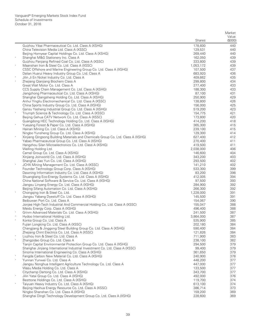|        |                                                                                                                           | <b>Shares</b>      | Market<br>Value<br>(\$000) |
|--------|---------------------------------------------------------------------------------------------------------------------------|--------------------|----------------------------|
|        | Guizhou Yibai Pharmaceutical Co. Ltd. Class A (XSHG)                                                                      | 178,600            | 440                        |
|        | China Television Media Ltd. Class A (XSSC)                                                                                | 129,531            | 440                        |
|        | Beijing Homyear Capital Holdings Co. Ltd. Class A (XSHG)                                                                  | 269,440            | 440                        |
|        | Shanghai M&G Stationery Inc. Class A                                                                                      | 162,050            | 439                        |
|        | Guizhou Panjiang Refined Coal Co. Ltd. Class A (XSSC)                                                                     | 333,800            | 439                        |
|        | Maanshan Iron & Steel Co. Ltd. Class A (XSSC)                                                                             | 1,053,172          | 439                        |
|        | CSSC Offshore and Marine Engineering Group Co. Ltd. Class A (XSHG)<br>Dalian Huarui Heavy Industry Group Co. Ltd. Class A | 107,500<br>683,920 | 437<br>436                 |
|        | Jilin Ji En Nickel Industry Co. Ltd. Class A                                                                              | 409,662            | 435                        |
|        | Zhejiang Qianjiang Biochem Class A                                                                                        | 299,800            | 434                        |
|        | Great Wall Motor Co. Ltd. Class A                                                                                         | 277,400            | 433                        |
|        | CCS Supply Chain Management Co. Ltd. Class A (XSHG)                                                                       | 188,300            | 433                        |
|        | Jiangzhong Pharmaceutical Co. Ltd. Class A (XSHG)                                                                         | 87,100             | 431                        |
|        | Shanghai Qiangsheng Holding Co. Ltd. Class A (XSHG)                                                                       | 250,900            | 429                        |
|        | Anhui Yingliu Electromechanical Co. Ltd. Class A (XSSC)                                                                   | 138,800            | 426                        |
|        | China Sports Industry Group Co. Ltd. Class A (XSHG)                                                                       | 156,000            | 425                        |
| $\ast$ | Gansu Yasheng Industrial Group Co. Ltd. Class A (XSHG)                                                                    | 519,200            | 423<br>421                 |
|        | Triumph Science & Technology Co. Ltd. Class A (XSSC)<br>Beijing Gehua CATV Network Co. Ltd. Class A (XSSC)                | 154,775<br>173,800 | 420                        |
|        | Guangdong HEC Technology Holding Co. Ltd. Class A (XSHG)                                                                  | 414,200            | 418                        |
|        | Yueyang Forest & Paper Co. Ltd. Class A (XSHG)                                                                            | 365,300            | 415                        |
|        | Hainan Mining Co. Ltd. Class A (XSHG)                                                                                     | 239,100            | 415                        |
|        | Ningbo Yunsheng Group Co. Ltd. Class A (XSHG)                                                                             | 129,300            | 414                        |
| $\ast$ | Xinjiang Qingsong Building Materials and Chemicals Group Co. Ltd. Class A (XSHG)                                          | 627,400            | 412                        |
|        | Yabao Pharmaceutical Group Co. Ltd. Class A (XSHG)                                                                        | 270,400            | 411                        |
|        | Hangzhou Silan Microelectronics Co. Ltd. Class A (XSHG)                                                                   | 419,500            | 411                        |
|        | Welling Holding Ltd.                                                                                                      | 2,038,000          | 406                        |
|        | Camel Group Co. Ltd. Class A (XSHG)                                                                                       | 146,600<br>343,200 | 404<br>403                 |
|        | Xinjiang Joinworld Co. Ltd. Class A (XSHG)<br>Shanghai Jiao Yun Co. Ltd. Class A (XSHG)                                   | 293,500            | 402                        |
| $\ast$ | JCHX Mining Management Co. Ltd. Class A (XSSC)                                                                            | 141,210            | 402                        |
|        | Founder Technology Group Corp. Class A (XSHG)                                                                             | 533,300            | 399                        |
|        | Dawning Information Industry Co. Ltd. Class A (XSHG)                                                                      | 83,200             | 398                        |
|        | Shuangliang Eco-Energy Systems Co. Ltd. Class A (XSHG)                                                                    | 412,005            | 394                        |
|        | China National Software & Service Co. Ltd. Class A (XSHG)                                                                 | 97,500             | 393                        |
|        | Jiangsu Linyang Energy Co. Ltd. Class A (XSHG)                                                                            | 284,900            | 392                        |
|        | Beijing Sifang Automation Co. Ltd. Class A (XSHG)                                                                         | 266,300            | 392                        |
|        | Chongqing Iron & Steel Co. Ltd.                                                                                           | 1,228,000          | 391                        |
|        | Jiangsu Yabang Dyestuff Co. Ltd. Class A (XSHG)<br>Beibuwan Port Co. Ltd. Class A                                         | 145,500<br>154,067 | 391<br>390                 |
|        | Jonjee High-Tech Industrial And Commercial Holding Co. Ltd. Class A (XSSC)                                                | 155,047            | 388                        |
|        | Meidu Energy Corp. Class A (XSHG)                                                                                         | 496,400            | 388                        |
|        | Grinm Advanced Materials Co. Ltd. Class A (XSHG)                                                                          | 241,500            | 387                        |
|        | Hydoo International Holding Ltd.                                                                                          | 3,864,000          | 387                        |
|        | Konka Group Co. Ltd. Class A                                                                                              | 535,900            | 385                        |
|        | Fujian Longking Co. Ltd. Class A (XSSC)                                                                                   | 202,180            | 384                        |
|        | Changjiang & Jinggong Steel Building Group Co. Ltd. Class A (XSHG)                                                        | 590,400            | 384                        |
|        | Zhejiang Chint Electrics Co. Ltd. Class A (XSSC)                                                                          | 121,826            | 384                        |
| $\ast$ | Liuzhou Iron & Steel Co. Ltd. Class A                                                                                     | 711,900<br>238,100 | 383<br>382                 |
|        | Zhangzidao Group Co. Ltd. Class A<br>Tianjin Capital Environmental Protection Group Co. Ltd. Class A (XSHG)               | 294,500            | 379                        |
|        | Shanghai Jinjiang International Industrial Investment Co. Ltd. Class A (XSSC)                                             | 99,400             | 379                        |
|        | Sinoma International Engineering Co. Class A (XSHG)                                                                       | 361,650            | 379                        |
|        | Fangda Carbon New Material Co. Ltd. Class A (XSHG)                                                                        | 240,900            | 378                        |
| $\ast$ | Yunnan Yunwei Co. Ltd. Class A                                                                                            | 448,200            | 377                        |
|        | Jiangsu Nonghua Intelligent Agriculture Technology Co. Ltd. Class A                                                       | 447,000            | 377                        |
|        | Wasu Media Holding Co. Ltd. Class A                                                                                       | 133,500            | 377                        |
|        | Citychamp Dartong Co. Ltd. Class A (XSHG)                                                                                 | 343,700            | 377                        |
| $\ast$ | Jilin Yatai Group Co. Ltd. Class A (XSHG)                                                                                 | 492,000            | 376                        |
|        | Besttone Holdings Co. Ltd. Class A (XSHG)<br>Taiyuan Heavy Industry Co. Ltd. Class A (XSHG)                               | 119,700<br>613,100 | 374<br>374                 |
|        | Beijing Haohua Energy Resource Co. Ltd. Class A (XSSC)                                                                    | 386,714            | 373                        |
|        | Ningbo Shanshan Co. Ltd. Class A (XSHG)                                                                                   | 159,200            | 369                        |
|        | Shanghai Dingli Technology Development Group Co. Ltd. Class A (XSHG)                                                      | 228,600            | 369                        |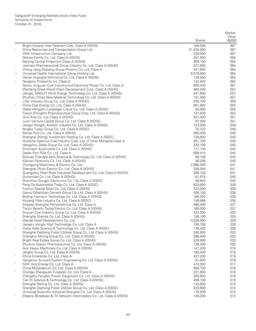|             |                                                                                                                                    | <b>Shares</b>      | Market<br>Value<br>(S000) |
|-------------|------------------------------------------------------------------------------------------------------------------------------------|--------------------|---------------------------|
|             | Bright Oceans Inter-Telecom Corp. Class A (XSHG)                                                                                   | 164,500            | 367                       |
| $\wedge$    | China Resources and Transportation Group Ltd.                                                                                      | 21,035,000         | 367                       |
|             | HNA Infrastructure Company Ltd.                                                                                                    | 328,000            | 367                       |
|             | Deluxe Family Co. Ltd. Class A (XSHG)                                                                                              | 257,500            | 365                       |
|             | Nanjing Central Emporium Class A (XSHG)                                                                                            | 358,100            | 364                       |
|             | Joincare Pharmaceutical Group Industry Co. Ltd. Class A (XSHG)                                                                     | 237,600            | 364                       |
|             | Chang Jiang Shipping Group Phoenix Co. Ltd. Class A                                                                                | 341,600            | 364                       |
| $^*,\wedge$ | Universal Health International Group Holding Ltd.                                                                                  | 8,078,000          | 364                       |
| $\ast$      | Henan Huanghe Whirlwind Co. Ltd. Class A (XSHG)                                                                                    | 128,000            | 364                       |
|             | Neoglory Prosperity Inc. Class A                                                                                                   | 152,829<br>600,400 | 362<br>361                |
|             | Gansu Jingyuan Coal Industry and Electricity Power Co. Ltd. Class A<br>Wenfeng Great World Chain Development Corp. Class A (XSHG)  | 460,200            | 357                       |
|             | Jiangsu SINOJIT Wind Energy Technology Co. Ltd. Class A (XSHG)                                                                     | 441,600            | 357                       |
|             | Zhuzhou Times New Material Technology Co. Ltd. Class A (XSHG)                                                                      | 151,400            | 357                       |
|             | Lifan Industry Group Co. Ltd. Class A (XSHG)                                                                                       | 250,700            | 356                       |
| $\ast$      | China Coal Energy Co. Ltd. Class A (XSHG)                                                                                          | 361,900            | 355                       |
|             | Hebei Hengshui Laobaigan Liquor Co. Ltd. Class A (XSSC)                                                                            | 93,500             | 354                       |
|             | Tianjin ZhongXin Pharmaceutical Group Corp. Ltd. Class A (XSHG)                                                                    | 141,500            | 353                       |
|             | Jinxi Axle Co. Ltd. Class A (XSHG)                                                                                                 | 321,000            | 351                       |
|             | Luxin Venture Capital Group Co. Ltd. Class A (XSHG)                                                                                | 97,300             | 351                       |
|             | Jiangxi Hongdu Aviation Industry Co. Ltd. Class A (XSHG)                                                                           | 123,000            | 349                       |
|             | Ningbo Tuopu Group Co. Ltd. Class A (XSSC)                                                                                         | 75,737             | 348                       |
|             | Rizhao Port Co. Ltd. Class A (XSHG)                                                                                                | 580,400            | 345                       |
|             | Shanghai Zhongji Investment Holding Co. Ltd. Class A (XSSC)<br>Huolinhe Opencut Coal Industry Corp. Ltd. of Inner Mongolia Class A | 129,600<br>251,700 | 345<br>345                |
|             | Hangzhou Jiebai Group Co. Ltd. Class A (XSHG)                                                                                      | 243,100            | 345                       |
|             | Sinomach Automobile Co. Ltd. Class A (XSHG)                                                                                        | 177,150            | 344                       |
|             | Dalian Port PDA Co. Ltd. Class A                                                                                                   | 958,410            | 344                       |
|             | Sichuan Chengfa Aero-Science & Technology Co. Ltd. Class A (XSHG)                                                                  | 59,100             | 343                       |
|             | Xiamen Faratronic Co. Ltd. Class A (XSHG)                                                                                          | 58,248             | 343                       |
|             | Chongqing Machinery & Electric Co. Ltd.                                                                                            | 2,886,000          | 341                       |
|             | Shanghai Zhixin Electric Co. Ltd. Class A (XSHG)                                                                                   | 209,544            | 341                       |
|             | Guangzhou Pearl River Industrial Development Co. Ltd. Class A (XSHG)                                                               | 285,100            | 341                       |
|             | Guirenniao Co. Ltd. Class A (XSHG)                                                                                                 | 81,674             | 340                       |
| $\ast$      | Shenzhen Gongjin Electronics Co. Ltd. Class A (XSSC)                                                                               | 56,840             | 340                       |
|             | Pang Da Automobile Trade Co. Ltd. Class A (XSSC)                                                                                   | 833,600            | 339                       |
|             | Fushun Special Steel Co. Ltd. Class A (XSHG)<br>Gansu Qilianshan Cement Group Co. Ltd. Class A (XSHG)                              | 322,000<br>306,100 | 339<br>338                |
|             | Beijing Teamsun Technology Co. Ltd. Class A (XSHG)                                                                                 | 180,320            | 338                       |
|             | Xinjiang Yilite Industry Co. Ltd. Class A (XSSC)                                                                                   | 148,688            | 338                       |
|             | Sinopec Shanghai Petrochemical Co. Ltd. Class A                                                                                    | 388,400            | 337                       |
|             | Tianjin Benefo Tejing Electric Co. Ltd. Class A (XSHG)                                                                             | 165,000            | 337                       |
|             | Anyuan Coal Industry Group Co. Ltd. Class A (XSHG)                                                                                 | 422,000            | 330                       |
|             | Shanghai Shenda Co. Ltd. Class A (XSHG)                                                                                            | 195,100            | 329                       |
|             | Wanda Hotel Development Co. Ltd.                                                                                                   | 3,326,000          | 329                       |
|             | Jiangsu Hongtu High Technology Co. Ltd. Class A                                                                                    | 190,750            | 329                       |
|             | Hubei Kaile Science & Technology Co. Ltd. Class A (XSSC)                                                                           | 146,423            | 328                       |
|             | Shanghai Dazhong Public Utilities Group Co. Ltd. Class A (XSHG)                                                                    | 345,800            | 325                       |
|             | Chengtun Mining Group Co. Ltd. Class A (XSHG)                                                                                      | 286,400<br>229,900 | 320                       |
|             | Bright Real Estate Group Co. Ltd. Class A (XSHG)<br>Zhuzhou Qianjin Pharmaceutical Co. Ltd. Class A (XSHG)                         | 128,300            | 320<br>320                |
|             | Avic Heavy Machinery Co. Ltd. Class A (XSHG)                                                                                       | 147,200            | 319                       |
|             | Jangho Group Co. Ltd. Class A (XSHG)                                                                                               | 193,400            | 319                       |
| $\ast$      | China Enterprise Co. Ltd. Class A                                                                                                  | 427,200            | 319                       |
|             | Hangzhou Sunyard System Engineering Co. Ltd. Class A (XSHG)                                                                        | 91,600             | 318                       |
|             | SDIC Xinji Energy Co. Ltd. Class A                                                                                                 | 474,302            | 317                       |
|             | China Molybdenum Co. Ltd. Class A (XSHG)                                                                                           | 558,700            | 316                       |
| $\ast$      | Chongyi Zhangyuan Tungsten Co. Ltd. Class A                                                                                        | 201,600            | 316                       |
|             | Changshu Fengfan Power Equipment Co. Ltd. Class A (XSHG)                                                                           | 263,500            | 316                       |
|             | Tian Di Science & Technology Co. Ltd. Class A (XSHG)                                                                               | 456,100            | 316                       |
|             | Shanghai Belling Co. Ltd. Class A (XSHG)                                                                                           | 143,000            | 315                       |
|             | Shanghai Dazhong Public Utilities Group Co. Ltd. Class A (XSSC)                                                                    | 333,600            | 314                       |
|             | Universal Scientific Industrial Shanghai Co. Ltd. Class A (XSHG)                                                                   | 178,938            | 312                       |
|             | Shaanxi Broadcast & TV Network Intermediary Co. Ltd. Class A (XSHG)                                                                | 149,200            | 312                       |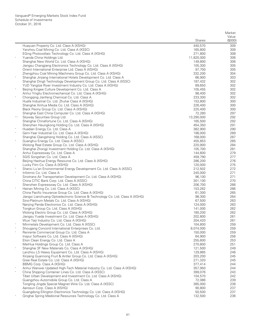|        |                                                                                                                | <b>Shares</b>      | Market<br>Value<br>(\$000) |
|--------|----------------------------------------------------------------------------------------------------------------|--------------------|----------------------------|
|        | Huayuan Property Co. Ltd. Class A (XSHG)                                                                       | 440,570            | 309                        |
|        | Yanzhou Coal Mining Co. Ltd. Class A (XSSC)                                                                    | 165,800            | 309                        |
|        | EGing Photovoltaic Technology Co. Ltd. Class A (XSHG)                                                          | 271,800            | 308                        |
|        | Yuanda China Holdings Ltd.                                                                                     | 11,820,000         | 306                        |
|        | Shanghai New World Co. Ltd. Class A (XSHG)                                                                     | 149,800            | 306                        |
|        | Jiangsu Changjiang Electronics Technology Co. Ltd. Class A (XSHG)                                              | 105,300            | 305                        |
|        | Orient International Enterprise Ltd. Class A (XSHG)                                                            | 97,700             | 305                        |
|        | Zhengzhou Coal Mining Machinery Group Co. Ltd. Class A (XSHG)                                                  | 332,200            | 304                        |
| $\ast$ | Shanghai Jinjiang International Hotels Development Co. Ltd. Class A                                            | 66,900             | 303                        |
|        | Shanghai Dingli Technology Development Group Co. Ltd. Class A (XSSC)                                           | 187,432            | 302                        |
| $\ast$ | YUD Yangtze River Investment Industry Co. Ltd. Class A (XSHG)                                                  | 89,650             | 302                        |
|        | Beijing Kingee Culture Development Co. Ltd. Class A<br>Anhui Yingliu Electromechanical Co. Ltd. Class A (XSHG) | 105,455<br>98,400  | 302<br>302                 |
|        | Chongqing Jianfeng Chemical Co. Ltd. Class A                                                                   | 233,300            | 302                        |
|        | Huafa Industrial Co. Ltd. Zhuhai Class A (XSHG)                                                                | 153,800            | 300                        |
|        | Shanghai Xinhua Media Co. Ltd. Class A (XSHG)                                                                  | 226,400            | 300                        |
|        | Black Peony Group Co. Ltd. Class A (XSHG)                                                                      | 225,400            | 300                        |
|        | Shanghai East China Computer Co. Ltd. Class A (XSHG)                                                           | 72,280             | 297                        |
| *,^    | Skyway Securities Group Ltd.                                                                                   | 13,290,000         | 292                        |
|        | Shanghai Chinafortune Co. Ltd. Class A (XSHG)                                                                  | 165,500            | 292                        |
|        | Shenzhen Heungkong Holding Co. Ltd. Class A (XSHG)                                                             | 454,350            | 291                        |
| $\ast$ | Huadian Energy Co. Ltd. Class A                                                                                | 382,900            | 290                        |
|        | Gem-Year Industrial Co. Ltd. Class A (XSHG)                                                                    | 196,000            | 289                        |
| $\ast$ | Shanghai Qiangsheng Holding Co. Ltd. Class A (XSSC)                                                            | 168,000            | 287                        |
|        | Guanghui Energy Co. Ltd. Class A (XSSC)<br>Wolong Real Estate Group Co. Ltd. Class A (XSHG)                    | 455,853<br>220,900 | 285<br>284                 |
|        | Shanghai Zhongji Investment Holding Co. Ltd. Class A (XSHG)                                                    | 105,700            | 281                        |
|        | Anhui Expressway Co. Ltd. Class A                                                                              | 144,600            | 279                        |
| $\ast$ | SGIS Songshan Co. Ltd. Class A                                                                                 | 459,790            | 277                        |
|        | Beijing Haohua Energy Resource Co. Ltd. Class A (XSHG)                                                         | 286,200            | 276                        |
|        | Lucky Film Co. Class A (XSHG)                                                                                  | 120,000            | 275                        |
|        | Shanxi Lu'an Environmental Energy Development Co. Ltd. Class A (XSSC)                                          | 212,502            | 272                        |
| $\ast$ | Infotmic Co. Ltd. Class A                                                                                      | 245,000            | 271                        |
|        | Sinotrans Air Transportation Development Co. Ltd. Class A (XSHG)                                               | 96,100             | 271                        |
|        | China CITIC Bank Corp. Ltd. Class A (XSSC)                                                                     | 301,100            | 270                        |
|        | Shenzhen Expressway Co. Ltd. Class A (XSHG)                                                                    | 206,700            | 266                        |
|        | Hainan Mining Co. Ltd. Class A (XSSC)<br>China Pacific Insurance Group Co. Ltd. Class A (XSHG)                 | 153,262<br>61,300  | 266<br>265                 |
|        | Jiangxi Lianchuang Optoelectronic Science & Technology Co. Ltd. Class A (XSHG)                                 | 98,300             | 264                        |
|        | Sino-Platinum Metals Co. Ltd. Class A (XSHG)                                                                   | 67,500             | 263                        |
|        | Nanjing Panda Electronics Co. Ltd. Class A (XSHG)                                                              | 124,000            | 263                        |
|        | Tongkun Group Co. Ltd. Class A (XSHG)                                                                          | 141,000            | 262                        |
|        | Wolong Electric Group Co. Ltd. Class A (XSHG)                                                                  | 180,200            | 262                        |
|        | Jiangsu Yueda Investment Co. Ltd. Class A (XSHG)                                                               | 202,800            | 261                        |
|        | Wuxi Taiji Industry Co. Ltd. Class A (XSHG)                                                                    | 204,420            | 261                        |
|        | Minmetals Development Co. Ltd. Class A (XSSC)                                                                  | 104,800            | 259                        |
| $\ast$ | Shougang Concord International Enterprises Co. Ltd.                                                            | 8,074,000          | 259                        |
|        | Renrenle Commercial Group Co. Ltd. Class A                                                                     | 150,000            | 259                        |
|        | Inspur Software Co. Ltd. Class A (XSHG)<br>Elion Clean Energy Co. Ltd. Class A                                 | 64,900<br>255,600  | 256<br>253                 |
|        | MeiHua Holdings Group Co. Ltd. Class A                                                                         | 270,800            | 251                        |
| $\ast$ | Shanghai 3F New Materials Co. Class A (XSHG)                                                                   | 121,500            | 249                        |
|        | Lanzhou LS Heavy Equipment Co. Ltd. Class A (XSHG)                                                             | 129,885            | 246                        |
|        | Xinjiang Guannong Fruit & Antler Group Co. Ltd. Class A (XSHG)                                                 | 203,200            | 245                        |
|        | Gree Real Estate Co. Ltd. Class A (XSHG)                                                                       | 271,320            | 245                        |
|        | BBMG Corp. Class A (XSHG)                                                                                      | 377,414            | 244                        |
|        | Anhui Wanwei Updated High-Tech Material Industry Co. Ltd. Class A (XSHG)                                       | 357,950            | 244                        |
| $\ast$ | China Shipping Container Lines Co. Ltd. Class A (XSSC)                                                         | 399,076            | 243                        |
|        | Tibet Urban Development and Investment Co. Ltd. Class A (XSHG)                                                 | 104,570            | 242                        |
|        | Guangzhou Automobile Group Co. Ltd. Class A                                                                    | 72,086             | 239                        |
|        | Tongling Jingda Special Magnet Wire Co. Ltd. Class A (XSSC)                                                    | 385,000            | 238                        |
|        | Aerosun Corp. Class A (XSHG)<br>Guangdong Ellington Electronics Technology Co. Ltd. Class A (XSHG)             | 90,800<br>50,500   | 237<br>237                 |
|        | Qinghai Spring Medicinal Resources Technology Co. Ltd. Class A                                                 | 132,500            | 236                        |
|        |                                                                                                                |                    |                            |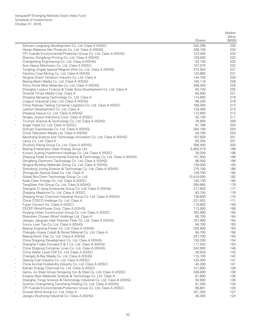|        |                                                                                                           | Shares             | Market<br>Value<br>(\$000) |
|--------|-----------------------------------------------------------------------------------------------------------|--------------------|----------------------------|
|        | Sichuan Languang Development Co. Ltd. Class A (XSSC)                                                      | 202,266            | 234                        |
|        | Henan Rebecca Hair Products Co. Ltd. Class A (XSHG)                                                       | 206,100            | 234                        |
|        | CPI Yuanda Environmental-Protection Group Co. Ltd. Class A (XSHG)                                         | 123,400            | 233                        |
|        | Shantou Dongfeng Printing Co. Ltd. Class A (XSHG)                                                         | 129,000            | 233                        |
|        | Changzheng Engineering Co. Ltd. Class A (XSHG)                                                            | 53,100             | 232                        |
|        | Avic Heavy Machinery Co. Ltd. Class A (XSSC)                                                              | 107,075            | 232                        |
|        | Tongling Jingda Special Magnet Wire Co. Ltd. Class A (XSHG)                                               | 374,934            | 231                        |
|        | Yanzhou Coal Mining Co. Ltd. Class A (XSHG)                                                               | 123,865            | 231                        |
|        | Ningxia Orient Tantalum Industry Co. Ltd. Class A                                                         | 144,700            | 229                        |
|        | Beijing Bashi Media Co. Ltd. Class A (XSHG)                                                               | 100,118            | 228                        |
|        | Anhui Xinke New Materials Co. Ltd. Class A (XSHG)                                                         | 348,200            | 226                        |
|        | Shanghai Lujiazui Finance & Trade Zone Development Co. Ltd. Class A                                       | 63,720             | 225                        |
|        | Oriental Times Media Corp. Class A                                                                        | 84,500             | 221                        |
|        | Zhejiang Nanyang Technology Co. Ltd. Class A                                                              | 114,600            | 219                        |
|        | Lingyun Industrial Corp. Ltd. Class A (XSHG)                                                              | 98,200             | 218                        |
|        | China Railway Tielong Container Logistics Co. Ltd. Class A (XSSC)                                         | 189,300            | 213                        |
|        | Lawton Development Co. Ltd. Class A<br>Zhejiang Haiyue Co. Ltd. Class A (XSHG)                            | 129,400<br>112,600 | 213<br>212                 |
|        | Ningbo Joyson Electronic Corp. Class A (XSSC)                                                             | 42,100             | 211                        |
|        | Triumph Science & Technology Co. Ltd. Class A (XSHG)                                                      | 76,800             | 209                        |
|        | Angel Yeast Co. Ltd. Class A (XSSC)                                                                       | 81,788             | 204                        |
|        | Sichuan Expressway Co. Ltd. Class A (XSHG)                                                                | 284,100            | 203                        |
|        | China Television Media Ltd. Class A (XSHG)                                                                | 59,700             | 203                        |
|        | Baosheng Science and Technology Innovation Co. Ltd. Class A (XSHG)                                        | 167,828            | 201                        |
|        | Lancy Co. Ltd. Class A                                                                                    | 63,200             | 201                        |
|        | Zhuzhou Kibing Group Co. Ltd. Class A (XSHG)                                                              | 356,400            | 200                        |
|        | Beijing Enterprises Clean Energy Group Ltd.                                                               | 6,800,579          | 198                        |
|        | Kunwu Jiuding Investment Holdings Co. Ltd. Class A (XSSC)                                                 | 29,200             | 196                        |
|        | Zhejiang Feida Environmental Science & Technology Co. Ltd. Class A (XSHG)                                 | 101,500            | 196                        |
|        | Dongfeng Electronic Technology Co. Ltd. Class A (XSHG)                                                    | 86,000             | 196                        |
|        | Ningxia Building Materials Group Co. Ltd. Class A (XSHG)                                                  | 129,000            | 193                        |
|        | Shandong Jinjing Science & Technology Co. Ltd. Class A (XSHG)                                             | 275,100<br>109,700 | 186<br>185                 |
| $\ast$ | Zhongyuan Special Steel Co. Ltd. Class A<br>Global Bio-Chem Technology Group Co. Ltd.                     | 10,418,000         | 182                        |
|        | Keda Clean Energy Co. Ltd. Class A (XSSC)                                                                 | 140,100            | 180                        |
|        | TangShan Port Group Co. Ltd. Class A (XSHG)                                                               | 300,960            | 178                        |
|        | Shanghai Zi Jiang Enterprise Group Co. Ltd. Class A (XSHG)                                                | 217,600            | 177                        |
| $\ast$ | Zhejiang Medicine Co. Ltd. Class A (XSSC)                                                                 | 83,700             | 176                        |
|        | Zhejiang Xinan Chemical Industrial Group Co. Ltd. Class A (XSHG)                                          | 136,600            | 174                        |
|        | China COSCO Holdings Co. Ltd. Class A                                                                     | 221,002            | 171                        |
| $\ast$ | Fujian Cement Inc. Class A (XSSC)                                                                         | 119,800            | 169                        |
|        | CECEP Wind-Power Corp. Class A (XSHG)                                                                     | 112,900            | 168                        |
|        | Xinjiang Urban Construction Group Co. Ltd. Class A (XSSC)                                                 | 162,900            | 165                        |
|        | Shenzhen Chiwan Wharf Holdings Ltd. Class A                                                               | 65,700             | 164                        |
|        | Jiangsu Jiangnan High Polymer Fiber Co. Ltd. Class A (XSHG)                                               | 167,900            | 164                        |
|        | Sunny Loan Top Co. Ltd. Class A (XSHG)                                                                    | 94,700             | 163                        |
| $\ast$ | Beijing Jingneng Power Co. Ltd. Class A (XSHG)<br>Chengdu Huaze Cobalt & Nickel Material Co. Ltd. Class A | 252,800<br>84,700  | 160<br>156                 |
|        | Beijing North Star Co. Ltd. Class A (XSHG)                                                                | 247,700            | 156                        |
|        | China Shipping Development Co. Ltd. Class A (XSHG)                                                        | 153,200            | 154                        |
|        | Shanghai Fudan Forward S & T Co. Ltd. Class A (XSHG)                                                      | 117,520            | 153                        |
| $\ast$ | China Shipping Container Lines Co. Ltd. Class A (XSHG)                                                    | 242,900            | 148                        |
|        | China Wafer Level CSP Co. Ltd. Class A (XSSC)                                                             | 29,828             | 142                        |
|        | Chengdu B-Ray Media Co. Ltd. Class A (XSHG)                                                               | 115,100            | 142                        |
| $\ast$ | Datong Coal Industry Co. Ltd. Class A (XSSC)                                                              | 125,300            | 141                        |
|        | China Animal Husbandry Industry Co. Ltd. Class A (XSSC)                                                   | 44,200             | 141                        |
|        | Kailuan Energy Chemical Co. Ltd. Class A (XSSC)                                                           | 121,600            | 138                        |
| $\ast$ | Gansu Jiu Steel Group Hongxing Iron & Steel Co. Ltd. Class A (XSSC)                                       | 348,000            | 138                        |
|        | Kingray New Materials Science & Technology Co. Ltd. Class A                                               | 61,600             | 136                        |
|        | Shanghai Tongji Science & Technology Industrial Co. Ltd. Class A (XSHG)                                   | 93,600             | 136                        |
|        | Guizhou Changzheng Tiancheng Holding Co. Ltd. Class A (XSHG)                                              | 81,200             | 134                        |
|        | CPI Yuanda Environmental-Protection Group Co. Ltd. Class A (XSSC)<br>Sinovel Wind Group Co. Ltd. Class A  | 68,861<br>321,200  | 130<br>127                 |
|        | Jiangsu Wuzhong Industrial Co. Class A (XSHG)                                                             | 45,400             | 124                        |
|        |                                                                                                           |                    |                            |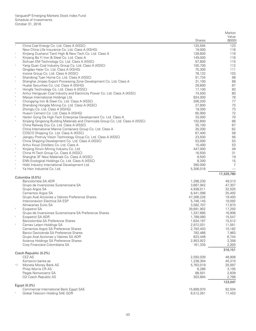|         |                                                                                     |                      | Market          |
|---------|-------------------------------------------------------------------------------------|----------------------|-----------------|
|         |                                                                                     | Shares               | Value<br>(0,00) |
|         | China Coal Energy Co. Ltd. Class A (XSSC)                                           | 125,594              | 123             |
|         | New China Life Insurance Co. Ltd. Class A (XSHG)                                    | 19,000               | 118             |
| $\ast$  | Xinjiang Dushanzi Tianli High & New Tech Co. Ltd. Class A                           | 126,600              | 116             |
|         | Xinjiang Ba Yi Iron & Steel Co. Ltd. Class A                                        | 149,000              | 116             |
| $\ast$  | Sichuan EM Technology Co. Ltd. Class A (XSSC)                                       | 97,800               | 115             |
|         | Yang Quan Coal Industry Group Co. Ltd. Class A (XSSC)                               | 100,700              | 112             |
|         | Qingdao Haier Co. Ltd. Class A (XSHG)<br>Inzone Group Co. Ltd. Class A (XSSC)       | 75,300<br>78,132     | 111<br>103      |
|         | Shandong Tyan Home Co. Ltd. Class A (XSSC)                                          | 51,734               | 98              |
| $\ast$  | Shanghai Jingiao Export Processing Zone Development Co. Ltd. Class A                | 31,100               | 88              |
|         | Huatai Securities Co. Ltd. Class A (XSHG)                                           | 28,800               | 87              |
| $\ast$  | Hongfa Technology Co. Ltd. Class A (XSSC)                                           | 17,100               | 83              |
|         | Anhui Hengyuan Coal Industry and Electricity Power Co. Ltd. Class A (XSSC)          | 74,500               | 80              |
|         | Maoye International Holdings Ltd.                                                   | 824,000              | 78              |
| $\ast$  | Chongqing Iron & Steel Co. Ltd. Class A (XSSC)                                      | 206,200              | 77              |
|         | Shandong Hongda Mining Co. Ltd. Class A (XSSC)                                      | 27,800               | 73              |
|         | Zhonglu Co. Ltd. Class A (XSHG)                                                     | 19,300               | 73              |
|         | Huaxin Cement Co. Ltd. Class A (XSHG)                                               | 65,900               | 72              |
|         | Harbin Gong Da High-Tech Enterprise Development Co. Ltd. Class A                    | 33,000               | 70              |
|         | Xinjiang Qingsong Building Materials and Chemicals Group Co. Ltd. Class A (XSSC)    | 102,800              | 68              |
|         | China Railway Erju Co. Ltd. Class A (XSSC)                                          | 35,100               | 67              |
|         | China International Marine Containers Group Co. Ltd. Class A                        | 30,200               | 62              |
| $\ast$  | COSCO Shipping Co. Ltd. Class A (XSSC)                                              | 67,400               | 58              |
|         | Jiangsu Protruly Vision Technology Group Co. Ltd. Class A (XSSC)                    | 23,500               | 56              |
| $\ast$  | China Shipping Development Co. Ltd. Class A (XSSC)                                  | 53,000<br>10,400     | 53<br>53        |
| $\ast$  | Anhui Kouzi Distillery Co. Ltd. Class A<br>Xinjiang Xinxin Mining Industry Co. Ltd. | 447,000              | 49              |
|         | China Hi-Tech Group Co. Class A (XSSC)                                              | 16,500               | 31              |
| $\ast$  | Shanghai 3F New Materials Co. Class A (XSSC)                                        | 9,500                | 19              |
| $\ast$  | ENN Ecological Holdings Co. Ltd. Class A (XSSC)                                     | 8,300                | 15              |
| $\ast$  | Hidili Industry International Development Ltd.                                      | 260,000              | $\overline{7}$  |
| $\ast$  | Ya Hsin Industrial Co. Ltd.                                                         | 5,306,018            |                 |
|         |                                                                                     |                      | 17,329,780      |
|         | Colombia (0.5%)<br>Bancolombia SA ADR                                               | 1,288,230            | 49,313          |
|         | Grupo de Inversiones Suramericana SA                                                | 3,667,942            | 47,307          |
|         | Grupo Argos SA                                                                      | 4,938,011            | 32,025          |
|         | Cementos Argos SA                                                                   | 6,441,098            | 25,492          |
|         | Grupo Aval Acciones y Valores Preference Shares                                     | 47,266,226           | 19,493          |
|         | Interconexion Electrica SA ESP                                                      | 5,746,145            | 19,092          |
|         | Almacenes Exito SA                                                                  | 3,582,707            | 17,873          |
|         | Ecopetrol SA                                                                        | 39,691,902           | 17,293          |
|         | Grupo de Inversiones Suramericana SA Preference Shares                              | 1,337,685            | 16,906          |
|         | Ecopetrol SA ADR                                                                    | 1,789,080            | 15,547          |
|         | Bancolombia SA Preference Shares                                                    | 1,634,187            | 15,512          |
|         | Cemex Latam Holdings SA                                                             | 2,972,031            | 11,051          |
|         | Cementos Argos SA Preference Shares                                                 | 2,793,403            | 10,182          |
|         | Banco Davivienda SA Preference Shares<br>Grupo Aval Acciones y Valores SA ADR       | 782,466              | 7,963           |
|         | Avianca Holdings SA Preference Shares                                               | 823,448<br>2,953,922 | 6,744           |
|         | Corp Financiera Colombiana SA                                                       | 161,335              | 2,358<br>2,000  |
|         |                                                                                     |                      | 316,151         |
|         | Czech Republic (0.2%)                                                               |                      |                 |
|         | CEZ AS                                                                              | 2,593,039            | 48,908          |
|         | Komercni banka as                                                                   | 1,238,304            | 45,310          |
| $^*$ ,2 | Moneta Money Bank AS                                                                | 5,763,019            | 20,097          |
|         | Philip Morris CR AS                                                                 | 6,286                | 3,105           |
|         | Pegas Nonwovens SA<br>O2 Czech Republic AS                                          | 88,501               | 2,839           |
|         |                                                                                     | 303,894              | 2,788           |
|         | Egypt (0.3%)                                                                        |                      | 123,047         |
|         | Commercial International Bank Egypt SAE                                             | 15,899,970           | 92,504          |
|         | Global Telecom Holding SAE GDR                                                      | 8,512,261            | 17,453          |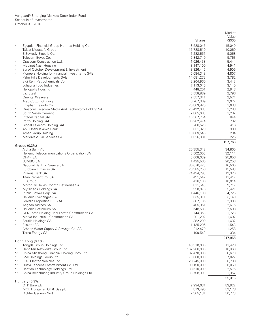|                                                                                                    | <b>Shares</b>            | Market<br>Value<br>(\$000) |
|----------------------------------------------------------------------------------------------------|--------------------------|----------------------------|
| Egyptian Financial Group-Hermes Holding Co.                                                        | 8,528,045                | 15,040                     |
| Talaat Moustafa Group                                                                              | 15,788,519               | 10,069                     |
| ElSewedy Electric Co.                                                                              | 1,282,551                | 9,058                      |
| Telecom Egypt Co.                                                                                  | 5,842,749                | 5,763                      |
| Orascom Construction Ltd.                                                                          | 1,026,438                | 5,444                      |
| Medinet Nasr Housing                                                                               | 3,147,100                | 4,941                      |
| $\ast$<br>Six of October Development & Investment                                                  | 3,326,445                | 4,906                      |
| Pioneers Holding for Financial Investments SAE                                                     | 5,084,348                | 4,807                      |
| Palm Hills Developments SAE                                                                        | 14,681,272               | 3,782                      |
| Sidi Kerir Petrochemicals Co.<br>Juhayna Food Industries                                           | 2,204,960<br>7,113,045   | 3,443<br>3,140             |
| <b>Heliopolis Housing</b>                                                                          | 448,201                  | 2,948                      |
| Ezz Steel<br>$\ast$                                                                                | 3,558,889                | 2,796                      |
| <b>Oriental Weavers</b>                                                                            | 2,557,341                | 2,571                      |
| Arab Cotton Ginning                                                                                | 6,767,369                | 2,072                      |
| $\ast$<br>Egyptian Resorts Co.                                                                     | 20,803,825               | 1,638                      |
| Orascom Telecom Media And Technology Holding SAE                                                   | 20,422,680               | 1,288                      |
| South Valley Cement                                                                                | 2,865,683                | 1,232                      |
| Citadel Capital SAE<br>$\ast$                                                                      | 10,567,754               | 844                        |
| Porto Holding SAE<br>$\ast$                                                                        | 30,202,474               | 782                        |
| Global Telecom Holding SAE<br>$\ast$                                                               | 768,520                  | 416                        |
| Abu Dhabi Islamic Bank<br>Amer Group Holding                                                       | 831,929<br>10,889,545    | 309<br>294                 |
| Maridive & Oil Services SAE                                                                        | 1,026,881                | 226                        |
|                                                                                                    |                          | 197,766                    |
| Greece (0.3%)                                                                                      |                          |                            |
| Alpha Bank AE<br>Hellenic Telecommunications Organization SA                                       | 20,355,342<br>3,502,003  | 34,805<br>32,114           |
| <b>OPAP SA</b>                                                                                     | 3,008,039                | 25,656                     |
| <b>JUMBO SA</b>                                                                                    | 1,425,560                | 20,258                     |
| National Bank of Greece SA                                                                         | 80,676,423               | 16,500                     |
| Eurobank Ergasias SA                                                                               | 26,385,256               | 15,583                     |
| Piraeus Bank SA                                                                                    | 74,494,293               | 12,320                     |
| Titan Cement Co. SA                                                                                | 491,547                  | 11,417                     |
| $\ast$<br>FF Group                                                                                 | 418,106                  | 10,014                     |
| Motor Oil Hellas Corinth Refineries SA                                                             | 811,543                  | 9,717                      |
| Mytilineos Holdings SA<br>$\ast$<br>Public Power Corp. SA                                          | 950,076<br>1,446,108     | 5,421                      |
| Hellenic Exchanges SA                                                                              | 635,911                  | 4,725<br>3,140             |
| Grivalia Properties REIC AE                                                                        | 387,135                  | 2,983                      |
| Aegean Airlines SA                                                                                 | 405,951                  | 2,615                      |
| Hellenic Petroleum SA                                                                              | 548,583                  | 2,508                      |
| $\ast$<br><b>GEK Terna Holding Real Estate Construction SA</b>                                     | 744,358                  | 1,723                      |
| Metka Industrial - Construction SA                                                                 | 201,292                  | 1,692                      |
| Fourlis Holdings SA                                                                                | 382,299                  | 1,632                      |
| Ellaktor SA                                                                                        | 1,135,206                | 1,543                      |
| Athens Water Supply & Sewage Co. SA                                                                | 212,470                  | 1,258                      |
| Terna Energy SA                                                                                    | 109,542                  | 334<br>217,958             |
| Hong Kong (0.1%)                                                                                   |                          |                            |
| Tongda Group Holdings Ltd.                                                                         | 43,310,000               | 11,428                     |
| HengTen Networks Group Ltd.                                                                        | 162,208,000              | 10,860                     |
| China Minsheng Financial Holding Corp. Ltd.<br>$^*, \wedge$<br>SMI Holdings Group Ltd.<br>$\wedge$ | 87,470,000<br>73,680,000 | 8,670<br>7,027             |
| FDG Electric Vehicles Ltd.<br>$^*,\wedge$                                                          | 128,745,000              | 6,738                      |
| Huayi Tencent Entertainment Co. Ltd.<br>*,^                                                        | 100,190,000              | 6,060                      |
| Rentian Technology Holdings Ltd.                                                                   | 38,510,000               | 2,575                      |
| China Beidahuang Industry Group Holdings Ltd.<br>$^*,\wedge$                                       | 33,798,000               | 1,957                      |
| Hungary (0.3%)                                                                                     |                          | 55,315                     |
| OTP Bank plc                                                                                       | 2,994,631                | 83,922                     |
| MOL Hungarian Oil & Gas plc                                                                        | 813,495                  | 52,178                     |
| Richter Gedeon Nyrt                                                                                | 2,365,131                | 50,773                     |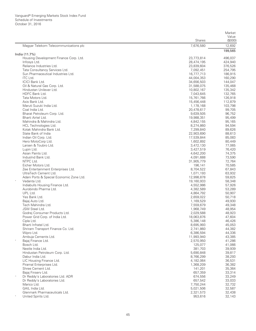|                                                                      |               | Market             |
|----------------------------------------------------------------------|---------------|--------------------|
|                                                                      | <b>Shares</b> | Value<br>(\$000)   |
| Magyar Telekom Telecommunications plc                                | 7,676,580     | 12,692             |
|                                                                      |               | 199,565            |
| India (11.7%)<br>Housing Development Finance Corp. Ltd.              | 23,773,814    |                    |
| Infosys Ltd.                                                         | 28,474,195    | 496,037            |
| Reliance Industries Ltd.                                             |               | 424,940            |
|                                                                      | 23,839,604    | 376,526            |
| Tata Consultancy Services Ltd.<br>Sun Pharmaceutical Industries Ltd. | 7,092,451     | 254,795<br>186,915 |
| <b>ITC Ltd.</b>                                                      | 16,777,713    |                    |
| <b>ICICI Bank Ltd.</b>                                               | 44,004,353    | 160,290            |
| Oil & Natural Gas Corp. Ltd.                                         | 34,656,503    | 144,047            |
|                                                                      | 31,588,075    | 135,468            |
| Hindustan Unilever Ltd.                                              | 10,802,167    | 135,342            |
| HDFC Bank Ltd.                                                       | 7,043,645     | 132,765            |
| Tata Motors Ltd.                                                     | 15,761,766    | 126,918            |
| Axis Bank Ltd.                                                       | 15,456,448    | 112,879            |
| Maruti Suzuki India Ltd.                                             | 1,178,168     | 103,798            |
| Coal India Ltd.                                                      | 20,478,617    | 99,705             |
| Bharat Petroleum Corp. Ltd.                                          | 9,639,505     | 96,752             |
| Bharti Airtel Ltd.                                                   | 19,988,351    | 95,499             |
| Mahindra & Mahindra Ltd.                                             | 4,842,155     | 95,165             |
| HCL Technologies Ltd.                                                | 8,274,860     | 94,594             |
| Kotak Mahindra Bank Ltd.                                             | 7,299,840     | 89,626             |
| State Bank of India                                                  | 22,903,690    | 88,613             |
| Indian Oil Corp. Ltd.                                                | 17,539,844    | 85,083             |
| Hero MotoCorp Ltd.                                                   | 1,602,892     | 80,449             |
| Larsen & Toubro Ltd.                                                 | 3,472,130     | 77,065             |
| Lupin Ltd.                                                           | 3,427,519     | 76,420             |
| Asian Paints Ltd.                                                    | 4,642,200     | 74,375             |
| IndusInd Bank Ltd.                                                   | 4,091,688     | 73,590             |
| NTPC Ltd.                                                            | 31,905,779    | 72,764             |
| Eicher Motors Ltd.                                                   | 196,141       | 70,585             |
| Zee Entertainment Enterprises Ltd.                                   | 8,704,522     | 67,843             |
| UltraTech Cement Ltd.                                                | 1,071,193     | 63,932             |
| Adani Ports & Special Economic Zone Ltd.                             | 12,998,878    | 59,825             |
| Vedanta Ltd.                                                         | 19,160,933    | 58,348             |
| Indiabulls Housing Finance Ltd.                                      | 4,552,986     | 57,926             |
| Aurobindo Pharma Ltd.                                                | 4,382,589     | 53,289             |
| UPL Ltd.                                                             | 4,864,792     | 50,907             |
| Yes Bank Ltd.                                                        | 2,659,022     | 50,718             |
| Bajaj Auto Ltd.                                                      | 1,169,529     | 49,930             |
| Tech Mahindra Ltd.                                                   | 7,559,679     | 49,348             |
| JSW Steel Ltd.                                                       | 1,968,749     | 48,954             |
| Godrej Consumer Products Ltd.                                        | 2,029,588     | 48,923             |
| Power Grid Corp. of India Ltd.                                       | 18,063,876    | 47,604             |
| Cipla Ltd.                                                           | 5,386,148     | 46,426             |
| Bharti Infratel Ltd.                                                 | 8,695,993     | 45,053             |
| Shriram Transport Finance Co. Ltd.                                   | 2,741,860     | 44,382             |
| Wipro Ltd.                                                           | 6,386,594     | 44,336             |
| Ambuja Cements Ltd.                                                  | 11,993,940    | 43,385             |
| Bajaj Finance Ltd.                                                   | 2,570,950     | 41,286             |
| Bosch Ltd.                                                           | 125,077       | 41,066             |
| Nestle India Ltd.                                                    | 381,703       | 39,939             |
| Hindustan Petroleum Corp. Ltd.                                       | 5,690,848     | 39,817             |
| Dabur India Ltd.                                                     | 8,766,299     | 38,293             |
| LIC Housing Finance Ltd.                                             | 4,182,064     | 36,531             |
| Piramal Enterprises Ltd.                                             | 1,368,209     | 36,382             |
| Shree Cement Ltd.                                                    | 141,201       | 35,364             |
| Bajaj Finserv Ltd.                                                   | 657,359       | 33,314             |
| Λ<br>Dr Reddy's Laboratories Ltd. ADR                                | 674,556       | 33,249             |
| Dr Reddy's Laboratories Ltd.                                         | 657,542       | 33,033             |
| Marico Ltd.                                                          | 7,750,244     | 32,732             |
| GAIL India Ltd.                                                      | 5,021,506     | 32,587             |
| Glenmark Pharmaceuticals Ltd.                                        | 2,321,573     | 32,438             |
| United Spirits Ltd.                                                  | 953,616       | 32,143             |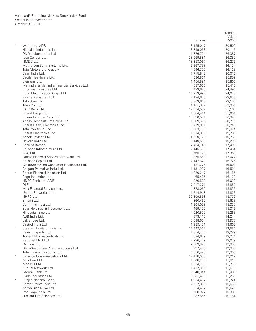|         |                                                      | <b>Shares</b>           | Value<br>(\$000) |
|---------|------------------------------------------------------|-------------------------|------------------|
| $\land$ |                                                      |                         |                  |
|         | Wipro Ltd. ADR<br>Hindalco Industries Ltd.           | 3,155,047<br>13,399,063 | 30,509<br>30,115 |
|         | Divi's Laboratories Ltd.                             | 1,376,704               | 26,387           |
|         | Idea Cellular Ltd.                                   | 23,069,581              | 26,352           |
|         | NMDC Ltd.                                            | 13,353,067              | 26,275           |
|         | Motherson Sumi Systems Ltd.                          | 5,267,733               | 26,174           |
|         | Tata Motors Ltd. Class A                             | 4,996,770               | 26,123           |
|         | Cairn India Ltd.                                     | 7,715,842               | 26,010           |
|         | Cadila Healthcare Ltd.                               | 4,096,861               | 25,959           |
|         | Siemens Ltd.                                         | 1,454,891               | 25,800           |
|         | Mahindra & Mahindra Financial Services Ltd.          | 4,687,666               | 25,415           |
|         | Britannia Industries Ltd.                            | 493,683                 | 24,491           |
|         | Rural Electrification Corp. Ltd.                     | 11,913,992              | 24,078           |
|         | Pidilite Industries Ltd.                             | 2,194,623               | 23,638           |
|         | Tata Steel Ltd.                                      | 3,803,643               | 23,150           |
|         | Titan Co. Ltd.                                       | 4,101,897               | 22,951           |
|         | IDFC Bank Ltd.                                       | 17,924,597              | 21,166           |
|         | Bharat Forge Ltd.                                    | 1,584,414               | 21,004           |
|         | Power Finance Corp. Ltd.                             | 10,930,581              | 20,345           |
|         | Apollo Hospitals Enterprise Ltd.                     | 1,009,675               | 20,271<br>20,240 |
|         | Bharat Heavy Electricals Ltd.<br>Tata Power Co. Ltd. | 9,719,991<br>16,983,188 | 19,924           |
|         | Bharat Electronics Ltd.                              | 1,014,910               | 19,788           |
|         | Ashok Leyland Ltd.                                   | 14,609,773              | 19,761           |
|         | Havells India Ltd.                                   | 3,149,556               | 19,206           |
| $\ast$  | Bank of Baroda                                       | 7,464,745               | 17,498           |
|         | Reliance Infrastructure Ltd.                         | 2,145,559               | 17,464           |
|         | ACC Ltd.                                             | 765,173                 | 17,383           |
|         | Oracle Financial Services Software Ltd.              | 355,560                 | 17,022           |
|         | Reliance Capital Ltd.                                | 2,147,623               | 16,726           |
|         | GlaxoSmithKline Consumer Healthcare Ltd.             | 181,276                 | 16,503           |
|         | Colgate-Palmolive India Ltd.                         | 1,131,937               | 16,501           |
|         | Bharat Financial Inclusion Ltd.                      | 1,220,217               | 16,155           |
|         | Page Industries Ltd.                                 | 65,425                  | 16,122           |
|         | HDFC Bank Ltd. ADR                                   | 226,520                 | 16,033           |
|         | DLF Ltd.                                             | 7,017,271               | 15,850           |
|         | Max Financial Services Ltd.                          | 1,878,069               | 15,836           |
|         | United Breweries Ltd.                                | 1,214,918               | 15,823           |
|         | NHPC Ltd.                                            | 39,309,568              | 15,779           |
|         | Emami Ltd.<br>Cummins India Ltd.                     | 860,462<br>1,204,093    | 15,633<br>15,339 |
|         | Bajaj Holdings & Investment Ltd.                     | 469,192                 | 15,316           |
|         | Hindustan Zinc Ltd.                                  | 4,020,579               | 15,263           |
|         | ABB India Ltd.                                       | 873,110                 | 14,244           |
|         | Vakrangee Ltd.                                       | 3,698,604               | 13,973           |
|         | Castrol India Ltd.                                   | 1,989,431               | 13,662           |
|         | Steel Authority of India Ltd.                        | 17,399,502              | 13,586           |
|         | Rajesh Exports Ltd.                                  | 1,854,406               | 13,289           |
|         | Torrent Pharmaceuticals Ltd.                         | 624,629                 | 13,244           |
|         | Petronet LNG Ltd.                                    | 2,236,469               | 13,039           |
|         | Oil India Ltd.                                       | 2,089,320               | 12,995           |
|         | GlaxoSmithKline Pharmaceuticals Ltd.                 | 297,408                 | 12,956           |
|         | Tata Communications Ltd.                             | 1,356,425               | 12,909           |
|         | Reliance Communications Ltd.                         | 17,418,059              | 12,212           |
|         | Mindtree Ltd.                                        | 1,808,259               | 11,815           |
|         | Mphasis Ltd.                                         | 1,534,206               | 11,776           |
|         | Sun TV Network Ltd.                                  | 1,417,363               | 11,616           |
|         | Federal Bank Ltd.<br>Exide Industries Ltd.           | 9,348,344               | 11,486           |
|         | Punjab National Bank                                 | 3,831,430               | 11,261<br>10,724 |
|         | Berger Paints India Ltd.                             | 4,964,487<br>2,757,853  | 10,636           |
|         | Aditya Birla Nuvo Ltd.                               | 514,467                 | 10,621           |
|         | Info Edge India Ltd.                                 | 768,977                 | 10,386           |
|         | Jubilant Life Sciences Ltd.                          | 982,555                 | 10,154           |
|         |                                                      |                         |                  |

Market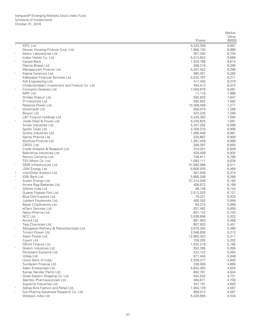|                                                                       |                         | Market         |
|-----------------------------------------------------------------------|-------------------------|----------------|
|                                                                       |                         | Value          |
|                                                                       | Shares                  | (\$000)        |
| IDFC Ltd.                                                             | 9,420,309               | 9,881          |
| Dewan Housing Finance Corp. Ltd.                                      | 1,806,145               | 8,889          |
| $\ast$<br>Alkem Laboratories Ltd.                                     | 357,250                 | 8,735          |
| Indian Hotels Co. Ltd.<br>$\star$                                     | 5,013,642               | 8,669          |
| Canara Bank                                                           | 1,829,788               | 8,614          |
| Dalmia Bharat Ltd.                                                    | 269,216                 | 8,295          |
| Manappuram Finance Ltd.<br>$\ast$                                     | 5,407,453               | 8,286          |
| Kajaria Ceramics Ltd.                                                 | 890,401                 | 8,282          |
| Edelweiss Financial Services Ltd.                                     | 4,522,797<br>417,400    | 8,271<br>8,079 |
| AIA Engineering Ltd.<br>Cholamandalam Investment and Finance Co. Ltd. | 454,513                 | 8,072          |
| $\star$<br>Crompton Greaves Ltd.                                      | 7,009,878               | 8,061          |
| MRF Ltd.                                                              | 11,116                  | 7,986          |
| Strides Shasun Ltd.                                                   | 500,832                 | 7,847          |
| PI Industries Ltd.                                                    | 593,652                 | 7,682          |
| Reliance Power Ltd.                                                   | 10,309,458              | 7,271          |
| Wockhardt Ltd.                                                        | 558,075                 | 7,268          |
| Biocon Ltd.                                                           | 523,235                 | 7,256          |
| L&T Finance Holdings Ltd.                                             | 4,425,383               | 7,094          |
| $\ast$<br>Jindal Steel & Power Ltd.                                   | 6,245,625               | 7,061          |
| Sintex Industries Ltd.                                                | 5,207,292               | 6,998          |
| Apollo Tyres Ltd.                                                     | 2,309,270               | 6,995          |
| Godrej Industries Ltd.                                                | 1,066,448               | 6,981          |
| Ajanta Pharma Ltd.                                                    | 225,867                 | 6,909          |
| Muthoot Finance Ltd.                                                  | 1,281,428               | 6,888          |
| CRISIL Ltd.                                                           | 208,397                 | 6,855          |
| Credit Analysis & Research Ltd.                                       | 310,041                 | 6,849          |
| Balkrishna Industries Ltd.                                            | 429,408                 | 6,834          |
| Ramco Cements Ltd.                                                    | 736,811                 | 6,786          |
| TVS Motor Co. Ltd.<br>$\ast$                                          | 1,093,111               | 6,638          |
| GMR Infrastructure Ltd.                                               | 31,692,066              | 6,511          |
| JSW Energy Ltd.<br>$\,2$                                              | 6,606,976               | 6,469          |
| InterGlobe Aviation Ltd.<br>$\ast$<br><b>IDBI Bank Ltd.</b>           | 457,558                 | 6,374          |
| $\ast$<br>Suzlon Energy Ltd.                                          | 5,680,208<br>27,214,546 | 6,266<br>6,184 |
| Amara Raja Batteries Ltd.                                             | 406,672                 | 6,168          |
| $\ast$<br>Gillette India Ltd.                                         | 96,146                  | 6,144          |
| Gujarat Pipavav Port Ltd.                                             | 2,513,203               | 6,127          |
| Blue Dart Express Ltd.                                                | 79,221                  | 6,033          |
| Jubilant Foodworks Ltd.                                               | 400,282                 | 5,999          |
| Bayer CropScience Ltd.                                                | 93,274                  | 5,958          |
| eClerx Services Ltd.                                                  | 257,482                 | 5,856          |
| Natco Pharma Ltd.                                                     | 657,143                 | 5,743          |
| NCC Ltd.                                                              | 3,938,656               | 5,522          |
| Arvind Ltd.                                                           | 881,563                 | 5,469          |
| Tata Chemicals Ltd.                                                   | 667,933                 | 5,451          |
| $\star$<br>Mangalore Refinery & Petrochemicals Ltd.                   | 3,978,304               | 5,380          |
| Torrent Power Ltd.                                                    | 2,046,836               | 5,312          |
| $\ast$<br>Adani Power Ltd.                                            | 12,963,323              | 5,311          |
| Cyient Ltd.                                                           | 709,292                 | 5,202          |
| <b>GRUH Finance Ltd.</b><br>$\ast$                                    | 1,032,218               | 5,165          |
| Grasim Industries Ltd.                                                | 352,395                 | 5,095          |
| Persistent Systems Ltd.                                               | 523,122                 | 5,054          |
| Voltas Ltd.<br>Union Bank of India                                    | 871,445<br>2,209,377    | 5,048<br>4,900 |
| Sundaram Finance Ltd.                                                 | 236,509                 | 4,860          |
| Adani Enterprises Ltd.                                                | 4,842,463               | 4,854          |
| Kansai Nerolac Paints Ltd.                                            | 852.781                 | 4,844          |
| Great Eastern Shipping Co. Ltd.                                       | 844,532                 | 4,721          |
| Alembic Pharmaceuticals Ltd.                                          | 464,671                 | 4,700          |
| Supreme Industries Ltd.                                               | 347,181                 | 4,693          |
| Aditya Birla Fashion and Retail Ltd.                                  | 1,904,129               | 4,567          |
| Sun Pharma Advanced Research Co. Ltd.                                 | 868,914                 | 4,567          |
| Welspun India Ltd.                                                    | 5,328,695               | 4,534          |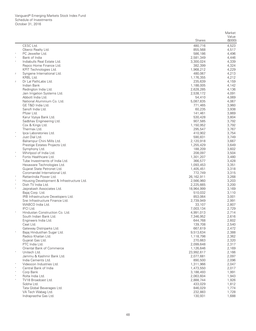|            |                                               |                      | Market           |
|------------|-----------------------------------------------|----------------------|------------------|
|            |                                               | <b>Shares</b>        | Value<br>(\$000) |
|            | CESC Ltd.                                     | 480,716              | 4,523            |
|            | Oberoi Realty Ltd.                            | 855,568              | 4,517            |
|            | PC Jeweller Ltd.                              | 586,186              | 4,496            |
|            | Bank of India                                 | 2,581,349            | 4,446            |
|            | Indiabulls Real Estate Ltd.                   | 3,300,024            | 4,339            |
|            | Repco Home Finance Ltd.                       | 382,399              | 4,324            |
|            | KPIT Technologies Ltd.                        | 1,968,212            | 4,229            |
| $\sqrt{2}$ | Syngene International Ltd.                    | 480,067              | 4,213            |
|            | KRBL Ltd.                                     | 1,176,355            | 4,212            |
| $\,2\,$    | Dr Lal PathLabs Ltd.                          | 235,639              | 4,159            |
|            | Indian Bank                                   | 1,188,005            | 4,142            |
|            | Redington India Ltd.                          | 2,628,285            | 4,136            |
|            | Jain Irrigation Systems Ltd.                  | 2,538,172            | 4,091            |
|            | Abbott India Ltd.                             | 54,410               | 4,069            |
|            | National Aluminium Co. Ltd.                   | 5,087,835            | 4,067            |
|            | GE T&D India Ltd.                             | 771,465              | 3,960            |
|            | Sanofi India Ltd.                             | 60,235               | 3,938            |
|            | Pfizer Ltd.                                   | 141,461              | 3,869            |
|            | Karur Vysya Bank Ltd.                         | 530,428              | 3,804            |
|            | Sadbhav Engineering Ltd.<br>Cox & Kings Ltd.  | 907,585<br>1,150,952 | 3,792<br>3,792   |
|            | Thermax Ltd.                                  | 295,547              | 3,767            |
| $\star$    | lpca Laboratories Ltd.                        | 410,902              | 3,754            |
|            | Just Dial Ltd.                                | 590,831              | 3,749            |
|            | Balrampur Chini Mills Ltd.                    | 2,120,918            | 3,667            |
|            | Prestige Estates Projects Ltd.                | 1,255,429            | 3,649            |
|            | Symphony Ltd.                                 | 188,209              | 3,602            |
| $\ast$     | Whirlpool of India Ltd.                       | 208,097              | 3,504            |
| $\star$    | Fortis Healthcare Ltd.                        | 1,301,207            | 3,480            |
|            | Tube Investments of India Ltd.                | 366,577              | 3,428            |
|            | Hexaware Technologies Ltd.                    | 1,093,453            | 3,351            |
|            | Gujarat State Petronet Ltd.                   | 1,405,451            | 3,318            |
|            | Coromandel International Ltd.                 | 772,749              | 3,315            |
|            | RattanIndia Power Ltd.                        | 26,162,911           | 3,268            |
| $\star$    | Housing Development & Infrastructure Ltd.     | 2,566,960            | 3,203            |
| $\star$    | Dish TV India Ltd.                            | 2,225,665            | 3,200            |
|            | Jaiprakash Associates Ltd.                    | 18,964,999           | 3,169            |
|            | Bajaj Corp. Ltd.                              | 510,032              | 3,110            |
|            | IRB Infrastructure Developers Ltd.            | 853,064              | 3,001            |
|            | Srei Infrastructure Finance Ltd.              | 2,739,949            | 2,991            |
|            | WABCO India Ltd.<br>IFCI Ltd.                 | 33,107               | 2,807            |
|            | Hindustan Construction Co. Ltd.               | 7,003,134            | 2,729            |
|            |                                               | 4,991,013            | 2,714<br>2,616   |
|            | South Indian Bank Ltd<br>Engineers India Ltd. | 7,346,952<br>644,768 | 2,602            |
|            | Ceat Ltd.                                     | 139,708              | 2,540            |
|            | Gateway Distriparks Ltd.                      | 667,619              | 2,472            |
|            | Bajaj Hindusthan Sugar Ltd.                   | 9,513,634            | 2,388            |
|            | Radico Khaitan Ltd.                           | 1,118,798            | 2,362            |
|            | Gujarat Gas Ltd.                              | 270,663              | 2,320            |
|            | PTC India Ltd.                                | 2,099,648            | 2,317            |
|            | Oriental Bank of Commerce                     | 1,126,646            | 2,169            |
|            | Unitech Ltd.                                  | 23,992,617           | 2,166            |
|            | Jammu & Kashmir Bank Ltd.                     | 2,077,681            | 2,097            |
|            | India Cements Ltd.                            | 890,500              | 2,096            |
|            | Videocon Industries Ltd.                      | 1,311,966            | 2,047            |
| $\star$    | Central Bank of India                         | 1,473,550            | 2,017            |
|            | Corp Bank                                     | 3,188,493            | 1,991            |
| $\star$    | Rolta India Ltd.                              | 2,063,604            | 1,943            |
| $\star$    | TV18 Broadcast Ltd.                           | 2,888,744            | 1,926            |
|            | Sobha Ltd.                                    | 433,029              | 1,812            |
|            | Tata Global Beverages Ltd.                    | 846,029              | 1,774            |
|            | VA Tech Wabag Ltd.                            | 232,883              | 1,728            |
|            | Indraprastha Gas Ltd.                         | 130,931              | 1,688            |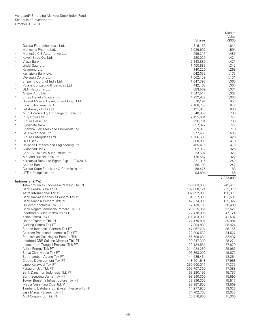|                                                                     |                           | Market            |
|---------------------------------------------------------------------|---------------------------|-------------------|
|                                                                     | <b>Shares</b>             | Value<br>(\$000)  |
| Gujarat Fluorochemicals Ltd.                                        | 216,152                   | 1,641             |
| Marksans Pharma Ltd.                                                | 2,039,697                 | 1,591             |
| Mahindra CIE Automotive Ltd.                                        | 499,211                   | 1,485             |
| Kaveri Seed Co. Ltd.                                                | 220,029                   | 1,424             |
| Vijaya Bank                                                         | 2,143,889                 | 1,421             |
| Jindal Saw Ltd.                                                     | 1,400,889                 | 1,342             |
| Raymond Ltd.                                                        | 140,225                   | 1,268             |
| Karnataka Bank Ltd.                                                 | 642,033                   | 1,173             |
| Welspun Corp. Ltd.                                                  | 1,062,129                 | 1,131             |
| Shipping Corp. of India Ltd.<br>$\ast$                              | 1,047,395                 | 1,065             |
| Polaris Consulting & Services Ltd.<br>$\ast$<br>DEN Networks Ltd.   | 442,462<br>883,509        | 1,064<br>1,031    |
| Amtek Auto Ltd.                                                     | 1,547,517                 | 1,002             |
| $\ast$<br>Shree Renuka Sugars Ltd.                                  | 4,292,932                 | 1,000             |
| Gujarat Mineral Development Corp. Ltd.                              | 576,191                   | 957               |
| $\ast$<br>Indian Overseas Bank                                      | 2,108,758                 | 842               |
| $\ast$<br>Jet Airways India Ltd.                                    | 121,910                   | 838               |
| Multi Commodity Exchange of India Ltd.                              | 40,959                    | 790               |
| $\ast$<br>Punj Lloyd Ltd.                                           | 2,195,684                 | 747               |
| Future Retail Ltd.                                                  | 296,734                   | 739               |
| $_{\rm *}$<br>Syndicate Bank                                        | 657,322                   | 727               |
| Chambal Fertilizers and Chemicals Ltd.                              | 759,913                   | 718               |
| $\ast$<br>GE Power India Ltd.                                       | 77,455                    | 596               |
| Future Enterprises Ltd.                                             | 1,766,689                 | 420               |
| <b>UCO Bank</b>                                                     | 800,000                   | 418               |
| $\ast$<br>Reliance Defence and Engineering Ltd.                     | 465,415                   | 413               |
| $\ast$<br>Allahabad Bank                                            | 287,312                   | 325               |
| Century Textiles & Industries Ltd.                                  | 23,694                    | 323               |
| McLeod Russel India Ltd.                                            | 126,557<br>321,016        | 322<br>249        |
| Karnataka Bank Ltd Rights Exp. 11/21/2016<br>Andhra Bank            | 286,108                   | 242               |
| Gujarat State Fertilizers & Chemicals Ltd.                          | 58,475                    | 83                |
| JITF Infralogistics Ltd.                                            | 93,891                    | 58                |
|                                                                     |                           | 7,322,093         |
| Indonesia (2.7%)                                                    |                           |                   |
| Telekomunikasi Indonesia Persero Tbk PT                             | 760,083,605               | 245,411           |
| Bank Central Asia Tbk PT                                            | 187,880,124               | 223,379           |
| Astra International Tbk PT                                          | 302,692,000               | 190,971           |
| Bank Rakyat Indonesia Persero Tbk PT                                | 164,527,800               | 153,631           |
| Bank Mandiri Persero Tbk PT<br>Unilever Indonesia Tbk PT            | 142,274,080               | 125,322<br>58,408 |
| Bank Negara Indonesia Persero Tbk PT                                | 17,139,730<br>123,025,361 | 52,521            |
| Indofood Sukses Makmur Tbk PT                                       | 72,478,096                | 47,124            |
| Kalbe Farma Tbk PT                                                  | 311,493,390               | 41,507            |
| United Tractors Tbk PT                                              | 24,170,801                | 39,984            |
| Gudang Garam Tbk PT                                                 | 7,384,880                 | 38,424            |
| Semen Indonesia Persero Tbk PT                                      | 47,967,204                | 36,156            |
| Charoen Pokphand Indonesia Tbk PT                                   | 122,000,532               | 34,527            |
| Perusahaan Gas Negara Persero Tbk                                   | 165,598,604               | 32,437            |
| Indofood CBP Sukses Makmur Tbk PT                                   | 39,247,300                | 28,271            |
| Indocement Tunggal Prakarsa Tbk PT                                  | 22,134,531                | 27,870            |
| Adaro Energy Tbk PT                                                 | 214,024,280               | 25,983            |
| Surya Citra Media Tbk PT                                            | 96,863,000                | 19,672            |
| Summarecon Agung Tbk PT                                             | 144,585,464               | 18,264            |
| Ciputra Development Tbk PT                                          | 148,401,548               | 17,958            |
| Lippo Karawaci Tbk PT                                               | 250,600,011               | 17,335            |
| Pakuwon Jati Tbk PT                                                 | 309,707,300               | 17,088            |
| Bank Danamon Indonesia Tbk PT                                       | 53,280,196                | 15,757            |
| Bumi Serpong Damai Tbk PT                                           | 93,990,300                | 15,595            |
| Tower Bersama Infrastructure Tbk PT<br>Media Nusantara Citra Tbk PT | 33,896,300<br>83,987,850  | 15,517<br>13,509  |
| Tambang Batubara Bukit Asam Persero Tbk PT                          | 14,277,925                | 13,028            |
| Jasa Marga Persero Tbk PT                                           | 34,702,700                | 12,038            |
| AKR Corporindo Tbk PT                                               | 20,816,800                | 11,300            |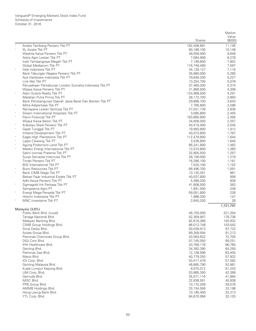|        |                                                                    |                            | Market           |
|--------|--------------------------------------------------------------------|----------------------------|------------------|
|        |                                                                    | <b>Shares</b>              | Value<br>(\$000) |
|        | Aneka Tambang Persero Tbk PT                                       | 162,408,891                | 11,146           |
| $\ast$ | XL Axiata Tbk PT                                                   | 60,188,105                 | 10,148           |
|        | Waskita Karya Persero Tbk PT                                       | 48,058,000                 | 9,646            |
|        | Astra Agro Lestari Tbk PT                                          | 7,084,908                  | 8,278            |
|        | Indo Tambangraya Megah Tbk PT                                      | 7,199,800                  | 7,902            |
|        | Global Mediacom Tbk PT                                             | 116,748,489                | 7,597            |
| $\ast$ | Vale Indonesia Tbk PT                                              | 34,128,127                 | 7,116            |
|        | Bank Tabungan Negara Persero Tbk PT                                | 35,960,000                 | 5,260            |
|        | Ace Hardware Indonesia Tbk PT                                      | 79,848,200                 | 5,227            |
|        | Link Net Tbk PT                                                    | 13,254,700                 | 5,078            |
|        | Perusahaan Perkebunan London Sumatra Indonesia Tbk PT              | 37,460,200                 | 4,374            |
|        | Wijaya Karya Persero Tbk PT<br>Alam Sutera Realty Tbk PT           | 21,869,500                 | 4,308            |
|        | Matahari Putra Prima Tbk PT                                        | 124,989,500<br>28,172,700  | 4,291<br>3,893   |
|        | Bank Pembangunan Daerah Jawa Barat Dan Banten Tbk PT               | 29,896,700                 | 3,643            |
| $\ast$ | Mitra Adiperkasa Tbk PT                                            | 7,795,800                  | 3,286            |
|        | Ramayana Lestari Sentosa Tbk PT                                    | 27,021,139                 | 2,836            |
|        | Siloam International Hospitals Tbk PT                              | 3,085,800                  | 2,455            |
| $\ast$ | Panin Financial Tbk PT                                             | 163,660,900                | 2,395            |
|        | Wijaya Karya Beton Tbk PT                                          | 34,608,000                 | 2,357            |
| $\ast$ | Krakatau Steel Persero Tbk PT                                      | 40,419,400                 | 2,045            |
| $\ast$ | Gajah Tunggal Tbk PT                                               | 19,993,600                 | 1,912            |
|        | Intiland Development Tbk PT                                        | 40,073,600                 | 1,767            |
| $\ast$ | Eagle High Plantations Tbk PT                                      | 112,479,900                | 1,644            |
|        | Lippo Cikarang Tbk PT                                              | 3,536,800                  | 1,640            |
| $\ast$ | Agung Podomoro Land Tbk PT                                         | 66,241,600                 | 1,462            |
| $\ast$ | Medco Energi Internasional Tbk PT                                  | 13,574,800                 | 1,360            |
|        | Salim Ivomas Pratama Tbk PT                                        | 32,805,500                 | 1,257            |
|        | Surya Semesta Internusa Tbk PT                                     | 28,156,000                 | 1,218            |
|        | Timah Persero Tbk PT                                               | 16,286,100                 | 1,161            |
|        | <b>BISI International Tbk PT</b>                                   | 7,525,100                  | 1,152            |
| $\ast$ | Bumi Resources Tbk PT                                              | 66,496,700                 | 1,091            |
|        | Bank CIMB Niaga Tbk PT                                             | 13,135,261                 | 961              |
|        | Bekasi Fajar Industrial Estate Tbk PT<br>Adhi Karya Persero Tbk PT | 40,037,600<br>5,388,200    | 956<br>936       |
| $\ast$ | Sigmagold Inti Perkasa Tbk PT                                      | 41,608,500                 | 363              |
|        | Sampoerna Agro PT                                                  | 1,691,500                  | 248              |
| $\ast$ | Energi Mega Persada Tbk PT                                         | 59,051,800                 | 226              |
|        | Holcim Indonesia Tbk PT                                            | 1,986,200                  | 147              |
| $\ast$ | MNC Investama Tbk PT                                               | 2,645,200                  | 28               |
|        |                                                                    |                            | 1,721,797        |
|        | Malaysia (3.6%)<br>Public Bank Bhd. (Local)                        | 46,755,000                 | 221,304          |
|        | Tenaga Nasional Bhd.                                               | 52,309,907                 | 178,736          |
|        | Malayan Banking Bhd.                                               | 82,818,388                 | 155,932          |
|        | CIMB Group Holdings Bhd.                                           | 86,013,748                 | 103,042          |
|        | Sime Darby Bhd.                                                    | 50,039,913                 | 97,722           |
|        | Axiata Group Bhd.                                                  | 69,269,594                 | 81,213           |
|        | Petronas Chemicals Group Bhd.                                      | 43,583,622                 | 72,705           |
|        | DiGi.Com Bhd.                                                      | 57,745,050                 | 69,251           |
|        | IHH Healthcare Bhd.                                                | 43,789,176                 | 66,785           |
|        | Genting Bhd.                                                       | 34,382,390                 | 64,250           |
|        | Petronas Gas Bhd.                                                  | 12,108,596                 | 63,405           |
|        | Maxis Bhd.                                                         | 40,779,250                 | 57,932           |
|        | IOI Corp. Bhd.                                                     | 53,517,478                 | 57,362           |
|        | Genting Malaysia Bhd.                                              | 46,665,790                 | 52,961           |
|        | Kuala Lumpur Kepong Bhd.                                           | 8,975,012                  | 51,243           |
|        | IJM Corp. Bhd.                                                     | 53,865,300                 | 42,388           |
|        | Gamuda Bhd.                                                        | 35,571,116                 | 41,664           |
|        | MISC Bhd.                                                          | 22,838,591                 | 40,938           |
|        | PPB Group Bhd.<br>AMMB Holdings Bhd.                               | 10,170,208<br>33, 154, 558 | 39,076<br>33,196 |
|        | Hong Leong Bank Bhd.                                               | 10,185,400                 | 32,313           |
|        | YTL Corp. Bhd.                                                     | 84,670,956                 | 32,103           |
|        |                                                                    |                            |                  |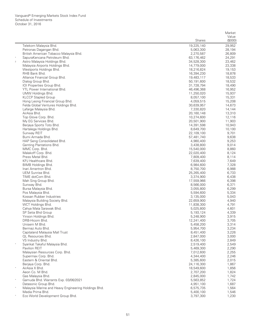|            |                                                                  |                        | Market           |
|------------|------------------------------------------------------------------|------------------------|------------------|
|            |                                                                  |                        | Value            |
|            |                                                                  | Shares                 | (\$000)          |
|            | Telekom Malaysia Bhd.                                            | 19,225,140             | 29,952           |
|            | Petronas Dagangan Bhd.<br>British American Tobacco Malaysia Bhd. | 5,063,300<br>2,270,587 | 28,194<br>26,809 |
|            | SapuraKencana Petroleum Bhd.                                     | 63,176,462             | 24,291           |
| $\sqrt{2}$ | Astro Malaysia Holdings Bhd.                                     | 34,528,300             | 23,462           |
|            | Malaysia Airports Holdings Bhd.                                  | 14,779,000             | 23,338           |
|            | Westports Holdings Bhd.                                          | 18,216,824             | 19,153           |
|            | RHB Bank Bhd.                                                    | 16,394,230             | 18,878           |
|            | Alliance Financial Group Bhd.                                    | 19,483,117             | 18,533           |
|            | Dialog Group Bhd.                                                | 50,191,600             | 18,532           |
|            | IOI Properties Group Bhd.                                        | 31,728,794             | 18,490           |
|            | YTL Power International Bhd.                                     | 46,496,368             | 16,952           |
|            | UMW Holdings Bhd.                                                | 11,250,020             | 15,937           |
|            | <b>KLCCP Stapled Group</b>                                       | 8,057,100              | 15,331           |
|            | Hong Leong Financial Group Bhd.                                  | 4,059,515              | 15,208           |
|            | Felda Global Ventures Holdings Bhd.                              | 30,639,957             | 14,673           |
|            | Lafarge Malaysia Bhd.                                            | 7,330,820              | 14,144           |
|            | AirAsia Bhd.                                                     | 20,160,148             | 13,310           |
|            | Top Glove Corp. Bhd.                                             | 10,274,600             | 12,116           |
|            | My EG Services Bhd.                                              | 20,501,900             | 11,903           |
|            | Berjaya Sports Toto Bhd.                                         | 14,391,598             | 10,943           |
|            | Hartalega Holdings Bhd.                                          | 8,649,700              | 10,100           |
|            | Sunway REIT                                                      | 22,109,100             | 9,701            |
|            | Bumi Armada Bhd.                                                 | 57,481,740             | 9,638            |
|            | HAP Seng Consolidated Bhd.<br>Genting Plantations Bhd.           | 4,980,400<br>3,438,800 | 9,253<br>9,014   |
|            | MMC Corp. Bhd.                                                   | 15,540,000             | 8,860            |
|            | Malakoff Corp. Bhd.                                              | 22,020,400             | 8,124            |
|            | Press Metal Bhd.                                                 | 7,809,400              | 8,114            |
|            | KPJ Healthcare Bhd.                                              | 7,639,400              | 7,649            |
|            | BIMB Holdings Bhd.                                               | 6,984,600              | 7,328            |
|            | Inari Amertron Bhd.                                              | 8,750,700              | 6,988            |
|            | UEM Sunrise Bhd.                                                 | 25,265,400             | 6,733            |
|            | TIME dotCom Bhd.                                                 | 3,374,900              | 6,438            |
|            | Mah Sing Group Bhd.                                              | 17,559,966             | 6,398            |
|            | Sunway Bhd.                                                      | 8,566,000              | 6,371            |
|            | Bursa Malaysia Bhd.                                              | 3,055,800              | 6,299            |
|            | Pos Malaysia Bhd.                                                | 5,594,600              | 5,334            |
|            | Kossan Rubber Industries                                         | 3,135,000              | 5,043            |
|            | Malaysia Building Society Bhd.                                   | 22,659,900             | 4,940            |
|            | WCT Holdings Bhd.                                                | 11,838,300             | 4,791            |
|            | Cahya Mata Sarawak Bhd.                                          | 5,025,800              | 4,601            |
|            | SP Setia Bhd Group                                               | 5,193,124              | 4,339            |
|            | Yinson Holdings Bhd.<br>DRB-Hicom Bhd.                           | 5,248,900              | 3,915            |
|            |                                                                  | 12,241,400             | 3,705            |
|            | Unisem M Bhd.<br>Bermaz Auto Bhd.                                | 5,458,200<br>5,954,700 | 3,314<br>3,234   |
|            | Capitaland Malaysia Mall Trust                                   | 8,451,400              | 3,226            |
|            | <b>QL Resources Bhd.</b>                                         | 2,847,000              | 3,000            |
|            | VS Industry Bhd.                                                 | 8,426,100              | 2,849            |
| $\ast$     | Syarikat Takaful Malaysia Bhd.                                   | 2,519,400              | 2,549            |
|            | Pavilion REIT                                                    | 5,469,300              | 2,290            |
|            | Malaysian Resources Corp. Bhd.                                   | 7,012,600              | 2,255            |
|            | Supermax Corp. Bhd.                                              | 4,344,400              | 2,246            |
|            | Eastern & Oriental Bhd.                                          | 5,385,600              | 2,015            |
|            | Berjaya Corp. Bhd.                                               | 24,116,300             | 1,867            |
| $\star$    | AirAsia X Bhd.                                                   | 18,549,600             | 1,856            |
|            | Aeon Co. M Bhd.                                                  | 2,707,200              | 1,824            |
|            | Gas Malaysia Bhd.                                                | 2,845,000              | 1,742            |
| $\star$    | Gamuda Bhd. Warrants Exp. 03/06/2021                             | 5,563,852              | 1,724            |
|            | Datasonic Group Bhd.                                             | 4,951,100              | 1,687            |
| $\ast$     | Malaysia Marine and Heavy Engineering Holdings Bhd.              | 6,575,735              | 1,564            |
|            | Media Prima Bhd.                                                 | 5,400,100              | 1,546            |
|            | Eco World Development Group Bhd.                                 | 3,797,300              | 1,230            |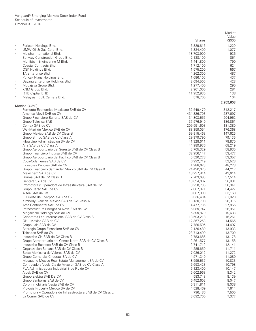|            |                                                                                  |                          | Market           |
|------------|----------------------------------------------------------------------------------|--------------------------|------------------|
|            |                                                                                  | <b>Shares</b>            | Value<br>(\$000) |
|            | Parkson Holdings Bhd.                                                            | 6,829,816                | 1,229            |
| $\ast$     | UMW Oil & Gas Corp. Bhd.                                                         | 5,334,400                | 1,077            |
|            | Mulpha International Bhd.                                                        | 18,703,900               | 936              |
|            | Sunway Construction Group Bhd.                                                   | 2,138,100                | 851              |
|            | Muhibbah Engineering M Bhd.                                                      | 1,441,800                | 790              |
|            | Coastal Contracts Bhd.                                                           | 1,712,100                | 624              |
|            | OSK Holdings Bhd.                                                                | 1,575,200                | 567              |
|            | TA Enterprise Bhd.                                                               | 4,262,300                | 487              |
|            | Puncak Niaga Holdings Bhd.                                                       | 1,686,100                | 437              |
|            | Dayang Enterprise Holdings Bhd.                                                  | 2,094,500                | 428              |
| $\ast$     | Mudajaya Group Bhd.                                                              | 1,277,400                | 295              |
|            | KNM Group Bhd.                                                                   | 2,961,000                | 281              |
| $\ast$     | RHB Captial BHD                                                                  | 11,952,935<br>578,700    | 138<br>104       |
|            | Malaysian Bulk Carriers Bhd.                                                     |                          | 2,259,608        |
|            | Mexico (4.3%)                                                                    |                          |                  |
|            | Fomento Economico Mexicano SAB de CV                                             | 32,549,470               | 312,217          |
|            | America Movil SAB de CV                                                          | 434,326,703              | 287,697          |
|            | Grupo Financiero Banorte SAB de CV                                               | 34,803,555               | 204,962          |
|            | Grupo Televisa SAB                                                               | 37,976,940               | 186,861          |
| $\ast$     | Cemex SAB de CV                                                                  | 209,551,603              | 181,380          |
|            | Wal-Mart de Mexico SAB de CV                                                     | 83,359,054               | 176,368          |
|            | Grupo Mexico SAB de CV Class B                                                   | 59,915,463               | 147,625          |
|            | Grupo Bimbo SAB de CV Class A                                                    | 29,379,790               | 79,135           |
|            | Fibra Uno Administracion SA de CV<br>Alfa SAB de CV Class A                      | 41,328,611               | 78,870           |
|            | Grupo Aeroportuario del Sureste SAB de CV Class B                                | 44,989,936<br>3,705,329  | 68,219<br>58,935 |
|            | Grupo Financiero Inbursa SAB de CV                                               | 32,956,147               | 53,477           |
|            | Grupo Aeroportuario del Pacifico SAB de CV Class B                               | 5,520,278                | 53,357           |
|            | Coca-Cola Femsa SAB de CV                                                        | 6,992,719                | 52,528           |
|            | Industrias Penoles SAB de CV                                                     | 1,988,623                | 48,228           |
|            | Grupo Financiero Santander Mexico SAB de CV Class B                              | 24,430,070               | 44,217           |
|            | Mexichem SAB de CV                                                               | 18,237,814               | 43,614           |
|            | Gruma SAB de CV Class B                                                          | 2,703,693                | 37,514           |
|            | Gentera SAB de CV                                                                | 18,694,002               | 36,891           |
|            | Promotora y Operadora de Infraestructura SAB de CV                               | 3,250,735                | 36,341           |
|            | Grupo Carso SAB de CV                                                            | 7,887,371                | 34,427           |
|            | Alsea SAB de CV                                                                  | 8,887,390                | 33,168           |
|            | El Puerto de Liverpool SAB de CV                                                 | 3,036,434                | 31,828           |
|            | Kimberly-Clark de Mexico SAB de CV Class A                                       | 13,130,708               | 28,316           |
|            | Arca Continental SAB de CV                                                       | 4,477,735                | 27,865           |
|            | Infraestructura Energetica Nova SAB de CV                                        | 6,089,747                | 26,961           |
|            | Megacable Holdings SAB de CV                                                     | 5,399,879                | 19,633           |
|            | Genomma Lab Internacional SAB de CV Class B<br>OHL Mexico SAB de CV              | 13,593,218<br>12,367,253 | 16,261<br>14,565 |
|            | Grupo Lala SAB de CV                                                             | 7,786,595                | 14,497           |
|            | Banregio Grupo Financiero SAB de CV                                              | 2,126,480                | 13,933           |
| $\ast$     | Telesites SAB de CV                                                              | 23,713,499               | 13,700           |
| $\ast$     | Industrias CH SAB de CV Class B                                                  | 2,783,686                | 13,178           |
|            | Grupo Aeroportuario del Centro Norte SAB de CV Class B                           | 2,261,577                | 13,158           |
|            | Industrias Bachoco SAB de CV Class B                                             | 2,741,712                | 12,141           |
| $_{\rm *}$ | Organizacion Soriana SAB de CV Class B                                           | 4,285,650                | 11,711           |
|            | Bolsa Mexicana de Valores SAB de CV                                              | 7,036,012                | 11,272           |
|            | Grupo Comercial Chedraui SA de CV                                                | 4,971,340                | 11,089           |
|            | Macquarie Mexico Real Estate Management SA de CV                                 | 8,599,537                | 10,833           |
|            | Controladora Vuela Cia de Aviacion SAB de CV Class A                             | 5,653,423                | 10,798           |
|            | PLA Administradora Industrial S de RL de CV                                      | 6,123,400                | 10,147           |
|            | Alpek SAB de CV                                                                  | 5,602,963                | 8,342            |
|            | Grupo Elektra SAB DE CV                                                          | 583,748                  | 8,139            |
|            | Grupo Sanborns SAB de CV                                                         | 6,452,602                | 8,047            |
|            | Corp Inmobiliaria Vesta SAB de CV                                                | 5,311,811                | 8,038            |
|            | Prologis Property Mexico SA de CV                                                | 4,528,469                | 7,614            |
|            | Promotora y Operadora de Infraestructura SAB de CV Class L<br>La Comer SAB de CV | 796,486                  | 7,500<br>7,377   |
|            |                                                                                  | 8,092,700                |                  |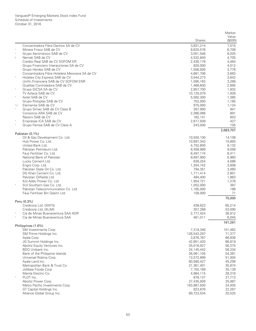|                                                         |                        | Market           |
|---------------------------------------------------------|------------------------|------------------|
|                                                         | Shares                 | Value<br>(\$000) |
| Concentradora Fibra Danhos SA de CV                     | 3,831,214              | 7,015            |
| Minera Frisco SAB de CV                                 | 8,620,576              | 6,709            |
| Grupo Aeromexico SAB de CV                              | 3,051,546              | 6,025            |
| Nemak SAB de CV<br>$\,2$                                | 4,532,840              | 4,705            |
| Credito Real SAB de CV SOFOM ER                         | 2,430,178              | 4,464            |
| Grupo Financiero Interacciones SA de CV                 | 820,000                | 4,012            |
| Grupo Herdez SAB de CV                                  | 1,556,926              | 3,776            |
| Concentradora Fibra Hotelera Mexicana SA de CV          | 4,661,706              | 3,663            |
| Hoteles City Express SAB de CV                          | 3,544,273              | 3,642            |
| Unifin Financiera SAB de CV SOFOM ENR                   | 1,095,163              | 3,266            |
| Qualitas Controladora SAB de CV<br>Grupo GICSA SA de CV | 1,468,600<br>2,857,700 | 2,695<br>1,932   |
| TV Azteca SAB de CV                                     | 10,120,079             | 1,928            |
| Axtel SAB de CV                                         | 5,582,300              | 1,385            |
| Grupo Rotoplas SAB de CV                                | 752,000                | 1,185            |
| Elementia SAB de CV<br>$^{*}$ ,2                        | 975,000                | 1,124            |
| Grupo Simec SAB de CV Class B                           | 267,900                | 941              |
| Consorcio ARA SAB de CV                                 | 2,366,068              | 891              |
| Rassini SAB de CV                                       | 182.141                | 843              |
| Empresas ICA SAB de CV                                  | 2,617,509              | 427              |
| Grupo Famsa SAB de CV Class A                           | 243,000                | 105              |
|                                                         |                        | 2,683,707        |
| Pakistan (0.1%)<br>Oil & Gas Development Co. Ltd.       | 10.550.100             |                  |
| Hub Power Co. Ltd.                                      | 10,697,343             | 14,106<br>10,893 |
| United Bank Ltd.                                        | 4,752,600              | 9,132            |
| Pakistan Petroleum Ltd.                                 | 6,408,989              | 9.058            |
| Fauji Fertilizer Co. Ltd.                               | 8,497,174              | 8,411            |
| National Bank of Pakistan                               | 8,697,900              | 5,960            |
| Lucky Cement Ltd.                                       | 638,254                | 4,086            |
| Engro Corp. Ltd.                                        | 1,354,742              | 3,608            |
| Pakistan State Oil Co. Ltd.                             | 794,351                | 3,060            |
| DG Khan Cement Co. Ltd.                                 | 1,711,414              | 2,801            |
| Pakistan Oilfields Ltd.                                 | 494,400                | 1,863            |
| Kot Addu Power Co. Ltd.                                 | 1,954,721              | 1,378            |
| SUI Southern Gas Co. Ltd.                               | 1,052,000              | 387              |
| Pakistan Telecommunication Co. Ltd.                     | 1,185,000              | 186              |
| Fauji Fertilizer Bin Qasim Ltd.                         | 158,000                | 71               |
| Peru (0.3%)                                             |                        | 75,000           |
| Credicorp Ltd. (XNYS)                                   | 438,623                | 65,214           |
| Credicorp Ltd. (XLIM)                                   | 357,268                | 53,090           |
| Cia de Minas Buenaventura SAA ADR                       | 2,777,424              | 36,912           |
| Cia de Minas Buenaventura SAA                           | 461,011                | 6,045            |
|                                                         |                        | 161,261          |
| Philippines (1.6%)<br>SM Investments Corp.              | 7,319,346              | 101,462          |
| SM Prime Holdings Inc.                                  | 128,543,297            | 71,377           |
| Ayala Corp.                                             | 3,876,767              | 66,836           |
| JG Summit Holdings Inc.                                 | 42,651,420             | 66,819           |
| Aboitiz Equity Ventures Inc.                            | 35,018,927             | 56,375           |
| BDO Unibank Inc.                                        | 24,145,442             | 56,234           |
| Bank of the Philippine Islands                          | 26,061,105             | 54,381           |
| Universal Robina Corp.                                  | 13,572,899             | 51,004           |
| Ayala Land Inc.                                         | 60,560,427             | 45,299           |
| Metropolitan Bank & Trust Co.                           | 21,361,401             | 35,874           |
| Jollibee Foods Corp.                                    | 7,155,189              | 35,139           |
| Manila Electric Co.                                     | 4,964,115              | 28,316           |
| PLDT Inc.                                               | 878,137                | 27,713           |
| Aboitiz Power Corp.                                     | 27,435,926             | 25,987           |
| Metro Pacific Investments Corp.                         | 163,887,500            | 24,405           |
| GT Capital Holdings Inc.                                | 823,876                | 22,267           |
| Alliance Global Group Inc.                              | 69,723,534             | 20,525           |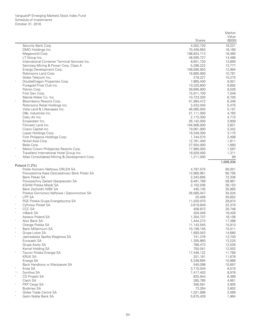|             |                                                         |                           | Market           |
|-------------|---------------------------------------------------------|---------------------------|------------------|
|             |                                                         |                           | Value            |
|             |                                                         | Shares                    | (\$000)          |
|             | Security Bank Corp.                                     | 4,002,720                 | 18,221           |
|             | DMCI Holdings Inc.<br>Megaworld Corp.                   | 70,459,650<br>198,824,713 | 18,169<br>16,480 |
|             | LT Group Inc.                                           | 48,595,727                | 14,488           |
|             | International Container Terminal Services Inc.          | 8,651,720                 | 13,890           |
|             | Semirara Mining & Power Corp. Class A                   | 5,296,222                 | 13,777           |
|             | Energy Development Corp.                                | 106,690,953               | 12,994           |
|             | Robinsons Land Corp.                                    | 16,865,900                | 10,781           |
|             | Globe Telecom Inc.                                      | 279,227                   | 10,270           |
|             | DoubleDragon Properties Corp.                           | 7,865,400                 | 9,051            |
|             | Puregold Price Club Inc.                                | 10,325,600                | 8,692            |
|             | Petron Corp.                                            | 39,895,900                | 8,526            |
|             | First Gen Corp.                                         | 15,911,700                | 7,549            |
|             | Manila Water Co. Inc.                                   | 10,723,200                | 6,700            |
|             | Bloomberry Resorts Corp.                                | 51,994,472                | 6,346            |
|             | Robinsons Retail Holdings Inc.                          | 3,432,040                 | 5,475            |
|             | Vista Land & Lifescapes Inc.                            | 48,085,005                | 5,191            |
|             | D&L Industries Inc.                                     | 21,111,000                | 4,783            |
|             | Cebu Air Inc.                                           | 2,173,300                 | 4,715            |
|             | Emperador Inc.                                          | 26,142,000                | 3,909            |
|             | Filinvest Land Inc.                                     | 104,908,000               | 3,821            |
|             | Cosco Capital Inc.                                      | 19,061,900<br>19,349,300  | 3,342<br>3,175   |
|             | Lopez Holdings Corp.<br>First Philippine Holdings Corp. | 1,744,570                 | 2,498            |
|             | Nickel Asia Corp.                                       | 12,761,400                | 1,811            |
|             | Belle Corp.                                             | 27,554,000                | 1,660            |
|             | Melco Crown Philippines Resorts Corp.                   | 17,985,000                | 1,597            |
|             | Travellers International Hotel Group Inc.               | 18,929,400                | 1,311            |
|             | Atlas Consolidated Mining & Development Corp.           | 1,211,000                 | 99               |
|             |                                                         |                           | 1,009,334        |
|             | Poland (1.2%)                                           |                           |                  |
|             | Polski Koncern Naftowy ORLEN SA                         | 4,797,575                 | 95,051           |
|             | Powszechna Kasa Oszczednosci Bank Polski SA             | 12,960,961                | 90,795           |
|             | Bank Pekao SA                                           | 2,343,695                 | 72,336           |
|             | Powszechny Zaklad Ubezpieczen SA                        | 8,491,789                 | 58,961           |
|             | KGHM Polska Miedz SA                                    | 2,102,036                 | 38,153           |
|             | Bank Zachodni WBK SA                                    | 445,105                   | 35,965           |
|             | Polskie Gornictwo Naftowe i Gazownictwo SA              | 26,585,047                | 34,034           |
| $\wedge$    | <b>LPP SA</b>                                           | 20,408                    | 30,652           |
|             | PGE Polska Grupa Energetyczna SA                        | 11,020,070                | 28,874           |
| $\land$     | Cyfrowy Polsat SA<br>CCC SA                             | 3,619,649                 | 22,370           |
| $\ast$      | mBank SA                                                | 408,873                   | 20,748           |
|             | Asseco Poland SA                                        | 204,046<br>1,354,737      | 18,426<br>18,108 |
|             | Alior Bank SA                                           | 1,444,273                 | 17,388           |
|             | Orange Polska SA                                        | 11,143,545                | 15,910           |
|             | <b>Bank Millennium SA</b>                               | 10,199,155                | 15,011           |
|             | Grupa Lotos SA                                          | 1,693,043                 | 14,680           |
|             | Jastrzebska Spolka Weglowa SA                           | 741,376                   | 13,749           |
|             | Eurocash SA                                             | 1,305,860                 | 13,225           |
|             | Grupa Azoty SA                                          | 786,473                   | 12,526           |
|             | Kernel Holding SA                                       | 750,041                   | 12,002           |
|             | Tauron Polska Energia SA                                | 17,446,122                | 11,789           |
|             | <b>KRUK SA</b>                                          | 201,181                   | 11,678           |
|             | Energa SA                                               | 5,348,694                 | 10,968           |
|             | Bank Handlowy w Warszawie SA                            | 540,098                   | 10,697           |
|             | Enea SA                                                 | 3,715,040                 | 9,516            |
| $^*,\wedge$ | Synthos SA                                              | 7,417,403                 | 8,978            |
|             | CD Projekt SA                                           | 825,944                   | 8,389            |
|             | Ciech SA                                                | 285,785                   | 4,661            |
|             | PKP Cargo SA                                            | 356,591                   | 3,905            |
|             | <b>Budimex SA</b>                                       | 73,264                    | 3,802            |
|             | Globe Trade Centre SA                                   | 1,021,896                 | 2,089            |
|             | Getin Noble Bank SA                                     | 5,875,428                 | 1,964            |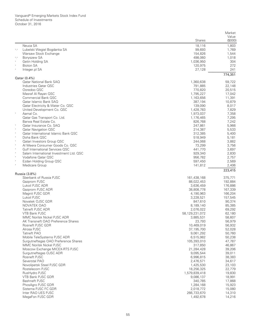|                                                                                      |                         | Market             |
|--------------------------------------------------------------------------------------|-------------------------|--------------------|
|                                                                                      |                         | Value              |
|                                                                                      | <b>Shares</b>           | (\$000)            |
| Neuca SA                                                                             | 18,116                  | 1,803              |
| Lubelski Wegiel Bogdanka SA<br>*,^                                                   | 99,693                  | 1,769              |
| Warsaw Stock Exchange                                                                | 154,826                 | 1,544              |
| Boryszew SA<br>*,^<br>$\ast$                                                         | 498,060                 | 1,018              |
| Getin Holding SA<br><b>Bioton SA</b>                                                 | 1,036,950<br>120,975    | 304<br>272         |
| $\star$<br>Integer.pl SA                                                             | 27,128                  | 241                |
|                                                                                      |                         | 774,351            |
| Qatar (0.4%)                                                                         |                         |                    |
| <b>Qatar National Bank SAQ</b>                                                       | 1,360,638               | 59,722             |
| Industries Qatar QSC                                                                 | 791,885                 | 22,148             |
| Ooredoo QSC                                                                          | 770,820                 | 20,515             |
| Masraf Al Rayan QSC                                                                  | 1,795,227               | 17,042             |
| Commercial Bank QSC<br>Qatar Islamic Bank SAQ                                        | 1,163,656               | 11,391<br>10,879   |
| Qatar Electricity & Water Co. QSC                                                    | 387,194<br>139,090      | 8,017              |
| United Development Co. QSC                                                           | 1,428,783               | 7,829              |
| $\ast$<br>Aamal Co.                                                                  | 1,973,037               | 7,358              |
| Qatar Gas Transport Co. Ltd.                                                         | 1,176,465               | 7,295              |
| Barwa Real Estate Co.                                                                | 826,768                 | 7,242              |
| Qatar Insurance Co. SAQ                                                              | 247,861                 | 5,966              |
| $\ast$<br><b>Qatar Navigation QSC</b>                                                | 214,387                 | 5,533              |
| $\ast$<br><b>Qatar International Islamic Bank QSC</b>                                | 312,385                 | 5,400              |
| Doha Bank QSC                                                                        | 518,949                 | 5,181              |
| $\ast$<br>Qatari Investors Group QSC                                                 | 244,068                 | 3,882              |
| Al Meera Consumer Goods Co. QSC<br>$\star$<br><b>Gulf International Services QSC</b> | 73,299                  | 3,756              |
| Salam International Investment Ltd. QSC                                              | 441,770<br>929,340      | 3,697<br>2,830     |
| Vodafone Qatar QSC                                                                   | 956,782                 | 2,757              |
| $\ast$<br>Ezdan Holding Group QSC                                                    | 597,450                 | 2,569              |
| $\ast$<br>Medicare Group                                                             | 141,812                 | 2,406              |
|                                                                                      |                         | 223,415            |
| Russia (3.8%)                                                                        |                         |                    |
| Sberbank of Russia PJSC                                                              | 161,438,168             | 375,771            |
| Gazprom PJSC                                                                         | 88,022,453              | 192,884            |
| Lukoil PJSC ADR<br>Gazprom PJSC ADR                                                  | 3,636,459<br>38,808,778 | 176,886<br>167,339 |
| Magnit PJSC GDR                                                                      | 4,190,963               | 166,204            |
| Lukoil PJSC                                                                          | 3,228,521               | 157,545            |
| Novatek OJSC GDR                                                                     | 847,610                 | 90,374             |
| <b>NOVATEK OAO</b>                                                                   | 8,189,140               | 85,385             |
| <b>Tatneft PJSC ADR</b>                                                              | 2,076,022               | 69,292             |
| VTB Bank PJSC                                                                        | 58,129,231,072          | 62,180             |
| MMC Norilsk Nickel PJSC ADR                                                          | 3,885,531               | 58,607             |
| AK Transneft OAO Preference Shares                                                   | 23,793                  | 56,979             |
| Rosneft PJSC GDR                                                                     | 10,469,019              | 56,932             |
| Alrosa PJSC<br><b>Tatneft PAO</b>                                                    | 37,195,700<br>9,061,292 | 52,028<br>50,760   |
| Mobile TeleSystems PJSC ADR                                                          | 6,515,982               | 50,238             |
| Surgutneftegas OAO Preference Shares                                                 | 105,393,010             | 47,787             |
| <b>MMC Norilsk Nickel PJSC</b>                                                       | 317,850                 | 46,867             |
| Moscow Exchange MICEX-RTS PJSC                                                       | 21,284,428              | 39,206             |
| Surgutneftegas OJSC ADR                                                              | 9,095,544               | 39,011             |
| Rosneft PJSC                                                                         | 6,996,815               | 38,383             |
| Severstal PAO                                                                        | 2,476,571               | 34,617             |
| Novolipetsk Steel PJSC GDR                                                           | 1,425,530               | 23,103             |
| Rostelecom PJSC                                                                      | 18,256,325              | 22,779             |
| RusHydro PJSC                                                                        | 1,579,839,418           | 19,830             |
| VTB Bank PJSC GDR<br><b>Bashneft PJSC</b>                                            | 9,086,137<br>340,785    | 18,991<br>17,868   |
| PhosAgro PJSC GDR                                                                    | 1,284,168               | 15,923             |
| Sistema PJSC FC GDR                                                                  | 2,018,772               | 15,080             |
| Inter RAO UES PJSC                                                                   | 266,733,670             | 14,310             |
| MegaFon PJSC GDR                                                                     | 1,492,678               | 14,216             |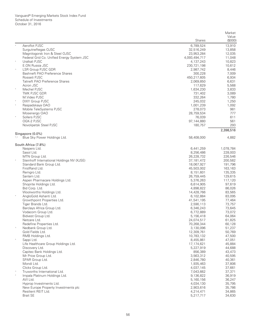|             |                                              |                         | Market             |
|-------------|----------------------------------------------|-------------------------|--------------------|
|             |                                              | Shares                  | Value<br>(\$000)   |
|             | Aeroflot PJSC                                | 6,789,524               | 13,910             |
|             | Surgutneftegas OJSC                          | 32,516,249              | 13,858             |
|             | Magnitogorsk Iron & Steel OJSC               | 23,953,284              | 12,035             |
|             | Federal Grid Co. Unified Energy System JSC   | 4,093,494,717           | 11,048             |
|             | Uralkali PJSC                                | 4,137,243               | 10,823             |
|             | E.ON Russia JSC                              | 230,721,198             | 10,612             |
| $\wedge$    | LSR Group PJSC GDR                           | 2,987,742               | 8,446              |
|             | Bashneft PAO Preference Shares               | 300,228                 | 7,009              |
|             | Rosseti PJSC                                 | 450,217,605             | 6,934              |
|             | <b>Tatneft PAO Preference Shares</b>         | 2,069,850               | 6,631              |
|             | Acron JSC                                    | 117,629                 | 5,568              |
|             | Mechel PJSC                                  | 1,634,230               | 3,833              |
|             | TMK PJSC GDR                                 | 731,402                 | 3,089              |
|             | M.Video PJSC                                 | 332,264                 | 1,780              |
| $\ast$      | <b>DIXY Group PJSC</b>                       | 245,032                 | 1,250              |
|             | Raspadskaya OAO                              | 1,001,239               | 1,092              |
|             | Mobile TeleSystems PJSC<br>Mosenergo OAO     | 278,073<br>28,759,534   | 981<br>777         |
|             | Sollers PJSC                                 | 76,039                  | 611                |
|             | OGK-2 PJSC                                   | 97,144,880              | 561                |
|             | Novolipetsk Steel PJSC                       | 180,757                 | 293                |
|             |                                              |                         | 2,398,516          |
|             | Singapore (0.0%)                             |                         |                    |
| $^*,\wedge$ | Blue Sky Power Holdings Ltd.                 | 58,408,000              | 4,882              |
|             | South Africa (7.8%)                          |                         |                    |
|             | Naspers Ltd.                                 | 6,441,259               | 1,078,784          |
|             | Sasol Ltd.                                   | 8,256,486               | 228,003            |
|             | MTN Group Ltd.                               | 26,228,732              | 226,546            |
|             | Steinhoff International Holdings NV (XJSE)   | 37,181,472              | 200,582            |
|             | Standard Bank Group Ltd.                     | 18,067,927              | 191,796            |
|             | FirstRand Ltd.<br>Remgro Ltd.                | 45,503,002<br>8,151,601 | 163,163<br>135,335 |
|             | Sanlam Ltd.                                  | 26,759,445              | 129,615            |
|             | Aspen Pharmacare Holdings Ltd.               | 5,376,263               | 117,120            |
|             | Shoprite Holdings Ltd.                       | 6,614,905               | 97,619             |
|             | Bid Corp. Ltd.                               | 4,898,822               | 86,026             |
|             | Woolworths Holdings Ltd.                     | 14,428,766              | 83,565             |
|             | AngloGold Ashanti Ltd.                       | 6,102,884               | 83,095             |
|             | Growthpoint Properties Ltd.                  | 41,541,195              | 77,464             |
|             | Tiger Brands Ltd.                            | 2,590,113               | 73,757             |
|             | Barclays Africa Group Ltd.                   | 6,346,243               | 73,645             |
|             | Vodacom Group Ltd.                           | 6,772,889               | 73,072             |
|             | Bidvest Group Ltd.                           | 5,156,418               | 64,064             |
|             | Netcare Ltd.                                 | 24,074,517              | 61,825             |
|             | Redefine Properties Ltd.                     | 70,268,344              | 60,128             |
| $\wedge$    | Nedbank Group Ltd.                           | 3,130,096               | 51,237             |
|             | Gold Fields Ltd.                             | 12,309,761              | 50,769             |
|             | RMB Holdings Ltd.                            | 10,783,132              | 47,500             |
|             | Sappi Ltd.                                   | 8,455,861               | 47,051             |
|             | Life Healthcare Group Holdings Ltd.          | 17,174,621              | 45,884             |
|             | Discovery Ltd.<br>Capitec Bank Holdings Ltd. | 5,227,919               | 44,688<br>43,473   |
|             | Mr Price Group Ltd.                          | 856,389<br>3,563,312    | 40,595             |
|             | SPAR Group Ltd.                              | 2,846,780               | 40,361             |
|             | Mondi Ltd.                                   | 1,935,463               | 37,806             |
|             | Clicks Group Ltd.                            | 4,037,145               | 37,661             |
| Λ           | Truworths International Ltd.                 | 7,043,662               | 37,371             |
| $\ast$      | Impala Platinum Holdings Ltd.                | 9,136,822               | 36,919             |
|             | AVI Ltd.                                     | 5,160,156               | 36,247             |
|             | Hyprop Investments Ltd.                      | 4,034,130               | 35,795             |
|             | New Europe Property Investments plc          | 2,903,616               | 35,786             |
|             | Resilient REIT Ltd.                          | 4,214,471               | 34,865             |
|             | <b>Brait SE</b>                              | 5,217,717               | 34,630             |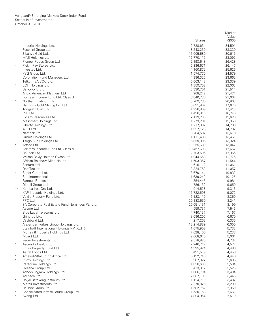|             |                                                                 |                    | Market           |
|-------------|-----------------------------------------------------------------|--------------------|------------------|
|             |                                                                 |                    | Value            |
|             |                                                                 | Shares             | (\$000)          |
|             | Imperial Holdings Ltd.                                          | 2,738,634          | 34,591           |
|             | Foschini Group Ltd.                                             | 3,243,230          | 33,339           |
|             | Sibanye Gold Ltd.                                               | 11,005,589         | 30,615           |
|             | MMI Holdings Ltd.                                               | 16,770,117         | 28,092           |
|             | Pioneer Foods Group Ltd.                                        | 2,193,643          | 26,428           |
| $\land$     | Pick n Pay Stores Ltd.                                          | 5,336,671          | 26,147           |
|             | Investec Ltd.                                                   | 4,160,872          | 25,626           |
|             | PSG Group Ltd.                                                  | 1,574,770          | 24,579           |
|             | Coronation Fund Managers Ltd.                                   | 4,396,326          | 23,662           |
|             | Telkom SA SOC Ltd.                                              | 5,063,148          | 23,339           |
| $\ast$      | EOH Holdings Ltd.                                               | 1,859,752          | 22,063           |
|             | Barloworld Ltd.                                                 | 3,330,701          | 21,514           |
|             | Anglo American Platinum Ltd.                                    | 908,242            | 21,474           |
|             | Fortress Income Fund Ltd. Class B                               | 8,840,736          | 21,007           |
|             | Northam Platinum Ltd.                                           | 5,709,780          | 20,803           |
|             | Harmony Gold Mining Co. Ltd.                                    | 5,691,907          | 17,670           |
|             | Tongaat Hulett Ltd.                                             | 1,926,809          | 17,413           |
|             | JSE Ltd.                                                        | 1,436,910          | 16,740           |
|             | Exxaro Resources Ltd.                                           | 2,119,230          | 15,620           |
|             | Massmart Holdings Ltd.                                          | 1,773,281          | 15,350           |
|             | Liberty Holdings Ltd.                                           | 1,717,807          | 14,790           |
|             | AECI Ltd.                                                       | 1,957,126          | 14,782           |
|             | Nampak Ltd.                                                     | 9,764,582          | 13,618           |
|             | Omnia Holdings Ltd.                                             | 1,111,488          | 13,461           |
| $\ast$      | Tsogo Sun Holdings Ltd.                                         | 5,859,996          | 13,324           |
|             | Attacq Ltd.                                                     | 10,255,689         | 13,042           |
|             | Fortress Income Fund Ltd. Class A                               | 10,457,608         | 12,652           |
|             | Reunert Ltd.                                                    | 2,703,596          | 12,355           |
|             | Wilson Bayly Holmes-Ovcon Ltd.<br>African Rainbow Minerals Ltd. | 1,044,668          | 11,776           |
|             | Santam Ltd.                                                     | 1,593,367          | 11,544           |
|             |                                                                 | 616,112            | 11,061           |
|             | DataTec Ltd.<br>Super Group Ltd.                                | 3,324,762          | 11,057<br>10,832 |
|             | Sun International Ltd.                                          | 3,670,144          |                  |
|             | Famous Brands Ltd.                                              | 1,639,242          | 10,125<br>9,984  |
|             | Distell Group Ltd.                                              | 854,446<br>786,132 | 9,650            |
| $^*,\wedge$ | Kumba Iron Ore Ltd.                                             | 914,528            | 9,313            |
|             | KAP Industrial Holdings Ltd.                                    | 15,782,593         | 9,072            |
|             | Vukile Property Fund Ltd.                                       | 6,123,117          | 8,350            |
|             | PPC Ltd.                                                        | 20,183,650         | 8,241            |
|             | SA Corporate Real Estate Fund Nominees Pty Ltd.                 | 20,051,131         | 8,199            |
|             | Assore Ltd.                                                     | 559,737            | 7,546            |
|             | Blue Label Telecoms Ltd.                                        | 4,740,137          | 7,167            |
|             | Grindrod Ltd.                                                   | 8,096,205          | 6,670            |
|             | Cashbuild Ltd.                                                  | 217,262            | 6,335            |
|             | Alexander Forbes Group Holdings Ltd.                            | 13,214,889         | 6,000            |
|             | Steinhoff International Holdings NV (XETR)                      | 1,075,902          | 5,732            |
|             | Murray & Roberts Holdings Ltd.                                  | 7,628,400          | 5,238            |
|             | Mpact Ltd.                                                      | 2,068,640          | 5,061            |
|             | Zeder Investments Ltd.                                          | 9,578,820          | 4,737            |
|             | Ascendis Health Ltd.                                            | 2,246,717          | 4,527            |
|             | Emira Property Fund Ltd.                                        | 4,335,924          | 4,486            |
|             | Astral Foods Ltd.                                               | 491,579            | 4,458            |
|             | ArcelorMittal South Africa Ltd.                                 | 5,192,748          | 4,446            |
|             | Curro Holdings Ltd.                                             | 987,922            | 3,635            |
|             | Peregrine Holdings Ltd.                                         | 1,858,639          | 3,584            |
|             | Oceana Group Ltd.                                               | 413,917            | 3,525            |
|             | Adcock Ingram Holdings Ltd.                                     | 1,006,734          | 3,494            |
|             | Advtech Ltd.                                                    | 2,667,199          | 3,446            |
|             | Royal Bafokeng Platinum Ltd.                                    | 1,124,719          | 3,432            |
|             | Metair Investments Ltd.                                         | 2,270,826          | 3,200            |
|             | Raubex Group Ltd.                                               | 1,582,762          | 2,950            |
|             | Consolidated Infrastructure Group Ltd.                          | 1,530,158          | 2,661            |
|             | Aveng Ltd.                                                      | 4,804,954          | 2,519            |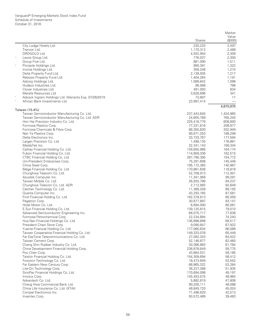|                                                                             |                           | Market             |
|-----------------------------------------------------------------------------|---------------------------|--------------------|
|                                                                             | <b>Shares</b>             | Value<br>(\$000)   |
| City Lodge Hotels Ltd.                                                      | 230,233                   | 2,497              |
| Trencor Ltd.                                                                | 1,170,312                 | 2,489              |
| DRDGOLD Ltd.                                                                | 4,552,954                 | 2,309              |
| $\wedge$<br>Lewis Group Ltd.                                                | 776.037                   | 2,300              |
| Group Five Ltd.                                                             | 881,090                   | 1,511              |
| Pinnacle Holdings Ltd.                                                      | 995,391                   | 1,322              |
| Invicta Holdings Ltd.                                                       | 309,248<br>2,139,935      | 1,274              |
| Delta Property Fund Ltd.<br>Rebosis Property Fund Ltd.                      | 1,404,264                 | 1,217<br>1,191     |
| Adcorp Holdings Ltd.                                                        | 1,089,842                 | 1,096              |
| Hudaco Industries Ltd.                                                      | 96,998                    | 786                |
| Clover Industries Ltd.                                                      | 491,093                   | 634                |
| Merafe Resources Ltd.                                                       | 3,628,696                 | 341                |
| $\ast$<br>Adcock Ingram Holdings Ltd. Warrants Exp. 07/26/2019              | 73,897                    | 17                 |
| $\ast$<br>African Bank Investments Ltd.                                     | 23,997,414                |                    |
| Taiwan (15.4%)                                                              |                           | 4,870,975          |
| Taiwan Semiconductor Manufacturing Co. Ltd.                                 | 237,443,845               | 1,424,985          |
| Taiwan Semiconductor Manufacturing Co. Ltd. ADR                             | 24,605,789                | 765,240            |
| Hon Hai Precision Industry Co. Ltd.                                         | 225,418,779               | 608,893            |
| Formosa Plastics Corp.                                                      | 77,331,616                | 208,977            |
| Formosa Chemicals & Fibre Corp.<br>Nan Ya Plastics Corp.                    | 68,355,830<br>90,671,253  | 202,949<br>188,299 |
| Delta Electronics Inc.                                                      | 33,733,767                | 177,594            |
| Largan Precision Co. Ltd.                                                   | 1,499,135                 | 176,861            |
| MediaTek Inc.                                                               | 22,341,143                | 169,344            |
| Cathay Financial Holding Co. Ltd.                                           | 126,855,966               | 164,174            |
| Fubon Financial Holding Co. Ltd.                                            | 114,859,336               | 162,515            |
| CTBC Financial Holding Co. Ltd.                                             | 287,790,395               | 154,772            |
| Uni-President Enterprises Corp.                                             | 75,281,698                | 145,448            |
| China Steel Corp.                                                           | 195, 172, 385             | 140,967            |
| Mega Financial Holding Co. Ltd.<br>Chunghwa Telecom Co. Ltd.                | 170,861,636<br>32,708,913 | 116,816<br>112,001 |
| Asustek Computer Inc.                                                       | 11,341,958                | 99,291             |
| Taiwan Mobile Co. Ltd.                                                      | 26,933,796                | 94,237             |
| Chunghwa Telecom Co. Ltd. ADR                                               | 2,712,993                 | 92,649             |
| Catcher Technology Co. Ltd.                                                 | 11,389,259                | 89,155             |
| Quanta Computer Inc.                                                        | 43,293,165                | 87,581             |
| First Financial Holding Co. Ltd.                                            | 162,378,813               | 85,059             |
| Pegatron Corp.                                                              | 30,877,897                | 83,147             |
| Hotai Motor Co. Ltd.                                                        | 6,894,000                 | 80,081             |
| E.Sun Financial Holding Co. Ltd.<br>Advanced Semiconductor Engineering Inc. | 139,125,815<br>66,075,717 | 79,010<br>77,638   |
| Formosa Petrochemical Corp.                                                 | 22,234,894                | 74,240             |
| Hua Nan Financial Holdings Co. Ltd.                                         | 136,896,688               | 69,517             |
| President Chain Store Corp.                                                 | 9,090,647                 | 67,922             |
| Yuanta Financial Holding Co. Ltd.                                           | 177,060,634               | 66,089             |
| Taiwan Cooperative Financial Holding Co. Ltd.                               | 149,333,078               | 65,449             |
| Far EasTone Telecommunications Co. Ltd.                                     | 27,092,343                | 64,022             |
| Taiwan Cement Corp.                                                         | 52,146,877                | 62,460             |
| Cheng Shin Rubber Industry Co. Ltd.                                         | 30,366,883                | 61,784             |
| China Development Financial Holding Corp.<br>Pou Chen Corp.                 | 238,878,649               | 59,775             |
| Taishin Financial Holding Co. Ltd.                                          | 43,864,531<br>154,309,694 | 59,185<br>56,412   |
| Foxconn Technology Co. Ltd.                                                 | 18,473,849                | 53,552             |
| Far Eastern New Century Corp.                                               | 68,865,322                | 53,284             |
| Lite-On Technology Corp.                                                    | 36,227,288                | 51,935             |
| SinoPac Financial Holdings Co. Ltd.                                         | 170,694,098               | 49,197             |
| Innolux Corp.                                                               | 145,453,575               | 48,964             |
| Advantech Co. Ltd.                                                          | 5,882,619                 | 47,808             |
| Chang Hwa Commercial Bank Ltd.                                              | 90,200,111                | 46,088             |
| China Life Insurance Co. Ltd. (XTAI)                                        | 48,845,720                | 45,024             |
| Compal Electronics Inc.                                                     | 71,496,629                | 42,513<br>39,483   |
| Inventec Corp.                                                              | 50,572,489                |                    |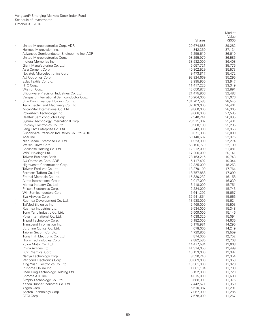|                                                    |             | Value            |
|----------------------------------------------------|-------------|------------------|
|                                                    | Shares      | (\$000)          |
| Λ<br>United Microelectronics Corp. ADR             | 20,674,888  | 39,282           |
| Hermes Microvision Inc.                            | 842,369     | 37,134           |
| Advanced Semiconductor Engineering Inc. ADR        | 6,259,619   | 36,619           |
| United Microelectronics Corp.                      | 98,295,970  | 36,586           |
| $\ast$<br>Inotera Memories Inc.                    | 38,932,000  | 36,408           |
| Giant Manufacturing Co. Ltd.                       | 5,057,721   | 35,775           |
| Asia Cement Corp.                                  | 40,802,529  | 35,573           |
| Novatek Microelectronics Corp.                     | 9,473,817   | 35,472           |
| AU Optronics Corp.                                 | 92,924,669  | 35,295           |
| Eclat Textile Co. Ltd.                             | 2,995,950   | 33,947           |
| $\ast$<br>HTC Corp.                                | 11,417,225  | 33,349           |
| Wistron Corp.                                      | 43,650,878  | 32,891           |
| Siliconware Precision Industries Co. Ltd.          | 21,475,906  | 32,483           |
| Vanguard International Semiconductor Corp.         | 15,264,000  | 31,076           |
| $_{\rm *}$<br>Shin Kong Financial Holding Co. Ltd. | 131,707,583 | 28,545           |
| Teco Electric and Machinery Co. Ltd.               | 32,103,000  | 28,461           |
| Micro-Star International Co. Ltd.                  | 9,860,000   | 28,365           |
| Powertech Technology Inc.                          | 9,668,000   | 27,585           |
| Realtek Semiconductor Corp.                        | 7,940,241   | 26,895           |
| Synnex Technology International Corp.              | 23,915,907  | 25,481           |
| Chicony Electronics Co. Ltd.                       | 9,900,199   | 25,295           |
| Feng TAY Enterprise Co. Ltd.                       | 5,743,390   | 23,956           |
| Siliconware Precision Industries Co. Ltd. ADR      | 3,071,933   | 23,009           |
| Acer Inc.                                          | 50,140,632  | 22,976           |
| Nien Made Enterprise Co. Ltd.                      | 1,923,000   | 22,274           |
| Walsin Lihwa Corp.                                 | 63,196,770  | 22,109           |
| Chailease Holding Co. Ltd.                         | 12,212,000  | 21,081           |
| WPG Holdings Ltd.                                  | 17,206,000  | 20,141           |
| Taiwan Business Bank                               | 78,163,215  | 19,743           |
| AU Optronics Corp. ADR                             | 5,117,492   | 19,344           |
| Highwealth Construction Corp.                      | 12,325,000  | 18,253           |
| Taiwan Fertilizer Co. Ltd.                         | 13,279,100  | 17,764           |
| Formosa Taffeta Co. Ltd.                           | 18,757,868  | 17,090           |
| Eternal Materials Co. Ltd.                         | 15,330,232  | 16,158           |
| Airtac International Group                         | 2,017,000   | 16,039           |
| Merida Industry Co. Ltd.                           | 3,418,000   | 15,751           |
| Phison Electronics Corp.                           | 2,224,000   | 15,743           |
| Win Semiconductors Corp.                           | 5,641,292   | 15,667           |
| Eva Airways Corp.                                  | 32,541,854  | 15,666           |
| Ruentex Development Co. Ltd.                       | 13,538,000  | 15,624           |
| $\ast$<br>TaiMed Biologics Inc.                    | 2,469,000   | 15,503           |
| Ruentex Industries Ltd.                            | 9,534,000   | 15,348           |
| Tong Yang Industry Co. Ltd.                        | 6,509,000   | 15,146           |
| Poya International Co. Ltd.                        | 1,038,320   | 15,094           |
| Tripod Technology Corp.                            | 6,182,000   | 14,635           |
| Transcend Information Inc.                         | 5,175,981   | 14,295           |
| St. Shine Optical Co. Ltd.                         | 678,000     | 14,249           |
| Taiwan Secom Co. Ltd.                              | 4,729,805   | 13,559           |
| Tung Thih Electronic Co. Ltd.                      | 874,000     | 12,752           |
| Hiwin Technologies Corp.                           | 2,882,580   | 12,708           |
| Yulon Motor Co. Ltd.                               | 14,477,584  | 12,668           |
| China Airlines Ltd.                                | 41,314,050  | 12,499           |
| LCY Chemical Corp.                                 | 10,153,000  | 12,387           |
| Nanya Technology Corp.                             | 9,530,246   |                  |
|                                                    |             | 12,354           |
| Winbond Electronics Corp.                          | 38,069,000  | 11,953           |
| King Yuan Electronics Co. Ltd.                     | 13,561,000  | 11,928<br>11,739 |
| PChome Online Inc.                                 | 1,081,134   |                  |
| Zhen Ding Technology Holding Ltd.                  | 5,152,000   | 11,720           |
| Chroma ATE Inc.                                    | 4,615,000   | 11,698           |
| Simplo Technology Co. Ltd.                         | 3,688,000   | 11,375           |
| Kenda Rubber Industrial Co. Ltd.                   | 7,442,571   | 11,369           |
| Yageo Corp.                                        | 5,610,387   | 11,291           |
| Accton Technology Corp.                            | 7,067,000   | 11,285           |
| CTCI Corp.                                         | 7,678,000   | 11,267           |

Market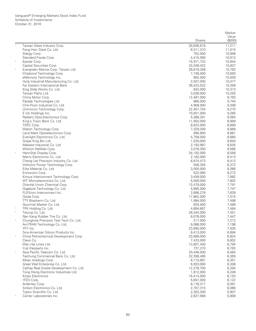|                           |                                                           |                         | Market           |
|---------------------------|-----------------------------------------------------------|-------------------------|------------------|
|                           |                                                           | Shares                  | Value<br>(\$000) |
|                           |                                                           |                         |                  |
|                           | Taiwan Glass Industry Corp.<br>Feng Hsin Steel Co. Ltd.   | 26,836,818<br>8,311,310 | 11,211<br>11,015 |
| Silergy Corp.             |                                                           | 752,000                 | 10,956           |
|                           | Standard Foods Corp.                                      | 4,415,580               | 10,912           |
| Epistar Corp.             |                                                           | 15,971,732              | 10,844           |
|                           | Capital Securities Corp.                                  | 43,349,422              | 10,837           |
| $\ast$                    | Evergreen Marine Corp. Taiwan Ltd.                        | 28,819,358              | 10,763           |
|                           | Chipbond Technology Corp.                                 | 7,746,000               | 10,693           |
|                           | eMemory Technology Inc.                                   | 992,000                 | 10,509           |
|                           | Hota Industrial Manufacturing Co. Ltd.                    | 2,507,000               | 10,477           |
|                           | Far Eastern International Bank                            | 36,423,522              | 10,358           |
|                           | King Slide Works Co. Ltd.                                 | 842,000                 | 10,313           |
| Taiwan Paiho Ltd.         |                                                           | 3,028,000               | 10,293           |
| China Motor Corp.         |                                                           | 12,467,000              | 9,763            |
|                           | Parade Technologies Ltd.<br>Chin-Poon Industrial Co. Ltd. | 866,000<br>4,908,000    | 9,744            |
|                           | Unimicron Technology Corp.                                | 22,457,754              | 9,399<br>9,275   |
| E Ink Holdings Inc.       |                                                           | 10,931,000              | 9,265            |
|                           | Radiant Opto-Electronics Corp.                            | 5,388,291               | 9,084            |
|                           | King's Town Bank Co. Ltd.                                 | 11,002,000              | 8,999            |
| TSRC Corp.                |                                                           | 8,623,000               | 8,899            |
|                           | Walsin Technology Corp.                                   | 7,329,300               | 8,889            |
|                           | Land Mark Optoelectronics Corp.                           | 990,900                 | 8,881            |
|                           | Everlight Electronics Co. Ltd.                            | 5,758,000               | 8,685            |
| Grape King Bio Ltd.       |                                                           | 1,029,000               | 8,640            |
|                           | Makalot Industrial Co. Ltd.                               | 2,193,987               | 8,635            |
|                           | Wistron NeWeb Corp.                                       | 3,078,350               | 8,566            |
| $\ast$                    | HannStar Display Corp.                                    | 34,192,000              | 8,558            |
|                           | Merry Electronics Co. Ltd.                                | 2,182,000               | 8,413            |
|                           | Cheng Uei Precision Industry Co. Ltd.                     | 6,874,473               | 8,412            |
|                           | Voltronic Power Technology Corp.                          | 558,355                 | 8,372            |
| Ennoconn Corp.            | Elite Material Co. Ltd.                                   | 3,005,000<br>522,085    | 8,366<br>8,273   |
|                           | Kinsus Interconnect Technology Corp.                      | 3,459,000               | 7,982            |
|                           | WT Microelectronics Co. Ltd.                              | 5,509,050               | 7,802            |
|                           | Oriental Union Chemical Corp.                             | 12,479,000              | 7,791            |
|                           | Gigabyte Technology Co. Ltd.                              | 5,895,000               | 7,747            |
|                           | FLEXium Interconnect Inc.                                 | 2,686,278               | 7,639            |
| Qisda Corp.               |                                                           | 17,862,000              | 7,515            |
|                           | TTY Biopharm Co. Ltd.                                     | 1,994,000               | 7,498            |
|                           | Gourmet Master Co. Ltd.                                   | 834,500                 | 7,489            |
| TPK Holding Co. Ltd.      |                                                           | 4,694,667               | 7,484            |
| $\ast$<br>Tatung Co. Ltd. |                                                           | 28,344,000              | 7,451            |
|                           | Nan Kang Rubber Tire Co. Ltd.                             | 8,078,000               | 7,447            |
|                           | Chunghwa Precision Test Tech Co. Ltd.                     | 217,000                 | 7,212            |
|                           | AmTRAN Technology Co. Ltd.                                | 9,088,000               | 7,198            |
| YFY Inc.                  | Sino-American Silicon Products Inc.                       | 23,890,000              | 7,035<br>6,894   |
|                           | China Petrochemical Development Corp.                     | 6,413,000<br>23,899,000 | 6,824            |
| Clevo Co.                 |                                                           | 7,433,000               | 6,802            |
| Wan Hai Lines Ltd.        |                                                           | 13,807,450              | 6,794            |
| Cub Elecparts Inc.        |                                                           | 737,270                 | 6,763            |
|                           | Asia Pacific Telecom Co. Ltd.                             | 20,446,000              | 6,564            |
|                           | Taichung Commercial Bank Co. Ltd.                         | 22,356,485              | 6,365            |
| Mitac Holdings Corp.      |                                                           | 6,710,691               | 6,351            |
|                           | Great Wall Enterprise Co. Ltd.                            | 6,933,000               | 6,308            |
|                           | Cathay Real Estate Development Co. Ltd.                   | 12,278,700              | 6,294            |
|                           | Tong Hsing Electronic Industries Ltd.                     | 1,812,000               | 6,248            |
| Kinpo Electronics         |                                                           | 16,414,000              | 6,153            |
| <b>ITEQ Corp.</b>         |                                                           | 5,657,000               | 6,122            |
| Ardentec Corp.            |                                                           | 8,178,317               | 6,091            |
|                           | Sinbon Electronics Co. Ltd.                               | 2,707,315               | 6,086            |
|                           | Topco Scientific Co. Ltd.                                 | 2,303,300               | 5,907            |
|                           | Center Laboratories Inc.                                  | 2,827,568               | 5,808            |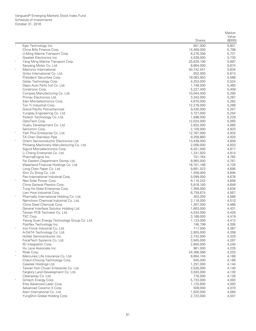| (\$000)<br><b>Shares</b><br>Egis Technology Inc.<br>801,000<br>5,801<br>China Bills Finance Corp.<br>14,469,000<br>5,799<br>U-Ming Marine Transport Corp.<br>8,276,356<br>5,731<br>Greatek Electronics Inc.<br>4,539,000<br>5,730<br>Yang Ming Marine Transport Corp.<br>25,629,195<br>5,687<br>Sanyang Motor Co. Ltd.<br>8,864,000<br>5,674<br>$\ast$<br>Macronix International<br>40,742,541<br>5,634<br>Ginko International Co. Ltd.<br>602,000<br>5,613<br>President Securities Corp.<br>16,063,953<br>5,588<br>Getac Technology Corp.<br>4,253,000<br>5,524<br>Depo Auto Parts Ind Co. Ltd.<br>1,748,000<br>5,460<br>Coretronic Corp.<br>5,227,400<br>5,409<br>Compeg Manufacturing Co. Ltd.<br>5,290<br>10,044,000<br>Primax Electronics Ltd.<br>3,343,000<br>5,287<br>Elan Microelectronics Corp.<br>5,282<br>4,670,000<br>Ton Yi Industrial Corp.<br>12,278,000<br>5,268<br><b>Grand Pacific Petrochemical</b><br>9,430,000<br>5,257<br>Yungtay Engineering Co. Ltd.<br>3,727,000<br>5,254<br>Flytech Technology Co. Ltd.<br>1,588,000<br>5,229<br>OptoTech Corp.<br>5,065<br>12,024,000<br>Huaku Development Co. Ltd.<br>2,832,000<br>4,985<br>Sercomm Corp.<br>2,100,000<br>4,933<br>$\ast$<br>Yieh Phui Enterprise Co. Ltd.<br>12,767,000<br>4,932<br>TA Chen Stainless Pipe<br>9,358,860<br>4,920<br>Orient Semiconductor Electronics Ltd.<br>4,849<br>13,438,000<br>Pihsiang Machinery Manufacturing Co. Ltd.<br>4,820<br>2,056,000<br>Sigurd Microelectronics Corp.<br>4,817<br>6,451,000<br>Li Cheng Enterprise Co. Ltd.<br>4,814<br>1,241,920<br>PharmaEngine Inc.<br>701,764<br>4,782<br>Far Eastern Department Stores Ltd.<br>8,983,000<br>4,761<br>Waterland Financial Holdings Co. Ltd.<br>18,701,166<br>4,735<br>Long Chen Paper Co. Ltd.<br>9,891,523<br>4,695<br>Shin Zu Shing Co. Ltd.<br>1,559,000<br>4,694<br>Pan-International Industrial Corp.<br>5,099,000<br>4,678<br>$_{\rm *}$<br>Neo Solar Power Corp.<br>9,116,242<br>4,656<br>China General Plastics Corp.<br>4,649<br>5,816,160<br>Tung Ho Steel Enterprise Corp.<br>4,634<br>7,269,000<br>Lien Hwa Industrial Corp.<br>6,739,874<br>4,567<br>Pharmally International Holding Co. Ltd.<br>303,000<br>4,566<br>Namchow Chemical Industrial Co. Ltd.<br>4,510<br>2,118,000<br>China Steel Chemical Corp.<br>1,307,000<br>4,486<br>General Interface Solution Holding Ltd.<br>4,431<br>1,663,000<br>Taiwan PCB Techvest Co. Ltd.<br>4,426<br>4,534,000<br>TXC Corp.<br>4,419<br>3,168,000<br>Yeong Guan Energy Technology Group Co. Ltd.<br>1,123,000<br>4,412<br>Posiflex Technology Inc.<br>746,799<br>4,395<br>$_{\rm *}$<br>Iron Force Industrial Co. Ltd.<br>717,000<br>4,367<br>A-DATA Technology Co. Ltd.<br>2,805,000<br>4,358<br>Holtek Semiconductor Inc.<br>2,742,000<br>4,329<br>FocalTech Systems Co. Ltd.<br>3,945,000<br>4,267<br>IEI Integration Corp.<br>4,240<br>2,850,000<br>Hu Lane Associate Inc.<br>961,000<br>4,235<br>Ritek Corp.<br>24,366,586<br>4,203<br>Mercuries Life Insurance Co. Ltd.<br>8,664,745<br>4,168<br>Chaun-Choung Technology Corp.<br>945,000<br>4,166<br>Casetek Holdings Ltd.<br>1,291,000<br>4,144<br>Taiwan Hon Chuan Enterprise Co. Ltd.<br>2,526,000<br>4,140<br>Farglory Land Development Co. Ltd.<br>3,593,000<br>4,130<br>Cleanaway Co. Ltd.<br>776,000<br>4,126<br>Gintech Energy Corp.<br>5,733,000<br>4,093<br>Elite Advanced Laser Corp.<br>1,125,600<br>4,093<br>Advanced Ceramic X Corp.<br>509,000<br>4,070<br>Aten International Co. Ltd.<br>1,620,000<br>4,064<br>YungShin Global Holding Corp.<br>2,723,000<br>4,047 |  | Market |
|--------------------------------------------------------------------------------------------------------------------------------------------------------------------------------------------------------------------------------------------------------------------------------------------------------------------------------------------------------------------------------------------------------------------------------------------------------------------------------------------------------------------------------------------------------------------------------------------------------------------------------------------------------------------------------------------------------------------------------------------------------------------------------------------------------------------------------------------------------------------------------------------------------------------------------------------------------------------------------------------------------------------------------------------------------------------------------------------------------------------------------------------------------------------------------------------------------------------------------------------------------------------------------------------------------------------------------------------------------------------------------------------------------------------------------------------------------------------------------------------------------------------------------------------------------------------------------------------------------------------------------------------------------------------------------------------------------------------------------------------------------------------------------------------------------------------------------------------------------------------------------------------------------------------------------------------------------------------------------------------------------------------------------------------------------------------------------------------------------------------------------------------------------------------------------------------------------------------------------------------------------------------------------------------------------------------------------------------------------------------------------------------------------------------------------------------------------------------------------------------------------------------------------------------------------------------------------------------------------------------------------------------------------------------------------------------------------------------------------------------------------------------------------------------------------------------------------------------------------------------------------------------------------------------------------------------------------------------------------------------------------------------------------------------------------------------------------------------------------------------------------------------------------------------------------------------------------------------------------------------------------------------------------------------------------------------------------------------------------------------------------------------------------------------------------------------------------------------------------------------------------------------------------------------------------------------|--|--------|
|                                                                                                                                                                                                                                                                                                                                                                                                                                                                                                                                                                                                                                                                                                                                                                                                                                                                                                                                                                                                                                                                                                                                                                                                                                                                                                                                                                                                                                                                                                                                                                                                                                                                                                                                                                                                                                                                                                                                                                                                                                                                                                                                                                                                                                                                                                                                                                                                                                                                                                                                                                                                                                                                                                                                                                                                                                                                                                                                                                                                                                                                                                                                                                                                                                                                                                                                                                                                                                                                                                                                                                    |  | Value  |
|                                                                                                                                                                                                                                                                                                                                                                                                                                                                                                                                                                                                                                                                                                                                                                                                                                                                                                                                                                                                                                                                                                                                                                                                                                                                                                                                                                                                                                                                                                                                                                                                                                                                                                                                                                                                                                                                                                                                                                                                                                                                                                                                                                                                                                                                                                                                                                                                                                                                                                                                                                                                                                                                                                                                                                                                                                                                                                                                                                                                                                                                                                                                                                                                                                                                                                                                                                                                                                                                                                                                                                    |  |        |
|                                                                                                                                                                                                                                                                                                                                                                                                                                                                                                                                                                                                                                                                                                                                                                                                                                                                                                                                                                                                                                                                                                                                                                                                                                                                                                                                                                                                                                                                                                                                                                                                                                                                                                                                                                                                                                                                                                                                                                                                                                                                                                                                                                                                                                                                                                                                                                                                                                                                                                                                                                                                                                                                                                                                                                                                                                                                                                                                                                                                                                                                                                                                                                                                                                                                                                                                                                                                                                                                                                                                                                    |  |        |
|                                                                                                                                                                                                                                                                                                                                                                                                                                                                                                                                                                                                                                                                                                                                                                                                                                                                                                                                                                                                                                                                                                                                                                                                                                                                                                                                                                                                                                                                                                                                                                                                                                                                                                                                                                                                                                                                                                                                                                                                                                                                                                                                                                                                                                                                                                                                                                                                                                                                                                                                                                                                                                                                                                                                                                                                                                                                                                                                                                                                                                                                                                                                                                                                                                                                                                                                                                                                                                                                                                                                                                    |  |        |
|                                                                                                                                                                                                                                                                                                                                                                                                                                                                                                                                                                                                                                                                                                                                                                                                                                                                                                                                                                                                                                                                                                                                                                                                                                                                                                                                                                                                                                                                                                                                                                                                                                                                                                                                                                                                                                                                                                                                                                                                                                                                                                                                                                                                                                                                                                                                                                                                                                                                                                                                                                                                                                                                                                                                                                                                                                                                                                                                                                                                                                                                                                                                                                                                                                                                                                                                                                                                                                                                                                                                                                    |  |        |
|                                                                                                                                                                                                                                                                                                                                                                                                                                                                                                                                                                                                                                                                                                                                                                                                                                                                                                                                                                                                                                                                                                                                                                                                                                                                                                                                                                                                                                                                                                                                                                                                                                                                                                                                                                                                                                                                                                                                                                                                                                                                                                                                                                                                                                                                                                                                                                                                                                                                                                                                                                                                                                                                                                                                                                                                                                                                                                                                                                                                                                                                                                                                                                                                                                                                                                                                                                                                                                                                                                                                                                    |  |        |
|                                                                                                                                                                                                                                                                                                                                                                                                                                                                                                                                                                                                                                                                                                                                                                                                                                                                                                                                                                                                                                                                                                                                                                                                                                                                                                                                                                                                                                                                                                                                                                                                                                                                                                                                                                                                                                                                                                                                                                                                                                                                                                                                                                                                                                                                                                                                                                                                                                                                                                                                                                                                                                                                                                                                                                                                                                                                                                                                                                                                                                                                                                                                                                                                                                                                                                                                                                                                                                                                                                                                                                    |  |        |
|                                                                                                                                                                                                                                                                                                                                                                                                                                                                                                                                                                                                                                                                                                                                                                                                                                                                                                                                                                                                                                                                                                                                                                                                                                                                                                                                                                                                                                                                                                                                                                                                                                                                                                                                                                                                                                                                                                                                                                                                                                                                                                                                                                                                                                                                                                                                                                                                                                                                                                                                                                                                                                                                                                                                                                                                                                                                                                                                                                                                                                                                                                                                                                                                                                                                                                                                                                                                                                                                                                                                                                    |  |        |
|                                                                                                                                                                                                                                                                                                                                                                                                                                                                                                                                                                                                                                                                                                                                                                                                                                                                                                                                                                                                                                                                                                                                                                                                                                                                                                                                                                                                                                                                                                                                                                                                                                                                                                                                                                                                                                                                                                                                                                                                                                                                                                                                                                                                                                                                                                                                                                                                                                                                                                                                                                                                                                                                                                                                                                                                                                                                                                                                                                                                                                                                                                                                                                                                                                                                                                                                                                                                                                                                                                                                                                    |  |        |
|                                                                                                                                                                                                                                                                                                                                                                                                                                                                                                                                                                                                                                                                                                                                                                                                                                                                                                                                                                                                                                                                                                                                                                                                                                                                                                                                                                                                                                                                                                                                                                                                                                                                                                                                                                                                                                                                                                                                                                                                                                                                                                                                                                                                                                                                                                                                                                                                                                                                                                                                                                                                                                                                                                                                                                                                                                                                                                                                                                                                                                                                                                                                                                                                                                                                                                                                                                                                                                                                                                                                                                    |  |        |
|                                                                                                                                                                                                                                                                                                                                                                                                                                                                                                                                                                                                                                                                                                                                                                                                                                                                                                                                                                                                                                                                                                                                                                                                                                                                                                                                                                                                                                                                                                                                                                                                                                                                                                                                                                                                                                                                                                                                                                                                                                                                                                                                                                                                                                                                                                                                                                                                                                                                                                                                                                                                                                                                                                                                                                                                                                                                                                                                                                                                                                                                                                                                                                                                                                                                                                                                                                                                                                                                                                                                                                    |  |        |
|                                                                                                                                                                                                                                                                                                                                                                                                                                                                                                                                                                                                                                                                                                                                                                                                                                                                                                                                                                                                                                                                                                                                                                                                                                                                                                                                                                                                                                                                                                                                                                                                                                                                                                                                                                                                                                                                                                                                                                                                                                                                                                                                                                                                                                                                                                                                                                                                                                                                                                                                                                                                                                                                                                                                                                                                                                                                                                                                                                                                                                                                                                                                                                                                                                                                                                                                                                                                                                                                                                                                                                    |  |        |
|                                                                                                                                                                                                                                                                                                                                                                                                                                                                                                                                                                                                                                                                                                                                                                                                                                                                                                                                                                                                                                                                                                                                                                                                                                                                                                                                                                                                                                                                                                                                                                                                                                                                                                                                                                                                                                                                                                                                                                                                                                                                                                                                                                                                                                                                                                                                                                                                                                                                                                                                                                                                                                                                                                                                                                                                                                                                                                                                                                                                                                                                                                                                                                                                                                                                                                                                                                                                                                                                                                                                                                    |  |        |
|                                                                                                                                                                                                                                                                                                                                                                                                                                                                                                                                                                                                                                                                                                                                                                                                                                                                                                                                                                                                                                                                                                                                                                                                                                                                                                                                                                                                                                                                                                                                                                                                                                                                                                                                                                                                                                                                                                                                                                                                                                                                                                                                                                                                                                                                                                                                                                                                                                                                                                                                                                                                                                                                                                                                                                                                                                                                                                                                                                                                                                                                                                                                                                                                                                                                                                                                                                                                                                                                                                                                                                    |  |        |
|                                                                                                                                                                                                                                                                                                                                                                                                                                                                                                                                                                                                                                                                                                                                                                                                                                                                                                                                                                                                                                                                                                                                                                                                                                                                                                                                                                                                                                                                                                                                                                                                                                                                                                                                                                                                                                                                                                                                                                                                                                                                                                                                                                                                                                                                                                                                                                                                                                                                                                                                                                                                                                                                                                                                                                                                                                                                                                                                                                                                                                                                                                                                                                                                                                                                                                                                                                                                                                                                                                                                                                    |  |        |
|                                                                                                                                                                                                                                                                                                                                                                                                                                                                                                                                                                                                                                                                                                                                                                                                                                                                                                                                                                                                                                                                                                                                                                                                                                                                                                                                                                                                                                                                                                                                                                                                                                                                                                                                                                                                                                                                                                                                                                                                                                                                                                                                                                                                                                                                                                                                                                                                                                                                                                                                                                                                                                                                                                                                                                                                                                                                                                                                                                                                                                                                                                                                                                                                                                                                                                                                                                                                                                                                                                                                                                    |  |        |
|                                                                                                                                                                                                                                                                                                                                                                                                                                                                                                                                                                                                                                                                                                                                                                                                                                                                                                                                                                                                                                                                                                                                                                                                                                                                                                                                                                                                                                                                                                                                                                                                                                                                                                                                                                                                                                                                                                                                                                                                                                                                                                                                                                                                                                                                                                                                                                                                                                                                                                                                                                                                                                                                                                                                                                                                                                                                                                                                                                                                                                                                                                                                                                                                                                                                                                                                                                                                                                                                                                                                                                    |  |        |
|                                                                                                                                                                                                                                                                                                                                                                                                                                                                                                                                                                                                                                                                                                                                                                                                                                                                                                                                                                                                                                                                                                                                                                                                                                                                                                                                                                                                                                                                                                                                                                                                                                                                                                                                                                                                                                                                                                                                                                                                                                                                                                                                                                                                                                                                                                                                                                                                                                                                                                                                                                                                                                                                                                                                                                                                                                                                                                                                                                                                                                                                                                                                                                                                                                                                                                                                                                                                                                                                                                                                                                    |  |        |
|                                                                                                                                                                                                                                                                                                                                                                                                                                                                                                                                                                                                                                                                                                                                                                                                                                                                                                                                                                                                                                                                                                                                                                                                                                                                                                                                                                                                                                                                                                                                                                                                                                                                                                                                                                                                                                                                                                                                                                                                                                                                                                                                                                                                                                                                                                                                                                                                                                                                                                                                                                                                                                                                                                                                                                                                                                                                                                                                                                                                                                                                                                                                                                                                                                                                                                                                                                                                                                                                                                                                                                    |  |        |
|                                                                                                                                                                                                                                                                                                                                                                                                                                                                                                                                                                                                                                                                                                                                                                                                                                                                                                                                                                                                                                                                                                                                                                                                                                                                                                                                                                                                                                                                                                                                                                                                                                                                                                                                                                                                                                                                                                                                                                                                                                                                                                                                                                                                                                                                                                                                                                                                                                                                                                                                                                                                                                                                                                                                                                                                                                                                                                                                                                                                                                                                                                                                                                                                                                                                                                                                                                                                                                                                                                                                                                    |  |        |
|                                                                                                                                                                                                                                                                                                                                                                                                                                                                                                                                                                                                                                                                                                                                                                                                                                                                                                                                                                                                                                                                                                                                                                                                                                                                                                                                                                                                                                                                                                                                                                                                                                                                                                                                                                                                                                                                                                                                                                                                                                                                                                                                                                                                                                                                                                                                                                                                                                                                                                                                                                                                                                                                                                                                                                                                                                                                                                                                                                                                                                                                                                                                                                                                                                                                                                                                                                                                                                                                                                                                                                    |  |        |
|                                                                                                                                                                                                                                                                                                                                                                                                                                                                                                                                                                                                                                                                                                                                                                                                                                                                                                                                                                                                                                                                                                                                                                                                                                                                                                                                                                                                                                                                                                                                                                                                                                                                                                                                                                                                                                                                                                                                                                                                                                                                                                                                                                                                                                                                                                                                                                                                                                                                                                                                                                                                                                                                                                                                                                                                                                                                                                                                                                                                                                                                                                                                                                                                                                                                                                                                                                                                                                                                                                                                                                    |  |        |
|                                                                                                                                                                                                                                                                                                                                                                                                                                                                                                                                                                                                                                                                                                                                                                                                                                                                                                                                                                                                                                                                                                                                                                                                                                                                                                                                                                                                                                                                                                                                                                                                                                                                                                                                                                                                                                                                                                                                                                                                                                                                                                                                                                                                                                                                                                                                                                                                                                                                                                                                                                                                                                                                                                                                                                                                                                                                                                                                                                                                                                                                                                                                                                                                                                                                                                                                                                                                                                                                                                                                                                    |  |        |
|                                                                                                                                                                                                                                                                                                                                                                                                                                                                                                                                                                                                                                                                                                                                                                                                                                                                                                                                                                                                                                                                                                                                                                                                                                                                                                                                                                                                                                                                                                                                                                                                                                                                                                                                                                                                                                                                                                                                                                                                                                                                                                                                                                                                                                                                                                                                                                                                                                                                                                                                                                                                                                                                                                                                                                                                                                                                                                                                                                                                                                                                                                                                                                                                                                                                                                                                                                                                                                                                                                                                                                    |  |        |
|                                                                                                                                                                                                                                                                                                                                                                                                                                                                                                                                                                                                                                                                                                                                                                                                                                                                                                                                                                                                                                                                                                                                                                                                                                                                                                                                                                                                                                                                                                                                                                                                                                                                                                                                                                                                                                                                                                                                                                                                                                                                                                                                                                                                                                                                                                                                                                                                                                                                                                                                                                                                                                                                                                                                                                                                                                                                                                                                                                                                                                                                                                                                                                                                                                                                                                                                                                                                                                                                                                                                                                    |  |        |
|                                                                                                                                                                                                                                                                                                                                                                                                                                                                                                                                                                                                                                                                                                                                                                                                                                                                                                                                                                                                                                                                                                                                                                                                                                                                                                                                                                                                                                                                                                                                                                                                                                                                                                                                                                                                                                                                                                                                                                                                                                                                                                                                                                                                                                                                                                                                                                                                                                                                                                                                                                                                                                                                                                                                                                                                                                                                                                                                                                                                                                                                                                                                                                                                                                                                                                                                                                                                                                                                                                                                                                    |  |        |
|                                                                                                                                                                                                                                                                                                                                                                                                                                                                                                                                                                                                                                                                                                                                                                                                                                                                                                                                                                                                                                                                                                                                                                                                                                                                                                                                                                                                                                                                                                                                                                                                                                                                                                                                                                                                                                                                                                                                                                                                                                                                                                                                                                                                                                                                                                                                                                                                                                                                                                                                                                                                                                                                                                                                                                                                                                                                                                                                                                                                                                                                                                                                                                                                                                                                                                                                                                                                                                                                                                                                                                    |  |        |
|                                                                                                                                                                                                                                                                                                                                                                                                                                                                                                                                                                                                                                                                                                                                                                                                                                                                                                                                                                                                                                                                                                                                                                                                                                                                                                                                                                                                                                                                                                                                                                                                                                                                                                                                                                                                                                                                                                                                                                                                                                                                                                                                                                                                                                                                                                                                                                                                                                                                                                                                                                                                                                                                                                                                                                                                                                                                                                                                                                                                                                                                                                                                                                                                                                                                                                                                                                                                                                                                                                                                                                    |  |        |
|                                                                                                                                                                                                                                                                                                                                                                                                                                                                                                                                                                                                                                                                                                                                                                                                                                                                                                                                                                                                                                                                                                                                                                                                                                                                                                                                                                                                                                                                                                                                                                                                                                                                                                                                                                                                                                                                                                                                                                                                                                                                                                                                                                                                                                                                                                                                                                                                                                                                                                                                                                                                                                                                                                                                                                                                                                                                                                                                                                                                                                                                                                                                                                                                                                                                                                                                                                                                                                                                                                                                                                    |  |        |
|                                                                                                                                                                                                                                                                                                                                                                                                                                                                                                                                                                                                                                                                                                                                                                                                                                                                                                                                                                                                                                                                                                                                                                                                                                                                                                                                                                                                                                                                                                                                                                                                                                                                                                                                                                                                                                                                                                                                                                                                                                                                                                                                                                                                                                                                                                                                                                                                                                                                                                                                                                                                                                                                                                                                                                                                                                                                                                                                                                                                                                                                                                                                                                                                                                                                                                                                                                                                                                                                                                                                                                    |  |        |
|                                                                                                                                                                                                                                                                                                                                                                                                                                                                                                                                                                                                                                                                                                                                                                                                                                                                                                                                                                                                                                                                                                                                                                                                                                                                                                                                                                                                                                                                                                                                                                                                                                                                                                                                                                                                                                                                                                                                                                                                                                                                                                                                                                                                                                                                                                                                                                                                                                                                                                                                                                                                                                                                                                                                                                                                                                                                                                                                                                                                                                                                                                                                                                                                                                                                                                                                                                                                                                                                                                                                                                    |  |        |
|                                                                                                                                                                                                                                                                                                                                                                                                                                                                                                                                                                                                                                                                                                                                                                                                                                                                                                                                                                                                                                                                                                                                                                                                                                                                                                                                                                                                                                                                                                                                                                                                                                                                                                                                                                                                                                                                                                                                                                                                                                                                                                                                                                                                                                                                                                                                                                                                                                                                                                                                                                                                                                                                                                                                                                                                                                                                                                                                                                                                                                                                                                                                                                                                                                                                                                                                                                                                                                                                                                                                                                    |  |        |
|                                                                                                                                                                                                                                                                                                                                                                                                                                                                                                                                                                                                                                                                                                                                                                                                                                                                                                                                                                                                                                                                                                                                                                                                                                                                                                                                                                                                                                                                                                                                                                                                                                                                                                                                                                                                                                                                                                                                                                                                                                                                                                                                                                                                                                                                                                                                                                                                                                                                                                                                                                                                                                                                                                                                                                                                                                                                                                                                                                                                                                                                                                                                                                                                                                                                                                                                                                                                                                                                                                                                                                    |  |        |
|                                                                                                                                                                                                                                                                                                                                                                                                                                                                                                                                                                                                                                                                                                                                                                                                                                                                                                                                                                                                                                                                                                                                                                                                                                                                                                                                                                                                                                                                                                                                                                                                                                                                                                                                                                                                                                                                                                                                                                                                                                                                                                                                                                                                                                                                                                                                                                                                                                                                                                                                                                                                                                                                                                                                                                                                                                                                                                                                                                                                                                                                                                                                                                                                                                                                                                                                                                                                                                                                                                                                                                    |  |        |
|                                                                                                                                                                                                                                                                                                                                                                                                                                                                                                                                                                                                                                                                                                                                                                                                                                                                                                                                                                                                                                                                                                                                                                                                                                                                                                                                                                                                                                                                                                                                                                                                                                                                                                                                                                                                                                                                                                                                                                                                                                                                                                                                                                                                                                                                                                                                                                                                                                                                                                                                                                                                                                                                                                                                                                                                                                                                                                                                                                                                                                                                                                                                                                                                                                                                                                                                                                                                                                                                                                                                                                    |  |        |
|                                                                                                                                                                                                                                                                                                                                                                                                                                                                                                                                                                                                                                                                                                                                                                                                                                                                                                                                                                                                                                                                                                                                                                                                                                                                                                                                                                                                                                                                                                                                                                                                                                                                                                                                                                                                                                                                                                                                                                                                                                                                                                                                                                                                                                                                                                                                                                                                                                                                                                                                                                                                                                                                                                                                                                                                                                                                                                                                                                                                                                                                                                                                                                                                                                                                                                                                                                                                                                                                                                                                                                    |  |        |
|                                                                                                                                                                                                                                                                                                                                                                                                                                                                                                                                                                                                                                                                                                                                                                                                                                                                                                                                                                                                                                                                                                                                                                                                                                                                                                                                                                                                                                                                                                                                                                                                                                                                                                                                                                                                                                                                                                                                                                                                                                                                                                                                                                                                                                                                                                                                                                                                                                                                                                                                                                                                                                                                                                                                                                                                                                                                                                                                                                                                                                                                                                                                                                                                                                                                                                                                                                                                                                                                                                                                                                    |  |        |
|                                                                                                                                                                                                                                                                                                                                                                                                                                                                                                                                                                                                                                                                                                                                                                                                                                                                                                                                                                                                                                                                                                                                                                                                                                                                                                                                                                                                                                                                                                                                                                                                                                                                                                                                                                                                                                                                                                                                                                                                                                                                                                                                                                                                                                                                                                                                                                                                                                                                                                                                                                                                                                                                                                                                                                                                                                                                                                                                                                                                                                                                                                                                                                                                                                                                                                                                                                                                                                                                                                                                                                    |  |        |
|                                                                                                                                                                                                                                                                                                                                                                                                                                                                                                                                                                                                                                                                                                                                                                                                                                                                                                                                                                                                                                                                                                                                                                                                                                                                                                                                                                                                                                                                                                                                                                                                                                                                                                                                                                                                                                                                                                                                                                                                                                                                                                                                                                                                                                                                                                                                                                                                                                                                                                                                                                                                                                                                                                                                                                                                                                                                                                                                                                                                                                                                                                                                                                                                                                                                                                                                                                                                                                                                                                                                                                    |  |        |
|                                                                                                                                                                                                                                                                                                                                                                                                                                                                                                                                                                                                                                                                                                                                                                                                                                                                                                                                                                                                                                                                                                                                                                                                                                                                                                                                                                                                                                                                                                                                                                                                                                                                                                                                                                                                                                                                                                                                                                                                                                                                                                                                                                                                                                                                                                                                                                                                                                                                                                                                                                                                                                                                                                                                                                                                                                                                                                                                                                                                                                                                                                                                                                                                                                                                                                                                                                                                                                                                                                                                                                    |  |        |
|                                                                                                                                                                                                                                                                                                                                                                                                                                                                                                                                                                                                                                                                                                                                                                                                                                                                                                                                                                                                                                                                                                                                                                                                                                                                                                                                                                                                                                                                                                                                                                                                                                                                                                                                                                                                                                                                                                                                                                                                                                                                                                                                                                                                                                                                                                                                                                                                                                                                                                                                                                                                                                                                                                                                                                                                                                                                                                                                                                                                                                                                                                                                                                                                                                                                                                                                                                                                                                                                                                                                                                    |  |        |
|                                                                                                                                                                                                                                                                                                                                                                                                                                                                                                                                                                                                                                                                                                                                                                                                                                                                                                                                                                                                                                                                                                                                                                                                                                                                                                                                                                                                                                                                                                                                                                                                                                                                                                                                                                                                                                                                                                                                                                                                                                                                                                                                                                                                                                                                                                                                                                                                                                                                                                                                                                                                                                                                                                                                                                                                                                                                                                                                                                                                                                                                                                                                                                                                                                                                                                                                                                                                                                                                                                                                                                    |  |        |
|                                                                                                                                                                                                                                                                                                                                                                                                                                                                                                                                                                                                                                                                                                                                                                                                                                                                                                                                                                                                                                                                                                                                                                                                                                                                                                                                                                                                                                                                                                                                                                                                                                                                                                                                                                                                                                                                                                                                                                                                                                                                                                                                                                                                                                                                                                                                                                                                                                                                                                                                                                                                                                                                                                                                                                                                                                                                                                                                                                                                                                                                                                                                                                                                                                                                                                                                                                                                                                                                                                                                                                    |  |        |
|                                                                                                                                                                                                                                                                                                                                                                                                                                                                                                                                                                                                                                                                                                                                                                                                                                                                                                                                                                                                                                                                                                                                                                                                                                                                                                                                                                                                                                                                                                                                                                                                                                                                                                                                                                                                                                                                                                                                                                                                                                                                                                                                                                                                                                                                                                                                                                                                                                                                                                                                                                                                                                                                                                                                                                                                                                                                                                                                                                                                                                                                                                                                                                                                                                                                                                                                                                                                                                                                                                                                                                    |  |        |
|                                                                                                                                                                                                                                                                                                                                                                                                                                                                                                                                                                                                                                                                                                                                                                                                                                                                                                                                                                                                                                                                                                                                                                                                                                                                                                                                                                                                                                                                                                                                                                                                                                                                                                                                                                                                                                                                                                                                                                                                                                                                                                                                                                                                                                                                                                                                                                                                                                                                                                                                                                                                                                                                                                                                                                                                                                                                                                                                                                                                                                                                                                                                                                                                                                                                                                                                                                                                                                                                                                                                                                    |  |        |
|                                                                                                                                                                                                                                                                                                                                                                                                                                                                                                                                                                                                                                                                                                                                                                                                                                                                                                                                                                                                                                                                                                                                                                                                                                                                                                                                                                                                                                                                                                                                                                                                                                                                                                                                                                                                                                                                                                                                                                                                                                                                                                                                                                                                                                                                                                                                                                                                                                                                                                                                                                                                                                                                                                                                                                                                                                                                                                                                                                                                                                                                                                                                                                                                                                                                                                                                                                                                                                                                                                                                                                    |  |        |
|                                                                                                                                                                                                                                                                                                                                                                                                                                                                                                                                                                                                                                                                                                                                                                                                                                                                                                                                                                                                                                                                                                                                                                                                                                                                                                                                                                                                                                                                                                                                                                                                                                                                                                                                                                                                                                                                                                                                                                                                                                                                                                                                                                                                                                                                                                                                                                                                                                                                                                                                                                                                                                                                                                                                                                                                                                                                                                                                                                                                                                                                                                                                                                                                                                                                                                                                                                                                                                                                                                                                                                    |  |        |
|                                                                                                                                                                                                                                                                                                                                                                                                                                                                                                                                                                                                                                                                                                                                                                                                                                                                                                                                                                                                                                                                                                                                                                                                                                                                                                                                                                                                                                                                                                                                                                                                                                                                                                                                                                                                                                                                                                                                                                                                                                                                                                                                                                                                                                                                                                                                                                                                                                                                                                                                                                                                                                                                                                                                                                                                                                                                                                                                                                                                                                                                                                                                                                                                                                                                                                                                                                                                                                                                                                                                                                    |  |        |
|                                                                                                                                                                                                                                                                                                                                                                                                                                                                                                                                                                                                                                                                                                                                                                                                                                                                                                                                                                                                                                                                                                                                                                                                                                                                                                                                                                                                                                                                                                                                                                                                                                                                                                                                                                                                                                                                                                                                                                                                                                                                                                                                                                                                                                                                                                                                                                                                                                                                                                                                                                                                                                                                                                                                                                                                                                                                                                                                                                                                                                                                                                                                                                                                                                                                                                                                                                                                                                                                                                                                                                    |  |        |
|                                                                                                                                                                                                                                                                                                                                                                                                                                                                                                                                                                                                                                                                                                                                                                                                                                                                                                                                                                                                                                                                                                                                                                                                                                                                                                                                                                                                                                                                                                                                                                                                                                                                                                                                                                                                                                                                                                                                                                                                                                                                                                                                                                                                                                                                                                                                                                                                                                                                                                                                                                                                                                                                                                                                                                                                                                                                                                                                                                                                                                                                                                                                                                                                                                                                                                                                                                                                                                                                                                                                                                    |  |        |
|                                                                                                                                                                                                                                                                                                                                                                                                                                                                                                                                                                                                                                                                                                                                                                                                                                                                                                                                                                                                                                                                                                                                                                                                                                                                                                                                                                                                                                                                                                                                                                                                                                                                                                                                                                                                                                                                                                                                                                                                                                                                                                                                                                                                                                                                                                                                                                                                                                                                                                                                                                                                                                                                                                                                                                                                                                                                                                                                                                                                                                                                                                                                                                                                                                                                                                                                                                                                                                                                                                                                                                    |  |        |
|                                                                                                                                                                                                                                                                                                                                                                                                                                                                                                                                                                                                                                                                                                                                                                                                                                                                                                                                                                                                                                                                                                                                                                                                                                                                                                                                                                                                                                                                                                                                                                                                                                                                                                                                                                                                                                                                                                                                                                                                                                                                                                                                                                                                                                                                                                                                                                                                                                                                                                                                                                                                                                                                                                                                                                                                                                                                                                                                                                                                                                                                                                                                                                                                                                                                                                                                                                                                                                                                                                                                                                    |  |        |
|                                                                                                                                                                                                                                                                                                                                                                                                                                                                                                                                                                                                                                                                                                                                                                                                                                                                                                                                                                                                                                                                                                                                                                                                                                                                                                                                                                                                                                                                                                                                                                                                                                                                                                                                                                                                                                                                                                                                                                                                                                                                                                                                                                                                                                                                                                                                                                                                                                                                                                                                                                                                                                                                                                                                                                                                                                                                                                                                                                                                                                                                                                                                                                                                                                                                                                                                                                                                                                                                                                                                                                    |  |        |
|                                                                                                                                                                                                                                                                                                                                                                                                                                                                                                                                                                                                                                                                                                                                                                                                                                                                                                                                                                                                                                                                                                                                                                                                                                                                                                                                                                                                                                                                                                                                                                                                                                                                                                                                                                                                                                                                                                                                                                                                                                                                                                                                                                                                                                                                                                                                                                                                                                                                                                                                                                                                                                                                                                                                                                                                                                                                                                                                                                                                                                                                                                                                                                                                                                                                                                                                                                                                                                                                                                                                                                    |  |        |
|                                                                                                                                                                                                                                                                                                                                                                                                                                                                                                                                                                                                                                                                                                                                                                                                                                                                                                                                                                                                                                                                                                                                                                                                                                                                                                                                                                                                                                                                                                                                                                                                                                                                                                                                                                                                                                                                                                                                                                                                                                                                                                                                                                                                                                                                                                                                                                                                                                                                                                                                                                                                                                                                                                                                                                                                                                                                                                                                                                                                                                                                                                                                                                                                                                                                                                                                                                                                                                                                                                                                                                    |  |        |
|                                                                                                                                                                                                                                                                                                                                                                                                                                                                                                                                                                                                                                                                                                                                                                                                                                                                                                                                                                                                                                                                                                                                                                                                                                                                                                                                                                                                                                                                                                                                                                                                                                                                                                                                                                                                                                                                                                                                                                                                                                                                                                                                                                                                                                                                                                                                                                                                                                                                                                                                                                                                                                                                                                                                                                                                                                                                                                                                                                                                                                                                                                                                                                                                                                                                                                                                                                                                                                                                                                                                                                    |  |        |
|                                                                                                                                                                                                                                                                                                                                                                                                                                                                                                                                                                                                                                                                                                                                                                                                                                                                                                                                                                                                                                                                                                                                                                                                                                                                                                                                                                                                                                                                                                                                                                                                                                                                                                                                                                                                                                                                                                                                                                                                                                                                                                                                                                                                                                                                                                                                                                                                                                                                                                                                                                                                                                                                                                                                                                                                                                                                                                                                                                                                                                                                                                                                                                                                                                                                                                                                                                                                                                                                                                                                                                    |  |        |
|                                                                                                                                                                                                                                                                                                                                                                                                                                                                                                                                                                                                                                                                                                                                                                                                                                                                                                                                                                                                                                                                                                                                                                                                                                                                                                                                                                                                                                                                                                                                                                                                                                                                                                                                                                                                                                                                                                                                                                                                                                                                                                                                                                                                                                                                                                                                                                                                                                                                                                                                                                                                                                                                                                                                                                                                                                                                                                                                                                                                                                                                                                                                                                                                                                                                                                                                                                                                                                                                                                                                                                    |  |        |
|                                                                                                                                                                                                                                                                                                                                                                                                                                                                                                                                                                                                                                                                                                                                                                                                                                                                                                                                                                                                                                                                                                                                                                                                                                                                                                                                                                                                                                                                                                                                                                                                                                                                                                                                                                                                                                                                                                                                                                                                                                                                                                                                                                                                                                                                                                                                                                                                                                                                                                                                                                                                                                                                                                                                                                                                                                                                                                                                                                                                                                                                                                                                                                                                                                                                                                                                                                                                                                                                                                                                                                    |  |        |
|                                                                                                                                                                                                                                                                                                                                                                                                                                                                                                                                                                                                                                                                                                                                                                                                                                                                                                                                                                                                                                                                                                                                                                                                                                                                                                                                                                                                                                                                                                                                                                                                                                                                                                                                                                                                                                                                                                                                                                                                                                                                                                                                                                                                                                                                                                                                                                                                                                                                                                                                                                                                                                                                                                                                                                                                                                                                                                                                                                                                                                                                                                                                                                                                                                                                                                                                                                                                                                                                                                                                                                    |  |        |
|                                                                                                                                                                                                                                                                                                                                                                                                                                                                                                                                                                                                                                                                                                                                                                                                                                                                                                                                                                                                                                                                                                                                                                                                                                                                                                                                                                                                                                                                                                                                                                                                                                                                                                                                                                                                                                                                                                                                                                                                                                                                                                                                                                                                                                                                                                                                                                                                                                                                                                                                                                                                                                                                                                                                                                                                                                                                                                                                                                                                                                                                                                                                                                                                                                                                                                                                                                                                                                                                                                                                                                    |  |        |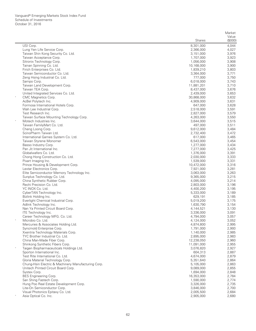|                                                     |                        | Market           |
|-----------------------------------------------------|------------------------|------------------|
|                                                     | <b>Shares</b>          | Value<br>(\$000) |
| USI Corp.                                           | 8,301,000              | 4,044            |
| Lung Yen Life Service Corp.                         | 2,366,000              | 4,027            |
| Taiwan Shin Kong Security Co. Ltd.                  | 3,151,000              | 3,976            |
| Taiwan Acceptance Corp.                             | 1,707,000              | 3,923            |
| Sitronix Technology Corp.                           | 1,056,000              | 3,908            |
| Tainan Spinning Co. Ltd.                            | 10,168,000             | 3,900            |
| Firich Enterprises Co. Ltd.                         | 1,839,210              | 3,803            |
| Taiwan Semiconductor Co. Ltd.                       | 3,364,000              | 3,771            |
| Zeng Hsing Industrial Co. Ltd.                      | 777,000                | 3,750            |
| Sampo Corp.                                         | 6,018,000              | 3,743            |
| Taiwan Land Development Corp.                       | 11,881,201             | 3,710            |
| Taiwan TEA Corp.                                    | 8,437,000              | 3,676            |
| United Integrated Services Co. Ltd.                 | 2,439,000              | 3,653            |
| CMC Magnetics Corp.                                 | 30,868,000             | 3,632            |
| AcBel Polytech Inc.                                 | 4,909,000              | 3,631            |
| Formosa International Hotels Corp.                  | 647,000                | 3,628            |
| Wah Lee Industrial Corp.                            | 2,518,000              | 3,591            |
| Test Research Inc.                                  | 2,827,000              | 3,579            |
| Taiwan Surface Mounting Technology Corp.            | 4,263,000              | 3,550            |
| Motech Industries Inc.                              | 3,644,000              | 3,515            |
| Taiwan FamilyMart Co. Ltd.                          | 497,000                | 3,511            |
| Cheng Loong Corp.                                   | 9,612,000              | 3,484            |
| ScinoPharm Taiwan Ltd.                              | 2,732,400              | 3,472            |
| International Games System Co. Ltd.                 | 617,000                | 3,465            |
| Taiwan Styrene Monomer                              | 6,543,000              | 3,454            |
| Basso Industry Corp.                                | 1,277,000              | 3,434            |
| Pan Jit International Inc.                          | 7,277,000              | 3,425            |
| Globalwafers Co. Ltd.                               | 1,376,000              | 3,391            |
| Chong Hong Construction Co. Ltd.                    | 2,030,000              | 3,333            |
| Pixart Imaging Inc.                                 | 1,539,000              | 3,331            |
| Prince Housing & Development Corp.                  | 10,472,000             | 3,316            |
| Lextar Electronics Corp.                            | 7,921,000              | 3,281            |
| Elite Semiconductor Memory Technology Inc.          | 3,063,000              | 3,263            |
| Sunplus Technology Co. Ltd.                         | 9,365,000              | 3,215            |
| China Synthetic Rubber Corp.                        | 4,095,000              | 3,214            |
| Rechi Precision Co. Ltd.                            | 2,803,000              | 3,196            |
| YC INOX Co. Ltd.                                    | 4,400,200              | 3,195            |
| CyberTAN Technology Inc.                            | 5,333,000              | 3,189            |
| Bizlink Holding Inc.                                | 629,191                | 3,185            |
| Everlight Chemical Industrial Corp.                 | 5,019,200              | 3,175            |
| Adlink Technology Inc.                              | 1,630,790              | 3,154            |
| Nan Ya Printed Circuit Board Corp.                  | 4,144,521              | 3,130            |
| ITE Technology Inc.                                 | 3,336,000              | 3,091            |
| Career Technology MFG. Co. Ltd.                     | 4,794,000              | 3,057            |
| Microbio Co. Ltd.                                   | 4,124,000              | 3,052            |
| Mercuries & Associates Holding Ltd.                 | 4,874,800              | 2,995            |
| Syncmold Enterprise Corp.                           | 1,791,000              | 2,993            |
| Xxentria Technology Materials Corp.                 | 1,140,000              | 2,985            |
| TYC Brother Industrial Co. Ltd.                     | 2,895,000              | 2,983            |
| China Man-Made Fiber Corp.                          | 12,238,050             | 2,960            |
| Shinkong Synthetic Fibers Corp.                     | 11,091,000             | 2,955            |
| Taigen Biopharmaceuticals Holdings Ltd.             | 3,076,820              | 2,927            |
| Sporton International Inc.                          | 604,313                | 2,887            |
| Test Rite International Co. Ltd.                    | 4,674,000              | 2,879            |
| Gloria Material Technology Corp.                    | 5,351,640              | 2,864            |
| Chung-Hsin Electric & Machinery Manufacturing Corp. | 5,105,000              | 2,863            |
| Unitech Printed Circuit Board Corp.                 | 9,089,000              | 2,855            |
| Systex Corp.                                        | 1,694,000              | 2,848            |
| BES Engineering Corp.                               | 16,353,000             | 2,784            |
| San Shing Fastech Corp.                             | 1,590,000              | 2,774            |
| Hung Poo Real Estate Development Corp.              | 3,326,000              | 2,735            |
| Lite-On Semiconductor Corp.                         | 3,846,000              | 2,700            |
| Visual Photonics Epitaxy Co. Ltd.                   |                        | 2,684            |
| Asia Optical Co. Inc.                               | 2,005,500<br>2,905,000 | 2,680            |
|                                                     |                        |                  |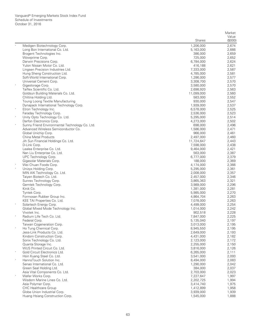| (\$000)<br><b>Shares</b><br>Medigen Biotechnology Corp.<br>1,206,000<br>2,674<br>Long Bon International Co. Ltd.<br>2,666<br>5,163,000<br>2,659<br>Brogent Technologies Inc.<br>386,000<br>Wowprime Corp.<br>725,000<br>2,652<br>Darwin Precisions Corp.<br>6,784,000<br>2,624<br>Yulon Nissan Motor Co. Ltd.<br>2,621<br>416,188<br>Lingsen Precision Industries Ltd.<br>7,333,000<br>2,587<br>Hung Sheng Construction Ltd.<br>4,785,000<br>2,581<br>Soft-World International Corp.<br>2,577<br>1,286,000<br>Universal Cement Corp.<br>3,308,700<br>2,570<br>$_{\rm *}$<br>Gigastorage Corp.<br>2,570<br>3,580,000<br>Taiflex Scientific Co. Ltd.<br>2,563<br>2,698,920<br>Goldsun Building Materials Co. Ltd.<br>2,560<br>11,099,000<br>Chlitina Holding Ltd.<br>583,000<br>2,552<br>Toung Loong Textile Manufacturing<br>2,547<br>930,000<br>Dynapack International Technology Corp.<br>1,939,000<br>2,537<br>$\star$<br>Etron Technology Inc.<br>6,578,000<br>2,525<br>Faraday Technology Corp.<br>2,523<br>2,536,000<br>$\ast$<br>Unity Opto Technology Co. Ltd.<br>5,295,000<br>2,514<br>Darfon Electronics Corp.<br>2,502<br>4,273,000<br>$\ast$<br>Sunny Friend Environmental Technology Co. Ltd.<br>2,496<br>698,000<br>Advanced Wireless Semiconductor Co.<br>2,471<br>1,586,000<br>Global Unichip Corp.<br>966,000<br>2,461<br>China Metal Products<br>2,460<br>2,497,000<br>Jih Sun Financial Holdings Co. Ltd.<br>2,443<br>11,724,647<br>7,598,000<br>2,438<br>D-Link Corp.<br>Lealea Enterprise Co. Ltd.<br>2,421<br>9,464,000<br>Nan Liu Enterprise Co. Ltd.<br>563,000<br>2,387<br>UPC Technology Corp.<br>6,777,000<br>2,379<br>Gigasolar Materials Corp.<br>188,000<br>2,369<br>Wei Chuan Foods Corp.<br>4,174,000<br>2,366<br>Unizyx Holding Corp.<br>5,295,000<br>2,361<br>MIN AIK Technology Co. Ltd.<br>2,357<br>2,008,000<br>Taiyen Biotech Co. Ltd.<br>2,346<br>2,457,000<br>Sunrex Technology Corp.<br>2,321<br>3,865,363<br>Gemtek Technology Corp.<br>2,296<br>3,989,000<br>Kinik Co.<br>2,281<br>1,381,000<br>Tyntek Corp.<br>5,985,000<br>2,270<br>Formosan Rubber Group Inc.<br>2,263<br>4,864,704<br>KEE TAI Properties Co. Ltd.<br>2,263<br>7,078,000<br>Solartech Energy Corp.<br>2,254<br>4,499,000<br>Global Mixed Mode Technology Inc.<br>2,242<br>1,014,000<br>Vivotek Inc.<br>2,228<br>902,518<br>2,225<br>Radium Life Tech Co. Ltd.<br>7,847,000<br>Federal Corp.<br>5,135,040<br>2,197<br>Taiwan Cogeneration Corp.<br>3,013,000<br>2,195<br>$\star$<br>Ho Tung Chemical Corp.<br>8,945,550<br>2,195<br>Jess-Link Products Co. Ltd.<br>2,193<br>2,649,000<br>Kindom Construction Corp.<br>2,182<br>4,431,000<br>Sonix Technology Co. Ltd.<br>2,123,000<br>2,172<br>Quanta Storage Inc.<br>2,255,000<br>2,150<br>WUS Printed Circuit Co. Ltd.<br>3,816,000<br>2,126<br>Gold Circuit Electronics Ltd.<br>6,265,000<br>2,111<br>Hsin Kuang Steel Co. Ltd.<br>2,093<br>3,541,000<br>$\star$<br>HannsTouch Solution Inc.<br>2,083<br>8,494,000<br>Senao International Co. Ltd.<br>2,042<br>1,290,000<br>Green Seal Holding Ltd.<br>2,037<br>384,000<br>Asia Vital Components Co. Ltd.<br>2,703,000<br>2,023<br>$\star$<br>Wafer Works Corp.<br>7,227,647<br>1,997<br>Wisdom Marine Lines Co. Ltd.<br>2,202,725<br>1,994<br>Asia Polymer Corp.<br>3,414,740<br>1,975<br><b>CHC Healthcare Group</b><br>1,412,899<br>1,958<br>Globe Union Industrial Corp.<br>3,939,000<br>1,939<br>Huang Hsiang Construction Corp.<br>1,545,000<br>1,888 |  | Market |
|----------------------------------------------------------------------------------------------------------------------------------------------------------------------------------------------------------------------------------------------------------------------------------------------------------------------------------------------------------------------------------------------------------------------------------------------------------------------------------------------------------------------------------------------------------------------------------------------------------------------------------------------------------------------------------------------------------------------------------------------------------------------------------------------------------------------------------------------------------------------------------------------------------------------------------------------------------------------------------------------------------------------------------------------------------------------------------------------------------------------------------------------------------------------------------------------------------------------------------------------------------------------------------------------------------------------------------------------------------------------------------------------------------------------------------------------------------------------------------------------------------------------------------------------------------------------------------------------------------------------------------------------------------------------------------------------------------------------------------------------------------------------------------------------------------------------------------------------------------------------------------------------------------------------------------------------------------------------------------------------------------------------------------------------------------------------------------------------------------------------------------------------------------------------------------------------------------------------------------------------------------------------------------------------------------------------------------------------------------------------------------------------------------------------------------------------------------------------------------------------------------------------------------------------------------------------------------------------------------------------------------------------------------------------------------------------------------------------------------------------------------------------------------------------------------------------------------------------------------------------------------------------------------------------------------------------------------------------------------------------------------------------------------------------------------------------------------------------------------------------------------------------------------------------------------------------------------------------------------------------------------------------------------------------------------------------------------------------------------------------------------------------------------------------------------------------------------------------------|--|--------|
|                                                                                                                                                                                                                                                                                                                                                                                                                                                                                                                                                                                                                                                                                                                                                                                                                                                                                                                                                                                                                                                                                                                                                                                                                                                                                                                                                                                                                                                                                                                                                                                                                                                                                                                                                                                                                                                                                                                                                                                                                                                                                                                                                                                                                                                                                                                                                                                                                                                                                                                                                                                                                                                                                                                                                                                                                                                                                                                                                                                                                                                                                                                                                                                                                                                                                                                                                                                                                                                                            |  | Value  |
|                                                                                                                                                                                                                                                                                                                                                                                                                                                                                                                                                                                                                                                                                                                                                                                                                                                                                                                                                                                                                                                                                                                                                                                                                                                                                                                                                                                                                                                                                                                                                                                                                                                                                                                                                                                                                                                                                                                                                                                                                                                                                                                                                                                                                                                                                                                                                                                                                                                                                                                                                                                                                                                                                                                                                                                                                                                                                                                                                                                                                                                                                                                                                                                                                                                                                                                                                                                                                                                                            |  |        |
|                                                                                                                                                                                                                                                                                                                                                                                                                                                                                                                                                                                                                                                                                                                                                                                                                                                                                                                                                                                                                                                                                                                                                                                                                                                                                                                                                                                                                                                                                                                                                                                                                                                                                                                                                                                                                                                                                                                                                                                                                                                                                                                                                                                                                                                                                                                                                                                                                                                                                                                                                                                                                                                                                                                                                                                                                                                                                                                                                                                                                                                                                                                                                                                                                                                                                                                                                                                                                                                                            |  |        |
|                                                                                                                                                                                                                                                                                                                                                                                                                                                                                                                                                                                                                                                                                                                                                                                                                                                                                                                                                                                                                                                                                                                                                                                                                                                                                                                                                                                                                                                                                                                                                                                                                                                                                                                                                                                                                                                                                                                                                                                                                                                                                                                                                                                                                                                                                                                                                                                                                                                                                                                                                                                                                                                                                                                                                                                                                                                                                                                                                                                                                                                                                                                                                                                                                                                                                                                                                                                                                                                                            |  |        |
|                                                                                                                                                                                                                                                                                                                                                                                                                                                                                                                                                                                                                                                                                                                                                                                                                                                                                                                                                                                                                                                                                                                                                                                                                                                                                                                                                                                                                                                                                                                                                                                                                                                                                                                                                                                                                                                                                                                                                                                                                                                                                                                                                                                                                                                                                                                                                                                                                                                                                                                                                                                                                                                                                                                                                                                                                                                                                                                                                                                                                                                                                                                                                                                                                                                                                                                                                                                                                                                                            |  |        |
|                                                                                                                                                                                                                                                                                                                                                                                                                                                                                                                                                                                                                                                                                                                                                                                                                                                                                                                                                                                                                                                                                                                                                                                                                                                                                                                                                                                                                                                                                                                                                                                                                                                                                                                                                                                                                                                                                                                                                                                                                                                                                                                                                                                                                                                                                                                                                                                                                                                                                                                                                                                                                                                                                                                                                                                                                                                                                                                                                                                                                                                                                                                                                                                                                                                                                                                                                                                                                                                                            |  |        |
|                                                                                                                                                                                                                                                                                                                                                                                                                                                                                                                                                                                                                                                                                                                                                                                                                                                                                                                                                                                                                                                                                                                                                                                                                                                                                                                                                                                                                                                                                                                                                                                                                                                                                                                                                                                                                                                                                                                                                                                                                                                                                                                                                                                                                                                                                                                                                                                                                                                                                                                                                                                                                                                                                                                                                                                                                                                                                                                                                                                                                                                                                                                                                                                                                                                                                                                                                                                                                                                                            |  |        |
|                                                                                                                                                                                                                                                                                                                                                                                                                                                                                                                                                                                                                                                                                                                                                                                                                                                                                                                                                                                                                                                                                                                                                                                                                                                                                                                                                                                                                                                                                                                                                                                                                                                                                                                                                                                                                                                                                                                                                                                                                                                                                                                                                                                                                                                                                                                                                                                                                                                                                                                                                                                                                                                                                                                                                                                                                                                                                                                                                                                                                                                                                                                                                                                                                                                                                                                                                                                                                                                                            |  |        |
|                                                                                                                                                                                                                                                                                                                                                                                                                                                                                                                                                                                                                                                                                                                                                                                                                                                                                                                                                                                                                                                                                                                                                                                                                                                                                                                                                                                                                                                                                                                                                                                                                                                                                                                                                                                                                                                                                                                                                                                                                                                                                                                                                                                                                                                                                                                                                                                                                                                                                                                                                                                                                                                                                                                                                                                                                                                                                                                                                                                                                                                                                                                                                                                                                                                                                                                                                                                                                                                                            |  |        |
|                                                                                                                                                                                                                                                                                                                                                                                                                                                                                                                                                                                                                                                                                                                                                                                                                                                                                                                                                                                                                                                                                                                                                                                                                                                                                                                                                                                                                                                                                                                                                                                                                                                                                                                                                                                                                                                                                                                                                                                                                                                                                                                                                                                                                                                                                                                                                                                                                                                                                                                                                                                                                                                                                                                                                                                                                                                                                                                                                                                                                                                                                                                                                                                                                                                                                                                                                                                                                                                                            |  |        |
|                                                                                                                                                                                                                                                                                                                                                                                                                                                                                                                                                                                                                                                                                                                                                                                                                                                                                                                                                                                                                                                                                                                                                                                                                                                                                                                                                                                                                                                                                                                                                                                                                                                                                                                                                                                                                                                                                                                                                                                                                                                                                                                                                                                                                                                                                                                                                                                                                                                                                                                                                                                                                                                                                                                                                                                                                                                                                                                                                                                                                                                                                                                                                                                                                                                                                                                                                                                                                                                                            |  |        |
|                                                                                                                                                                                                                                                                                                                                                                                                                                                                                                                                                                                                                                                                                                                                                                                                                                                                                                                                                                                                                                                                                                                                                                                                                                                                                                                                                                                                                                                                                                                                                                                                                                                                                                                                                                                                                                                                                                                                                                                                                                                                                                                                                                                                                                                                                                                                                                                                                                                                                                                                                                                                                                                                                                                                                                                                                                                                                                                                                                                                                                                                                                                                                                                                                                                                                                                                                                                                                                                                            |  |        |
|                                                                                                                                                                                                                                                                                                                                                                                                                                                                                                                                                                                                                                                                                                                                                                                                                                                                                                                                                                                                                                                                                                                                                                                                                                                                                                                                                                                                                                                                                                                                                                                                                                                                                                                                                                                                                                                                                                                                                                                                                                                                                                                                                                                                                                                                                                                                                                                                                                                                                                                                                                                                                                                                                                                                                                                                                                                                                                                                                                                                                                                                                                                                                                                                                                                                                                                                                                                                                                                                            |  |        |
|                                                                                                                                                                                                                                                                                                                                                                                                                                                                                                                                                                                                                                                                                                                                                                                                                                                                                                                                                                                                                                                                                                                                                                                                                                                                                                                                                                                                                                                                                                                                                                                                                                                                                                                                                                                                                                                                                                                                                                                                                                                                                                                                                                                                                                                                                                                                                                                                                                                                                                                                                                                                                                                                                                                                                                                                                                                                                                                                                                                                                                                                                                                                                                                                                                                                                                                                                                                                                                                                            |  |        |
|                                                                                                                                                                                                                                                                                                                                                                                                                                                                                                                                                                                                                                                                                                                                                                                                                                                                                                                                                                                                                                                                                                                                                                                                                                                                                                                                                                                                                                                                                                                                                                                                                                                                                                                                                                                                                                                                                                                                                                                                                                                                                                                                                                                                                                                                                                                                                                                                                                                                                                                                                                                                                                                                                                                                                                                                                                                                                                                                                                                                                                                                                                                                                                                                                                                                                                                                                                                                                                                                            |  |        |
|                                                                                                                                                                                                                                                                                                                                                                                                                                                                                                                                                                                                                                                                                                                                                                                                                                                                                                                                                                                                                                                                                                                                                                                                                                                                                                                                                                                                                                                                                                                                                                                                                                                                                                                                                                                                                                                                                                                                                                                                                                                                                                                                                                                                                                                                                                                                                                                                                                                                                                                                                                                                                                                                                                                                                                                                                                                                                                                                                                                                                                                                                                                                                                                                                                                                                                                                                                                                                                                                            |  |        |
|                                                                                                                                                                                                                                                                                                                                                                                                                                                                                                                                                                                                                                                                                                                                                                                                                                                                                                                                                                                                                                                                                                                                                                                                                                                                                                                                                                                                                                                                                                                                                                                                                                                                                                                                                                                                                                                                                                                                                                                                                                                                                                                                                                                                                                                                                                                                                                                                                                                                                                                                                                                                                                                                                                                                                                                                                                                                                                                                                                                                                                                                                                                                                                                                                                                                                                                                                                                                                                                                            |  |        |
|                                                                                                                                                                                                                                                                                                                                                                                                                                                                                                                                                                                                                                                                                                                                                                                                                                                                                                                                                                                                                                                                                                                                                                                                                                                                                                                                                                                                                                                                                                                                                                                                                                                                                                                                                                                                                                                                                                                                                                                                                                                                                                                                                                                                                                                                                                                                                                                                                                                                                                                                                                                                                                                                                                                                                                                                                                                                                                                                                                                                                                                                                                                                                                                                                                                                                                                                                                                                                                                                            |  |        |
|                                                                                                                                                                                                                                                                                                                                                                                                                                                                                                                                                                                                                                                                                                                                                                                                                                                                                                                                                                                                                                                                                                                                                                                                                                                                                                                                                                                                                                                                                                                                                                                                                                                                                                                                                                                                                                                                                                                                                                                                                                                                                                                                                                                                                                                                                                                                                                                                                                                                                                                                                                                                                                                                                                                                                                                                                                                                                                                                                                                                                                                                                                                                                                                                                                                                                                                                                                                                                                                                            |  |        |
|                                                                                                                                                                                                                                                                                                                                                                                                                                                                                                                                                                                                                                                                                                                                                                                                                                                                                                                                                                                                                                                                                                                                                                                                                                                                                                                                                                                                                                                                                                                                                                                                                                                                                                                                                                                                                                                                                                                                                                                                                                                                                                                                                                                                                                                                                                                                                                                                                                                                                                                                                                                                                                                                                                                                                                                                                                                                                                                                                                                                                                                                                                                                                                                                                                                                                                                                                                                                                                                                            |  |        |
|                                                                                                                                                                                                                                                                                                                                                                                                                                                                                                                                                                                                                                                                                                                                                                                                                                                                                                                                                                                                                                                                                                                                                                                                                                                                                                                                                                                                                                                                                                                                                                                                                                                                                                                                                                                                                                                                                                                                                                                                                                                                                                                                                                                                                                                                                                                                                                                                                                                                                                                                                                                                                                                                                                                                                                                                                                                                                                                                                                                                                                                                                                                                                                                                                                                                                                                                                                                                                                                                            |  |        |
|                                                                                                                                                                                                                                                                                                                                                                                                                                                                                                                                                                                                                                                                                                                                                                                                                                                                                                                                                                                                                                                                                                                                                                                                                                                                                                                                                                                                                                                                                                                                                                                                                                                                                                                                                                                                                                                                                                                                                                                                                                                                                                                                                                                                                                                                                                                                                                                                                                                                                                                                                                                                                                                                                                                                                                                                                                                                                                                                                                                                                                                                                                                                                                                                                                                                                                                                                                                                                                                                            |  |        |
|                                                                                                                                                                                                                                                                                                                                                                                                                                                                                                                                                                                                                                                                                                                                                                                                                                                                                                                                                                                                                                                                                                                                                                                                                                                                                                                                                                                                                                                                                                                                                                                                                                                                                                                                                                                                                                                                                                                                                                                                                                                                                                                                                                                                                                                                                                                                                                                                                                                                                                                                                                                                                                                                                                                                                                                                                                                                                                                                                                                                                                                                                                                                                                                                                                                                                                                                                                                                                                                                            |  |        |
|                                                                                                                                                                                                                                                                                                                                                                                                                                                                                                                                                                                                                                                                                                                                                                                                                                                                                                                                                                                                                                                                                                                                                                                                                                                                                                                                                                                                                                                                                                                                                                                                                                                                                                                                                                                                                                                                                                                                                                                                                                                                                                                                                                                                                                                                                                                                                                                                                                                                                                                                                                                                                                                                                                                                                                                                                                                                                                                                                                                                                                                                                                                                                                                                                                                                                                                                                                                                                                                                            |  |        |
|                                                                                                                                                                                                                                                                                                                                                                                                                                                                                                                                                                                                                                                                                                                                                                                                                                                                                                                                                                                                                                                                                                                                                                                                                                                                                                                                                                                                                                                                                                                                                                                                                                                                                                                                                                                                                                                                                                                                                                                                                                                                                                                                                                                                                                                                                                                                                                                                                                                                                                                                                                                                                                                                                                                                                                                                                                                                                                                                                                                                                                                                                                                                                                                                                                                                                                                                                                                                                                                                            |  |        |
|                                                                                                                                                                                                                                                                                                                                                                                                                                                                                                                                                                                                                                                                                                                                                                                                                                                                                                                                                                                                                                                                                                                                                                                                                                                                                                                                                                                                                                                                                                                                                                                                                                                                                                                                                                                                                                                                                                                                                                                                                                                                                                                                                                                                                                                                                                                                                                                                                                                                                                                                                                                                                                                                                                                                                                                                                                                                                                                                                                                                                                                                                                                                                                                                                                                                                                                                                                                                                                                                            |  |        |
|                                                                                                                                                                                                                                                                                                                                                                                                                                                                                                                                                                                                                                                                                                                                                                                                                                                                                                                                                                                                                                                                                                                                                                                                                                                                                                                                                                                                                                                                                                                                                                                                                                                                                                                                                                                                                                                                                                                                                                                                                                                                                                                                                                                                                                                                                                                                                                                                                                                                                                                                                                                                                                                                                                                                                                                                                                                                                                                                                                                                                                                                                                                                                                                                                                                                                                                                                                                                                                                                            |  |        |
|                                                                                                                                                                                                                                                                                                                                                                                                                                                                                                                                                                                                                                                                                                                                                                                                                                                                                                                                                                                                                                                                                                                                                                                                                                                                                                                                                                                                                                                                                                                                                                                                                                                                                                                                                                                                                                                                                                                                                                                                                                                                                                                                                                                                                                                                                                                                                                                                                                                                                                                                                                                                                                                                                                                                                                                                                                                                                                                                                                                                                                                                                                                                                                                                                                                                                                                                                                                                                                                                            |  |        |
|                                                                                                                                                                                                                                                                                                                                                                                                                                                                                                                                                                                                                                                                                                                                                                                                                                                                                                                                                                                                                                                                                                                                                                                                                                                                                                                                                                                                                                                                                                                                                                                                                                                                                                                                                                                                                                                                                                                                                                                                                                                                                                                                                                                                                                                                                                                                                                                                                                                                                                                                                                                                                                                                                                                                                                                                                                                                                                                                                                                                                                                                                                                                                                                                                                                                                                                                                                                                                                                                            |  |        |
|                                                                                                                                                                                                                                                                                                                                                                                                                                                                                                                                                                                                                                                                                                                                                                                                                                                                                                                                                                                                                                                                                                                                                                                                                                                                                                                                                                                                                                                                                                                                                                                                                                                                                                                                                                                                                                                                                                                                                                                                                                                                                                                                                                                                                                                                                                                                                                                                                                                                                                                                                                                                                                                                                                                                                                                                                                                                                                                                                                                                                                                                                                                                                                                                                                                                                                                                                                                                                                                                            |  |        |
|                                                                                                                                                                                                                                                                                                                                                                                                                                                                                                                                                                                                                                                                                                                                                                                                                                                                                                                                                                                                                                                                                                                                                                                                                                                                                                                                                                                                                                                                                                                                                                                                                                                                                                                                                                                                                                                                                                                                                                                                                                                                                                                                                                                                                                                                                                                                                                                                                                                                                                                                                                                                                                                                                                                                                                                                                                                                                                                                                                                                                                                                                                                                                                                                                                                                                                                                                                                                                                                                            |  |        |
|                                                                                                                                                                                                                                                                                                                                                                                                                                                                                                                                                                                                                                                                                                                                                                                                                                                                                                                                                                                                                                                                                                                                                                                                                                                                                                                                                                                                                                                                                                                                                                                                                                                                                                                                                                                                                                                                                                                                                                                                                                                                                                                                                                                                                                                                                                                                                                                                                                                                                                                                                                                                                                                                                                                                                                                                                                                                                                                                                                                                                                                                                                                                                                                                                                                                                                                                                                                                                                                                            |  |        |
|                                                                                                                                                                                                                                                                                                                                                                                                                                                                                                                                                                                                                                                                                                                                                                                                                                                                                                                                                                                                                                                                                                                                                                                                                                                                                                                                                                                                                                                                                                                                                                                                                                                                                                                                                                                                                                                                                                                                                                                                                                                                                                                                                                                                                                                                                                                                                                                                                                                                                                                                                                                                                                                                                                                                                                                                                                                                                                                                                                                                                                                                                                                                                                                                                                                                                                                                                                                                                                                                            |  |        |
|                                                                                                                                                                                                                                                                                                                                                                                                                                                                                                                                                                                                                                                                                                                                                                                                                                                                                                                                                                                                                                                                                                                                                                                                                                                                                                                                                                                                                                                                                                                                                                                                                                                                                                                                                                                                                                                                                                                                                                                                                                                                                                                                                                                                                                                                                                                                                                                                                                                                                                                                                                                                                                                                                                                                                                                                                                                                                                                                                                                                                                                                                                                                                                                                                                                                                                                                                                                                                                                                            |  |        |
|                                                                                                                                                                                                                                                                                                                                                                                                                                                                                                                                                                                                                                                                                                                                                                                                                                                                                                                                                                                                                                                                                                                                                                                                                                                                                                                                                                                                                                                                                                                                                                                                                                                                                                                                                                                                                                                                                                                                                                                                                                                                                                                                                                                                                                                                                                                                                                                                                                                                                                                                                                                                                                                                                                                                                                                                                                                                                                                                                                                                                                                                                                                                                                                                                                                                                                                                                                                                                                                                            |  |        |
|                                                                                                                                                                                                                                                                                                                                                                                                                                                                                                                                                                                                                                                                                                                                                                                                                                                                                                                                                                                                                                                                                                                                                                                                                                                                                                                                                                                                                                                                                                                                                                                                                                                                                                                                                                                                                                                                                                                                                                                                                                                                                                                                                                                                                                                                                                                                                                                                                                                                                                                                                                                                                                                                                                                                                                                                                                                                                                                                                                                                                                                                                                                                                                                                                                                                                                                                                                                                                                                                            |  |        |
|                                                                                                                                                                                                                                                                                                                                                                                                                                                                                                                                                                                                                                                                                                                                                                                                                                                                                                                                                                                                                                                                                                                                                                                                                                                                                                                                                                                                                                                                                                                                                                                                                                                                                                                                                                                                                                                                                                                                                                                                                                                                                                                                                                                                                                                                                                                                                                                                                                                                                                                                                                                                                                                                                                                                                                                                                                                                                                                                                                                                                                                                                                                                                                                                                                                                                                                                                                                                                                                                            |  |        |
|                                                                                                                                                                                                                                                                                                                                                                                                                                                                                                                                                                                                                                                                                                                                                                                                                                                                                                                                                                                                                                                                                                                                                                                                                                                                                                                                                                                                                                                                                                                                                                                                                                                                                                                                                                                                                                                                                                                                                                                                                                                                                                                                                                                                                                                                                                                                                                                                                                                                                                                                                                                                                                                                                                                                                                                                                                                                                                                                                                                                                                                                                                                                                                                                                                                                                                                                                                                                                                                                            |  |        |
|                                                                                                                                                                                                                                                                                                                                                                                                                                                                                                                                                                                                                                                                                                                                                                                                                                                                                                                                                                                                                                                                                                                                                                                                                                                                                                                                                                                                                                                                                                                                                                                                                                                                                                                                                                                                                                                                                                                                                                                                                                                                                                                                                                                                                                                                                                                                                                                                                                                                                                                                                                                                                                                                                                                                                                                                                                                                                                                                                                                                                                                                                                                                                                                                                                                                                                                                                                                                                                                                            |  |        |
|                                                                                                                                                                                                                                                                                                                                                                                                                                                                                                                                                                                                                                                                                                                                                                                                                                                                                                                                                                                                                                                                                                                                                                                                                                                                                                                                                                                                                                                                                                                                                                                                                                                                                                                                                                                                                                                                                                                                                                                                                                                                                                                                                                                                                                                                                                                                                                                                                                                                                                                                                                                                                                                                                                                                                                                                                                                                                                                                                                                                                                                                                                                                                                                                                                                                                                                                                                                                                                                                            |  |        |
|                                                                                                                                                                                                                                                                                                                                                                                                                                                                                                                                                                                                                                                                                                                                                                                                                                                                                                                                                                                                                                                                                                                                                                                                                                                                                                                                                                                                                                                                                                                                                                                                                                                                                                                                                                                                                                                                                                                                                                                                                                                                                                                                                                                                                                                                                                                                                                                                                                                                                                                                                                                                                                                                                                                                                                                                                                                                                                                                                                                                                                                                                                                                                                                                                                                                                                                                                                                                                                                                            |  |        |
|                                                                                                                                                                                                                                                                                                                                                                                                                                                                                                                                                                                                                                                                                                                                                                                                                                                                                                                                                                                                                                                                                                                                                                                                                                                                                                                                                                                                                                                                                                                                                                                                                                                                                                                                                                                                                                                                                                                                                                                                                                                                                                                                                                                                                                                                                                                                                                                                                                                                                                                                                                                                                                                                                                                                                                                                                                                                                                                                                                                                                                                                                                                                                                                                                                                                                                                                                                                                                                                                            |  |        |
|                                                                                                                                                                                                                                                                                                                                                                                                                                                                                                                                                                                                                                                                                                                                                                                                                                                                                                                                                                                                                                                                                                                                                                                                                                                                                                                                                                                                                                                                                                                                                                                                                                                                                                                                                                                                                                                                                                                                                                                                                                                                                                                                                                                                                                                                                                                                                                                                                                                                                                                                                                                                                                                                                                                                                                                                                                                                                                                                                                                                                                                                                                                                                                                                                                                                                                                                                                                                                                                                            |  |        |
|                                                                                                                                                                                                                                                                                                                                                                                                                                                                                                                                                                                                                                                                                                                                                                                                                                                                                                                                                                                                                                                                                                                                                                                                                                                                                                                                                                                                                                                                                                                                                                                                                                                                                                                                                                                                                                                                                                                                                                                                                                                                                                                                                                                                                                                                                                                                                                                                                                                                                                                                                                                                                                                                                                                                                                                                                                                                                                                                                                                                                                                                                                                                                                                                                                                                                                                                                                                                                                                                            |  |        |
|                                                                                                                                                                                                                                                                                                                                                                                                                                                                                                                                                                                                                                                                                                                                                                                                                                                                                                                                                                                                                                                                                                                                                                                                                                                                                                                                                                                                                                                                                                                                                                                                                                                                                                                                                                                                                                                                                                                                                                                                                                                                                                                                                                                                                                                                                                                                                                                                                                                                                                                                                                                                                                                                                                                                                                                                                                                                                                                                                                                                                                                                                                                                                                                                                                                                                                                                                                                                                                                                            |  |        |
|                                                                                                                                                                                                                                                                                                                                                                                                                                                                                                                                                                                                                                                                                                                                                                                                                                                                                                                                                                                                                                                                                                                                                                                                                                                                                                                                                                                                                                                                                                                                                                                                                                                                                                                                                                                                                                                                                                                                                                                                                                                                                                                                                                                                                                                                                                                                                                                                                                                                                                                                                                                                                                                                                                                                                                                                                                                                                                                                                                                                                                                                                                                                                                                                                                                                                                                                                                                                                                                                            |  |        |
|                                                                                                                                                                                                                                                                                                                                                                                                                                                                                                                                                                                                                                                                                                                                                                                                                                                                                                                                                                                                                                                                                                                                                                                                                                                                                                                                                                                                                                                                                                                                                                                                                                                                                                                                                                                                                                                                                                                                                                                                                                                                                                                                                                                                                                                                                                                                                                                                                                                                                                                                                                                                                                                                                                                                                                                                                                                                                                                                                                                                                                                                                                                                                                                                                                                                                                                                                                                                                                                                            |  |        |
|                                                                                                                                                                                                                                                                                                                                                                                                                                                                                                                                                                                                                                                                                                                                                                                                                                                                                                                                                                                                                                                                                                                                                                                                                                                                                                                                                                                                                                                                                                                                                                                                                                                                                                                                                                                                                                                                                                                                                                                                                                                                                                                                                                                                                                                                                                                                                                                                                                                                                                                                                                                                                                                                                                                                                                                                                                                                                                                                                                                                                                                                                                                                                                                                                                                                                                                                                                                                                                                                            |  |        |
|                                                                                                                                                                                                                                                                                                                                                                                                                                                                                                                                                                                                                                                                                                                                                                                                                                                                                                                                                                                                                                                                                                                                                                                                                                                                                                                                                                                                                                                                                                                                                                                                                                                                                                                                                                                                                                                                                                                                                                                                                                                                                                                                                                                                                                                                                                                                                                                                                                                                                                                                                                                                                                                                                                                                                                                                                                                                                                                                                                                                                                                                                                                                                                                                                                                                                                                                                                                                                                                                            |  |        |
|                                                                                                                                                                                                                                                                                                                                                                                                                                                                                                                                                                                                                                                                                                                                                                                                                                                                                                                                                                                                                                                                                                                                                                                                                                                                                                                                                                                                                                                                                                                                                                                                                                                                                                                                                                                                                                                                                                                                                                                                                                                                                                                                                                                                                                                                                                                                                                                                                                                                                                                                                                                                                                                                                                                                                                                                                                                                                                                                                                                                                                                                                                                                                                                                                                                                                                                                                                                                                                                                            |  |        |
|                                                                                                                                                                                                                                                                                                                                                                                                                                                                                                                                                                                                                                                                                                                                                                                                                                                                                                                                                                                                                                                                                                                                                                                                                                                                                                                                                                                                                                                                                                                                                                                                                                                                                                                                                                                                                                                                                                                                                                                                                                                                                                                                                                                                                                                                                                                                                                                                                                                                                                                                                                                                                                                                                                                                                                                                                                                                                                                                                                                                                                                                                                                                                                                                                                                                                                                                                                                                                                                                            |  |        |
|                                                                                                                                                                                                                                                                                                                                                                                                                                                                                                                                                                                                                                                                                                                                                                                                                                                                                                                                                                                                                                                                                                                                                                                                                                                                                                                                                                                                                                                                                                                                                                                                                                                                                                                                                                                                                                                                                                                                                                                                                                                                                                                                                                                                                                                                                                                                                                                                                                                                                                                                                                                                                                                                                                                                                                                                                                                                                                                                                                                                                                                                                                                                                                                                                                                                                                                                                                                                                                                                            |  |        |
|                                                                                                                                                                                                                                                                                                                                                                                                                                                                                                                                                                                                                                                                                                                                                                                                                                                                                                                                                                                                                                                                                                                                                                                                                                                                                                                                                                                                                                                                                                                                                                                                                                                                                                                                                                                                                                                                                                                                                                                                                                                                                                                                                                                                                                                                                                                                                                                                                                                                                                                                                                                                                                                                                                                                                                                                                                                                                                                                                                                                                                                                                                                                                                                                                                                                                                                                                                                                                                                                            |  |        |
|                                                                                                                                                                                                                                                                                                                                                                                                                                                                                                                                                                                                                                                                                                                                                                                                                                                                                                                                                                                                                                                                                                                                                                                                                                                                                                                                                                                                                                                                                                                                                                                                                                                                                                                                                                                                                                                                                                                                                                                                                                                                                                                                                                                                                                                                                                                                                                                                                                                                                                                                                                                                                                                                                                                                                                                                                                                                                                                                                                                                                                                                                                                                                                                                                                                                                                                                                                                                                                                                            |  |        |
|                                                                                                                                                                                                                                                                                                                                                                                                                                                                                                                                                                                                                                                                                                                                                                                                                                                                                                                                                                                                                                                                                                                                                                                                                                                                                                                                                                                                                                                                                                                                                                                                                                                                                                                                                                                                                                                                                                                                                                                                                                                                                                                                                                                                                                                                                                                                                                                                                                                                                                                                                                                                                                                                                                                                                                                                                                                                                                                                                                                                                                                                                                                                                                                                                                                                                                                                                                                                                                                                            |  |        |
|                                                                                                                                                                                                                                                                                                                                                                                                                                                                                                                                                                                                                                                                                                                                                                                                                                                                                                                                                                                                                                                                                                                                                                                                                                                                                                                                                                                                                                                                                                                                                                                                                                                                                                                                                                                                                                                                                                                                                                                                                                                                                                                                                                                                                                                                                                                                                                                                                                                                                                                                                                                                                                                                                                                                                                                                                                                                                                                                                                                                                                                                                                                                                                                                                                                                                                                                                                                                                                                                            |  |        |
|                                                                                                                                                                                                                                                                                                                                                                                                                                                                                                                                                                                                                                                                                                                                                                                                                                                                                                                                                                                                                                                                                                                                                                                                                                                                                                                                                                                                                                                                                                                                                                                                                                                                                                                                                                                                                                                                                                                                                                                                                                                                                                                                                                                                                                                                                                                                                                                                                                                                                                                                                                                                                                                                                                                                                                                                                                                                                                                                                                                                                                                                                                                                                                                                                                                                                                                                                                                                                                                                            |  |        |
|                                                                                                                                                                                                                                                                                                                                                                                                                                                                                                                                                                                                                                                                                                                                                                                                                                                                                                                                                                                                                                                                                                                                                                                                                                                                                                                                                                                                                                                                                                                                                                                                                                                                                                                                                                                                                                                                                                                                                                                                                                                                                                                                                                                                                                                                                                                                                                                                                                                                                                                                                                                                                                                                                                                                                                                                                                                                                                                                                                                                                                                                                                                                                                                                                                                                                                                                                                                                                                                                            |  |        |
|                                                                                                                                                                                                                                                                                                                                                                                                                                                                                                                                                                                                                                                                                                                                                                                                                                                                                                                                                                                                                                                                                                                                                                                                                                                                                                                                                                                                                                                                                                                                                                                                                                                                                                                                                                                                                                                                                                                                                                                                                                                                                                                                                                                                                                                                                                                                                                                                                                                                                                                                                                                                                                                                                                                                                                                                                                                                                                                                                                                                                                                                                                                                                                                                                                                                                                                                                                                                                                                                            |  |        |
|                                                                                                                                                                                                                                                                                                                                                                                                                                                                                                                                                                                                                                                                                                                                                                                                                                                                                                                                                                                                                                                                                                                                                                                                                                                                                                                                                                                                                                                                                                                                                                                                                                                                                                                                                                                                                                                                                                                                                                                                                                                                                                                                                                                                                                                                                                                                                                                                                                                                                                                                                                                                                                                                                                                                                                                                                                                                                                                                                                                                                                                                                                                                                                                                                                                                                                                                                                                                                                                                            |  |        |
|                                                                                                                                                                                                                                                                                                                                                                                                                                                                                                                                                                                                                                                                                                                                                                                                                                                                                                                                                                                                                                                                                                                                                                                                                                                                                                                                                                                                                                                                                                                                                                                                                                                                                                                                                                                                                                                                                                                                                                                                                                                                                                                                                                                                                                                                                                                                                                                                                                                                                                                                                                                                                                                                                                                                                                                                                                                                                                                                                                                                                                                                                                                                                                                                                                                                                                                                                                                                                                                                            |  |        |
|                                                                                                                                                                                                                                                                                                                                                                                                                                                                                                                                                                                                                                                                                                                                                                                                                                                                                                                                                                                                                                                                                                                                                                                                                                                                                                                                                                                                                                                                                                                                                                                                                                                                                                                                                                                                                                                                                                                                                                                                                                                                                                                                                                                                                                                                                                                                                                                                                                                                                                                                                                                                                                                                                                                                                                                                                                                                                                                                                                                                                                                                                                                                                                                                                                                                                                                                                                                                                                                                            |  |        |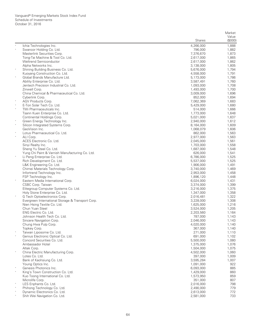|                  |                                                            |                        | Market           |
|------------------|------------------------------------------------------------|------------------------|------------------|
|                  |                                                            |                        | Value<br>(\$000) |
|                  |                                                            | <b>Shares</b>          |                  |
| $\ast$           | Ichia Technologies Inc.<br>Swancor Holding Co. Ltd.        | 4,266,000<br>796,000   | 1,888<br>1,882   |
|                  | Masterlink Securities Corp.                                | 7,376,670              | 1,873            |
|                  | Tong-Tai Machine & Tool Co. Ltd.                           | 2,617,000              | 1,865            |
|                  | Weltrend Semiconductor                                     | 2,617,000              | 1,862            |
|                  | Alpha Networks Inc.                                        | 3,138,000              | 1,805            |
| $\ast$           | Shining Building Business Co. Ltd.                         | 5,676,000              | 1,794            |
|                  | Kuoyang Construction Co. Ltd.                              | 4,558,000              | 1,791            |
| $\star$          | Global Brands Manufacture Ltd.                             | 5,173,000              | 1,786            |
|                  | Ability Enterprise Co. Ltd.                                | 3,587,491              | 1,760            |
|                  | Jentech Precision Industrial Co. Ltd.                      | 1,093,000              | 1,708            |
|                  | Zinwell Corp.                                              | 1,493,000              | 1,700            |
|                  | China Chemical & Pharmaceutical Co. Ltd.                   | 3,009,000              | 1,696            |
|                  | Cyberlink Corp.                                            | 852,000                | 1,694            |
| $\ast$<br>$\ast$ | AGV Products Corp.                                         | 7,062,369              | 1,683            |
| $\star$          | E-Ton Solar Tech Co. Ltd.                                  | 5,429,000              | 1,680            |
|                  | TWi Pharmaceuticals Inc.<br>Tsann Kuen Enterprise Co. Ltd. | 514,000<br>1,773,000   | 1,666<br>1,648   |
|                  | Continental Holdings Corp.                                 | 5,021,000              | 1,637            |
|                  | Green Energy Technology Inc.                               | 2,940,000              | 1,612            |
| $\ast$           | Silicon Integrated Systems Corp.                           | 8,164,000              | 1,609            |
|                  | GeoVision Inc.                                             | 1,068,079              | 1,606            |
|                  | Lotus Pharmaceutical Co. Ltd.                              | 862,000                | 1,563            |
| $\ast$           | ALI Corp.                                                  | 2,977,000              | 1,563            |
|                  | ACES Electronic Co. Ltd.                                   | 2,045,000              | 1,561            |
|                  | Sinyi Realty Inc.                                          | 1,703,000              | 1,558            |
|                  | Sheng Yu Steel Co. Ltd.                                    | 1,687,000              | 1,548            |
|                  | Yung Chi Paint & Varnish Manufacturing Co. Ltd.            | 626,000                | 1,541            |
| $\ast$           | Li Peng Enterprise Co. Ltd.                                | 6,786,000              | 1,525            |
|                  | Rich Development Co. Ltd.                                  | 5,537,000              | 1,525            |
|                  | L&K Engineering Co. Ltd.                                   | 1,906,000              | 1,491            |
|                  | Chimei Materials Technology Corp.                          | 3,740,000              | 1,469            |
|                  | Infortrend Technology Inc.                                 | 2,953,000              | 1,458            |
| $\ast$           | FSP Technology Inc.                                        | 1,896,120              | 1,448            |
|                  | Eastern Media International Corp.<br>CSBC Corp. Taiwan     | 6,024,000              | 1,431<br>1,399   |
|                  | Elitegroup Computer Systems Co. Ltd.                       | 3,374,000<br>3,216,000 | 1,375            |
|                  | Holy Stone Enterprise Co. Ltd.                             | 1,347,000              | 1,358            |
| $\ast$           | G Tech Optoelectronics Corp.                               | 2,016,481              | 1,322            |
|                  | Evergreen International Storage & Transport Corp.          | 3,228,000              | 1,308            |
|                  | Nien Hsing Textile Co. Ltd.                                | 1,625,000              | 1,216            |
|                  | Chun Yuan Steel                                            | 3,524,000              | 1,205            |
|                  | ENG Electric Co. Ltd.                                      | 2,203,560              | 1,164            |
|                  | Johnson Health Tech Co. Ltd.                               | 787,000                | 1,143            |
|                  | Sincere Navigation Corp.                                   | 2,046,000              | 1,143            |
|                  | Chung Hwa Pulp Corp.                                       | 4,020,000              | 1,140            |
|                  | Topkey Corp.                                               | 367,000                | 1,140            |
|                  | Taiwan Liposome Co. Ltd.                                   | 271,000                | 1,110            |
|                  | Genius Electronic Optical Co. Ltd.                         | 691,000                | 1,102            |
|                  | Concord Securities Co. Ltd.                                | 5,500,000              | 1,080            |
|                  | Ambassador Hotel                                           | 1,375,000              | 1,076            |
| $\ast$           | Altek Corp.                                                | 1,504,000              | 1,075            |
|                  | China Electric Manufacturing Corp.<br>Lotes Co. Ltd.       | 4,502,000<br>397,000   | 1,060<br>1,009   |
|                  | Bank of Kaohsiung Co. Ltd.                                 | 3,595,284              | 1,007            |
|                  | Young Optics Inc.                                          | 1,091,000              | 922              |
| $\ast$           | Genesis Photonics Inc.                                     | 6,093,000              | 885              |
| $\ast$           | King's Town Construction Co. Ltd.                          | 1,429,000              | 860              |
|                  | Kuo Toong International Co. Ltd.                           | 1,573,950              | 859              |
|                  | Microlife Corp.                                            | 351,000                | 807              |
|                  | LES Enphants Co. Ltd.                                      | 2,016,000              | 798              |
| $\ast$           | Phihong Technology Co. Ltd.                                | 2,490,000              | 779              |
|                  | Dynamic Electronics Co. Ltd.                               | 2,613,000              | 772              |
|                  | Shih Wei Navigation Co. Ltd.                               | 2,581,000              | 733              |
|                  |                                                            |                        |                  |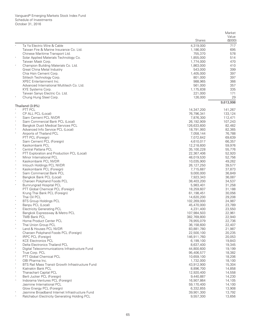|                    |                                                                                |                           | Market           |
|--------------------|--------------------------------------------------------------------------------|---------------------------|------------------|
|                    |                                                                                | Shares                    | Value<br>(\$000) |
|                    | Ta Ya Electric Wire & Cable                                                    | 4,319,000                 | 717              |
|                    | Taiwan Fire & Marine Insurance Co. Ltd.                                        | 1,186,000                 | 695              |
|                    | Chinese Maritime Transport Ltd.                                                | 755,370                   | 578              |
|                    | Solar Applied Materials Technology Co.                                         | 1,855,000                 | 514              |
|                    | Taiwan Mask Corp.<br>Champion Building Materials Co. Ltd.                      | 1,774,000<br>1,863,000    | 470<br>410       |
|                    | Great China Metal Industry                                                     | 543,000                   | 399              |
|                    | Chia Hsin Cement Corp.                                                         | 1,405,000                 | 397              |
|                    | Silitech Technology Corp.                                                      | 801,000                   | 397              |
|                    | <b>XPEC Entertainment Inc.</b>                                                 | 988,965                   | 366              |
|                    | Advanced International Multitech Co. Ltd.                                      | 561,000                   | 357              |
|                    | KYE Systems Corp.                                                              | 1,175,838                 | 335              |
|                    | Taiwan Sanyo Electric Co. Ltd.                                                 | 221,000                   | 171              |
|                    | Chung Hung Steel Corp.                                                         | 126,000                   | 29<br>9,613,998  |
|                    | Thailand (3.9%)                                                                |                           |                  |
|                    | PTT PCL                                                                        | 14,347,200                | 141,267          |
|                    | CP ALL PCL (Local)                                                             | 76,796,341                | 133,124          |
| $\wedge$           | Siam Cement PCL NVDR                                                           | 7,876,300                 | 112,471          |
|                    | Siam Commercial Bank PCL (Local)                                               | 26,192,909                | 107,243          |
|                    | <b>Bangkok Dusit Medical Services PCL</b><br>Advanced Info Service PCL (Local) | 126,633,600<br>18,791,993 | 82,482<br>82,365 |
|                    | Airports of Thailand PCL                                                       | 7,058,144                 | 76,788           |
|                    | PTT PCL (Foreign)                                                              | 7,072,642                 | 69,639           |
|                    | Siam Cement PCL (Foreign)                                                      | 4,610,017                 | 66,357           |
| $\ast$             | Kasikornbank PCL                                                               | 12,218,600                | 59,976           |
|                    | Central Pattana PCL                                                            | 35,100,228                | 55,776           |
|                    | PTT Exploration and Production PCL (Local)                                     | 22,367,406                | 52,920           |
| $\ast$             | Minor International PCL                                                        | 48,019,530                | 52,756           |
| $\land$            | Kasikornbank PCL NVDR                                                          | 10,035,900                | 49,262           |
| $\land$            | Intouch Holdings PCL NVDR                                                      | 26,127,250                | 39,577           |
| $\land$<br>$\land$ | Kasikornbank PCL (Foreign)                                                     | 7,715,687                 | 37,873           |
|                    | Siam Commercial Bank PCL<br>Bangkok Bank PCL (Local)                           | 9,000,000<br>7,923,343    | 36,849<br>36,087 |
|                    | Charoen Pokphand Foods PCL                                                     | 38,403,200                | 34,537           |
| $\ast$             | <b>Bumrungrad Hospital PCL</b>                                                 | 5,983,401                 | 31,258           |
|                    | PTT Global Chemical PCL (Foreign)                                              | 18,259,607                | 31,188           |
|                    | Krung Thai Bank PCL (Foreign)                                                  | 61,198,451                | 30,056           |
|                    | Thai Oil PCL                                                                   | 14,620,200                | 29,208           |
|                    | <b>BTS Group Holdings PCL</b>                                                  | 102,269,000               | 24,987           |
|                    | Banpu PCL (Local)                                                              | 45,470,000                | 23,789           |
|                    | <b>Electricity Generating PCL</b>                                              | 4,231,400                 | 23,550           |
|                    | Bangkok Expressway & Metro PCL                                                 | 107,984,503               | 22,961           |
|                    | TMB Bank PCL<br>Home Product Center PCL                                        | 382,769,800<br>78,955,079 | 22,940<br>22,736 |
|                    | Thai Union Group PCL                                                           | 36,158,600                | 22,407           |
| $\land$            | Land & Houses PCL NVDR                                                         | 83,881,780                | 21,987           |
|                    | Charoen Pokphand Foods PCL (Foreign)                                           | 22,500,100                | 20,235           |
| $\land$            | IRPC PCL (Foreign)                                                             | 146,911,760               | 20,053           |
| $\ast$             | <b>KCE Electronics PCL</b>                                                     | 6,199,100                 | 19,843           |
|                    | Delta Electronics Thailand PCL                                                 | 8,637,400                 | 19,345           |
|                    | Digital Telecommunications Infrastructure Fund                                 | 44,800,600                | 19,199           |
|                    | True Corp. PCL                                                                 | 95,406,577                | 18,382           |
| $\ast$             | PTT Global Chemical PCL                                                        | 10,659,100                | 18,206           |
|                    | OBI Pharma Inc.                                                                | 1,732,000<br>43,912,900   | 18,100           |
| $\ast$             | BTS Rail Mass Transit Growth Infrastructure Fund<br>Kiatnakin Bank PCL         | 8,896,700                 | 15,304<br>14,858 |
| $\ast$             | Thanachart Capital PCL                                                         | 12,920,400                | 14,558           |
| $\wedge$           | Berli Jucker PCL (Foreign)                                                     | 9,440,887                 | 14,230           |
| $\wedge$           | Indorama Ventures PCL (Foreign)                                                | 16,907,864                | 14,105           |
|                    | Jasmine International PCL                                                      | 59,170,400                | 14,100           |
|                    | Glow Energy PCL (Foreign)                                                      | 6,332,855                 | 13,908           |
|                    | Jasmine Broadband Internet Infrastructure Fund                                 | 39,901,300                | 13,792           |
|                    | Ratchaburi Electricity Generating Holding PCL                                  | 9,557,300                 | 13,656           |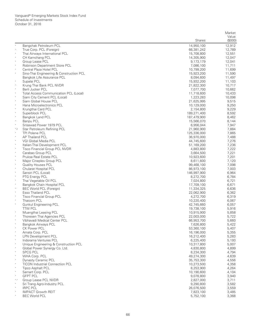|                  |                                                                      |                           | Market           |
|------------------|----------------------------------------------------------------------|---------------------------|------------------|
|                  |                                                                      | Shares                    | Value<br>(\$000) |
|                  | Bangchak Petroleum PCL                                               | 14.950.100                | 12,912           |
| $\wedge$         | True Corp. PCL (Foreign)                                             | 66,381,242                | 12,789           |
|                  | Thai Airways International PCL                                       | 15,708,800                | 12,551           |
| $\ast$           | CH Karnchang PCL                                                     | 14,305,900                | 12,047           |
|                  | Group Lease PCL                                                      | 9,173,179                 | 12,041           |
| $\ast$           | Robinson Department Store PCL                                        | 7,086,100                 | 11,711           |
| $\ast$           | Central Plaza Hotel PCL<br>Sino-Thai Engineering & Construction PCL  | 10,799,200<br>15,923,200  | 11,699<br>11,590 |
|                  | Bangkok Life Assurance PCL                                           | 8,094,600                 | 11,497           |
|                  | Supalai PCL                                                          | 15,932,200                | 11,103           |
| $\land$          | Krung Thai Bank PCL NVDR                                             | 21,822,300                | 10,717           |
| $\ast$           | Berli Jucker PCL                                                     | 7,077,700                 | 10,662           |
|                  | <b>Total Access Communication PCL (Local)</b>                        | 11,718,600                | 10,433           |
| $\ast$<br>$\ast$ | Siam City Cement PCL (Local)                                         | 1,223,283                 | 10,098           |
| $\ast$           | Siam Global House PCL<br>Hana Microelectronics PCL                   | 21,625,995<br>10,129,000  | 9,515<br>9,250   |
|                  | Krungthai Card PCL                                                   | 2,154,800                 | 9,229            |
|                  | Superblock PCL                                                       | 189,271,400               | 8,592            |
| $\ast$           | Bangkok Land PCL                                                     | 187,479,900               | 8,462            |
| $\wedge$         | Banpu PCL                                                            | 15,566,070                | 8,144            |
| $\star$          | Srisawad Power 1979 PCL                                              | 6,956,044                 | 7,947            |
| $^*$ ,2          | Star Petroleum Refining PCL                                          | 21,960,900                | 7,884            |
| $\ast$           | <b>TPI Polene PCL</b><br>AP Thailand PCL                             | 125,336,000<br>36,970,000 | 7,865<br>7,488   |
| $\ast$           | VGI Global Media PCL                                                 | 44,745,600                | 7,276            |
| $\ast$           | Italian-Thai Development PCL                                         | 51,169,200                | 7,236            |
| $\ast$           | Tisco Financial Group PCL NVDR                                       | 4,883,800                 | 7,222            |
| $\ast$           | Carabao Group PCL                                                    | 3,664,500                 | 7,221            |
|                  | Pruksa Real Estate PCL                                               | 10,923,600                | 7,201            |
| $\ast$           | Major Cineplex Group PCL                                             | 8,611,600                 | 7,120            |
|                  | <b>Quality Houses PCL</b><br>Chularat Hospital PCL                   | 99,468,100<br>86,973,100  | 7,098<br>7,003   |
| $\ast$           | Sansiri PCL (Local)                                                  | 146,997,900               | 6,964            |
|                  | PTG Energy PCL                                                       | 8,272,700                 | 6,784            |
| $\ast$           | Thai Vegetable Oil PCL                                               | 7,024,800                 | 6,721            |
| $\ast$           | Bangkok Chain Hospital PCL                                           | 17,709,100                | 6,671            |
| $\wedge$         | <b>BEC World PCL (Foreign)</b>                                       | 11,334,325                | 6,636            |
| $\ast$<br>$\ast$ | Esso Thailand PCL                                                    | 22,062,900                | 6,362            |
| $\ast$           | <b>Tisco Financial Group PCL</b><br>Thaicom PCL                      | 4,272,700<br>10,220,400   | 6,319<br>6,067   |
| $\ast$           | <b>Gunkul Engineering PCL</b>                                        | 42,745,660                | 6,057            |
|                  | <b>TTW PCL</b>                                                       | 19,738,100                | 5,916            |
| $\ast$           | Muangthai Leasing PCL                                                | 10,915,900                | 5,858            |
|                  | Thoresen Thai Agencies PCL                                           | 22,003,000                | 5,722            |
|                  | Vibhavadi Medical Center PCL                                         | 66,953,700                | 5,660            |
|                  | Bangkok Airways PCL<br><b>CK Power PCL</b>                           | 7,626,800<br>53,360,100   | 5,422            |
| $\star$          | Amata Corp. PCL                                                      | 16,196,000                | 5,407<br>5,355   |
|                  | <b>LPN Development PCL</b>                                           | 16,212,400                | 5,283            |
| $\ast$           | Indorama Ventures PCL                                                | 6,225,400                 | 5,193            |
|                  | Unique Engineering & Construction PCL                                | 10,317,800                | 5,007            |
| $\ast$           | Global Power Synergy Co. Ltd.                                        | 4,830,800                 | 4,899            |
|                  | <b>SPCG PCL</b>                                                      | 8,234,300                 | 4,794            |
| $\ast$           | WHA Corp. PCL                                                        | 49,274,300                | 4,639            |
|                  | <b>Dynasty Ceramic PCL</b><br><b>TICON Industrial Connection PCL</b> | 35,753,300<br>10,273,500  | 4,556<br>4,358   |
| $\star$          | <b>Tipco Asphalt PCL</b>                                             | 8,253,900                 | 4,264            |
|                  | Samart Corp. PCL                                                     | 10,190,600                | 4,104            |
|                  | <b>GFPT PCL</b>                                                      | 9,078,800                 | 3,940            |
| $^*,\wedge$      | Group Lease PCL NVDR                                                 | 2,827,000                 | 3,711            |
|                  | Sri Trang Agro-Industry PCL                                          | 9,290,800                 | 3,582            |
| $\ast$           | <b>IRPC PCL</b><br><b>IMPACT Growth REIT</b>                         | 26,076,500                | 3,559            |
|                  | <b>BEC World PCL</b>                                                 | 7,823,100<br>5,752,100    | 3,485<br>3,368   |
|                  |                                                                      |                           |                  |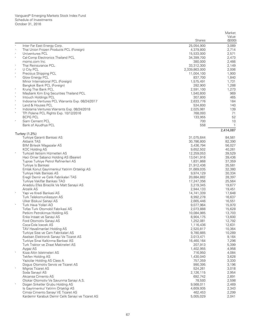|          |                                                                           |                          | Market           |
|----------|---------------------------------------------------------------------------|--------------------------|------------------|
|          |                                                                           | Shares                   | Value<br>(\$000) |
|          | Inter Far East Energy Corp.                                               | 25,054,900               | 3,089            |
| $\wedge$ | Thai Union Frozen Products PCL (Foreign)                                  | 4,379,800                | 2,714            |
| $\ast$   | Univentures PCL                                                           | 15,533,000               | 2,571            |
| $\ast$   | Cal-Comp Electronics Thailand PCL                                         | 34,399,700               | 2,473            |
|          | momo.com Inc.                                                             | 380,000                  | 2,466            |
|          | Thai Reinsurance PCL                                                      | 33,312,300               | 2,149            |
| $\ast$   | U City PCL                                                                | 2,339,863,000            | 2,006            |
|          | Precious Shipping PCL                                                     | 11,004,100               | 1,900            |
| $\ast$   | Glow Energy PCL                                                           | 837,700                  | 1,840            |
|          | Minor International PCL (Foreign)                                         | 1,575,491                | 1,731            |
|          | Bangkok Bank PCL (Foreign)                                                | 282,900<br>2,591,100     | 1,288<br>1,273   |
|          | Krung Thai Bank PCL<br>Maybank Kim Eng Securities Thailand PCL            | 1,540,800                | 969              |
| $\;$     | Intouch Holdings PCL                                                      | 307,800                  | 465              |
| $\ast$   | Indorama Ventures PCL Warrants Exp. 08/24/2017                            | 2,633,776                | 184              |
| $\ast$   | Land & Houses PCL                                                         | 534,600                  | 140              |
|          | Indorama Ventures Warrants Exp. 08/24/2018                                | 2,025,981                | 139              |
|          | TPI Polene PCL Rights Exp. 10/12/2016                                     | 768,093                  | 71               |
|          | <b>BCPG PCL</b>                                                           | 133,955                  | 52               |
|          | Siam Cement PCL                                                           | 700                      | 10               |
|          | Bank of Ayudhya PCL                                                       | 558                      | $\mathbf{1}$     |
|          |                                                                           |                          | 2,414,087        |
|          | Turkey (1.3%)                                                             |                          |                  |
|          | Turkiye Garanti Bankasi AS<br><b>Akbank TAS</b>                           | 31,075,644<br>30,786,800 | 84,561<br>82,390 |
|          | <b>BIM Birlesik Magazalar AS</b>                                          | 3,436,794                | 56,027           |
|          | <b>KOC Holding AS</b>                                                     | 9,652,502                | 40,261           |
|          | Turkcell Iletisim Hizmetleri AS                                           | 12,259,053               | 39,529           |
|          | Haci Omer Sabanci Holding AS (Bearer)                                     | 13,041,916               | 39,436           |
|          | Tupras Turkiye Petrol Rafinerileri AS                                     | 1,831,868                | 37,359           |
|          | Turkiye Is Bankasi                                                        | 21,912,436               | 35,581           |
|          | Emlak Konut Gayrimenkul Yatirim Ortakligi AS                              | 31,689,035               | 32,380           |
|          | Turkiye Halk Bankasi AS                                                   | 9,974,129                | 30,334           |
|          | Eregli Demir ve Celik Fabrikalari TAS                                     | 20,884,882               | 28,397           |
|          | Turkiye Vakiflar Bankasi TAO                                              | 17,247,356               | 25,564           |
|          | Anadolu Efes Biracilik Ve Malt Sanayii AS                                 | 3,219,345                | 19,677           |
|          | Arcelik AS                                                                | 2,944,133                | 19,451           |
| $\ast$   | Yapi ve Kredi Bankasi AS                                                  | 14,741,339               | 17,648           |
|          | Turk Telekomunikasyon AS                                                  | 8,992,278                | 16,637           |
|          | Ulker Biskuvi Sanayi AS                                                   | 2,665,446                | 16,551           |
|          | Turk Hava Yollari AO                                                      | 9,077,964                | 15,970           |
|          | Tofas Turk Otomobil Fabrikasi AS                                          | 2,073,888                | 15,628           |
|          | Petkim Petrokimya Holding AS<br>Enka Insaat ve Sanayi AS                  | 10,084,985<br>8,904,175  | 13,703<br>13,600 |
|          | Ford Otomotiv Sanayi AS                                                   | 1,252,081                | 12,792           |
|          | Coca-Cola Icecek AS                                                       | 1,116,436                | 12,631           |
|          | TAV Havalimanlari Holding AS                                              | 2,520,817                | 10,364           |
|          | Turkiye Sise ve Cam Fabrikalari AS                                        | 9,780,885                | 10,289           |
|          | Aselsan Elektronik Sanayi Ve Ticaret AS                                   | 3,013,471                | 9,164            |
|          | Turkiye Sinai Kalkinma Bankasi AS                                         | 16,460,164               | 7,296            |
|          | Turk Traktor ve Ziraat Makineleri AS                                      | 207,913                  | 5,399            |
|          | Aygaz AS                                                                  | 1,402,955                | 4,958            |
| $\ast$   | Koza Altin Isletmeleri AS                                                 | 716,950                  | 4,084            |
|          | Tekfen Holding AS                                                         | 1,430,040                | 3,628            |
|          | Yazicilar Holding AS Class A                                              | 757,359                  | 3,330            |
|          | Dogus Otomotiv Servis ve Ticaret AS                                       | 990,395                  | 3,196            |
| $\ast$   | Migros Ticaret AS                                                         | 524,261                  | 3,018            |
|          | Soda Sanayii AS                                                           | 2,126,115                | 2,954            |
|          | Akcansa Cimento AS                                                        | 692,742                  | 2,891            |
|          | Otokar Otomotiv Ve Savunma Sanayi A.S.                                    | 78,593                   | 2,598            |
|          | Dogan Sirketler Grubu Holding AS                                          | 9,568,011                | 2,469            |
|          | Is Gayrimenkul Yatirim Ortakligi AS<br>Cimsa Cimento Sanayi VE Ticaret AS | 4,609,935<br>462,453     | 2,343<br>2,299   |
|          | Kardemir Karabuk Demir Celik Sanayi ve Ticaret AS                         | 5,005,029                | 2,041            |
|          |                                                                           |                          |                  |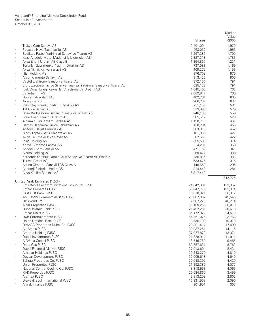|         |                                                                          |                          | Market           |
|---------|--------------------------------------------------------------------------|--------------------------|------------------|
|         |                                                                          |                          | Value            |
|         |                                                                          | <b>Shares</b>            | (\$000)          |
|         | Trakya Cam Sanayii AS                                                    | 2,401,094                | 1,979            |
| $\ast$  | Pegasus Hava Tasimaciligi AS                                             | 463,032                  | 1,956            |
|         | Besiktas Futbol Yatirimlari Sanayi ve Ticaret AS                         | 1,267,381                | 1,790            |
|         | Koza Anadolu Metal Madencilik Isletmeleri AS                             | 2,387,318                | 1,783            |
| $\ast$  | Aksa Enerji Uretim AS Class B                                            | 1,354,867                | 1,231            |
|         | Torunlar Gayrimenkul Yatirim Ortakligi AS                                | 737,083                  | 1,169            |
|         | Aksa Akrilik Kimya Sanayii AS                                            | 409,272                  | 1,153            |
| $\ast$  | <b>NET Holding AS</b>                                                    | 976,703                  | 975              |
| $\ast$  | Afyon Cimento Sanayi TAS                                                 | 313,425                  | 805              |
| $\ast$  | Vestel Elektronik Sanayi ve Ticaret AS                                   | 372,155                  | 791              |
|         | EIS Eczacibasi Ilac ve Sinai ve Finansal Yatirimlar Sanayi ve Ticaret AS | 625,122                  | 791              |
| $\ast$  | Ipek Dogal Enerji Kaynaklari Arastirma Ve Uretim AS                      | 1,045,405                | 762              |
| $\ast$  | Sekerbank TAS                                                            | 2,009,847                | 760              |
|         | Gubre Fabrikalari TAS                                                    | 402,761                  | 665              |
| $\ast$  | Aksigorta AS                                                             | 966,287                  | 632              |
| $\ast$  | Vakif Gayrimenkul Yatirim Ortakligi AS                                   | 751,150                  | 581              |
|         | Tat Gida Sanayi AS                                                       | 313,998                  | 579              |
|         | Brisa Bridgestone Sabanci Sanayi ve Ticaret AS                           | 248,138                  | 559              |
| $\ast$  | Zorlu Enerji Elektrik Uretim AS                                          | 985,517                  | 523              |
|         | Albaraka Turk Katilim Bankasi AS                                         | 1,150,710                | 461              |
| $\ast$  | Bagfas Bandirma Gubre Fabrikalari AS                                     | 130,234                  | 455              |
|         | Anadolu Hayat Emeklilik AS                                               | 283,018                  | 452              |
|         | Bizim Toptan Satis Magazalari AS                                         | 101,958                  | 427              |
|         | AvivaSA Emeklilik ve Hayat AS                                            | 62,550                   | 422              |
| $\ast$  | Ihlas Holding AS                                                         | 3,395,589                | 374              |
|         | Konya Cimento Sanayii AS                                                 | 4,231                    | 368              |
| $\ast$  | Anadolu Cam Sanayii AS                                                   | 471,162                  | 341              |
|         | Alarko Holding AS                                                        | 269,472                  | 338              |
|         | Kardemir Karabuk Demir Celik Sanayi ve Ticaret AS Class A                | 736,815                  | 331              |
|         | <b>Turcas Petrol AS</b>                                                  | 633,476                  | 315              |
|         | Adana Cimento Sanayii TAS Class A                                        | 146,658                  | 295              |
|         | Akenerji Elektrik Uretim AS                                              | 914,448                  | 284              |
|         | Asya Katilim Bankasi AS                                                  | 6,317,442                |                  |
|         |                                                                          |                          | 812,775          |
|         | United Arab Emirates (1.0%)                                              |                          |                  |
|         | Emirates Telecommunications Group Co. PJSC                               | 24,042,891               | 123,352          |
|         | <b>Emaar Properties PJSC</b>                                             | 55,647,770               | 105,374          |
|         | First Gulf Bank PJSC                                                     | 18,010,321               | 56,317           |
|         | Abu Dhabi Commercial Bank PJSC<br>DP World Ltd.                          | 29,687,057               | 49,545<br>48,214 |
|         |                                                                          | 2,687,229                |                  |
|         | Aldar Properties PJSC<br>Dubai Islamic Bank PJSC                         | 53,109,256               | 38,019<br>30,618 |
|         | Emaar Malls PJSC                                                         | 21,492,261<br>35,172,322 | 24,570           |
|         | <b>DXB Entertainments PJSC</b>                                           | 55,751,076               | 23,753           |
|         | Union National Bank PJSC                                                 | 18,736,799               | 19,979           |
|         | DAMAC Properties Dubai Co. PJSC                                          | 29,301,414               | 17,499           |
|         | Air Arabia PJSC                                                          | 39,937,251               | 14,115           |
| $\star$ | Arabtec Holding PJSC                                                     | 37,027,872               | 13,371           |
|         | Dubai Investments PJSC                                                   | 21,828,914               | 11,914           |
|         | Al Waha Capital PJSC                                                     | 18,546,769               | 9,485            |
| $\ast$  | Dana Gas PJSC                                                            | 60,857,631               | 8,762            |
|         | Dubai Financial Market PJSC                                              | 27,013,604               | 8,434            |
|         | Amanat Holdings PJSC                                                     | 20,243,279               | 4,819            |
|         | Deyaar Development PJSC                                                  | 32,005,618               | 4,640            |
|         | Eshrag Properties Co. PJSC                                               | 20,648,392               | 4,429            |
| $\ast$  | Union Properties PJSC                                                    | 21,192,380               | 4,077            |
|         | National Central Cooling Co. PJSC                                        | 8,318,553                | 4,063            |
|         | <b>RAK Properties PJSC</b>                                               | 20,584,860               | 3,459            |
|         | Aramex PJSC                                                              | 2,913,203                | 2,805            |
|         | Drake & Scull International PJSC                                         | 16,931,558               | 2,090            |
|         | Amlak Finance PJSC                                                       | 901,901                  | 303              |
|         |                                                                          |                          |                  |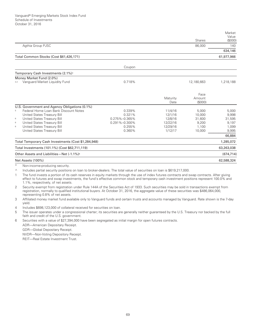|                                                                                                                       |               |          |               | Market<br>Value |
|-----------------------------------------------------------------------------------------------------------------------|---------------|----------|---------------|-----------------|
|                                                                                                                       |               |          | <b>Shares</b> | (\$000)         |
| Agthia Group PJSC                                                                                                     |               |          | 86,000        | 140             |
|                                                                                                                       |               |          |               | 634,146         |
| Total Common Stocks (Cost \$61,426,171)                                                                               |               |          |               | 61,977,966      |
|                                                                                                                       | Coupon        |          |               |                 |
| Temporary Cash Investments (2.1%) <sup>1</sup>                                                                        |               |          |               |                 |
| Money Market Fund (2.0%)                                                                                              |               |          |               |                 |
| Vanguard Market Liquidity Fund<br>3,4                                                                                 | 0.718%        |          | 12,180,663    | 1,218,188       |
|                                                                                                                       |               |          | Face          |                 |
|                                                                                                                       |               | Maturity | Amount        |                 |
|                                                                                                                       |               | Date     | (\$000)       |                 |
| U.S. Government and Agency Obligations (0.1%)                                                                         |               |          |               |                 |
| Federal Home Loan Bank Discount Notes<br>5                                                                            | 0.339%        | 11/4/16  | 5,000         | 5,000           |
| United States Treasury Bill                                                                                           | 0.321%        | 12/1/16  | 10,000        | 9,998           |
| United States Treasury Bill<br>6                                                                                      | 0.275%-0.365% | 12/8/16  | 31,600        | 31,595          |
| United States Treasury Bill<br>6                                                                                      | 0.291%-0.300% | 12/22/16 | 9,200         | 9,197           |
| United States Treasury Bill<br>6                                                                                      | 0.255%        | 12/29/16 | 1,100         | 1,099           |
| United States Treasury Bill                                                                                           | 0.360%        | 1/12/17  | 10,000        | 9,995           |
|                                                                                                                       |               |          |               | 66,884          |
| Total Temporary Cash Investments (Cost \$1,284,948)                                                                   |               |          |               | 1,285,072       |
| Total Investments (101.1%) (Cost \$62,711,119)                                                                        |               |          |               | 63,263,038      |
| Other Assets and Liabilities-Net (-1.1%) <sup>4</sup>                                                                 |               |          |               | (674, 714)      |
| Net Assets (100%)                                                                                                     |               |          |               | 62,588,324      |
| Non-income-producing security.                                                                                        |               |          |               |                 |
| Jealudas periodes escurituradoridade a loga to brotas destações. The total volume financiaira en Jean in CC10 217 000 |               |          |               |                 |

Includes partial security positions on loan to broker-dealers. The total value of securities on loan is \$619,217,000.

 $\mathbf{1}$ The fund invests a portion of its cash reserves in equity markets through the use of index futures contracts and swap contracts. After giving effect to futures and swap investments, the fund's effective common stock and temporary cash investment positions represent 100.0% and 1.1%, respectively, of net assets.

- Security exempt from registration under Rule 144A of the Securities Act of 1933. Such securities may be sold in transactions exempt from 2 registration, normally to qualified institutional buyers. At October 31, 2016, the aggregate value of these securities was \$486,064,000, representing 0.8% of net assets.
- $\overline{3}$ Affiliated money market fund available only to Vanguard funds and certain trusts and accounts managed by Vanguard. Rate shown is the 7-day vield.

Includes \$698,123,000 of collateral received for securities on loan.  $\overline{4}$ 

The issuer operates under a congressional charter; its securities are generally neither guaranteed by the U.S. Treasury nor backed by the full 5 faith and credit of the U.S. government.

Securities with a value of \$27,394,000 have been segregated as initial margin for open futures contracts. 6

ADR-American Depositary Receipt.

GDR-Global Depositary Receipt.

NVDR-Non-Voting Depository Receipt.

REIT-Real Estate Investment Trust.